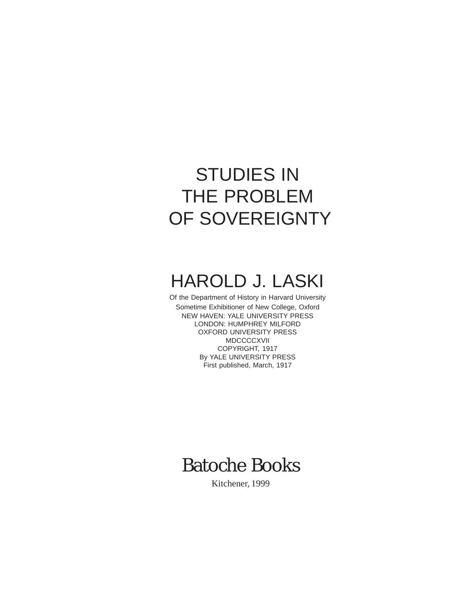## STUDIES IN THE PROBLEM OF SOVEREIGNTY

## HAROLD J. LASKI

Of the Department of History in Harvard University Sometime Exhibitioner of New College, Oxford NEW HAVEN: YALE UNIVERSITY PRESS LONDON: HUMPHREY MILFORD OXFORD UNIVERSITY PRESS MDCCCCXVII COPYRIGHT, 1917 By YALE UNIVERSITY PRESS First published, March, 1917

### Batoche Books

Kitchener, 1999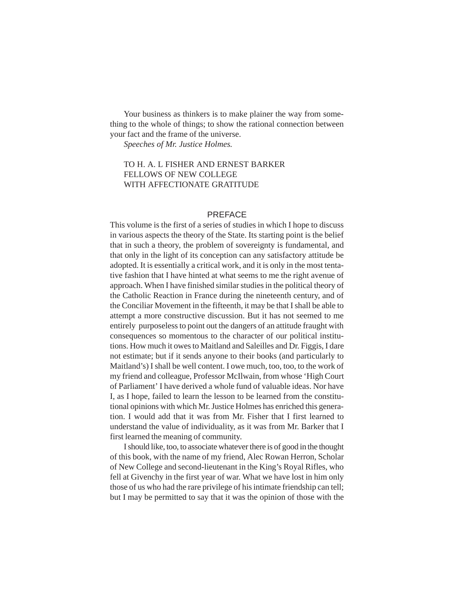Your business as thinkers is to make plainer the way from something to the whole of things; to show the rational connection between your fact and the frame of the universe.

*Speeches of Mr. Justice Holmes.*

#### TO H. A. L FISHER AND ERNEST BARKER FELLOWS OF NEW COLLEGE WITH AFFECTIONATE GRATITUDE

#### PREFACE

This volume is the first of a series of studies in which I hope to discuss in various aspects the theory of the State. Its starting point is the belief that in such a theory, the problem of sovereignty is fundamental, and that only in the light of its conception can any satisfactory attitude be adopted. It is essentially a critical work, and it is only in the most tentative fashion that I have hinted at what seems to me the right avenue of approach. When I have finished similar studies in the political theory of the Catholic Reaction in France during the nineteenth century, and of the Conciliar Movement in the fifteenth, it may be that I shall be able to attempt a more constructive discussion. But it has not seemed to me entirely purposeless to point out the dangers of an attitude fraught with consequences so momentous to the character of our political institutions. How much it owes to Maitland and Saleilles and Dr. Figgis, I dare not estimate; but if it sends anyone to their books (and particularly to Maitland's) I shall be well content. I owe much, too, too, to the work of my friend and colleague, Professor McIlwain, from whose 'High Court of Parliament' I have derived a whole fund of valuable ideas. Nor have I, as I hope, failed to learn the lesson to be learned from the constitutional opinions with which Mr. Justice Holmes has enriched this generation. I would add that it was from Mr. Fisher that I first learned to understand the value of individuality, as it was from Mr. Barker that I first learned the meaning of community.

I should like, too, to associate whatever there is of good in the thought of this book, with the name of my friend, Alec Rowan Herron, Scholar of New College and second-lieutenant in the King's Royal Rifles, who fell at Givenchy in the first year of war. What we have lost in him only those of us who had the rare privilege of his intimate friendship can tell; but I may be permitted to say that it was the opinion of those with the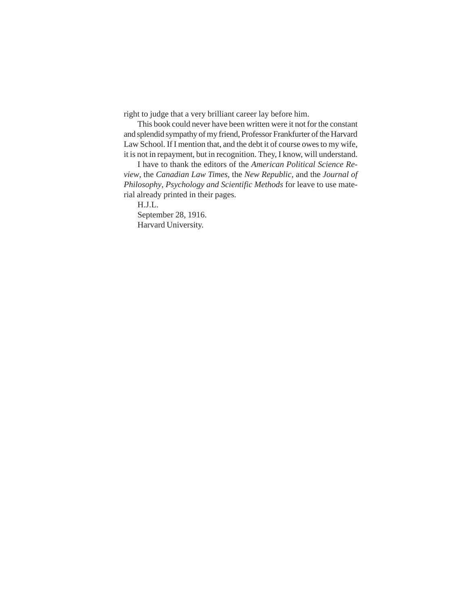right to judge that a very brilliant career lay before him.

This book could never have been written were it not for the constant and splendid sympathy of my friend, Professor Frankfurter of the Harvard Law School. If I mention that, and the debt it of course owes to my wife, it is not in repayment, but in recognition. They, I know, will understand.

I have to thank the editors of the *American Political Science Review*, the *Canadian Law Times*, the *New Republic*, and the *Journal of Philosophy*, *Psychology and Scientific Methods* for leave to use material already printed in their pages.

H.J.L.

September 28, 1916. Harvard University.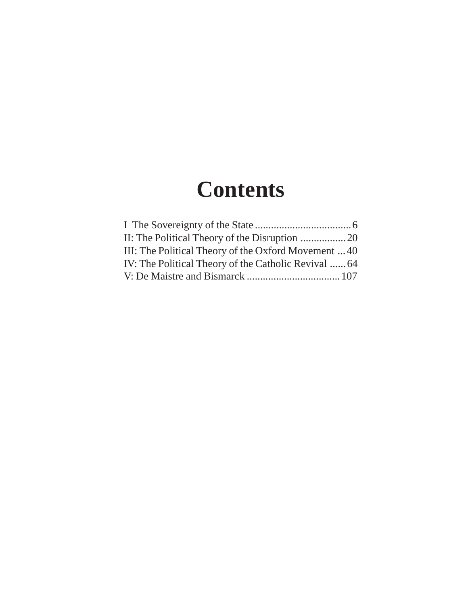# **Contents**

| III: The Political Theory of the Oxford Movement 40 |  |
|-----------------------------------------------------|--|
|                                                     |  |
|                                                     |  |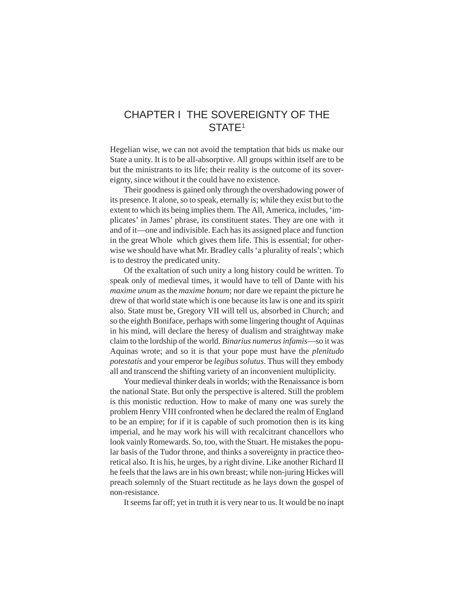### CHAPTER I THE SOVEREIGNTY OF THE STATE<sup>1</sup>

Hegelian wise, we can not avoid the temptation that bids us make our State a unity. It is to be all-absorptive. All groups within itself are to be but the ministrants to its life; their reality is the outcome of its sovereignty, since without it the could have no existence.

Their goodness is gained only through the overshadowing power of its presence. It alone, so to speak, eternally is; while they exist but to the extent to which its being implies them. The All, America, includes, 'implicates' in James' phrase, its constituent states. They are one with it and of it—one and indivisible. Each has its assigned place and function in the great Whole which gives them life. This is essential; for otherwise we should have what Mr. Bradley calls 'a plurality of reals'; which is to destroy the predicated unity.

Of the exaltation of such unity a long history could be written. To speak only of medieval times, it would have to tell of Dante with his *maxime unum* as the *maxime bonum*; nor dare we repaint the picture he drew of that world state which is one because its law is one and its spirit also. State must be, Gregory VII will tell us, absorbed in Church; and so the eighth Boniface, perhaps with some lingering thought of Aquinas in his mind, will declare the heresy of dualism and straightway make claim to the lordship of the world. *Binarius numerus infamis*—so it was Aquinas wrote; and so it is that your pope must have the *plenitudo potestatis* and your emperor be *legibus solutus*. Thus will they embody all and transcend the shifting variety of an inconvenient multiplicity.

Your medieval thinker deals in worlds; with the Renaissance is born the national State. But only the perspective is altered. Still the problem is this monistic reduction. How to make of many one was surely the problem Henry VIII confronted when he declared the realm of England to be an empire; for if it is capable of such promotion then is its king imperial, and he may work his will with recalcitrant chancellors who look vainly Romewards. So, too, with the Stuart. He mistakes the popular basis of the Tudor throne, and thinks a sovereignty in practice theoretical also. It is his, he urges, by a right divine. Like another Richard II he feels that the laws are in his own breast; while non-juring Hickes will preach solemnly of the Stuart rectitude as he lays down the gospel of non-resistance.

It seems far off; yet in truth it is very near to us. It would be no inapt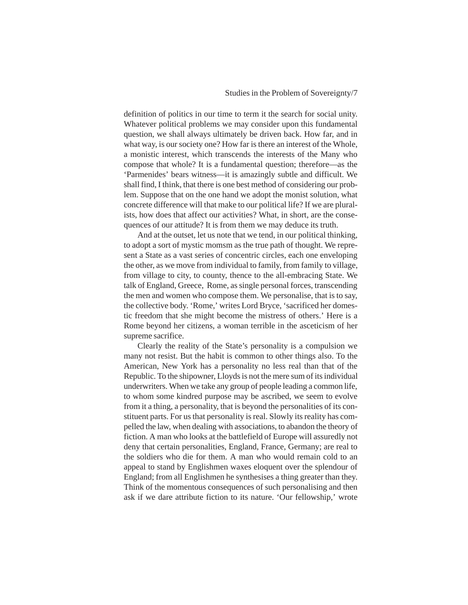definition of politics in our time to term it the search for social unity. Whatever political problems we may consider upon this fundamental question, we shall always ultimately be driven back. How far, and in what way, is our society one? How far is there an interest of the Whole, a monistic interest, which transcends the interests of the Many who compose that whole? It is a fundamental question; therefore—as the 'Parmenides' bears witness—it is amazingly subtle and difficult. We shall find, I think, that there is one best method of considering our problem. Suppose that on the one hand we adopt the monist solution, what concrete difference will that make to our political life? If we are pluralists, how does that affect our activities? What, in short, are the consequences of our attitude? It is from them we may deduce its truth.

And at the outset, let us note that we tend, in our political thinking, to adopt a sort of mystic momsm as the true path of thought. We represent a State as a vast series of concentric circles, each one enveloping the other, as we move from individual to family, from family to village, from village to city, to county, thence to the all-embracing State. We talk of England, Greece, Rome, as single personal forces, transcending the men and women who compose them. We personalise, that is to say, the collective body. 'Rome,' writes Lord Bryce, 'sacrificed her domestic freedom that she might become the mistress of others.' Here is a Rome beyond her citizens, a woman terrible in the asceticism of her supreme sacrifice.

Clearly the reality of the State's personality is a compulsion we many not resist. But the habit is common to other things also. To the American, New York has a personality no less real than that of the Republic. To the shipowner, Lloyds is not the mere sum of its individual underwriters. When we take any group of people leading a common life, to whom some kindred purpose may be ascribed, we seem to evolve from it a thing, a personality, that is beyond the personalities of its constituent parts. For us that personality is real. Slowly its reality has compelled the law, when dealing with associations, to abandon the theory of fiction. A man who looks at the battlefield of Europe will assuredly not deny that certain personalities, England, France, Germany; are real to the soldiers who die for them. A man who would remain cold to an appeal to stand by Englishmen waxes eloquent over the splendour of England; from all Englishmen he synthesises a thing greater than they. Think of the momentous consequences of such personalising and then ask if we dare attribute fiction to its nature. 'Our fellowship,' wrote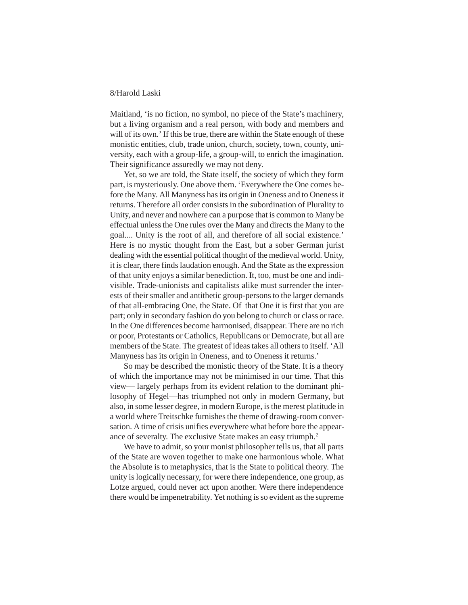Maitland, 'is no fiction, no symbol, no piece of the State's machinery, but a living organism and a real person, with body and members and will of its own.' If this be true, there are within the State enough of these monistic entities, club, trade union, church, society, town, county, university, each with a group-life, a group-will, to enrich the imagination. Their significance assuredly we may not deny.

Yet, so we are told, the State itself, the society of which they form part, is mysteriously. One above them. 'Everywhere the One comes before the Many. All Manyness has its origin in Oneness and to Oneness it returns. Therefore all order consists in the subordination of Plurality to Unity, and never and nowhere can a purpose that is common to Many be effectual unless the One rules over the Many and directs the Many to the goal.... Unity is the root of all, and therefore of all social existence.' Here is no mystic thought from the East, but a sober German jurist dealing with the essential political thought of the medieval world. Unity, it is clear, there finds laudation enough. And the State as the expression of that unity enjoys a similar benediction. It, too, must be one and indivisible. Trade-unionists and capitalists alike must surrender the interests of their smaller and antithetic group-persons to the larger demands of that all-embracing One, the State. Of that One it is first that you are part; only in secondary fashion do you belong to church or class or race. In the One differences become harmonised, disappear. There are no rich or poor, Protestants or Catholics, Republicans or Democrate, but all are members of the State. The greatest of ideas takes all others to itself. 'All Manyness has its origin in Oneness, and to Oneness it returns.'

So may be described the monistic theory of the State. It is a theory of which the importance may not be minimised in our time. That this view— largely perhaps from its evident relation to the dominant philosophy of Hegel—has triumphed not only in modern Germany, but also, in some lesser degree, in modern Europe, is the merest platitude in a world where Treitschke furnishes the theme of drawing-room conversation. A time of crisis unifies everywhere what before bore the appearance of severalty. The exclusive State makes an easy triumph.2

We have to admit, so your monist philosopher tells us, that all parts of the State are woven together to make one harmonious whole. What the Absolute is to metaphysics, that is the State to political theory. The unity is logically necessary, for were there independence, one group, as Lotze argued, could never act upon another. Were there independence there would be impenetrability. Yet nothing is so evident as the supreme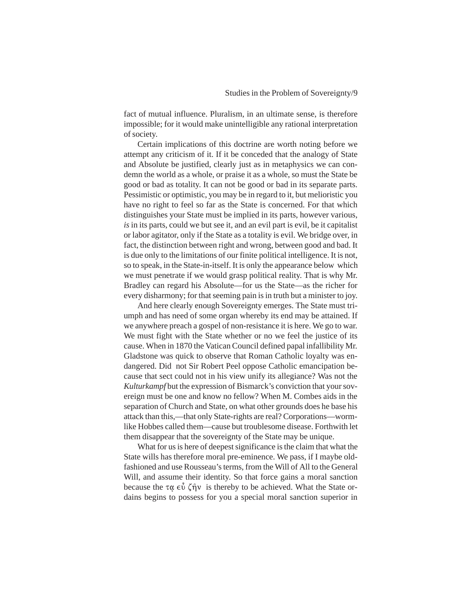fact of mutual influence. Pluralism, in an ultimate sense, is therefore impossible; for it would make unintelligible any rational interpretation of society.

Certain implications of this doctrine are worth noting before we attempt any criticism of it. If it be conceded that the analogy of State and Absolute be justified, clearly just as in metaphysics we can condemn the world as a whole, or praise it as a whole, so must the State be good or bad as totality. It can not be good or bad in its separate parts. Pessimistic or optimistic, you may be in regard to it, but melioristic you have no right to feel so far as the State is concerned. For that which distinguishes your State must be implied in its parts, however various, *is* in its parts, could we but see it, and an evil part is evil, be it capitalist or labor agitator, only if the State as a totality is evil. We bridge over, in fact, the distinction between right and wrong, between good and bad. It is due only to the limitations of our finite political intelligence. It is not, so to speak, in the State-in-itself. It is only the appearance below which we must penetrate if we would grasp political reality. That is why Mr. Bradley can regard his Absolute—for us the State—as the richer for every disharmony; for that seeming pain is in truth but a minister to joy.

And here clearly enough Sovereignty emerges. The State must triumph and has need of some organ whereby its end may be attained. If we anywhere preach a gospel of non-resistance it is here. We go to war. We must fight with the State whether or no we feel the justice of its cause. When in 1870 the Vatican Council defined papal infallibility Mr. Gladstone was quick to observe that Roman Catholic loyalty was endangered. Did not Sir Robert Peel oppose Catholic emancipation because that sect could not in his view unify its allegiance? Was not the *Kulturkampf* but the expression of Bismarck's conviction that your sovereign must be one and know no fellow? When M. Combes aids in the separation of Church and State, on what other grounds does he base his attack than this,—that only State-rights are real? Corporations—wormlike Hobbes called them—cause but troublesome disease. Forthwith let them disappear that the sovereignty of the State may be unique.

What for us is here of deepest significance is the claim that what the State wills has therefore moral pre-eminence. We pass, if I maybe oldfashioned and use Rousseau's terms, from the Will of All to the General Will, and assume their identity. So that force gains a moral sanction because the  $\tau \alpha \in \hat{V}$   $\zeta \hat{\eta} v$  is thereby to be achieved. What the State ordains begins to possess for you a special moral sanction superior in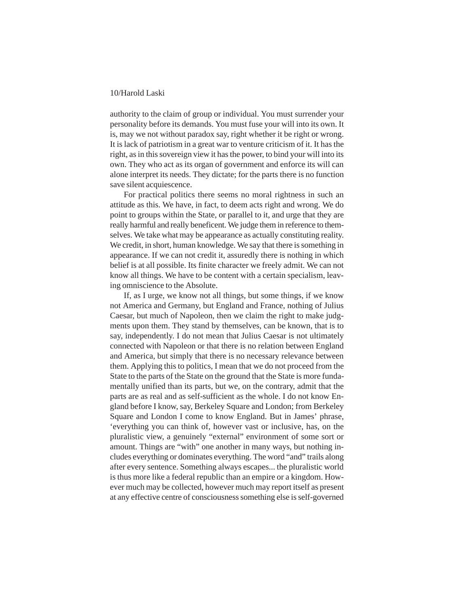authority to the claim of group or individual. You must surrender your personality before its demands. You must fuse your will into its own. It is, may we not without paradox say, right whether it be right or wrong. It is lack of patriotism in a great war to venture criticism of it. It has the right, as in this sovereign view it has the power, to bind your will into its own. They who act as its organ of government and enforce its will can alone interpret its needs. They dictate; for the parts there is no function save silent acquiescence.

For practical politics there seems no moral rightness in such an attitude as this. We have, in fact, to deem acts right and wrong. We do point to groups within the State, or parallel to it, and urge that they are really harmful and really beneficent. We judge them in reference to themselves. We take what may be appearance as actually constituting reality. We credit, in short, human knowledge. We say that there is something in appearance. If we can not credit it, assuredly there is nothing in which belief is at all possible. Its finite character we freely admit. We can not know all things. We have to be content with a certain specialism, leaving omniscience to the Absolute.

If, as I urge, we know not all things, but some things, if we know not America and Germany, but England and France, nothing of Julius Caesar, but much of Napoleon, then we claim the right to make judgments upon them. They stand by themselves, can be known, that is to say, independently. I do not mean that Julius Caesar is not ultimately connected with Napoleon or that there is no relation between England and America, but simply that there is no necessary relevance between them. Applying this to politics, I mean that we do not proceed from the State to the parts of the State on the ground that the State is more fundamentally unified than its parts, but we, on the contrary, admit that the parts are as real and as self-sufficient as the whole. I do not know England before I know, say, Berkeley Square and London; from Berkeley Square and London I come to know England. But in James' phrase, 'everything you can think of, however vast or inclusive, has, on the pluralistic view, a genuinely "external" environment of some sort or amount. Things are "with" one another in many ways, but nothing includes everything or dominates everything. The word "and" trails along after every sentence. Something always escapes... the pluralistic world is thus more like a federal republic than an empire or a kingdom. However much may be collected, however much may report itself as present at any effective centre of consciousness something else is self-governed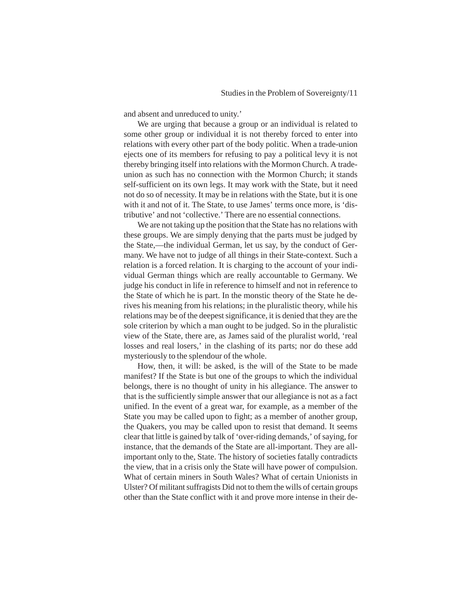and absent and unreduced to unity.'

We are urging that because a group or an individual is related to some other group or individual it is not thereby forced to enter into relations with every other part of the body politic. When a trade-union ejects one of its members for refusing to pay a political levy it is not thereby bringing itself into relations with the Mormon Church. A tradeunion as such has no connection with the Mormon Church; it stands self-sufficient on its own legs. It may work with the State, but it need not do so of necessity. It may be in relations with the State, but it is one with it and not of it. The State, to use James' terms once more, is 'distributive' and not 'collective.' There are no essential connections.

We are not taking up the position that the State has no relations with these groups. We are simply denying that the parts must be judged by the State,—the individual German, let us say, by the conduct of Germany. We have not to judge of all things in their State-context. Such a relation is a forced relation. It is charging to the account of your individual German things which are really accountable to Germany. We judge his conduct in life in reference to himself and not in reference to the State of which he is part. In the monstic theory of the State he derives his meaning from his relations; in the pluralistic theory, while his relations may be of the deepest significance, it is denied that they are the sole criterion by which a man ought to be judged. So in the pluralistic view of the State, there are, as James said of the pluralist world, 'real losses and real losers,' in the clashing of its parts; nor do these add mysteriously to the splendour of the whole.

How, then, it will: be asked, is the will of the State to be made manifest? If the State is but one of the groups to which the individual belongs, there is no thought of unity in his allegiance. The answer to that is the sufficiently simple answer that our allegiance is not as a fact unified. In the event of a great war, for example, as a member of the State you may be called upon to fight; as a member of another group, the Quakers, you may be called upon to resist that demand. It seems clear that little is gained by talk of 'over-riding demands,' of saying, for instance, that the demands of the State are all-important. They are allimportant only to the, State. The history of societies fatally contradicts the view, that in a crisis only the State will have power of compulsion. What of certain miners in South Wales? What of certain Unionists in Ulster? Of militant suffragists Did not to them the wills of certain groups other than the State conflict with it and prove more intense in their de-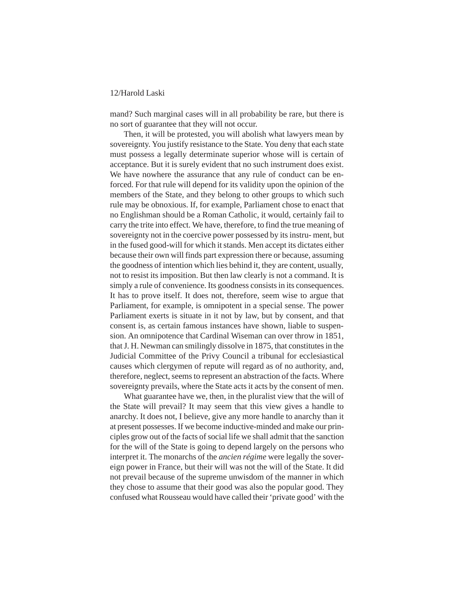mand? Such marginal cases will in all probability be rare, but there is no sort of guarantee that they will not occur.

Then, it will be protested, you will abolish what lawyers mean by sovereignty. You justify resistance to the State. You deny that each state must possess a legally determinate superior whose will is certain of acceptance. But it is surely evident that no such instrument does exist. We have nowhere the assurance that any rule of conduct can be enforced. For that rule will depend for its validity upon the opinion of the members of the State, and they belong to other groups to which such rule may be obnoxious. If, for example, Parliament chose to enact that no Englishman should be a Roman Catholic, it would, certainly fail to carry the trite into effect. We have, therefore, to find the true meaning of sovereignty not in the coercive power possessed by its instru- ment, but in the fused good-will for which it stands. Men accept its dictates either because their own will finds part expression there or because, assuming the goodness of intention which lies behind it, they are content, usually, not to resist its imposition. But then law clearly is not a command. It is simply a rule of convenience. Its goodness consists in its consequences. It has to prove itself. It does not, therefore, seem wise to argue that Parliament, for example, is omnipotent in a special sense. The power Parliament exerts is situate in it not by law, but by consent, and that consent is, as certain famous instances have shown, liable to suspension. An omnipotence that Cardinal Wiseman can over throw in 1851, that J. H. Newman can smilingly dissolve in 1875, that constitutes in the Judicial Committee of the Privy Council a tribunal for ecclesiastical causes which clergymen of repute will regard as of no authority, and, therefore, neglect, seems to represent an abstraction of the facts. Where sovereignty prevails, where the State acts it acts by the consent of men.

What guarantee have we, then, in the pluralist view that the will of the State will prevail? It may seem that this view gives a handle to anarchy. It does not, I believe, give any more handle to anarchy than it at present possesses. If we become inductive-minded and make our principles grow out of the facts of social life we shall admit that the sanction for the will of the State is going to depend largely on the persons who interpret it. The monarchs of the *ancien régime* were legally the sovereign power in France, but their will was not the will of the State. It did not prevail because of the supreme unwisdom of the manner in which they chose to assume that their good was also the popular good. They confused what Rousseau would have called their 'private good' with the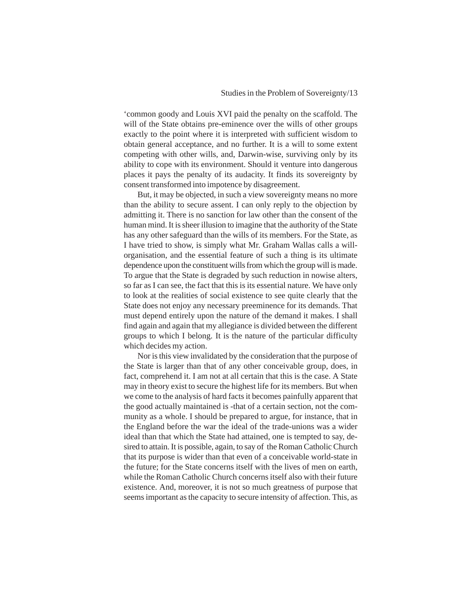'common goody and Louis XVI paid the penalty on the scaffold. The will of the State obtains pre-eminence over the wills of other groups exactly to the point where it is interpreted with sufficient wisdom to obtain general acceptance, and no further. It is a will to some extent competing with other wills, and, Darwin-wise, surviving only by its ability to cope with its environment. Should it venture into dangerous places it pays the penalty of its audacity. It finds its sovereignty by consent transformed into impotence by disagreement.

But, it may be objected, in such a view sovereignty means no more than the ability to secure assent. I can only reply to the objection by admitting it. There is no sanction for law other than the consent of the human mind. It is sheer illusion to imagine that the authority of the State has any other safeguard than the wills of its members. For the State, as I have tried to show, is simply what Mr. Graham Wallas calls a willorganisation, and the essential feature of such a thing is its ultimate dependence upon the constituent wills from which the group will is made. To argue that the State is degraded by such reduction in nowise alters, so far as I can see, the fact that this is its essential nature. We have only to look at the realities of social existence to see quite clearly that the State does not enjoy any necessary preeminence for its demands. That must depend entirely upon the nature of the demand it makes. I shall find again and again that my allegiance is divided between the different groups to which I belong. It is the nature of the particular difficulty which decides my action.

Nor is this view invalidated by the consideration that the purpose of the State is larger than that of any other conceivable group, does, in fact, comprehend it. I am not at all certain that this is the case. A State may in theory exist to secure the highest life for its members. But when we come to the analysis of hard facts it becomes painfully apparent that the good actually maintained is -that of a certain section, not the community as a whole. I should be prepared to argue, for instance, that in the England before the war the ideal of the trade-unions was a wider ideal than that which the State had attained, one is tempted to say, desired to attain. It is possible, again, to say of the Roman Catholic Church that its purpose is wider than that even of a conceivable world-state in the future; for the State concerns itself with the lives of men on earth, while the Roman Catholic Church concerns itself also with their future existence. And, moreover, it is not so much greatness of purpose that seems important as the capacity to secure intensity of affection. This, as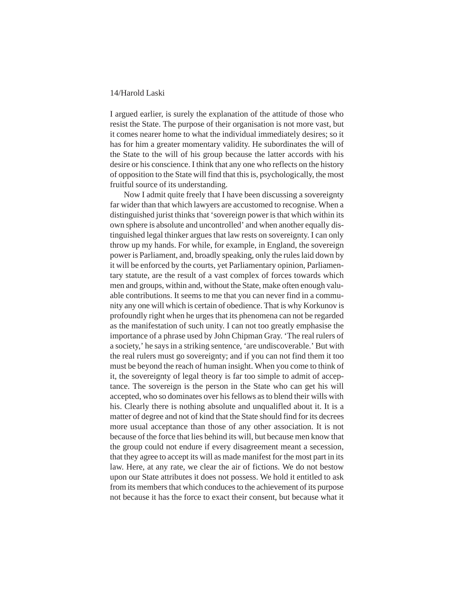I argued earlier, is surely the explanation of the attitude of those who resist the State. The purpose of their organisation is not more vast, but it comes nearer home to what the individual immediately desires; so it has for him a greater momentary validity. He subordinates the will of the State to the will of his group because the latter accords with his desire or his conscience. I think that any one who reflects on the history of opposition to the State will find that this is, psychologically, the most fruitful source of its understanding.

Now I admit quite freely that I have been discussing a sovereignty far wider than that which lawyers are accustomed to recognise. When a distinguished jurist thinks that 'sovereign power is that which within its own sphere is absolute and uncontrolled' and when another equally distinguished legal thinker argues that law rests on sovereignty. I can only throw up my hands. For while, for example, in England, the sovereign power is Parliament, and, broadly speaking, only the rules laid down by it will be enforced by the courts, yet Parliamentary opinion, Parliamentary statute, are the result of a vast complex of forces towards which men and groups, within and, without the State, make often enough valuable contributions. It seems to me that you can never find in a community any one will which is certain of obedience. That is why Korkunov is profoundly right when he urges that its phenomena can not be regarded as the manifestation of such unity. I can not too greatly emphasise the importance of a phrase used by John Chipman Gray. 'The real rulers of a society,' he says in a striking sentence, 'are undiscoverable.' But with the real rulers must go sovereignty; and if you can not find them it too must be beyond the reach of human insight. When you come to think of it, the sovereignty of legal theory is far too simple to admit of acceptance. The sovereign is the person in the State who can get his will accepted, who so dominates over his fellows as to blend their wills with his. Clearly there is nothing absolute and unqualifled about it. It is a matter of degree and not of kind that the State should find for its decrees more usual acceptance than those of any other association. It is not because of the force that lies behind its will, but because men know that the group could not endure if every disagreement meant a secession, that they agree to accept its will as made manifest for the most part in its law. Here, at any rate, we clear the air of fictions. We do not bestow upon our State attributes it does not possess. We hold it entitled to ask from its members that which conduces to the achievement of its purpose not because it has the force to exact their consent, but because what it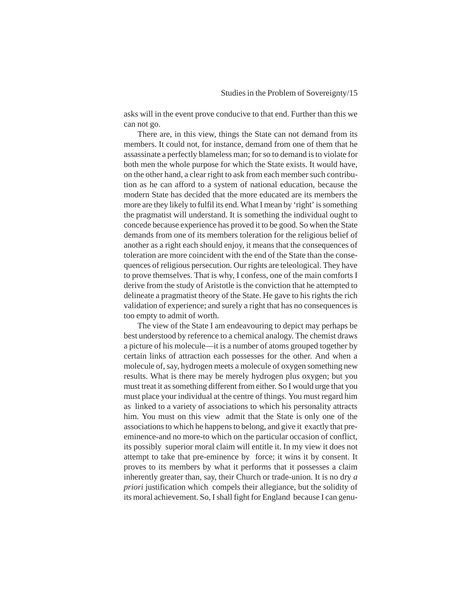asks will in the event prove conducive to that end. Further than this we can not go.

There are, in this view, things the State can not demand from its members. It could not, for instance, demand from one of them that he assassinate a perfectly blameless man; for so to demand is to violate for both men the whole purpose for which the State exists. It would have, on the other hand, a clear right to ask from each member such contribution as he can afford to a system of national education, because the modern State has decided that the more educated are its members the more are they likely to fulfil its end. What I mean by 'right' is something the pragmatist will understand. It is something the individual ought to concede because experience has proved it to be good. So when the State demands from one of its members toleration for the religious belief of another as a right each should enjoy, it means that the consequences of toleration are more coincident with the end of the State than the consequences of religious persecution. Our rights are teleological. They have to prove themselves. That is why, I confess, one of the main comforts I derive from the study of Aristotle is the conviction that he attempted to delineate a pragmatist theory of the State. He gave to his rights the rich validation of experience; and surely a right that has no consequences is too empty to admit of worth.

The view of the State I am endeavouring to depict may perhaps be best understood by reference to a chemical analogy. The chemist draws a picture of his molecule—it is a number of atoms grouped together by certain links of attraction each possesses for the other. And when a molecule of, say, hydrogen meets a molecule of oxygen something new results. What is there may be merely hydrogen plus oxygen; but you must treat it as something different from either. So I would urge that you must place your individual at the centre of things. You must regard him as linked to a variety of associations to which his personality attracts him. You must on this view admit that the State is only one of the associations to which he happens to belong, and give it exactly that preeminence-and no more-to which on the particular occasion of conflict, its possibly superior moral claim will entitle it. In my view it does not attempt to take that pre-eminence by force; it wins it by consent. It proves to its members by what it performs that it possesses a claim inherently greater than, say, their Church or trade-union. It is no dry *a priori* justification which compels their allegiance, but the solidity of its moral achievement. So, I shall fight for England because I can genu-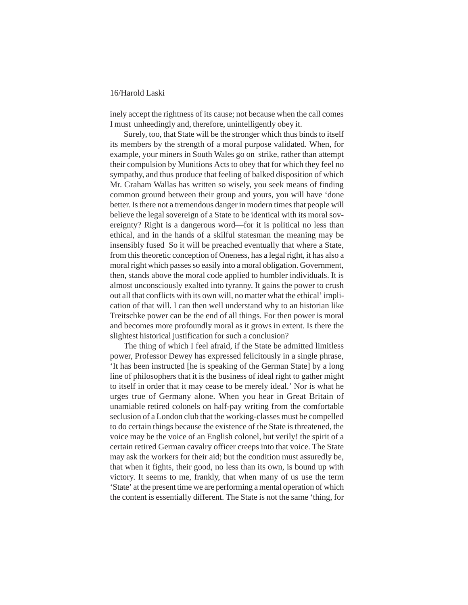inely accept the rightness of its cause; not because when the call comes I must unheedingly and, therefore, unintelligently obey it.

Surely, too, that State will be the stronger which thus binds to itself its members by the strength of a moral purpose validated. When, for example, your miners in South Wales go on strike, rather than attempt their compulsion by Munitions Acts to obey that for which they feel no sympathy, and thus produce that feeling of balked disposition of which Mr. Graham Wallas has written so wisely, you seek means of finding common ground between their group and yours, you will have 'done better. Is there not a tremendous danger in modern times that people will believe the legal sovereign of a State to be identical with its moral sovereignty? Right is a dangerous word—for it is political no less than ethical, and in the hands of a skilful statesman the meaning may be insensibly fused So it will be preached eventually that where a State, from this theoretic conception of Oneness, has a legal right, it has also a moral right which passes so easily into a moral obligation. Government, then, stands above the moral code applied to humbler individuals. It is almost unconsciously exalted into tyranny. It gains the power to crush out all that conflicts with its own will, no matter what the ethical' implication of that will. I can then well understand why to an historian like Treitschke power can be the end of all things. For then power is moral and becomes more profoundly moral as it grows in extent. Is there the slightest historical justification for such a conclusion?

The thing of which I feel afraid, if the State be admitted limitless power, Professor Dewey has expressed felicitously in a single phrase, 'It has been instructed [he is speaking of the German State] by a long line of philosophers that it is the business of ideal right to gather might to itself in order that it may cease to be merely ideal.' Nor is what he urges true of Germany alone. When you hear in Great Britain of unamiable retired colonels on half-pay writing from the comfortable seclusion of a London club that the working-classes must be compelled to do certain things because the existence of the State is threatened, the voice may be the voice of an English colonel, but verily! the spirit of a certain retired German cavalry officer creeps into that voice. The State may ask the workers for their aid; but the condition must assuredly be, that when it fights, their good, no less than its own, is bound up with victory. It seems to me, frankly, that when many of us use the term 'State' at the present time we are performing a mental operation of which the content is essentially different. The State is not the same 'thing, for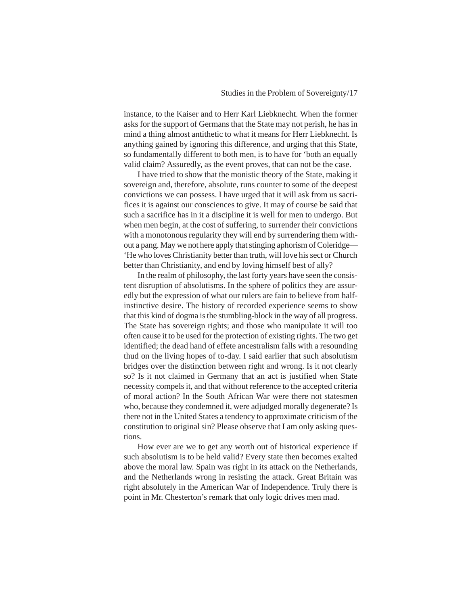instance, to the Kaiser and to Herr Karl Liebknecht. When the former asks for the support of Germans that the State may not perish, he has in mind a thing almost antithetic to what it means for Herr Liebknecht. Is anything gained by ignoring this difference, and urging that this State, so fundamentally different to both men, is to have for 'both an equally valid claim? Assuredly, as the event proves, that can not be the case.

I have tried to show that the monistic theory of the State, making it sovereign and, therefore, absolute, runs counter to some of the deepest convictions we can possess. I have urged that it will ask from us sacrifices it is against our consciences to give. It may of course be said that such a sacrifice has in it a discipline it is well for men to undergo. But when men begin, at the cost of suffering, to surrender their convictions with a monotonous regularity they will end by surrendering them without a pang. May we not here apply that stinging aphorism of Coleridge— 'He who loves Christianity better than truth, will love his sect or Church better than Christianity, and end by loving himself best of ally?

In the realm of philosophy, the last forty years have seen the consistent disruption of absolutisms. In the sphere of politics they are assuredly but the expression of what our rulers are fain to believe from halfinstinctive desire. The history of recorded experience seems to show that this kind of dogma is the stumbling-block in the way of all progress. The State has sovereign rights; and those who manipulate it will too often cause it to be used for the protection of existing rights. The two get identified; the dead hand of effete ancestralism falls with a resounding thud on the living hopes of to-day. I said earlier that such absolutism bridges over the distinction between right and wrong. Is it not clearly so? Is it not claimed in Germany that an act is justified when State necessity compels it, and that without reference to the accepted criteria of moral action? In the South African War were there not statesmen who, because they condemned it, were adjudged morally degenerate? Is there not in the United States a tendency to approximate criticism of the constitution to original sin? Please observe that I am only asking questions.

How ever are we to get any worth out of historical experience if such absolutism is to be held valid? Every state then becomes exalted above the moral law. Spain was right in its attack on the Netherlands, and the Netherlands wrong in resisting the attack. Great Britain was right absolutely in the American War of Independence. Truly there is point in Mr. Chesterton's remark that only logic drives men mad.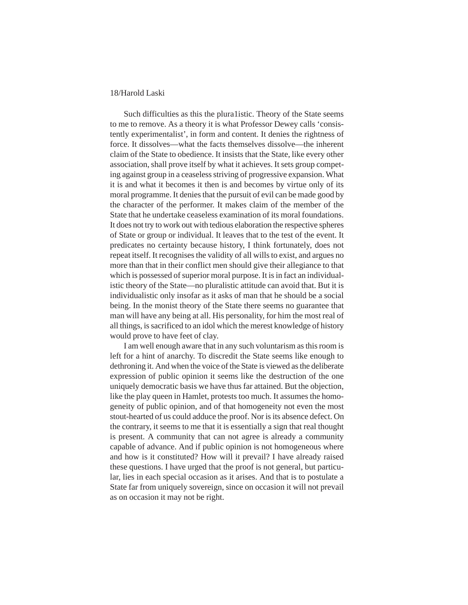Such difficulties as this the plura1istic. Theory of the State seems to me to remove. As a theory it is what Professor Dewey calls 'consistently experimentalist', in form and content. It denies the rightness of force. It dissolves—what the facts themselves dissolve—the inherent claim of the State to obedience. It insists that the State, like every other association, shall prove itself by what it achieves. It sets group competing against group in a ceaseless striving of progressive expansion. What it is and what it becomes it then is and becomes by virtue only of its moral programme. It denies that the pursuit of evil can be made good by the character of the performer. It makes claim of the member of the State that he undertake ceaseless examination of its moral foundations. It does not try to work out with tedious elaboration the respective spheres of State or group or individual. It leaves that to the test of the event. It predicates no certainty because history, I think fortunately, does not repeat itself. It recognises the validity of all wills to exist, and argues no more than that in their conflict men should give their allegiance to that which is possessed of superior moral purpose. It is in fact an individualistic theory of the State—no pluralistic attitude can avoid that. But it is individualistic only insofar as it asks of man that he should be a social being. In the monist theory of the State there seems no guarantee that man will have any being at all. His personality, for him the most real of all things, is sacrificed to an idol which the merest knowledge of history would prove to have feet of clay.

I am well enough aware that in any such voluntarism as this room is left for a hint of anarchy. To discredit the State seems like enough to dethroning it. And when the voice of the State is viewed as the deliberate expression of public opinion it seems like the destruction of the one uniquely democratic basis we have thus far attained. But the objection, like the play queen in Hamlet, protests too much. It assumes the homogeneity of public opinion, and of that homogeneity not even the most stout-hearted of us could adduce the proof. Nor is its absence defect. On the contrary, it seems to me that it is essentially a sign that real thought is present. A community that can not agree is already a community capable of advance. And if public opinion is not homogeneous where and how is it constituted? How will it prevail? I have already raised these questions. I have urged that the proof is not general, but particular, lies in each special occasion as it arises. And that is to postulate a State far from uniquely sovereign, since on occasion it will not prevail as on occasion it may not be right.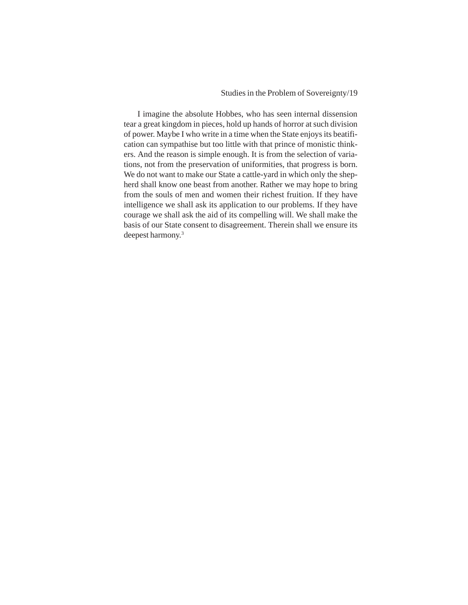#### Studies in the Problem of Sovereignty/19

I imagine the absolute Hobbes, who has seen internal dissension tear a great kingdom in pieces, hold up hands of horror at such division of power. Maybe I who write in a time when the State enjoys its beatification can sympathise but too little with that prince of monistic thinkers. And the reason is simple enough. It is from the selection of variations, not from the preservation of uniformities, that progress is born. We do not want to make our State a cattle-yard in which only the shepherd shall know one beast from another. Rather we may hope to bring from the souls of men and women their richest fruition. If they have intelligence we shall ask its application to our problems. If they have courage we shall ask the aid of its compelling will. We shall make the basis of our State consent to disagreement. Therein shall we ensure its deepest harmony.<sup>3</sup>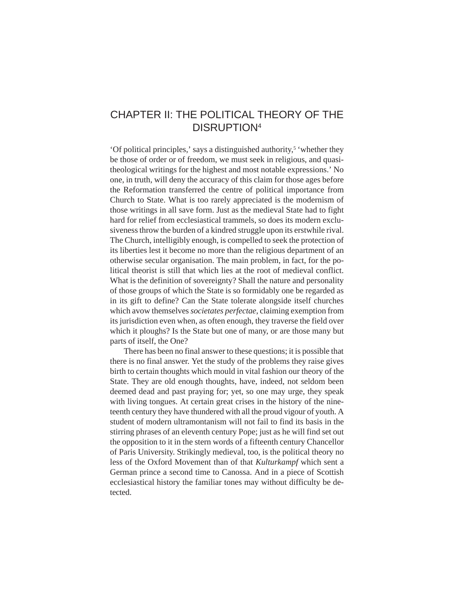### CHAPTER II: THE POLITICAL THEORY OF THE DISRUPTION4

'Of political principles,' says a distinguished authority,<sup>5</sup> 'whether they be those of order or of freedom, we must seek in religious, and quasitheological writings for the highest and most notable expressions.' No one, in truth, will deny the accuracy of this claim for those ages before the Reformation transferred the centre of political importance from Church to State. What is too rarely appreciated is the modernism of those writings in all save form. Just as the medieval State had to fight hard for relief from ecclesiastical trammels, so does its modern exclusiveness throw the burden of a kindred struggle upon its erstwhile rival. The Church, intelligibly enough, is compelled to seek the protection of its liberties lest it become no more than the religious department of an otherwise secular organisation. The main problem, in fact, for the political theorist is still that which lies at the root of medieval conflict. What is the definition of sovereignty? Shall the nature and personality of those groups of which the State is so formidably one be regarded as in its gift to define? Can the State tolerate alongside itself churches which avow themselves *societates perfectae*, claiming exemption from its jurisdiction even when, as often enough, they traverse the field over which it ploughs? Is the State but one of many, or are those many but parts of itself, the One?

There has been no final answer to these questions; it is possible that there is no final answer. Yet the study of the problems they raise gives birth to certain thoughts which mould in vital fashion our theory of the State. They are old enough thoughts, have, indeed, not seldom been deemed dead and past praying for; yet, so one may urge, they speak with living tongues. At certain great crises in the history of the nineteenth century they have thundered with all the proud vigour of youth. A student of modern ultramontanism will not fail to find its basis in the stirring phrases of an eleventh century Pope; just as he will find set out the opposition to it in the stern words of a fifteenth century Chancellor of Paris University. Strikingly medieval, too, is the political theory no less of the Oxford Movement than of that *Kulturkampf* which sent a German prince a second time to Canossa. And in a piece of Scottish ecclesiastical history the familiar tones may without difficulty be detected.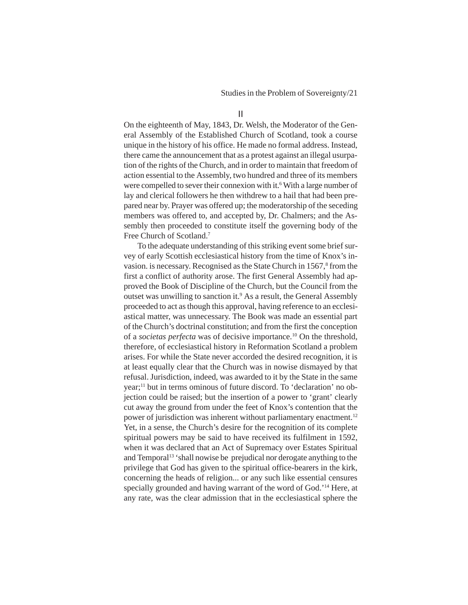On the eighteenth of May, 1843, Dr. Welsh, the Moderator of the General Assembly of the Established Church of Scotland, took a course unique in the history of his office. He made no formal address. Instead, there came the announcement that as a protest against an illegal usurpation of the rights of the Church, and in order to maintain that freedom of action essential to the Assembly, two hundred and three of its members were compelled to sever their connexion with it.<sup>6</sup> With a large number of lay and clerical followers he then withdrew to a hail that had been prepared near by. Prayer was offered up; the moderatorship of the seceding members was offered to, and accepted by, Dr. Chalmers; and the Assembly then proceeded to constitute itself the governing body of the Free Church of Scotland.<sup>7</sup>

To the adequate understanding of this striking event some brief survey of early Scottish ecclesiastical history from the time of Knox's invasion. is necessary. Recognised as the State Church in 1567,<sup>8</sup> from the first a conflict of authority arose. The first General Assembly had approved the Book of Discipline of the Church, but the Council from the outset was unwilling to sanction it.<sup>9</sup> As a result, the General Assembly proceeded to act as though this approval, having reference to an ecclesiastical matter, was unnecessary. The Book was made an essential part of the Church's doctrinal constitution; and from the first the conception of a *societas perfecta* was of decisive importance.10 On the threshold, therefore, of ecclesiastical history in Reformation Scotland a problem arises. For while the State never accorded the desired recognition, it is at least equally clear that the Church was in nowise dismayed by that refusal. Jurisdiction, indeed, was awarded to it by the State in the same year;11 but in terms ominous of future discord. To 'declaration' no objection could be raised; but the insertion of a power to 'grant' clearly cut away the ground from under the feet of Knox's contention that the power of jurisdiction was inherent without parliamentary enactment.12 Yet, in a sense, the Church's desire for the recognition of its complete spiritual powers may be said to have received its fulfilment in 1592, when it was declared that an Act of Supremacy over Estates Spiritual and Temporal<sup>13</sup> 'shall nowise be prejudical nor derogate anything to the privilege that God has given to the spiritual office-bearers in the kirk, concerning the heads of religion... or any such like essential censures specially grounded and having warrant of the word of God.'14 Here, at any rate, was the clear admission that in the ecclesiastical sphere the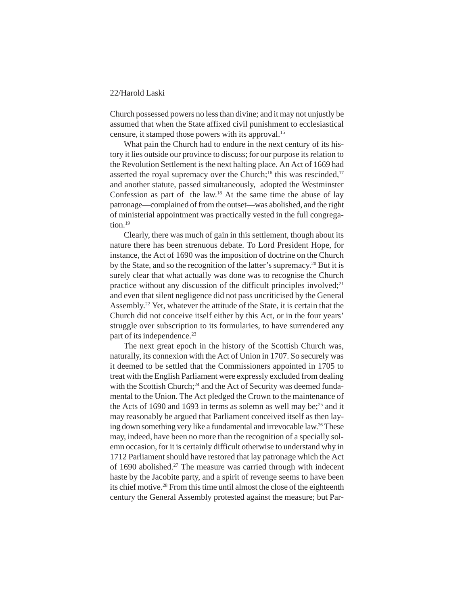Church possessed powers no less than divine; and it may not unjustly be assumed that when the State affixed civil punishment to ecclesiastical censure, it stamped those powers with its approval.<sup>15</sup>

What pain the Church had to endure in the next century of its history it lies outside our province to discuss; for our purpose its relation to the Revolution Settlement is the next halting place. An Act of 1669 had asserted the royal supremacy over the Church;<sup>16</sup> this was rescinded,<sup>17</sup> and another statute, passed simultaneously, adopted the Westminster Confession as part of the law.<sup>18</sup> At the same time the abuse of lay patronage—complained of from the outset—was abolished, and the right of ministerial appointment was practically vested in the full congregation<sup>19</sup>

Clearly, there was much of gain in this settlement, though about its nature there has been strenuous debate. To Lord President Hope, for instance, the Act of 1690 was the imposition of doctrine on the Church by the State, and so the recognition of the latter's supremacy.20 But it is surely clear that what actually was done was to recognise the Church practice without any discussion of the difficult principles involved; $21$ and even that silent negligence did not pass uncriticised by the General Assembly.22 Yet, whatever the attitude of the State, it is certain that the Church did not conceive itself either by this Act, or in the four years' struggle over subscription to its formularies, to have surrendered any part of its independence.<sup>23</sup>

The next great epoch in the history of the Scottish Church was, naturally, its connexion with the Act of Union in 1707. So securely was it deemed to be settled that the Commissioners appointed in 1705 to treat with the English Parliament were expressly excluded from dealing with the Scottish Church;<sup>24</sup> and the Act of Security was deemed fundamental to the Union. The Act pledged the Crown to the maintenance of the Acts of 1690 and 1693 in terms as solemn as well may be; $25$  and it may reasonably be argued that Parliament conceived itself as then laying down something very like a fundamental and irrevocable law.<sup>26</sup> These may, indeed, have been no more than the recognition of a specially solemn occasion, for it is certainly difficult otherwise to understand why in 1712 Parliament should have restored that lay patronage which the Act of 1690 abolished.27 The measure was carried through with indecent haste by the Jacobite party, and a spirit of revenge seems to have been its chief motive.28 From this time until almost the close of the eighteenth century the General Assembly protested against the measure; but Par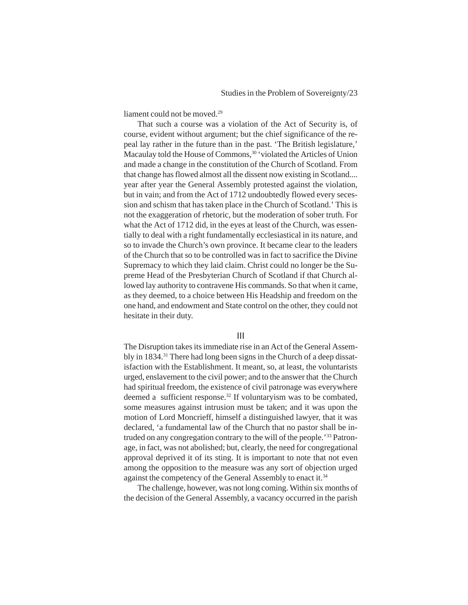liament could not be moved.29

That such a course was a violation of the Act of Security is, of course, evident without argument; but the chief significance of the repeal lay rather in the future than in the past. 'The British legislature,' Macaulay told the House of Commons,<sup>30</sup> 'violated the Articles of Union and made a change in the constitution of the Church of Scotland. From that change has flowed almost all the dissent now existing in Scotland.... year after year the General Assembly protested against the violation, but in vain; and from the Act of 1712 undoubtedly flowed every secession and schism that has taken place in the Church of Scotland.' This is not the exaggeration of rhetoric, but the moderation of sober truth. For what the Act of 1712 did, in the eyes at least of the Church, was essentially to deal with a right fundamentally ecclesiastical in its nature, and so to invade the Church's own province. It became clear to the leaders of the Church that so to be controlled was in fact to sacrifice the Divine Supremacy to which they laid claim. Christ could no longer be the Supreme Head of the Presbyterian Church of Scotland if that Church allowed lay authority to contravene His commands. So that when it came, as they deemed, to a choice between His Headship and freedom on the one hand, and endowment and State control on the other, they could not hesitate in their duty.

#### III

The Disruption takes its immediate rise in an Act of the General Assembly in 1834.31 There had long been signs in the Church of a deep dissatisfaction with the Establishment. It meant, so, at least, the voluntarists urged, enslavement to the civil power; and to the answer that the Church had spiritual freedom, the existence of civil patronage was everywhere deemed a sufficient response.32 If voluntaryism was to be combated, some measures against intrusion must be taken; and it was upon the motion of Lord Moncrieff, himself a distinguished lawyer, that it was declared, 'a fundamental law of the Church that no pastor shall be intruded on any congregation contrary to the will of the people.'33 Patronage, in fact, was not abolished; but, clearly, the need for congregational approval deprived it of its sting. It is important to note that not even among the opposition to the measure was any sort of objection urged against the competency of the General Assembly to enact it.<sup>34</sup>

The challenge, however, was not long coming. Within six months of the decision of the General Assembly, a vacancy occurred in the parish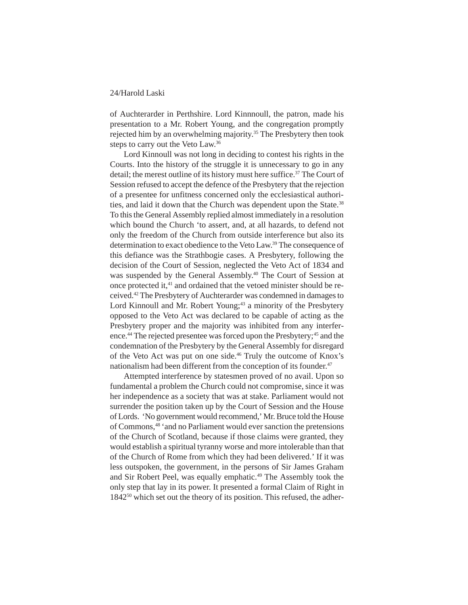of Auchterarder in Perthshire. Lord Kinnnoull, the patron, made his presentation to a Mr. Robert Young, and the congregation promptly rejected him by an overwhelming majority.35 The Presbytery then took steps to carry out the Veto Law.36

Lord Kinnoull was not long in deciding to contest his rights in the Courts. Into the history of the struggle it is unnecessary to go in any detail; the merest outline of its history must here suffice.<sup>37</sup> The Court of Session refused to accept the defence of the Presbytery that the rejection of a presentee for unfitness concerned only the ecclesiastical authorities, and laid it down that the Church was dependent upon the State.<sup>38</sup> To this the General Assembly replied almost immediately in a resolution which bound the Church 'to assert, and, at all hazards, to defend not only the freedom of the Church from outside interference but also its determination to exact obedience to the Veto Law.39 The consequence of this defiance was the Strathbogie cases. A Presbytery, following the decision of the Court of Session, neglected the Veto Act of 1834 and was suspended by the General Assembly.<sup>40</sup> The Court of Session at once protected it,<sup>41</sup> and ordained that the vetoed minister should be received.42 The Presbytery of Auchterarder was condemned in damages to Lord Kinnoull and Mr. Robert Young;<sup>43</sup> a minority of the Presbytery opposed to the Veto Act was declared to be capable of acting as the Presbytery proper and the majority was inhibited from any interference.<sup>44</sup> The rejected presentee was forced upon the Presbytery;<sup>45</sup> and the condemnation of the Presbytery by the General Assembly for disregard of the Veto Act was put on one side.46 Truly the outcome of Knox's nationalism had been different from the conception of its founder.<sup>47</sup>

Attempted interference by statesmen proved of no avail. Upon so fundamental a problem the Church could not compromise, since it was her independence as a society that was at stake. Parliament would not surrender the position taken up by the Court of Session and the House of Lords. 'No government would recommend,' Mr. Bruce told the House of Commons,48 'and no Parliament would ever sanction the pretensions of the Church of Scotland, because if those claims were granted, they would establish a spiritual tyranny worse and more intolerable than that of the Church of Rome from which they had been delivered.' If it was less outspoken, the government, in the persons of Sir James Graham and Sir Robert Peel, was equally emphatic.<sup>49</sup> The Assembly took the only step that lay in its power. It presented a formal Claim of Right in  $1842^{50}$  which set out the theory of its position. This refused, the adher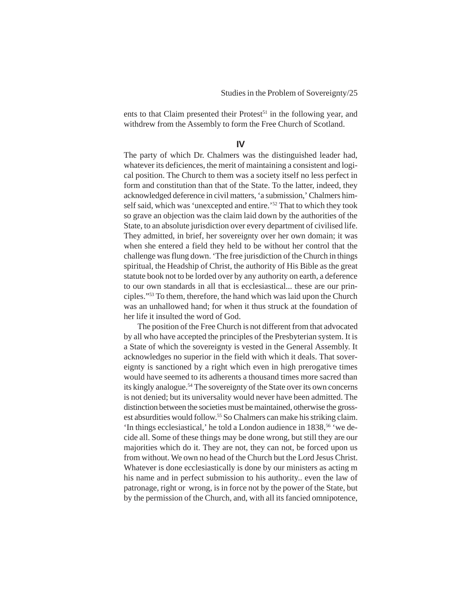ents to that Claim presented their Protest<sup>51</sup> in the following year, and withdrew from the Assembly to form the Free Church of Scotland.

#### **IV**

The party of which Dr. Chalmers was the distinguished leader had, whatever its deficiences, the merit of maintaining a consistent and logical position. The Church to them was a society itself no less perfect in form and constitution than that of the State. To the latter, indeed, they acknowledged deference in civil matters, 'a submission,' Chalmers himself said, which was 'unexcepted and entire.'<sup>52</sup> That to which they took so grave an objection was the claim laid down by the authorities of the State, to an absolute jurisdiction over every department of civilised life. They admitted, in brief, her sovereignty over her own domain; it was when she entered a field they held to be without her control that the challenge was flung down. 'The free jurisdiction of the Church in things spiritual, the Headship of Christ, the authority of His Bible as the great statute book not to be lorded over by any authority on earth, a deference to our own standards in all that is ecclesiastical... these are our principles."53 To them, therefore, the hand which was laid upon the Church was an unhallowed hand; for when it thus struck at the foundation of her life it insulted the word of God.

The position of the Free Church is not different from that advocated by all who have accepted the principles of the Presbyterian system. It is a State of which the sovereignty is vested in the General Assembly. It acknowledges no superior in the field with which it deals. That sovereignty is sanctioned by a right which even in high prerogative times would have seemed to its adherents a thousand times more sacred than its kingly analogue.<sup>54</sup> The sovereignty of the State over its own concerns is not denied; but its universality would never have been admitted. The distinction between the societies must be maintained, otherwise the grossest absurdities would follow.55 So Chalmers can make his striking claim. 'In things ecclesiastical,' he told a London audience in 1838,<sup>56</sup> 'we decide all. Some of these things may be done wrong, but still they are our majorities which do it. They are not, they can not, be forced upon us from without. We own no head of the Church but the Lord Jesus Christ. Whatever is done ecclesiastically is done by our ministers as acting m his name and in perfect submission to his authority.. even the law of patronage, right or wrong, is in force not by the power of the State, but by the permission of the Church, and, with all its fancied omnipotence,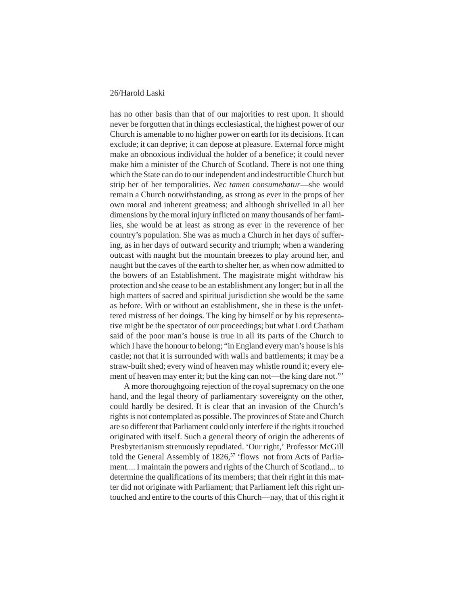has no other basis than that of our majorities to rest upon. It should never be forgotten that in things ecclesiastical, the highest power of our Church is amenable to no higher power on earth for its decisions. It can exclude; it can deprive; it can depose at pleasure. External force might make an obnoxious individual the holder of a benefice; it could never make him a minister of the Church of Scotland. There is not one thing which the State can do to our independent and indestructible Church but strip her of her temporalities. *Nec tamen consumebatur*—she would remain a Church notwithstanding, as strong as ever in the props of her own moral and inherent greatness; and although shrivelled in all her dimensions by the moral injury inflicted on many thousands of her families, she would be at least as strong as ever in the reverence of her country's population. She was as much a Church in her days of suffering, as in her days of outward security and triumph; when a wandering outcast with naught but the mountain breezes to play around her, and naught but the caves of the earth to shelter her, as when now admitted to the bowers of an Establishment. The magistrate might withdraw his protection and she cease to be an establishment any longer; but in all the high matters of sacred and spiritual jurisdiction she would be the same as before. With or without an establishment, she in these is the unfettered mistress of her doings. The king by himself or by his representative might be the spectator of our proceedings; but what Lord Chatham said of the poor man's house is true in all its parts of the Church to which I have the honour to belong; "in England every man's house is his castle; not that it is surrounded with walls and battlements; it may be a straw-built shed; every wind of heaven may whistle round it; every element of heaven may enter it; but the king can not—the king dare not."'

A more thoroughgoing rejection of the royal supremacy on the one hand, and the legal theory of parliamentary sovereignty on the other, could hardly be desired. It is clear that an invasion of the Church's rights is not contemplated as possible. The provinces of State and Church are so different that Parliament could only interfere if the rights it touched originated with itself. Such a general theory of origin the adherents of Presbyterianism strenuously repudiated. 'Our right,' Professor McGill told the General Assembly of 1826,<sup>57</sup> 'flows not from Acts of Parliament.... I maintain the powers and rights of the Church of Scotland... to determine the qualifications of its members; that their right in this matter did not originate with Parliament; that Parliament left this right untouched and entire to the courts of this Church—nay, that of this right it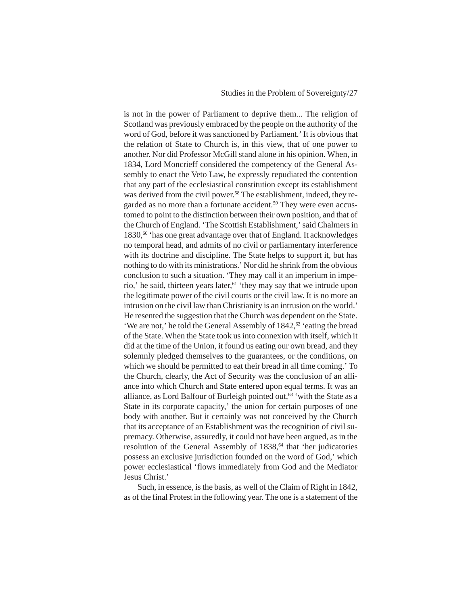is not in the power of Parliament to deprive them... The religion of Scotland was previously embraced by the people on the authority of the word of God, before it was sanctioned by Parliament.' It is obvious that the relation of State to Church is, in this view, that of one power to another. Nor did Professor McGill stand alone in his opinion. When, in 1834, Lord Moncrieff considered the competency of the General Assembly to enact the Veto Law, he expressly repudiated the contention that any part of the ecclesiastical constitution except its establishment was derived from the civil power.<sup>58</sup> The establishment, indeed, they regarded as no more than a fortunate accident.<sup>59</sup> They were even accustomed to point to the distinction between their own position, and that of the Church of England. 'The Scottish Establishment,' said Chalmers in 1830,<sup>60</sup> 'has one great advantage over that of England. It acknowledges no temporal head, and admits of no civil or parliamentary interference with its doctrine and discipline. The State helps to support it, but has nothing to do with its ministrations.' Nor did he shrink from the obvious conclusion to such a situation. 'They may call it an imperium in imperio,' he said, thirteen years later,<sup>61</sup> 'they may say that we intrude upon the legitimate power of the civil courts or the civil law. It is no more an intrusion on the civil law than Christianity is an intrusion on the world.' He resented the suggestion that the Church was dependent on the State. 'We are not,' he told the General Assembly of  $1842$ ,  $62$  'eating the bread of the State. When the State took us into connexion with itself, which it did at the time of the Union, it found us eating our own bread, and they solemnly pledged themselves to the guarantees, or the conditions, on which we should be permitted to eat their bread in all time coming.' To the Church, clearly, the Act of Security was the conclusion of an alliance into which Church and State entered upon equal terms. It was an alliance, as Lord Balfour of Burleigh pointed out,<sup>63</sup> 'with the State as a State in its corporate capacity,' the union for certain purposes of one body with another. But it certainly was not conceived by the Church that its acceptance of an Establishment was the recognition of civil supremacy. Otherwise, assuredly, it could not have been argued, as in the resolution of the General Assembly of 1838,<sup>64</sup> that 'her judicatories possess an exclusive jurisdiction founded on the word of God,' which power ecclesiastical 'flows immediately from God and the Mediator Jesus Christ.'

Such, in essence, is the basis, as well of the Claim of Right in 1842, as of the final Protest in the following year. The one is a statement of the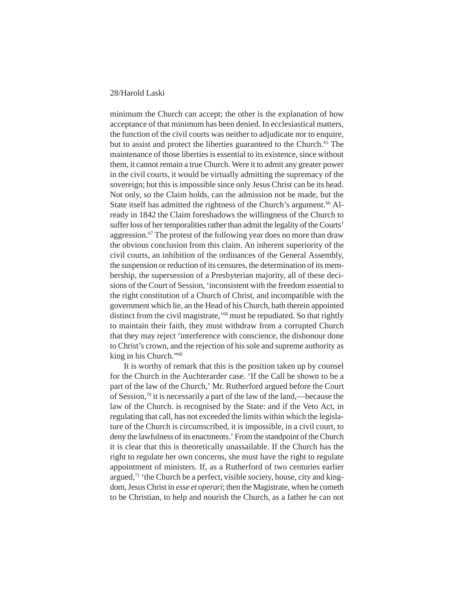minimum the Church can accept; the other is the explanation of how acceptance of that minimum has been denied. In ecclesiastical matters, the function of the civil courts was neither to adjudicate nor to enquire, but to assist and protect the liberties guaranteed to the Church.<sup>65</sup> The maintenance of those liberties is essential to its existence, since without them, it cannot remain a true Church. Were it to admit any greater power in the civil courts, it would be virtually admitting the supremacy of the sovereign; but this is impossible since only Jesus Christ can be its head. Not only, so the Claim holds, can the admission not be made, but the State itself has admitted the rightness of the Church's argument.<sup>66</sup> Already in 1842 the Claim foreshadows the willingness of the Church to suffer loss of her temporalities rather than admit the legality of the Courts' aggression.67 The protest of the following year does no more than draw the obvious conclusion from this claim. An inherent superiority of the civil courts, an inhibition of the ordinances of the General Assembly, the suspension or reduction of its censures, the determination of its membership, the supersession of a Presbyterian majority, all of these decisions of the Court of Session, 'inconsistent with the freedom essential to the right constitution of a Church of Christ, and incompatible with the government which lie, an the Head of his Church, hath therein appointed distinct from the civil magistrate,'68 must be repudiated. So that rightly to maintain their faith, they must withdraw from a corrupted Church that they may reject 'interference with conscience, the dishonour done to Christ's crown, and the rejection of his sole and supreme authority as king in his Church."69

It is worthy of remark that this is the position taken up by counsel for the Church in the Auchterarder case. 'If the Call be shown to be a part of the law of the Church,' Mr. Rutherford argued before the Court of Session,70 it is necessarily a part of the law of the land,—because the law of the Church. is recognised by the State: and if the Veto Act, in regulating that call, has not exceeded the limits within which the legislature of the Church is circumscribed, it is impossible, in a civil court, to deny the lawfulness of its enactments.' From the standpoint of the Church it is clear that this is theoretically unassailable. If the Church has the right to regulate her own concerns, she must have the right to regulate appointment of ministers. If, as a Rutherford of two centuries earlier argued, $71$  'the Church be a perfect, visible society, house, city and kingdom, Jesus Christ in *esse et operari*; then the Magistrate, when he cometh to be Christian, to help and nourish the Church, as a father he can not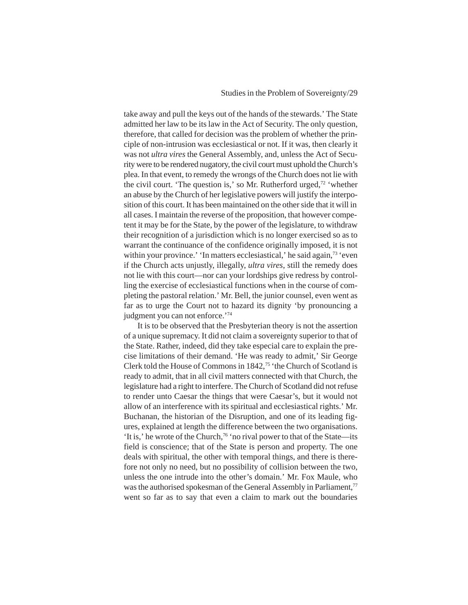take away and pull the keys out of the hands of the stewards.' The State admitted her law to be its law in the Act of Security. The only question, therefore, that called for decision was the problem of whether the principle of non-intrusion was ecclesiastical or not. If it was, then clearly it was not *ultra vires* the General Assembly, and, unless the Act of Security were to be rendered nugatory, the civil court must uphold the Church's plea. In that event, to remedy the wrongs of the Church does not lie with the civil court. 'The question is,' so Mr. Rutherford urged, $72$  'whether an abuse by the Church of her legislative powers will justify the interposition of this court. It has been maintained on the other side that it will in all cases. I maintain the reverse of the proposition, that however competent it may be for the State, by the power of the legislature, to withdraw their recognition of a jurisdiction which is no longer exercised so as to warrant the continuance of the confidence originally imposed, it is not within your province.' 'In matters ecclesiastical,' he said again,<sup>73</sup> 'even if the Church acts unjustly, illegally, *ultra vires*, still the remedy does not lie with this court—nor can your lordships give redress by controlling the exercise of ecclesiastical functions when in the course of completing the pastoral relation.' Mr. Bell, the junior counsel, even went as far as to urge the Court not to hazard its dignity 'by pronouncing a judgment you can not enforce.'74

It is to be observed that the Presbyterian theory is not the assertion of a unique supremacy. It did not claim a sovereignty superior to that of the State. Rather, indeed, did they take especial care to explain the precise limitations of their demand. 'He was ready to admit,' Sir George Clerk told the House of Commons in 1842,75 'the Church of Scotland is ready to admit, that in all civil matters connected with that Church, the legislature had a right to interfere. The Church of Scotland did not refuse to render unto Caesar the things that were Caesar's, but it would not allow of an interference with its spiritual and ecclesiastical rights.' Mr. Buchanan, the historian of the Disruption, and one of its leading figures, explained at length the difference between the two organisations. 'It is,' he wrote of the Church,76 'no rival power to that of the State—its field is conscience; that of the State is person and property. The one deals with spiritual, the other with temporal things, and there is therefore not only no need, but no possibility of collision between the two, unless the one intrude into the other's domain.' Mr. Fox Maule, who was the authorised spokesman of the General Assembly in Parliament,<sup>77</sup> went so far as to say that even a claim to mark out the boundaries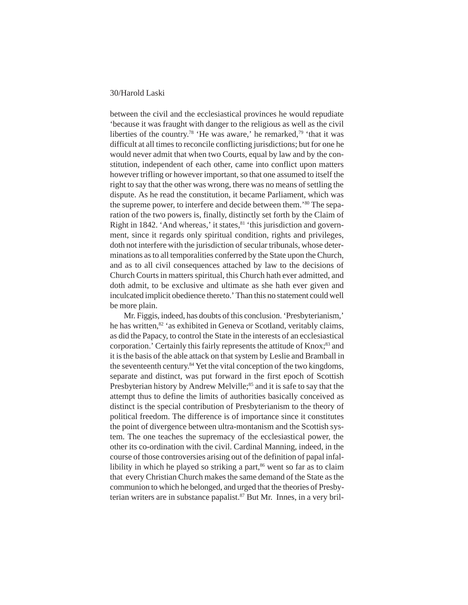between the civil and the ecclesiastical provinces he would repudiate 'because it was fraught with danger to the religious as well as the civil liberties of the country.<sup>78</sup> 'He was aware,' he remarked,<sup>79</sup> 'that it was difficult at all times to reconcile conflicting jurisdictions; but for one he would never admit that when two Courts, equal by law and by the constitution, independent of each other, came into conflict upon matters however trifling or however important, so that one assumed to itself the right to say that the other was wrong, there was no means of settling the dispute. As he read the constitution, it became Parliament, which was the supreme power, to interfere and decide between them.'80 The separation of the two powers is, finally, distinctly set forth by the Claim of Right in 1842. 'And whereas,' it states, <sup>81</sup> 'this jurisdiction and government, since it regards only spiritual condition, rights and privileges, doth not interfere with the jurisdiction of secular tribunals, whose determinations as to all temporalities conferred by the State upon the Church, and as to all civil consequences attached by law to the decisions of Church Courts in matters spiritual, this Church hath ever admitted, and doth admit, to be exclusive and ultimate as she hath ever given and inculcated implicit obedience thereto.' Than this no statement could well be more plain.

Mr. Figgis, indeed, has doubts of this conclusion. 'Presbyterianism,' he has written,<sup>82</sup> 'as exhibited in Geneva or Scotland, veritably claims, as did the Papacy, to control the State in the interests of an ecclesiastical corporation.' Certainly this fairly represents the attitude of Knox;<sup>83</sup> and it is the basis of the able attack on that system by Leslie and Bramball in the seventeenth century.84 Yet the vital conception of the two kingdoms, separate and distinct, was put forward in the first epoch of Scottish Presbyterian history by Andrew Melville;<sup>85</sup> and it is safe to say that the attempt thus to define the limits of authorities basically conceived as distinct is the special contribution of Presbyterianism to the theory of political freedom. The difference is of importance since it constitutes the point of divergence between ultra-montanism and the Scottish system. The one teaches the supremacy of the ecclesiastical power, the other its co-ordination with the civil. Cardinal Manning, indeed, in the course of those controversies arising out of the definition of papal infallibility in which he played so striking a part, $86$  went so far as to claim that every Christian Church makes the same demand of the State as the communion to which he belonged, and urged that the theories of Presbyterian writers are in substance papalist. $87$  But Mr. Innes, in a very bril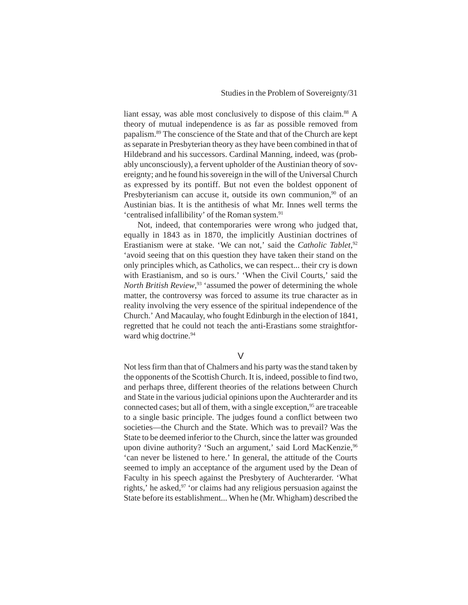liant essay, was able most conclusively to dispose of this claim.88 A theory of mutual independence is as far as possible removed from papalism.89 The conscience of the State and that of the Church are kept as separate in Presbyterian theory as they have been combined in that of Hildebrand and his successors. Cardinal Manning, indeed, was (probably unconsciously), a fervent upholder of the Austinian theory of sovereignty; and he found his sovereign in the will of the Universal Church as expressed by its pontiff. But not even the boldest opponent of Presbyterianism can accuse it, outside its own communion,<sup>90</sup> of an Austinian bias. It is the antithesis of what Mr. Innes well terms the 'centralised infallibility' of the Roman system.<sup>91</sup>

Not, indeed, that contemporaries were wrong who judged that, equally in 1843 as in 1870, the implicitly Austinian doctrines of Erastianism were at stake. 'We can not,' said the *Catholic Tablet*,<sup>92</sup> 'avoid seeing that on this question they have taken their stand on the only principles which, as Catholics, we can respect... their cry is down with Erastianism, and so is ours.' 'When the Civil Courts,' said the *North British Review*, 93 'assumed the power of determining the whole matter, the controversy was forced to assume its true character as in reality involving the very essence of the spiritual independence of the Church.' And Macaulay, who fought Edinburgh in the election of 1841, regretted that he could not teach the anti-Erastians some straightforward whig doctrine.<sup>94</sup>

 $\vee$ 

Not less firm than that of Chalmers and his party was the stand taken by the opponents of the Scottish Church. It is, indeed, possible to find two, and perhaps three, different theories of the relations between Church and State in the various judicial opinions upon the Auchterarder and its connected cases; but all of them, with a single exception,<sup>95</sup> are traceable to a single basic principle. The judges found a conflict between two societies—the Church and the State. Which was to prevail? Was the State to be deemed inferior to the Church, since the latter was grounded upon divine authority? 'Such an argument,' said Lord MacKenzie, 96 'can never be listened to here.' In general, the attitude of the Courts seemed to imply an acceptance of the argument used by the Dean of Faculty in his speech against the Presbytery of Auchterarder. 'What rights,' he asked, $97$  'or claims had any religious persuasion against the State before its establishment... When he (Mr. Whigham) described the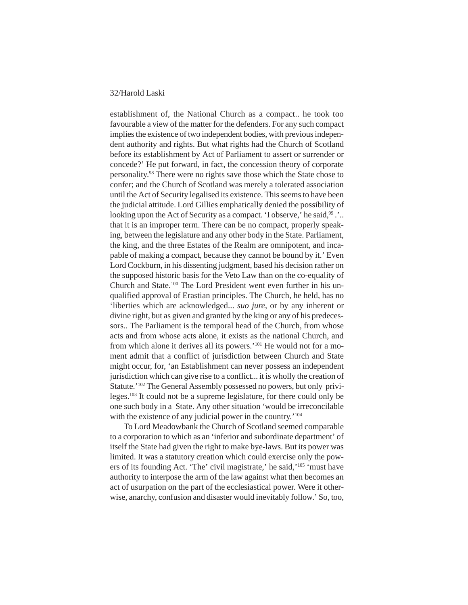establishment of, the National Church as a compact.. he took too favourable a view of the matter for the defenders. For any such compact implies the existence of two independent bodies, with previous independent authority and rights. But what rights had the Church of Scotland before its establishment by Act of Parliament to assert or surrender or concede?' He put forward, in fact, the concession theory of corporate personality.98 There were no rights save those which the State chose to confer; and the Church of Scotland was merely a tolerated association until the Act of Security legalised its existence. This seems to have been the judicial attitude. Lord Gillies emphatically denied the possibility of looking upon the Act of Security as a compact. 'I observe,' he said, <sup>99</sup>.'.. that it is an improper term. There can be no compact, properly speaking, between the legislature and any other body in the State. Parliament, the king, and the three Estates of the Realm are omnipotent, and incapable of making a compact, because they cannot be bound by it.' Even Lord Cockburn, in his dissenting judgment, based his decision rather on the supposed historic basis for the Veto Law than on the co-equality of Church and State.<sup>100</sup> The Lord President went even further in his unqualified approval of Erastian principles. The Church, he held, has no 'liberties which are acknowledged... *suo jure*, or by any inherent or divine right, but as given and granted by the king or any of his predecessors.. The Parliament is the temporal head of the Church, from whose acts and from whose acts alone, it exists as the national Church, and from which alone it derives all its powers.'101 He would not for a moment admit that a conflict of jurisdiction between Church and State might occur, for, 'an Establishment can never possess an independent jurisdiction which can give rise to a conflict... it is wholly the creation of Statute.<sup>'102</sup> The General Assembly possessed no powers, but only privileges.103 It could not be a supreme legislature, for there could only be one such body in a State. Any other situation 'would be irreconcilable with the existence of any judicial power in the country.<sup>'104</sup>

To Lord Meadowbank the Church of Scotland seemed comparable to a corporation to which as an 'inferior and subordinate department' of itself the State had given the right to make bye-laws. But its power was limited. It was a statutory creation which could exercise only the powers of its founding Act. 'The' civil magistrate,' he said,'105 'must have authority to interpose the arm of the law against what then becomes an act of usurpation on the part of the ecclesiastical power. Were it otherwise, anarchy, confusion and disaster would inevitably follow.' So, too,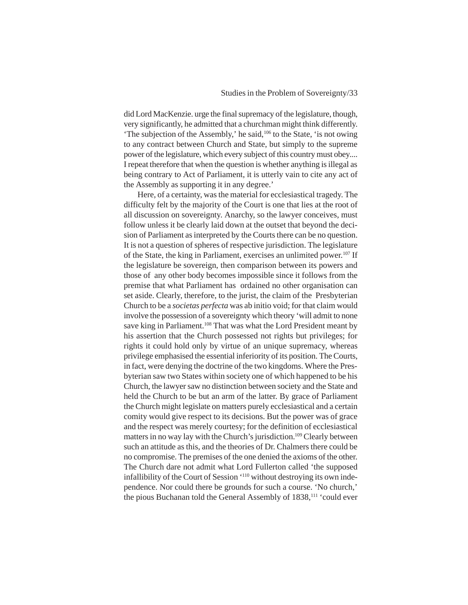did Lord MacKenzie. urge the final supremacy of the legislature, though, very significantly, he admitted that a churchman might think differently. 'The subjection of the Assembly,' he said,106 to the State, 'is not owing to any contract between Church and State, but simply to the supreme power of the legislature, which every subject of this country must obey.... I repeat therefore that when the question is whether anything is illegal as being contrary to Act of Parliament, it is utterly vain to cite any act of the Assembly as supporting it in any degree.'

Here, of a certainty, was the material for ecclesiastical tragedy. The difficulty felt by the majority of the Court is one that lies at the root of all discussion on sovereignty. Anarchy, so the lawyer conceives, must follow unless it be clearly laid down at the outset that beyond the decision of Parliament as interpreted by the Courts there can be no question. It is not a question of spheres of respective jurisdiction. The legislature of the State, the king in Parliament, exercises an unlimited power.107 If the legislature be sovereign, then comparison between its powers and those of any other body becomes impossible since it follows from the premise that what Parliament has ordained no other organisation can set aside. Clearly, therefore, to the jurist, the claim of the Presbyterian Church to be a *societas perfecta* was ab initio void; for that claim would involve the possession of a sovereignty which theory 'will admit to none save king in Parliament.<sup>108</sup> That was what the Lord President meant by his assertion that the Church possessed not rights but privileges; for rights it could hold only by virtue of an unique supremacy, whereas privilege emphasised the essential inferiority of its position. The Courts, in fact, were denying the doctrine of the two kingdoms. Where the Presbyterian saw two States within society one of which happened to be his Church, the lawyer saw no distinction between society and the State and held the Church to be but an arm of the latter. By grace of Parliament the Church might legislate on matters purely ecclesiastical and a certain comity would give respect to its decisions. But the power was of grace and the respect was merely courtesy; for the definition of ecclesiastical matters in no way lay with the Church's jurisdiction.<sup>109</sup> Clearly between such an attitude as this, and the theories of Dr. Chalmers there could be no compromise. The premises of the one denied the axioms of the other. The Church dare not admit what Lord Fullerton called 'the supposed infallibility of the Court of Session '110 without destroying its own independence. Nor could there be grounds for such a course. 'No church,' the pious Buchanan told the General Assembly of 1838,<sup>111</sup> 'could ever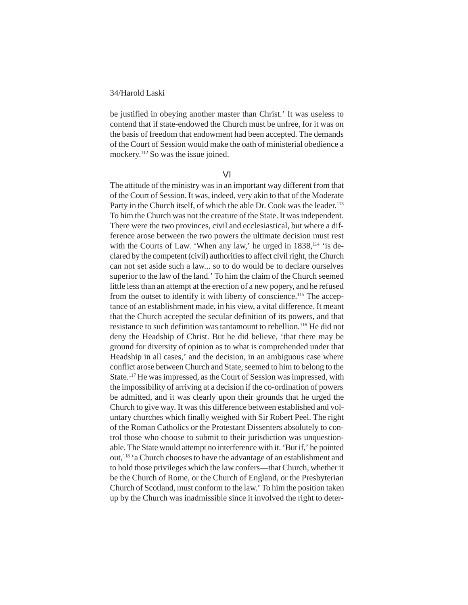be justified in obeying another master than Christ.' It was useless to contend that if state-endowed the Church must be unfree, for it was on the basis of freedom that endowment had been accepted. The demands of the Court of Session would make the oath of ministerial obedience a mockery.112 So was the issue joined.

#### VI

The attitude of the ministry was in an important way different from that of the Court of Session. It was, indeed, very akin to that of the Moderate Party in the Church itself, of which the able Dr. Cook was the leader.<sup>113</sup> To him the Church was not the creature of the State. It was independent. There were the two provinces, civil and ecclesiastical, but where a difference arose between the two powers the ultimate decision must rest with the Courts of Law. 'When any law,' he urged in 1838,<sup>114</sup> 'is declared by the competent (civil) authorities to affect civil right, the Church can not set aside such a law... so to do would be to declare ourselves superior to the law of the land.' To him the claim of the Church seemed little less than an attempt at the erection of a new popery, and he refused from the outset to identify it with liberty of conscience.<sup>115</sup> The acceptance of an establishment made, in his view, a vital difference. It meant that the Church accepted the secular definition of its powers, and that resistance to such definition was tantamount to rebellion.116 He did not deny the Headship of Christ. But he did believe, 'that there may be ground for diversity of opinion as to what is comprehended under that Headship in all cases,' and the decision, in an ambiguous case where conflict arose between Church and State, seemed to him to belong to the State.117 He was impressed, as the Court of Session was impressed, with the impossibility of arriving at a decision if the co-ordination of powers be admitted, and it was clearly upon their grounds that he urged the Church to give way. It was this difference between established and voluntary churches which finally weighed with Sir Robert Peel. The right of the Roman Catholics or the Protestant Dissenters absolutely to control those who choose to submit to their jurisdiction was unquestionable. The State would attempt no interference with it. 'But if,' he pointed out,118 'a Church chooses to have the advantage of an establishment and to hold those privileges which the law confers—that Church, whether it be the Church of Rome, or the Church of England, or the Presbyterian Church of Scotland, must conform to the law.' To him the position taken up by the Church was inadmissible since it involved the right to deter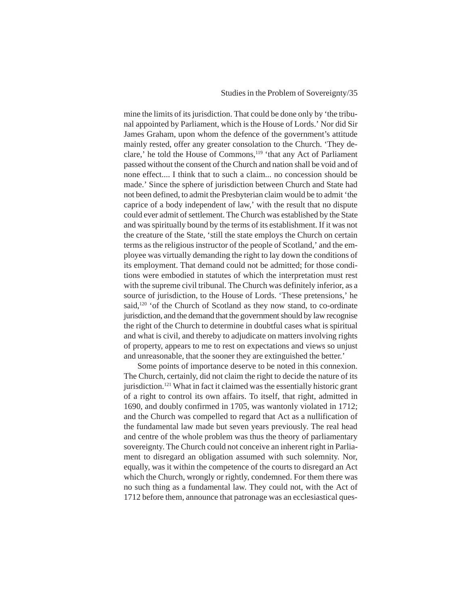mine the limits of its jurisdiction. That could be done only by 'the tribunal appointed by Parliament, which is the House of Lords.' Nor did Sir James Graham, upon whom the defence of the government's attitude mainly rested, offer any greater consolation to the Church. 'They declare,' he told the House of Commons,<sup>119</sup> 'that any Act of Parliament passed without the consent of the Church and nation shall be void and of none effect.... I think that to such a claim... no concession should be made.' Since the sphere of jurisdiction between Church and State had not been defined, to admit the Presbyterian claim would be to admit 'the caprice of a body independent of law,' with the result that no dispute could ever admit of settlement. The Church was established by the State and was spiritually bound by the terms of its establishment. If it was not the creature of the State, 'still the state employs the Church on certain terms as the religious instructor of the people of Scotland,' and the employee was virtually demanding the right to lay down the conditions of its employment. That demand could not be admitted; for those conditions were embodied in statutes of which the interpretation must rest with the supreme civil tribunal. The Church was definitely inferior, as a source of jurisdiction, to the House of Lords. 'These pretensions,' he said,<sup>120</sup> 'of the Church of Scotland as they now stand, to co-ordinate jurisdiction, and the demand that the government should by law recognise the right of the Church to determine in doubtful cases what is spiritual and what is civil, and thereby to adjudicate on matters involving rights of property, appears to me to rest on expectations and views so unjust and unreasonable, that the sooner they are extinguished the better.'

Some points of importance deserve to be noted in this connexion. The Church, certainly, did not claim the right to decide the nature of its jurisdiction.<sup>121</sup> What in fact it claimed was the essentially historic grant of a right to control its own affairs. To itself, that right, admitted in 1690, and doubly confirmed in 1705, was wantonly violated in 1712; and the Church was compelled to regard that Act as a nullification of the fundamental law made but seven years previously. The real head and centre of the whole problem was thus the theory of parliamentary sovereignty. The Church could not conceive an inherent right in Parliament to disregard an obligation assumed with such solemnity. Nor, equally, was it within the competence of the courts to disregard an Act which the Church, wrongly or rightly, condemned. For them there was no such thing as a fundamental law. They could not, with the Act of 1712 before them, announce that patronage was an ecclesiastical ques-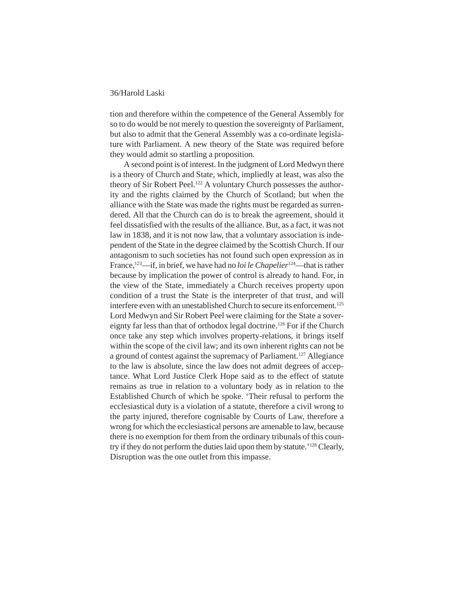tion and therefore within the competence of the General Assembly for so to do would be not merely to question the sovereignty of Parliament, but also to admit that the General Assembly was a co-ordinate legislature with Parliament. A new theory of the State was required before they would admit so startling a proposition.

A second point is of interest. In the judgment of Lord Medwyn there is a theory of Church and State, which, impliedly at least, was also the theory of Sir Robert Peel.<sup>122</sup> A voluntary Church possesses the authority and the rights claimed by the Church of Scotland; but when the alliance with the State was made the rights must be regarded as surrendered. All that the Church can do is to break the agreement, should it feel dissatisfied with the results of the alliance. But, as a fact, it was not law in 1838, and it is not now law, that a voluntary association is independent of the State in the degree claimed by the Scottish Church. If our antagonism to such societies has not found such open expression as in France,<sup>123</sup>—if, in brief, we have had no *loi le Chapelier*<sup>124</sup>—that is rather because by implication the power of control is already to hand. For, in the view of the State, immediately a Church receives property upon condition of a trust the State is the interpreter of that trust, and will interfere even with an unestablished Church to secure its enforcement.125 Lord Medwyn and Sir Robert Peel were claiming for the State a sovereignty far less than that of orthodox legal doctrine.126 For if the Church once take any step which involves property-relations, it brings itself within the scope of the civil law; and its own inherent rights can not be a ground of contest against the supremacy of Parliament.<sup>127</sup> Allegiance to the law is absolute, since the law does not admit degrees of acceptance. What Lord Justice Clerk Hope said as to the effect of statute remains as true in relation to a voluntary body as in relation to the Established Church of which he spoke. 'Their refusal to perform the ecclesiastical duty is a violation of a statute, therefore a civil wrong to the party injured, therefore cognisable by Courts of Law, therefore a wrong for which the ecclesiastical persons are amenable to law, because there is no exemption for them from the ordinary tribunals of this country if they do not perform the duties laid upon them by statute.'128 Clearly, Disruption was the one outlet from this impasse.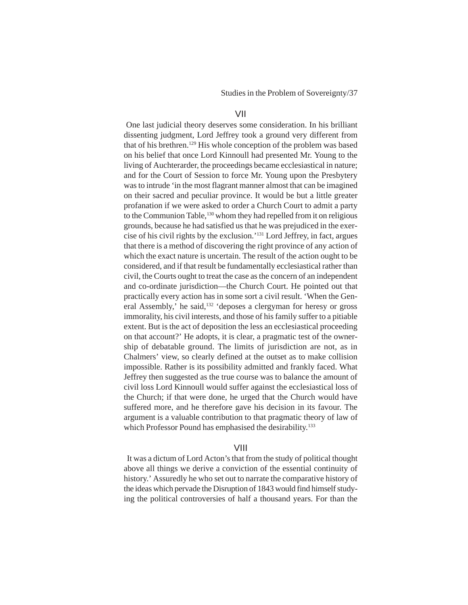#### VII

 One last judicial theory deserves some consideration. In his brilliant dissenting judgment, Lord Jeffrey took a ground very different from that of his brethren.129 His whole conception of the problem was based on his belief that once Lord Kinnoull had presented Mr. Young to the living of Auchterarder, the proceedings became ecclesiastical in nature; and for the Court of Session to force Mr. Young upon the Presbytery was to intrude 'in the most flagrant manner almost that can be imagined on their sacred and peculiar province. It would be but a little greater profanation if we were asked to order a Church Court to admit a party to the Communion Table,130 whom they had repelled from it on religious grounds, because he had satisfied us that he was prejudiced in the exercise of his civil rights by the exclusion.'131 Lord Jeffrey, in fact, argues that there is a method of discovering the right province of any action of which the exact nature is uncertain. The result of the action ought to be considered, and if that result be fundamentally ecclesiastical rather than civil, the Courts ought to treat the case as the concern of an independent and co-ordinate jurisdiction—the Church Court. He pointed out that practically every action has in some sort a civil result. 'When the General Assembly,' he said,<sup>132</sup> 'deposes a clergyman for heresy or gross immorality, his civil interests, and those of his family suffer to a pitiable extent. But is the act of deposition the less an ecclesiastical proceeding on that account?' He adopts, it is clear, a pragmatic test of the ownership of debatable ground. The limits of jurisdiction are not, as in Chalmers' view, so clearly defined at the outset as to make collision impossible. Rather is its possibility admitted and frankly faced. What Jeffrey then suggested as the true course was to balance the amount of civil loss Lord Kinnoull would suffer against the ecclesiastical loss of the Church; if that were done, he urged that the Church would have suffered more, and he therefore gave his decision in its favour. The argument is a valuable contribution to that pragmatic theory of law of which Professor Pound has emphasised the desirability.<sup>133</sup>

#### VIII

 It was a dictum of Lord Acton's that from the study of political thought above all things we derive a conviction of the essential continuity of history.' Assuredly he who set out to narrate the comparative history of the ideas which pervade the Disruption of 1843 would find himself studying the political controversies of half a thousand years. For than the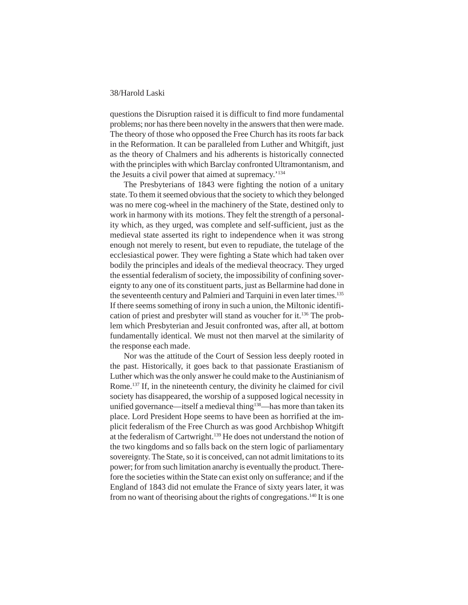questions the Disruption raised it is difficult to find more fundamental problems; nor has there been novelty in the answers that then were made. The theory of those who opposed the Free Church has its roots far back in the Reformation. It can be paralleled from Luther and Whitgift, just as the theory of Chalmers and his adherents is historically connected with the principles with which Barclay confronted Ultramontanism, and the Jesuits a civil power that aimed at supremacy.'134

The Presbyterians of 1843 were fighting the notion of a unitary state. To them it seemed obvious that the society to which they belonged was no mere cog-wheel in the machinery of the State, destined only to work in harmony with its motions. They felt the strength of a personality which, as they urged, was complete and self-sufficient, just as the medieval state asserted its right to independence when it was strong enough not merely to resent, but even to repudiate, the tutelage of the ecclesiastical power. They were fighting a State which had taken over bodily the principles and ideals of the medieval theocracy. They urged the essential federalism of society, the impossibility of confining sovereignty to any one of its constituent parts, just as Bellarmine had done in the seventeenth century and Palmieri and Tarquini in even later times.<sup>135</sup> If there seems something of irony in such a union, the Miltonic identification of priest and presbyter will stand as voucher for it.136 The problem which Presbyterian and Jesuit confronted was, after all, at bottom fundamentally identical. We must not then marvel at the similarity of the response each made.

Nor was the attitude of the Court of Session less deeply rooted in the past. Historically, it goes back to that passionate Erastianism of Luther which was the only answer he could make to the Austinianism of Rome.137 If, in the nineteenth century, the divinity he claimed for civil society has disappeared, the worship of a supposed logical necessity in unified governance—itself a medieval thing138—has more than taken its place. Lord President Hope seems to have been as horrified at the implicit federalism of the Free Church as was good Archbishop Whitgift at the federalism of Cartwright.139 He does not understand the notion of the two kingdoms and so falls back on the stern logic of parliamentary sovereignty. The State, so it is conceived, can not admit limitations to its power; for from such limitation anarchy is eventually the product. Therefore the societies within the State can exist only on sufferance; and if the England of 1843 did not emulate the France of sixty years later, it was from no want of theorising about the rights of congregations.140 It is one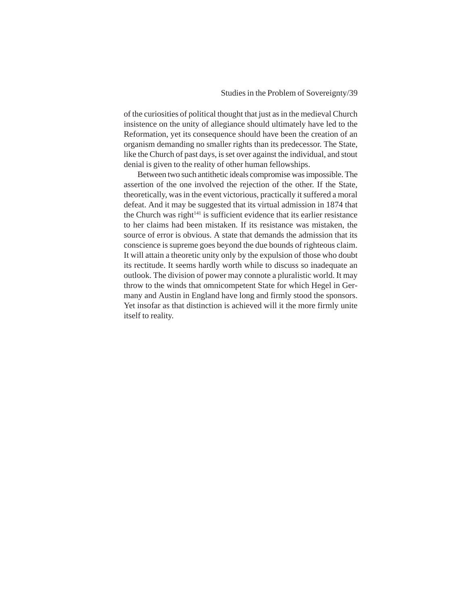of the curiosities of political thought that just as in the medieval Church insistence on the unity of allegiance should ultimately have led to the Reformation, yet its consequence should have been the creation of an organism demanding no smaller rights than its predecessor. The State, like the Church of past days, is set over against the individual, and stout denial is given to the reality of other human fellowships.

Between two such antithetic ideals compromise was impossible. The assertion of the one involved the rejection of the other. If the State, theoretically, was in the event victorious, practically it suffered a moral defeat. And it may be suggested that its virtual admission in 1874 that the Church was right $141$  is sufficient evidence that its earlier resistance to her claims had been mistaken. If its resistance was mistaken, the source of error is obvious. A state that demands the admission that its conscience is supreme goes beyond the due bounds of righteous claim. It will attain a theoretic unity only by the expulsion of those who doubt its rectitude. It seems hardly worth while to discuss so inadequate an outlook. The division of power may connote a pluralistic world. It may throw to the winds that omnicompetent State for which Hegel in Germany and Austin in England have long and firmly stood the sponsors. Yet insofar as that distinction is achieved will it the more firmly unite itself to reality.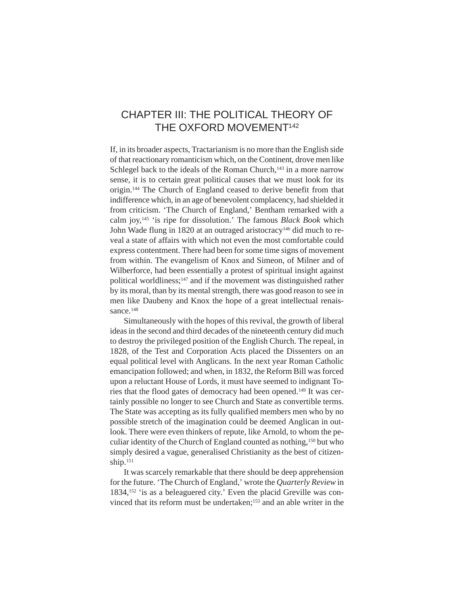## CHAPTER III: THE POLITICAL THEORY OF THE OXFORD MOVEMENT<sup>142</sup>

If, in its broader aspects, Tractarianism is no more than the English side of that reactionary romanticism which, on the Continent, drove men like Schlegel back to the ideals of the Roman Church,<sup>143</sup> in a more narrow sense, it is to certain great political causes that we must look for its origin.144 The Church of England ceased to derive benefit from that indifference which, in an age of benevolent complacency, had shielded it from criticism. 'The Church of England,' Bentham remarked with a calm joy,145 'is ripe for dissolution.' The famous *Black Book* which John Wade flung in 1820 at an outraged aristocracy146 did much to reveal a state of affairs with which not even the most comfortable could express contentment. There had been for some time signs of movement from within. The evangelism of Knox and Simeon, of Milner and of Wilberforce, had been essentially a protest of spiritual insight against political worldliness;147 and if the movement was distinguished rather by its moral, than by its mental strength, there was good reason to see in men like Daubeny and Knox the hope of a great intellectual renaissance.<sup>148</sup>

Simultaneously with the hopes of this revival, the growth of liberal ideas in the second and third decades of the nineteenth century did much to destroy the privileged position of the English Church. The repeal, in 1828, of the Test and Corporation Acts placed the Dissenters on an equal political level with Anglicans. In the next year Roman Catholic emancipation followed; and when, in 1832, the Reform Bill was forced upon a reluctant House of Lords, it must have seemed to indignant Tories that the flood gates of democracy had been opened.149 It was certainly possible no longer to see Church and State as convertible terms. The State was accepting as its fully qualified members men who by no possible stretch of the imagination could be deemed Anglican in outlook. There were even thinkers of repute, like Arnold, to whom the peculiar identity of the Church of England counted as nothing,150 but who simply desired a vague, generalised Christianity as the best of citizenship.151

It was scarcely remarkable that there should be deep apprehension for the future. 'The Church of England,' wrote the *Quarterly Review* in 1834,152 'is as a beleaguered city.' Even the placid Greville was convinced that its reform must be undertaken;<sup>153</sup> and an able writer in the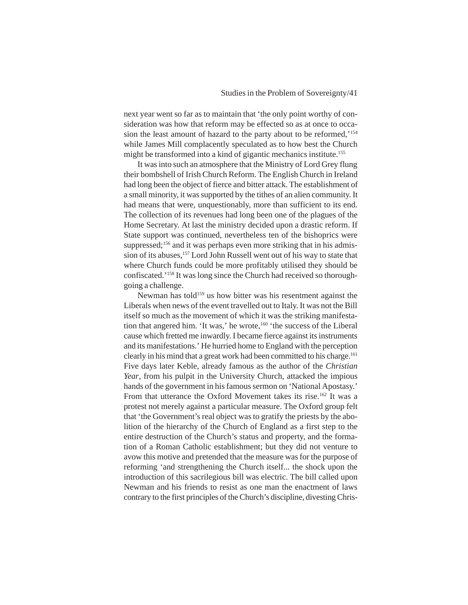next year went so far as to maintain that 'the only point worthy of consideration was how that reform may be effected so as at once to occasion the least amount of hazard to the party about to be reformed,'154 while James Mill complacently speculated as to how best the Church might be transformed into a kind of gigantic mechanics institute.155

It was into such an atmosphere that the Ministry of Lord Grey flung their bombshell of Irish Church Reform. The English Church in Ireland had long been the object of fierce and bitter attack. The establishment of a small minority, it was supported by the tithes of an alien community. It had means that were, unquestionably, more than sufficient to its end. The collection of its revenues had long been one of the plagues of the Home Secretary. At last the ministry decided upon a drastic reform. If State support was continued, nevertheless ten of the bishoprics were suppressed;<sup>156</sup> and it was perhaps even more striking that in his admission of its abuses,157 Lord John Russell went out of his way to state that where Church funds could be more profitably utilised they should be confiscated.'158 It was long since the Church had received so thoroughgoing a challenge.

Newman has told<sup>159</sup> us how bitter was his resentment against the Liberals when news of the event travelled out to Italy. It was not the Bill itself so much as the movement of which it was the striking manifestation that angered him. 'It was,' he wrote,<sup>160</sup> 'the success of the Liberal cause which fretted me inwardly. I became fierce against its instruments and its manifestations.' He hurried home to England with the perception clearly in his mind that a great work had been committed to his charge.161 Five days later Keble, already famous as the author of the *Christian Year*, from his pulpit in the University Church, attacked the impious hands of the government in his famous sermon on 'National Apostasy.' From that utterance the Oxford Movement takes its rise.<sup>162</sup> It was a protest not merely against a particular measure. The Oxford group felt that 'the Government's real object was to gratify the priests by the abolition of the hierarchy of the Church of England as a first step to the entire destruction of the Church's status and property, and the formation of a Roman Catholic establishment; but they did not venture to avow this motive and pretended that the measure was for the purpose of reforming 'and strengthening the Church itself... the shock upon the introduction of this sacrilegious bill was electric. The bill called upon Newman and his friends to resist as one man the enactment of laws contrary to the first principles of the Church's discipline, divesting Chris-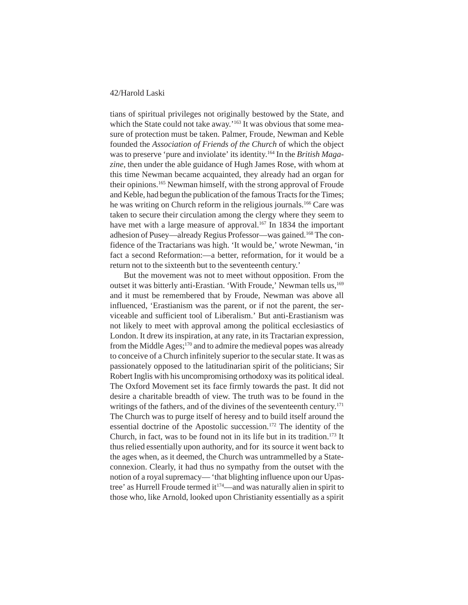tians of spiritual privileges not originally bestowed by the State, and which the State could not take away.'<sup>163</sup> It was obvious that some measure of protection must be taken. Palmer, Froude, Newman and Keble founded the *Association of Friends of the Church* of which the object was to preserve 'pure and inviolate' its identity.164 In the *British Magazine*, then under the able guidance of Hugh James Rose, with whom at this time Newman became acquainted, they already had an organ for their opinions.165 Newman himself, with the strong approval of Froude and Keble, had begun the publication of the famous Tracts for the Times; he was writing on Church reform in the religious journals.<sup>166</sup> Care was taken to secure their circulation among the clergy where they seem to have met with a large measure of approval.<sup>167</sup> In 1834 the important adhesion of Pusey—already Regius Professor—was gained.168 The confidence of the Tractarians was high. 'It would be,' wrote Newman, 'in fact a second Reformation:—a better, reformation, for it would be a return not to the sixteenth but to the seventeenth century.'

But the movement was not to meet without opposition. From the outset it was bitterly anti-Erastian. 'With Froude,' Newman tells us,<sup>169</sup> and it must be remembered that by Froude, Newman was above all influenced, 'Erastianism was the parent, or if not the parent, the serviceable and sufficient tool of Liberalism.' But anti-Erastianism was not likely to meet with approval among the political ecclesiastics of London. It drew its inspiration, at any rate, in its Tractarian expression, from the Middle Ages;<sup>170</sup> and to admire the medieval popes was already to conceive of a Church infinitely superior to the secular state. It was as passionately opposed to the latitudinarian spirit of the politicians; Sir Robert Inglis with his uncompromising orthodoxy was its political ideal. The Oxford Movement set its face firmly towards the past. It did not desire a charitable breadth of view. The truth was to be found in the writings of the fathers, and of the divines of the seventeenth century.<sup>171</sup> The Church was to purge itself of heresy and to build itself around the essential doctrine of the Apostolic succession.172 The identity of the Church, in fact, was to be found not in its life but in its tradition.173 It thus relied essentially upon authority, and for its source it went back to the ages when, as it deemed, the Church was untrammelled by a Stateconnexion. Clearly, it had thus no sympathy from the outset with the notion of a royal supremacy— 'that blighting influence upon our Upastree' as Hurrell Froude termed it<sup>174</sup>—and was naturally alien in spirit to those who, like Arnold, looked upon Christianity essentially as a spirit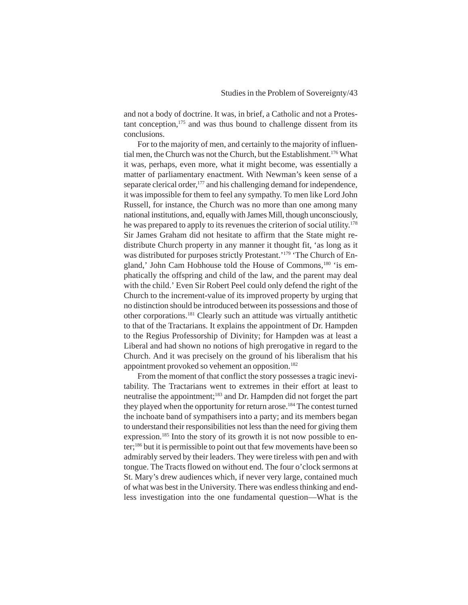and not a body of doctrine. It was, in brief, a Catholic and not a Protes $t$ ant conception,<sup>175</sup> and was thus bound to challenge dissent from its conclusions.

For to the majority of men, and certainly to the majority of influential men, the Church was not the Church, but the Establishment.176 What it was, perhaps, even more, what it might become, was essentially a matter of parliamentary enactment. With Newman's keen sense of a separate clerical order,<sup>177</sup> and his challenging demand for independence, it was impossible for them to feel any sympathy. To men like Lord John Russell, for instance, the Church was no more than one among many national institutions, and, equally with James Mill, though unconsciously, he was prepared to apply to its revenues the criterion of social utility.<sup>178</sup> Sir James Graham did not hesitate to affirm that the State might redistribute Church property in any manner it thought fit, 'as long as it was distributed for purposes strictly Protestant.'<sup>179</sup> 'The Church of England,' John Cam Hobhouse told the House of Commons,<sup>180</sup> 'is emphatically the offspring and child of the law, and the parent may deal with the child.' Even Sir Robert Peel could only defend the right of the Church to the increment-value of its improved property by urging that no distinction should be introduced between its possessions and those of other corporations.181 Clearly such an attitude was virtually antithetic to that of the Tractarians. It explains the appointment of Dr. Hampden to the Regius Professorship of Divinity; for Hampden was at least a Liberal and had shown no notions of high prerogative in regard to the Church. And it was precisely on the ground of his liberalism that his appointment provoked so vehement an opposition.182

From the moment of that conflict the story possesses a tragic inevitability. The Tractarians went to extremes in their effort at least to neutralise the appointment;183 and Dr. Hampden did not forget the part they played when the opportunity for return arose.<sup>184</sup> The contest turned the inchoate band of sympathisers into a party; and its members began to understand their responsibilities not less than the need for giving them expression.<sup>185</sup> Into the story of its growth it is not now possible to enter;186 but it is permissible to point out that few movements have been so admirably served by their leaders. They were tireless with pen and with tongue. The Tracts flowed on without end. The four o'clock sermons at St. Mary's drew audiences which, if never very large, contained much of what was best in the University. There was endless thinking and endless investigation into the one fundamental question—What is the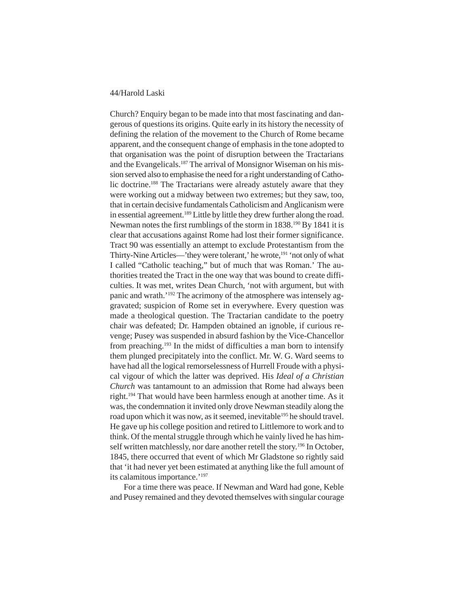Church? Enquiry began to be made into that most fascinating and dangerous of questions its origins. Quite early in its history the necessity of defining the relation of the movement to the Church of Rome became apparent, and the consequent change of emphasis in the tone adopted to that organisation was the point of disruption between the Tractarians and the Evangelicals.<sup>187</sup> The arrival of Monsignor Wiseman on his mission served also to emphasise the need for a right understanding of Catholic doctrine.188 The Tractarians were already astutely aware that they were working out a midway between two extremes; but they saw, too, that in certain decisive fundamentals Catholicism and Anglicanism were in essential agreement.189 Little by little they drew further along the road. Newman notes the first rumblings of the storm in 1838.<sup>190</sup> By 1841 it is clear that accusations against Rome had lost their former significance. Tract 90 was essentially an attempt to exclude Protestantism from the Thirty-Nine Articles—'they were tolerant,' he wrote,191 'not only of what I called "Catholic teaching," but of much that was Roman.' The authorities treated the Tract in the one way that was bound to create difficulties. It was met, writes Dean Church, 'not with argument, but with panic and wrath.'192 The acrimony of the atmosphere was intensely aggravated; suspicion of Rome set in everywhere. Every question was made a theological question. The Tractarian candidate to the poetry chair was defeated; Dr. Hampden obtained an ignoble, if curious revenge; Pusey was suspended in absurd fashion by the Vice-Chancellor from preaching.193 In the midst of difficulties a man born to intensify them plunged precipitately into the conflict. Mr. W. G. Ward seems to have had all the logical remorselessness of Hurrell Froude with a physical vigour of which the latter was deprived. His *Ideal of a Christian Church* was tantamount to an admission that Rome had always been right.194 That would have been harmless enough at another time. As it was, the condemnation it invited only drove Newman steadily along the road upon which it was now, as it seemed, inevitable<sup>195</sup> he should travel. He gave up his college position and retired to Littlemore to work and to think. Of the mental struggle through which he vainly lived he has himself written matchlessly, nor dare another retell the story.<sup>196</sup> In October, 1845, there occurred that event of which Mr Gladstone so rightly said that 'it had never yet been estimated at anything like the full amount of its calamitous importance.'197

For a time there was peace. If Newman and Ward had gone, Keble and Pusey remained and they devoted themselves with singular courage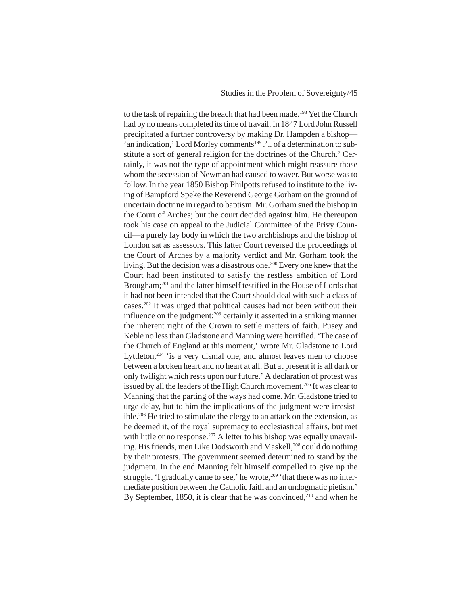to the task of repairing the breach that had been made.<sup>198</sup> Yet the Church had by no means completed its time of travail. In 1847 Lord John Russell precipitated a further controversy by making Dr. Hampden a bishop— 'an indication,' Lord Morley comments<sup>199</sup>.'.. of a determination to substitute a sort of general religion for the doctrines of the Church.' Certainly, it was not the type of appointment which might reassure those whom the secession of Newman had caused to waver. But worse was to follow. In the year 1850 Bishop Philpotts refused to institute to the living of Bampford Speke the Reverend George Gorham on the ground of uncertain doctrine in regard to baptism. Mr. Gorham sued the bishop in the Court of Arches; but the court decided against him. He thereupon took his case on appeal to the Judicial Committee of the Privy Council—a purely lay body in which the two archbishops and the bishop of London sat as assessors. This latter Court reversed the proceedings of the Court of Arches by a majority verdict and Mr. Gorham took the living. But the decision was a disastrous one.200 Every one knew that the Court had been instituted to satisfy the restless ambition of Lord Brougham;<sup>201</sup> and the latter himself testified in the House of Lords that it had not been intended that the Court should deal with such a class of cases.202 It was urged that political causes had not been without their influence on the judgment;<sup>203</sup> certainly it asserted in a striking manner the inherent right of the Crown to settle matters of faith. Pusey and Keble no less than Gladstone and Manning were horrified. 'The case of the Church of England at this moment,' wrote Mr. Gladstone to Lord Lyttleton,<sup>204</sup> 'is a very dismal one, and almost leaves men to choose between a broken heart and no heart at all. But at present it is all dark or only twilight which rests upon our future.' A declaration of protest was issued by all the leaders of the High Church movement.<sup>205</sup> It was clear to Manning that the parting of the ways had come. Mr. Gladstone tried to urge delay, but to him the implications of the judgment were irresistible.206 He tried to stimulate the clergy to an attack on the extension, as he deemed it, of the royal supremacy to ecclesiastical affairs, but met with little or no response.<sup>207</sup> A letter to his bishop was equally unavailing. His friends, men Like Dodsworth and Maskell,<sup>208</sup> could do nothing by their protests. The government seemed determined to stand by the judgment. In the end Manning felt himself compelled to give up the struggle. 'I gradually came to see,' he wrote, $209$  'that there was no intermediate position between the Catholic faith and an undogmatic pietism.' By September, 1850, it is clear that he was convinced,  $2^{10}$  and when he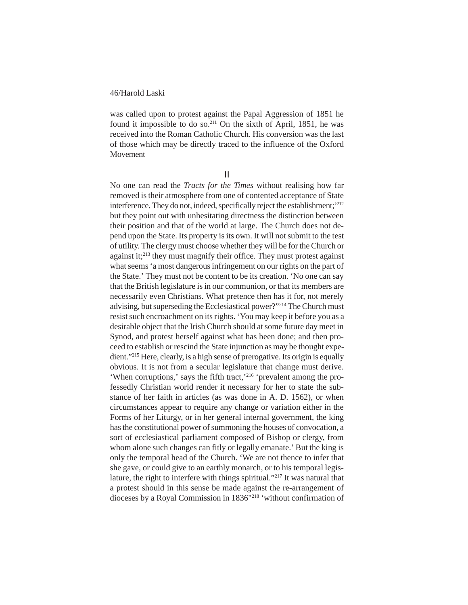was called upon to protest against the Papal Aggression of 1851 he found it impossible to do so.<sup>211</sup> On the sixth of April, 1851, he was received into the Roman Catholic Church. His conversion was the last of those which may be directly traced to the influence of the Oxford Movement

II

No one can read the *Tracts for the Times* without realising how far removed is their atmosphere from one of contented acceptance of State interference. They do not, indeed, specifically reject the establishment;<sup>'212</sup> but they point out with unhesitating directness the distinction between their position and that of the world at large. The Church does not depend upon the State. Its property is its own. It will not submit to the test of utility. The clergy must choose whether they will be for the Church or against it;213 they must magnify their office. They must protest against what seems 'a most dangerous infringement on our rights on the part of the State.' They must not be content to be its creation. 'No one can say that the British legislature is in our communion, or that its members are necessarily even Christians. What pretence then has it for, not merely advising, but superseding the Ecclesiastical power?"214 The Church must resist such encroachment on its rights. 'You may keep it before you as a desirable object that the Irish Church should at some future day meet in Synod, and protest herself against what has been done; and then proceed to establish or rescind the State injunction as may be thought expedient."215 Here, clearly, is a high sense of prerogative. Its origin is equally obvious. It is not from a secular legislature that change must derive. 'When corruptions,' says the fifth tract,'<sup>216</sup> 'prevalent among the professedly Christian world render it necessary for her to state the substance of her faith in articles (as was done in A. D. 1562), or when circumstances appear to require any change or variation either in the Forms of her Liturgy, or in her general internal government, the king has the constitutional power of summoning the houses of convocation, a sort of ecclesiastical parliament composed of Bishop or clergy, from whom alone such changes can fitly or legally emanate.' But the king is only the temporal head of the Church. 'We are not thence to infer that she gave, or could give to an earthly monarch, or to his temporal legislature, the right to interfere with things spiritual."217 It was natural that a protest should in this sense be made against the re-arrangement of dioceses by a Royal Commission in 1836"218 'without confirmation of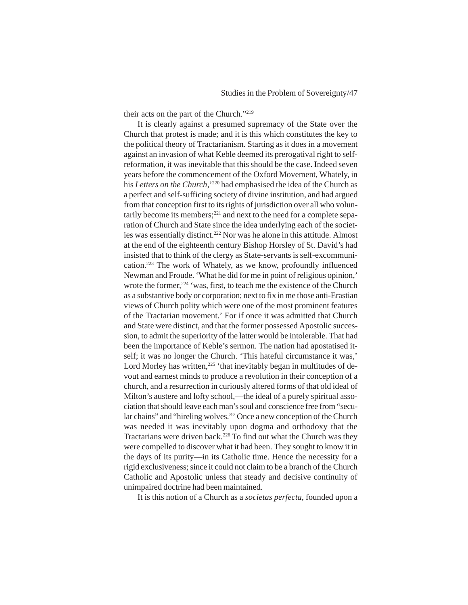their acts on the part of the Church."219

It is clearly against a presumed supremacy of the State over the Church that protest is made; and it is this which constitutes the key to the political theory of Tractarianism. Starting as it does in a movement against an invasion of what Keble deemed its prerogatival right to selfreformation, it was inevitable that this should be the case. Indeed seven years before the commencement of the Oxford Movement, Whately, in his *Letters on the Church*,<sup>'220</sup> had emphasised the idea of the Church as a perfect and self-sufficing society of divine institution, and had argued from that conception first to its rights of jurisdiction over all who voluntarily become its members;<sup>221</sup> and next to the need for a complete separation of Church and State since the idea underlying each of the societies was essentially distinct.<sup>222</sup> Nor was he alone in this attitude. Almost at the end of the eighteenth century Bishop Horsley of St. David's had insisted that to think of the clergy as State-servants is self-excommunication.223 The work of Whately, as we know, profoundly influenced Newman and Froude. 'What he did for me in point of religious opinion,' wrote the former,  $224$  'was, first, to teach me the existence of the Church as a substantive body or corporation; next to fix in me those anti-Erastian views of Church polity which were one of the most prominent features of the Tractarian movement.' For if once it was admitted that Church and State were distinct, and that the former possessed Apostolic succession, to admit the superiority of the latter would be intolerable. That had been the importance of Keble's sermon. The nation had apostatised itself; it was no longer the Church. 'This hateful circumstance it was,' Lord Morley has written, $225$  'that inevitably began in multitudes of devout and earnest minds to produce a revolution in their conception of a church, and a resurrection in curiously altered forms of that old ideal of Milton's austere and lofty school,—the ideal of a purely spiritual association that should leave each man's soul and conscience free from "secular chains" and "hireling wolves."' Once a new conception of the Church was needed it was inevitably upon dogma and orthodoxy that the Tractarians were driven back.<sup>226</sup> To find out what the Church was they were compelled to discover what it had been. They sought to know it in the days of its purity—in its Catholic time. Hence the necessity for a rigid exclusiveness; since it could not claim to be a branch of the Church Catholic and Apostolic unless that steady and decisive continuity of unimpaired doctrine had been maintained.

It is this notion of a Church as a *societas perfecta*, founded upon a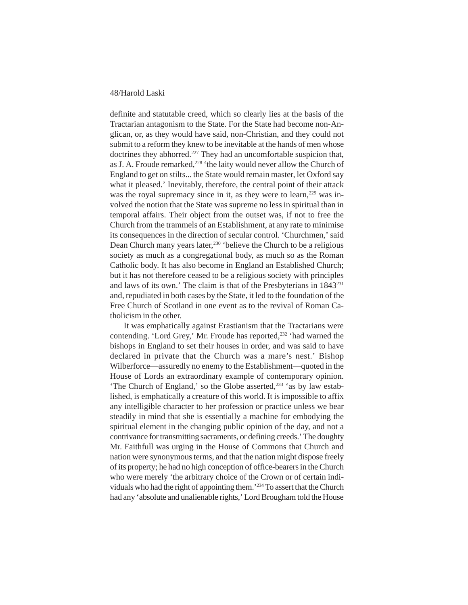definite and statutable creed, which so clearly lies at the basis of the Tractarian antagonism to the State. For the State had become non-Anglican, or, as they would have said, non-Christian, and they could not submit to a reform they knew to be inevitable at the hands of men whose doctrines they abhorred.<sup>227</sup> They had an uncomfortable suspicion that, as J. A. Froude remarked,<sup>228</sup> 'the laity would never allow the Church of England to get on stilts... the State would remain master, let Oxford say what it pleased.' Inevitably, therefore, the central point of their attack was the royal supremacy since in it, as they were to learn,  $229$  was involved the notion that the State was supreme no less in spiritual than in temporal affairs. Their object from the outset was, if not to free the Church from the trammels of an Establishment, at any rate to minimise its consequences in the direction of secular control. 'Churchmen,' said Dean Church many years later, $230$  'believe the Church to be a religious society as much as a congregational body, as much so as the Roman Catholic body. It has also become in England an Established Church; but it has not therefore ceased to be a religious society with principles and laws of its own.' The claim is that of the Presbyterians in 1843231 and, repudiated in both cases by the State, it led to the foundation of the Free Church of Scotland in one event as to the revival of Roman Catholicism in the other.

It was emphatically against Erastianism that the Tractarians were contending. 'Lord Grey,' Mr. Froude has reported,<sup>232</sup> 'had warned the bishops in England to set their houses in order, and was said to have declared in private that the Church was a mare's nest.' Bishop Wilberforce—assuredly no enemy to the Establishment—quoted in the House of Lords an extraordinary example of contemporary opinion. 'The Church of England,' so the Globe asserted, $233$  'as by law established, is emphatically a creature of this world. It is impossible to affix any intelligible character to her profession or practice unless we bear steadily in mind that she is essentially a machine for embodying the spiritual element in the changing public opinion of the day, and not a contrivance for transmitting sacraments, or defining creeds.' The doughty Mr. Faithfull was urging in the House of Commons that Church and nation were synonymous terms, and that the nation might dispose freely of its property; he had no high conception of office-bearers in the Church who were merely 'the arbitrary choice of the Crown or of certain individuals who had the right of appointing them.'234 To assert that the Church had any 'absolute and unalienable rights,' Lord Brougham told the House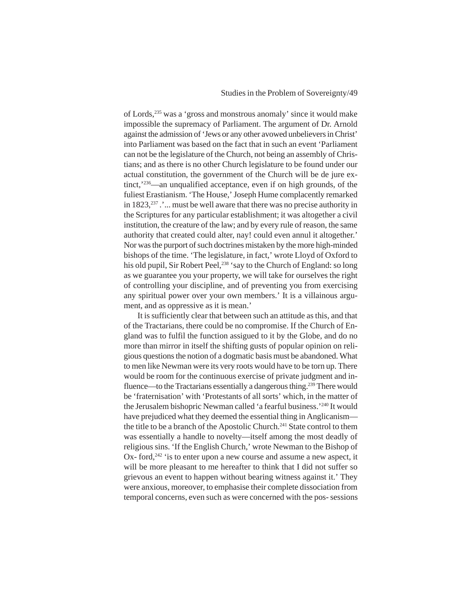of Lords,235 was a 'gross and monstrous anomaly' since it would make impossible the supremacy of Parliament. The argument of Dr. Arnold against the admission of 'Jews or any other avowed unbelievers in Christ' into Parliament was based on the fact that in such an event 'Parliament can not be the legislature of the Church, not being an assembly of Christians; and as there is no other Church legislature to be found under our actual constitution, the government of the Church will be de jure extinct,'236—an unqualified acceptance, even if on high grounds, of the fuliest Erastianism. 'The House,' Joseph Hume complacently remarked in 1823,237 .'... must be well aware that there was no precise authority in the Scriptures for any particular establishment; it was altogether a civil institution, the creature of the law; and by every rule of reason, the same authority that created could alter, nay! could even annul it altogether.' Nor was the purport of such doctrines mistaken by the more high-minded bishops of the time. 'The legislature, in fact,' wrote Lloyd of Oxford to his old pupil, Sir Robert Peel,<sup>238</sup> 'say to the Church of England: so long as we guarantee you your property, we will take for ourselves the right of controlling your discipline, and of preventing you from exercising any spiritual power over your own members.' It is a villainous argument, and as oppressive as it is mean.'

It is sufficiently clear that between such an attitude as this, and that of the Tractarians, there could be no compromise. If the Church of England was to fulfil the function assigued to it by the Globe, and do no more than mirror in itself the shifting gusts of popular opinion on religious questions the notion of a dogmatic basis must be abandoned. What to men like Newman were its very roots would have to be torn up. There would be room for the continuous exercise of private judgment and influence—to the Tractarians essentially a dangerous thing.<sup>239</sup> There would be 'fraternisation' with 'Protestants of all sorts' which, in the matter of the Jerusalem bishopric Newman called 'a fearful business.'240 It would have prejudiced what they deemed the essential thing in Anglicanism the title to be a branch of the Apostolic Church.<sup>241</sup> State control to them was essentially a handle to novelty—itself among the most deadly of religious sins. 'If the English Church,' wrote Newman to the Bishop of Ox- ford, $242$  'is to enter upon a new course and assume a new aspect, it will be more pleasant to me hereafter to think that I did not suffer so grievous an event to happen without bearing witness against it.' They were anxious, moreover, to emphasise their complete dissociation from temporal concerns, even such as were concerned with the pos- sessions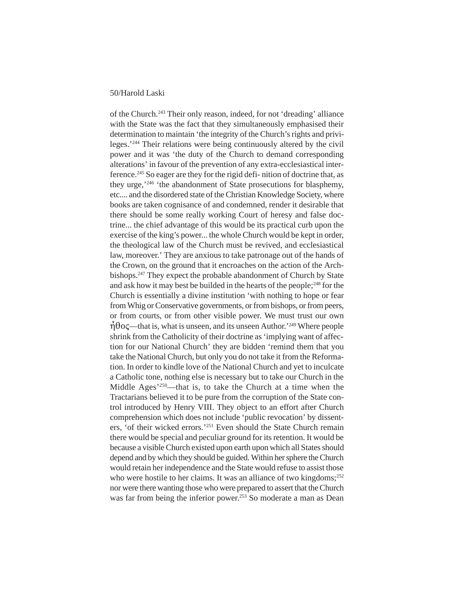of the Church.243 Their only reason, indeed, for not 'dreading' alliance with the State was the fact that they simultaneously emphasised their determination to maintain 'the integrity of the Church's rights and privileges.'244 Their relations were being continuously altered by the civil power and it was 'the duty of the Church to demand corresponding alterations' in favour of the prevention of any extra-ecclesiastical interference.245 So eager are they for the rigid defi- nition of doctrine that, as they urge,'246 'the abandonment of State prosecutions for blasphemy, etc.... and the disordered state of the Christian Knowledge Society, where books are taken cognisance of and condemned, render it desirable that there should be some really working Court of heresy and false doctrine... the chief advantage of this would be its practical curb upon the exercise of the king's power... the whole Church would be kept in order, the theological law of the Church must be revived, and ecclesiastical law, moreover.' They are anxious to take patronage out of the hands of the Crown, on the ground that it encroaches on the action of the Archbishops.<sup>247</sup> They expect the probable abandonment of Church by State and ask how it may best be builded in the hearts of the people;<sup>248</sup> for the Church is essentially a divine institution 'with nothing to hope or fear from Whig or Conservative governments, or from bishops, or from peers, or from courts, or from other visible power. We must trust our own  $\hat{\eta} \theta$ OC—that is, what is unseen, and its unseen Author.<sup>'249</sup> Where people shrink from the Catholicity of their doctrine as 'implying want of affection for our National Church' they are bidden 'remind them that you take the National Church, but only you do not take it from the Reformation. In order to kindle love of the National Church and yet to inculcate a Catholic tone, nothing else is necessary but to take our Church in the Middle Ages<sup>'250</sup>—that is, to take the Church at a time when the Tractarians believed it to be pure from the corruption of the State control introduced by Henry VIII. They object to an effort after Church comprehension which does not include 'public revocation' by dissenters, 'of their wicked errors.'251 Even should the State Church remain there would be special and peculiar ground for its retention. It would be because a visible Church existed upon earth upon which all States should depend and by which they should be guided. Within her sphere the Church would retain her independence and the State would refuse to assist those who were hostile to her claims. It was an alliance of two kingdoms; $^{252}$ nor were there wanting those who were prepared to assert that the Church was far from being the inferior power.<sup>253</sup> So moderate a man as Dean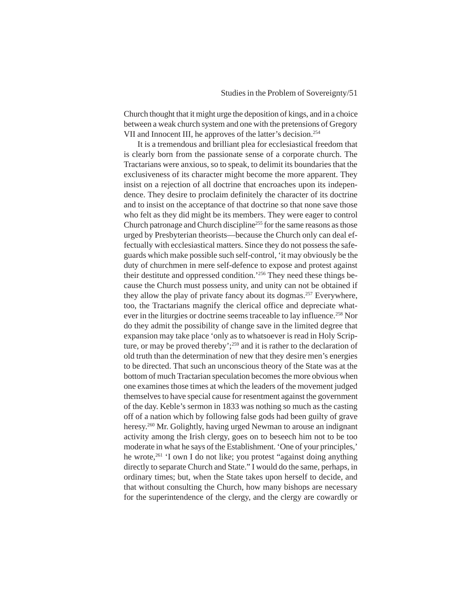Church thought that it might urge the deposition of kings, and in a choice between a weak church system and one with the pretensions of Gregory VII and Innocent III, he approves of the latter's decision.254

It is a tremendous and brilliant plea for ecclesiastical freedom that is clearly born from the passionate sense of a corporate church. The Tractarians were anxious, so to speak, to delimit its boundaries that the exclusiveness of its character might become the more apparent. They insist on a rejection of all doctrine that encroaches upon its independence. They desire to proclaim definitely the character of its doctrine and to insist on the acceptance of that doctrine so that none save those who felt as they did might be its members. They were eager to control Church patronage and Church discipline<sup>255</sup> for the same reasons as those urged by Presbyterian theorists—because the Church only can deal effectually with ecclesiastical matters. Since they do not possess the safeguards which make possible such self-control, 'it may obviously be the duty of churchmen in mere self-defence to expose and protest against their destitute and oppressed condition.'256 They need these things because the Church must possess unity, and unity can not be obtained if they allow the play of private fancy about its dogmas.<sup>257</sup> Everywhere, too, the Tractarians magnify the clerical office and depreciate whatever in the liturgies or doctrine seems traceable to lay influence.258 Nor do they admit the possibility of change save in the limited degree that expansion may take place 'only as to whatsoever is read in Holy Scripture, or may be proved thereby';<sup>259</sup> and it is rather to the declaration of old truth than the determination of new that they desire men's energies to be directed. That such an unconscious theory of the State was at the bottom of much Tractarian speculation becomes the more obvious when one examines those times at which the leaders of the movement judged themselves to have special cause for resentment against the government of the day. Keble's sermon in 1833 was nothing so much as the casting off of a nation which by following false gods had been guilty of grave heresy.<sup>260</sup> Mr. Golightly, having urged Newman to arouse an indignant activity among the Irish clergy, goes on to beseech him not to be too moderate in what he says of the Establishment. 'One of your principles,' he wrote,<sup>261</sup> 'I own I do not like; you protest "against doing anything directly to separate Church and State." I would do the same, perhaps, in ordinary times; but, when the State takes upon herself to decide, and that without consulting the Church, how many bishops are necessary for the superintendence of the clergy, and the clergy are cowardly or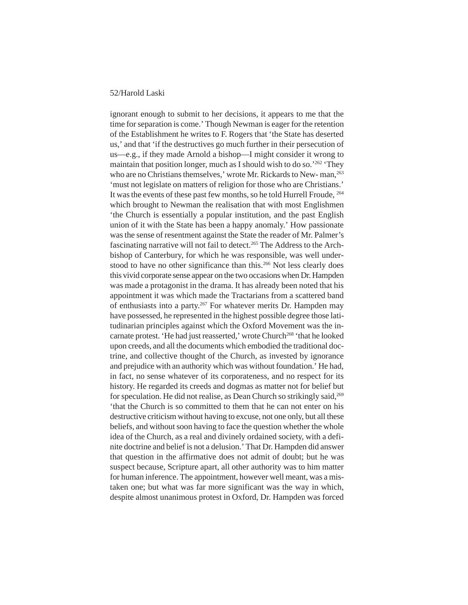ignorant enough to submit to her decisions, it appears to me that the time for separation is come.' Though Newman is eager for the retention of the Establishment he writes to F. Rogers that 'the State has deserted us,' and that 'if the destructives go much further in their persecution of us—e.g., if they made Arnold a bishop—I might consider it wrong to maintain that position longer, much as I should wish to do so.'262 'They who are no Christians themselves,' wrote Mr. Rickards to New- man,  $^{263}$ 'must not legislate on matters of religion for those who are Christians.' It was the events of these past few months, so he told Hurrell Froude, <sup>264</sup> which brought to Newman the realisation that with most Englishmen 'the Church is essentially a popular institution, and the past English union of it with the State has been a happy anomaly.' How passionate was the sense of resentment against the State the reader of Mr. Palmer's fascinating narrative will not fail to detect.<sup>265</sup> The Address to the Archbishop of Canterbury, for which he was responsible, was well understood to have no other significance than this.266 Not less clearly does this vivid corporate sense appear on the two occasions when Dr. Hampden was made a protagonist in the drama. It has already been noted that his appointment it was which made the Tractarians from a scattered band of enthusiasts into a party.267 For whatever merits Dr. Hampden may have possessed, he represented in the highest possible degree those latitudinarian principles against which the Oxford Movement was the incarnate protest. 'He had just reasserted,' wrote Church<sup>268</sup> 'that he looked upon creeds, and all the documents which embodied the traditional doctrine, and collective thought of the Church, as invested by ignorance and prejudice with an authority which was without foundation.' He had, in fact, no sense whatever of its corporateness, and no respect for its history. He regarded its creeds and dogmas as matter not for belief but for speculation. He did not realise, as Dean Church so strikingly said,<sup>269</sup> 'that the Church is so committed to them that he can not enter on his destructive criticism without having to excuse, not one only, but all these beliefs, and without soon having to face the question whether the whole idea of the Church, as a real and divinely ordained society, with a definite doctrine and belief is not a delusion.' That Dr. Hampden did answer that question in the affirmative does not admit of doubt; but he was suspect because, Scripture apart, all other authority was to him matter for human inference. The appointment, however well meant, was a mistaken one; but what was far more significant was the way in which, despite almost unanimous protest in Oxford, Dr. Hampden was forced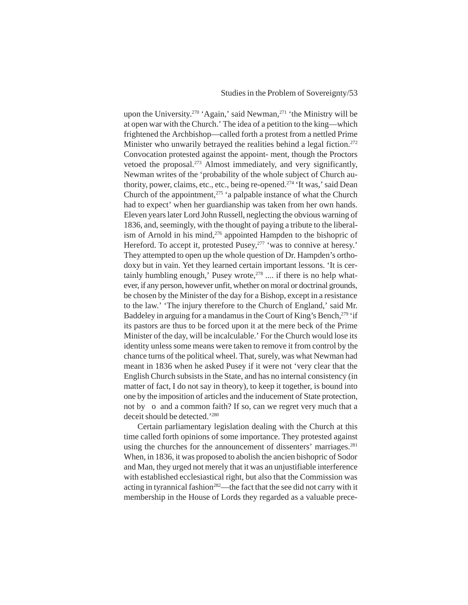upon the University.<sup>270</sup> 'Again,' said Newman,<sup>271</sup> 'the Ministry will be at open war with the Church.' The idea of a petition to the king—which frightened the Archbishop—called forth a protest from a nettled Prime Minister who unwarily betrayed the realities behind a legal fiction.<sup>272</sup> Convocation protested against the appoint- ment, though the Proctors vetoed the proposal.273 Almost immediately, and very significantly, Newman writes of the 'probability of the whole subject of Church authority, power, claims, etc., etc., being re-opened.274 'It was,' said Dean Church of the appointment, $275$  'a palpable instance of what the Church had to expect' when her guardianship was taken from her own hands. Eleven years later Lord John Russell, neglecting the obvious warning of 1836, and, seemingly, with the thought of paying a tribute to the liberalism of Arnold in his mind,<sup>276</sup> appointed Hampden to the bishopric of Hereford. To accept it, protested Pusey,<sup>277</sup> 'was to connive at heresy.' They attempted to open up the whole question of Dr. Hampden's orthodoxy but in vain. Yet they learned certain important lessons. 'It is certainly humbling enough,' Pusey wrote, $278$  .... if there is no help whatever, if any person, however unfit, whether on moral or doctrinal grounds, be chosen by the Minister of the day for a Bishop, except in a resistance to the law.' 'The injury therefore to the Church of England,' said Mr. Baddeley in arguing for a mandamus in the Court of King's Bench,<sup>279</sup> 'if its pastors are thus to be forced upon it at the mere beck of the Prime Minister of the day, will be incalculable.' For the Church would lose its identity unless some means were taken to remove it from control by the chance turns of the political wheel. That, surely, was what Newman had meant in 1836 when he asked Pusey if it were not 'very clear that the English Church subsists in the State, and has no internal consistency (in matter of fact, I do not say in theory), to keep it together, is bound into one by the imposition of articles and the inducement of State protection, not by o and a common faith? If so, can we regret very much that a deceit should be detected.'280

Certain parliamentary legislation dealing with the Church at this time called forth opinions of some importance. They protested against using the churches for the announcement of dissenters' marriages.<sup>281</sup> When, in 1836, it was proposed to abolish the ancien bishopric of Sodor and Man, they urged not merely that it was an unjustifiable interference with established ecclesiastical right, but also that the Commission was acting in tyrannical fashion<sup>282</sup>—the fact that the see did not carry with it membership in the House of Lords they regarded as a valuable prece-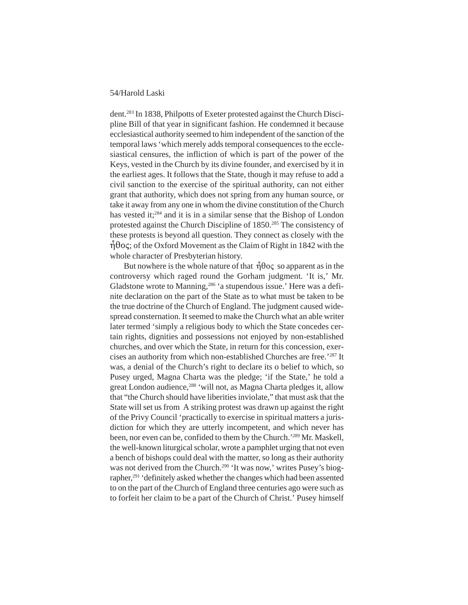dent.283 In 1838, Philpotts of Exeter protested against the Church Discipline Bill of that year in significant fashion. He condemned it because ecclesiastical authority seemed to him independent of the sanction of the temporal laws 'which merely adds temporal consequences to the ecclesiastical censures, the infliction of which is part of the power of the Keys, vested in the Church by its divine founder, and exercised by it in the earliest ages. It follows that the State, though it may refuse to add a civil sanction to the exercise of the spiritual authority, can not either grant that authority, which does not spring from any human source, or take it away from any one in whom the divine constitution of the Church has vested it;284 and it is in a similar sense that the Bishop of London protested against the Church Discipline of 1850.<sup>285</sup> The consistency of these protests is beyond all question. They connect as closely with the  $\hat{\eta}$ θος; of the Oxford Movement as the Claim of Right in 1842 with the whole character of Presbyterian history.

But nowhere is the whole nature of that  $\hat{\eta} \theta$ o $\varsigma$  so apparent as in the controversy which raged round the Gorham judgment. 'It is,' Mr. Gladstone wrote to Manning,<sup>286</sup> 'a stupendous issue.' Here was a definite declaration on the part of the State as to what must be taken to be the true doctrine of the Church of England. The judgment caused widespread consternation. It seemed to make the Church what an able writer later termed 'simply a religious body to which the State concedes certain rights, dignities and possessions not enjoyed by non-established churches, and over which the State, in return for this concession, exercises an authority from which non-established Churches are free.'287 It was, a denial of the Church's right to declare its o belief to which, so Pusey urged, Magna Charta was the pledge; 'if the State,' he told a great London audience,<sup>288</sup> 'will not, as Magna Charta pledges it, allow that "the Church should have liberities inviolate," that must ask that the State will set us from A striking protest was drawn up against the right of the Privy Council 'practically to exercise in spiritual matters a jurisdiction for which they are utterly incompetent, and which never has been, nor even can be, confided to them by the Church.'289 Mr. Maskell, the well-known liturgical scholar, wrote a pamphlet urging that not even a bench of bishops could deal with the matter, so long as their authority was not derived from the Church.<sup>290</sup> 'It was now,' writes Pusey's biographer,<sup>291</sup> 'definitely asked whether the changes which had been assented to on the part of the Church of England three centuries ago were such as to forfeit her claim to be a part of the Church of Christ.' Pusey himself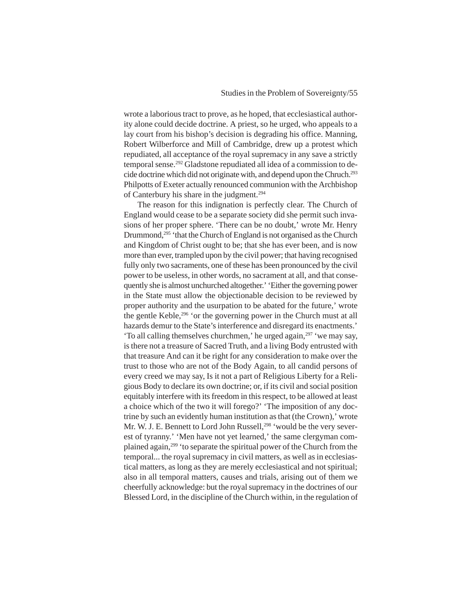wrote a laborious tract to prove, as he hoped, that ecclesiastical authority alone could decide doctrine. A priest, so he urged, who appeals to a lay court from his bishop's decision is degrading his office. Manning, Robert Wilberforce and Mill of Cambridge, drew up a protest which repudiated, all acceptance of the royal supremacy in any save a strictly temporal sense.292 Gladstone repudiated all idea of a commission to decide doctrine which did not originate with, and depend upon the Chruch.<sup>293</sup> Philpotts of Exeter actually renounced communion with the Archbishop of Canterbury his share in the judgment.<sup>294</sup>

The reason for this indignation is perfectly clear. The Church of England would cease to be a separate society did she permit such invasions of her proper sphere. 'There can be no doubt,' wrote Mr. Henry Drummond,<sup>295</sup> 'that the Church of England is not organised as the Church and Kingdom of Christ ought to be; that she has ever been, and is now more than ever, trampled upon by the civil power; that having recognised fully only two sacraments, one of these has been pronounced by the civil power to be useless, in other words, no sacrament at all, and that consequently she is almost unchurched altogether.' 'Either the governing power in the State must allow the objectionable decision to be reviewed by proper authority and the usurpation to be abated for the future,' wrote the gentle Keble,<sup>296</sup> 'or the governing power in the Church must at all hazards demur to the State's interference and disregard its enactments.' 'To all calling themselves churchmen,' he urged again,297 'we may say, is there not a treasure of Sacred Truth, and a living Body entrusted with that treasure And can it be right for any consideration to make over the trust to those who are not of the Body Again, to all candid persons of every creed we may say, Is it not a part of Religious Liberty for a Religious Body to declare its own doctrine; or, if its civil and social position equitably interfere with its freedom in this respect, to be allowed at least a choice which of the two it will forego?' 'The imposition of any doctrine by such an evidently human institution as that (the Crown),' wrote Mr. W. J. E. Bennett to Lord John Russell,<sup>298</sup> 'would be the very severest of tyranny.' 'Men have not yet learned,' the same clergyman complained again,299 'to separate the spiritual power of the Church from the temporal... the royal supremacy in civil matters, as well as in ecclesiastical matters, as long as they are merely ecclesiastical and not spiritual; also in all temporal matters, causes and trials, arising out of them we cheerfully acknowledge: but the royal supremacy in the doctrines of our Blessed Lord, in the discipline of the Church within, in the regulation of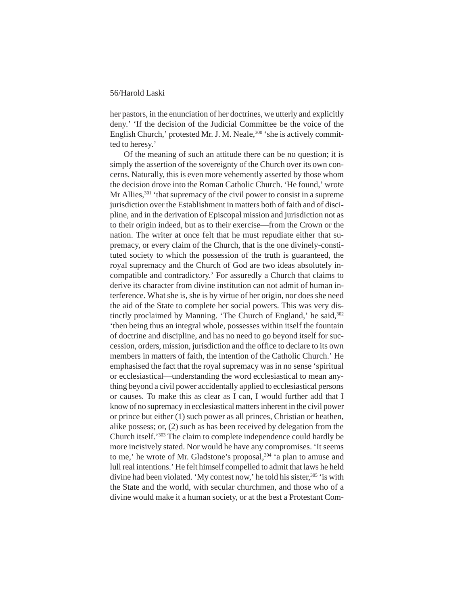her pastors, in the enunciation of her doctrines, we utterly and explicitly deny.' 'If the decision of the Judicial Committee be the voice of the English Church,' protested Mr. J. M. Neale,<sup>300</sup> 'she is actively committed to heresy.'

Of the meaning of such an attitude there can be no question; it is simply the assertion of the sovereignty of the Church over its own concerns. Naturally, this is even more vehemently asserted by those whom the decision drove into the Roman Catholic Church. 'He found,' wrote Mr Allies,  $301$  'that supremacy of the civil power to consist in a supreme jurisdiction over the Establishment in matters both of faith and of discipline, and in the derivation of Episcopal mission and jurisdiction not as to their origin indeed, but as to their exercise—from the Crown or the nation. The writer at once felt that he must repudiate either that supremacy, or every claim of the Church, that is the one divinely-constituted society to which the possession of the truth is guaranteed, the royal supremacy and the Church of God are two ideas absolutely incompatible and contradictory.' For assuredly a Church that claims to derive its character from divine institution can not admit of human interference. What she is, she is by virtue of her origin, nor does she need the aid of the State to complete her social powers. This was very distinctly proclaimed by Manning. 'The Church of England,' he said,<sup>302</sup> 'then being thus an integral whole, possesses within itself the fountain of doctrine and discipline, and has no need to go beyond itself for succession, orders, mission, jurisdiction and the office to declare to its own members in matters of faith, the intention of the Catholic Church.' He emphasised the fact that the royal supremacy was in no sense 'spiritual or ecclesiastical—understanding the word ecclesiastical to mean anything beyond a civil power accidentally applied to ecclesiastical persons or causes. To make this as clear as I can, I would further add that I know of no supremacy in ecclesiastical matters inherent in the civil power or prince but either (1) such power as all princes, Christian or heathen, alike possess; or, (2) such as has been received by delegation from the Church itself.'303 The claim to complete independence could hardly be more incisively stated. Nor would he have any compromises. 'It seems to me,' he wrote of Mr. Gladstone's proposal,<sup>304</sup> 'a plan to amuse and lull real intentions.' He felt himself compelled to admit that laws he held divine had been violated. 'My contest now,' he told his sister, $305$  'is with the State and the world, with secular churchmen, and those who of a divine would make it a human society, or at the best a Protestant Com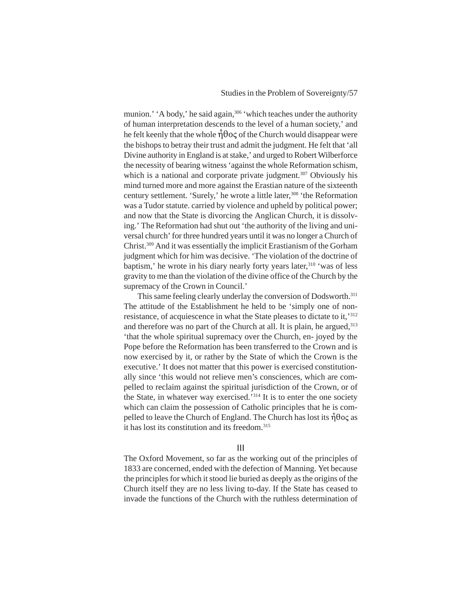munion.' 'A body,' he said again,<sup>306</sup> 'which teaches under the authority of human interpretation descends to the level of a human society,' and he felt keenly that the whole  $\hat{\eta} \theta o \zeta$  of the Church would disappear were the bishops to betray their trust and admit the judgment. He felt that 'all Divine authority in England is at stake,' and urged to Robert Wilberforce the necessity of bearing witness 'against the whole Reformation schism, which is a national and corporate private judgment. $307$  Obviously his mind turned more and more against the Erastian nature of the sixteenth century settlement. 'Surely,' he wrote a little later,<sup>308</sup> 'the Reformation was a Tudor statute. carried by violence and upheld by political power; and now that the State is divorcing the Anglican Church, it is dissolving.' The Reformation had shut out 'the authority of the living and universal church' for three hundred years until it was no longer a Church of Christ.309 And it was essentially the implicit Erastianism of the Gorham judgment which for him was decisive. 'The violation of the doctrine of baptism,' he wrote in his diary nearly forty years later,<sup>310</sup> 'was of less gravity to me than the violation of the divine office of the Church by the supremacy of the Crown in Council.'

This same feeling clearly underlay the conversion of Dodsworth.311 The attitude of the Establishment he held to be 'simply one of nonresistance, of acquiescence in what the State pleases to dictate to it,'312 and therefore was no part of the Church at all. It is plain, he argued, $313$ 'that the whole spiritual supremacy over the Church, en- joyed by the Pope before the Reformation has been transferred to the Crown and is now exercised by it, or rather by the State of which the Crown is the executive.' It does not matter that this power is exercised constitutionally since 'this would not relieve men's consciences, which are compelled to reclaim against the spiritual jurisdiction of the Crown, or of the State, in whatever way exercised.'314 It is to enter the one society which can claim the possession of Catholic principles that he is compelled to leave the Church of England. The Church has lost its  $\hat{\eta} \theta$ oc as it has lost its constitution and its freedom.<sup>315</sup>

### III

The Oxford Movement, so far as the working out of the principles of 1833 are concerned, ended with the defection of Manning. Yet because the principles for which it stood lie buried as deeply as the origins of the Church itself they are no less living to-day. If the State has ceased to invade the functions of the Church with the ruthless determination of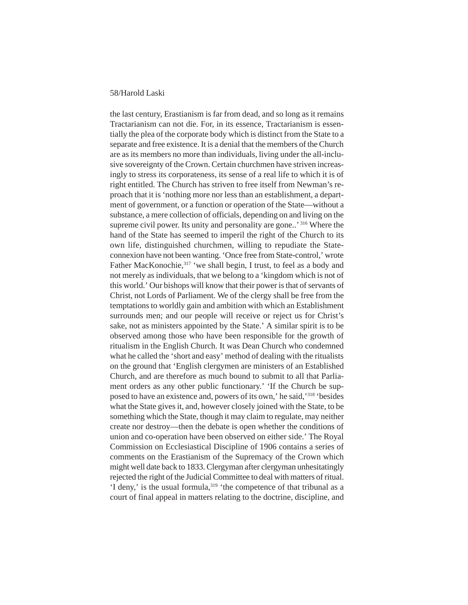the last century, Erastianism is far from dead, and so long as it remains Tractarianism can not die. For, in its essence, Tractarianism is essentially the plea of the corporate body which is distinct from the State to a separate and free existence. It is a denial that the members of the Church are as its members no more than individuals, living under the all-inclusive sovereignty of the Crown. Certain churchmen have striven increasingly to stress its corporateness, its sense of a real life to which it is of right entitled. The Church has striven to free itself from Newman's reproach that it is 'nothing more nor less than an establishment, a department of government, or a function or operation of the State—without a substance, a mere collection of officials, depending on and living on the supreme civil power. Its unity and personality are gone..' 316 Where the hand of the State has seemed to imperil the right of the Church to its own life, distinguished churchmen, willing to repudiate the Stateconnexion have not been wanting. 'Once free from State-control,' wrote Father MacKonochie,<sup>317</sup> 'we shall begin, I trust, to feel as a body and not merely as individuals, that we belong to a 'kingdom which is not of this world.' Our bishops will know that their power is that of servants of Christ, not Lords of Parliament. We of the clergy shall be free from the temptations to worldly gain and ambition with which an Establishment surrounds men; and our people will receive or reject us for Christ's sake, not as ministers appointed by the State.' A similar spirit is to be observed among those who have been responsible for the growth of ritualism in the English Church. It was Dean Church who condemned what he called the 'short and easy' method of dealing with the ritualists on the ground that 'English clergymen are ministers of an Established Church, and are therefore as much bound to submit to all that Parliament orders as any other public functionary.' 'If the Church be supposed to have an existence and, powers of its own,' he said,'318 'besides what the State gives it, and, however closely joined with the State, to be something which the State, though it may claim to regulate, may neither create nor destroy—then the debate is open whether the conditions of union and co-operation have been observed on either side.' The Royal Commission on Ecclesiastical Discipline of 1906 contains a series of comments on the Erastianism of the Supremacy of the Crown which might well date back to 1833. Clergyman after clergyman unhesitatingly rejected the right of the Judicial Committee to deal with matters of ritual. 'I deny,' is the usual formula,<sup>319</sup> 'the competence of that tribunal as a court of final appeal in matters relating to the doctrine, discipline, and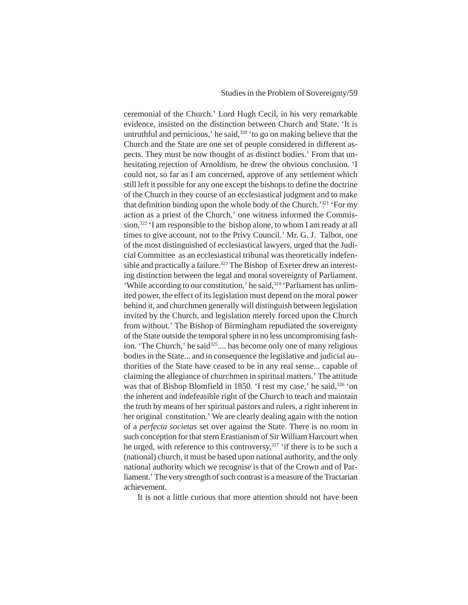ceremonial of the Church.' Lord Hugh Cecil, in his very remarkable evidence, insisted on the distinction between Church and State. 'It is untruthful and pernicious,' he said, $320$  'to go on making believe that the Church and the State are one set of people considered in different aspects. They must be now thought of as distinct bodies.' From that unhesitating rejection of Arnoldism, he drew the obvious conclusion. 'I could not, so far as I am concerned, approve of any settlement which still left it possible for any one except the bishops to define the doctrine of the Church in they course of an ecclesiastical judgment and to make that definition binding upon the whole body of the Church.'321 'For my action as a priest of the Church,' one witness informed the Commission,<sup>322</sup> 'I am responsible to the bishop alone, to whom I am ready at all times to give account, not to the Privy Council.' Mr. G. J. Talbot, one of the most distinguished of ecclesiastical lawyers, urged that the Judicial Committee as an ecclesiastical tribunal was theoretically indefensible and practically a failure.<sup>323</sup> The Bishop of Exeter drew an interesting distinction between the legal and moral sovereignty of Parliament. 'While according to our constitution,' he said,<sup>324</sup> 'Parliament has unlimited power, the effect of its legislation must depend on the moral power behind it, and churchmen generally will distinguish between legislation invited by the Church, and legislation merely forced upon the Church from without.' The Bishop of Birmingham repudiated the sovereignty of the State outside the temporal sphere in no less uncompromising fashion. 'The Church,' he said<sup>325</sup>.... has become only one of many religious bodies in the State... and in consequence the legislative and judicial authorities of the State have ceased to be in any real sense... capable of claiming the allegiance of churchmen in spiritual matters.' The attitude was that of Bishop Blomfield in 1850. 'I rest my case,' he said,<sup>326</sup> 'on the inherent and indefeasible right of the Church to teach and maintain the truth by means of her spiritual pastors and rulers, a right inherent in her original constitution.' We are clearly dealing again with the notion of a *perfecta societas* set over against the State. There is no room in such conception for that stern Erastianism of Sir William Harcourt when he urged, with reference to this controversy,<sup>327</sup> 'if there is to be such a (national) church, it must be based upon national authority, and the only national authority which we recognise is that of the Crown and of Parliament.' The very strength of such contrast is a measure of the Tractarian achievement.

It is not a little curious that more attention should not have been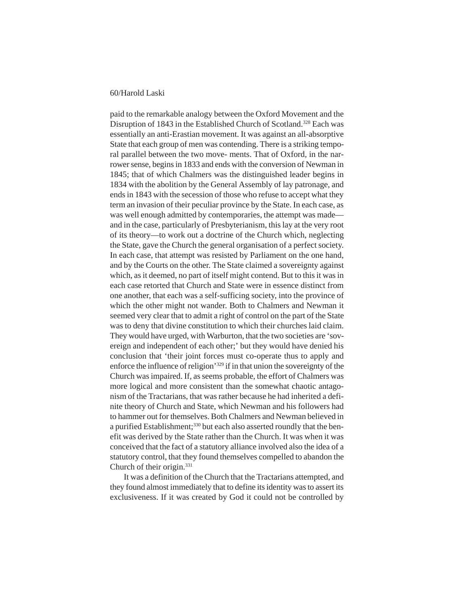paid to the remarkable analogy between the Oxford Movement and the Disruption of 1843 in the Established Church of Scotland.<sup>328</sup> Each was essentially an anti-Erastian movement. It was against an all-absorptive State that each group of men was contending. There is a striking temporal parallel between the two move- ments. That of Oxford, in the narrower sense, begins in 1833 and ends with the conversion of Newman in 1845; that of which Chalmers was the distinguished leader begins in 1834 with the abolition by the General Assembly of lay patronage, and ends in 1843 with the secession of those who refuse to accept what they term an invasion of their peculiar province by the State. In each case, as was well enough admitted by contemporaries, the attempt was made and in the case, particularly of Presbyterianism, this lay at the very root of its theory—to work out a doctrine of the Church which, neglecting the State, gave the Church the general organisation of a perfect society. In each case, that attempt was resisted by Parliament on the one hand, and by the Courts on the other. The State claimed a sovereignty against which, as it deemed, no part of itself might contend. But to this it was in each case retorted that Church and State were in essence distinct from one another, that each was a self-sufficing society, into the province of which the other might not wander. Both to Chalmers and Newman it seemed very clear that to admit a right of control on the part of the State was to deny that divine constitution to which their churches laid claim. They would have urged, with Warburton, that the two societies are 'sovereign and independent of each other;' but they would have denied his conclusion that 'their joint forces must co-operate thus to apply and enforce the influence of religion'329 if in that union the sovereignty of the Church was impaired. If, as seems probable, the effort of Chalmers was more logical and more consistent than the somewhat chaotic antagonism of the Tractarians, that was rather because he had inherited a definite theory of Church and State, which Newman and his followers had to hammer out for themselves. Both Chalmers and Newman believed in a purified Establishment;<sup>330</sup> but each also asserted roundly that the benefit was derived by the State rather than the Church. It was when it was conceived that the fact of a statutory alliance involved also the idea of a statutory control, that they found themselves compelled to abandon the Church of their origin.331

It was a definition of the Church that the Tractarians attempted, and they found almost immediately that to define its identity was to assert its exclusiveness. If it was created by God it could not be controlled by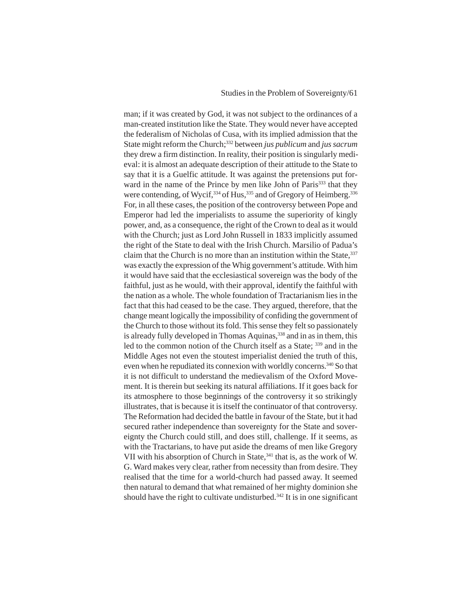man; if it was created by God, it was not subject to the ordinances of a man-created institution like the State. They would never have accepted the federalism of Nicholas of Cusa, with its implied admission that the State might reform the Church;332 between *jus publicum* and *jus sacrum* they drew a firm distinction. In reality, their position is singularly medieval: it is almost an adequate description of their attitude to the State to say that it is a Guelfic attitude. It was against the pretensions put forward in the name of the Prince by men like John of Paris<sup>333</sup> that they were contending, of Wycif,<sup>334</sup> of Hus,<sup>335</sup> and of Gregory of Heimberg.<sup>336</sup> For, in all these cases, the position of the controversy between Pope and Emperor had led the imperialists to assume the superiority of kingly power, and, as a consequence, the right of the Crown to deal as it would with the Church; just as Lord John Russell in 1833 implicitly assumed the right of the State to deal with the Irish Church. Marsilio of Padua's claim that the Church is no more than an institution within the State, 337 was exactly the expression of the Whig government's attitude. With him it would have said that the ecclesiastical sovereign was the body of the faithful, just as he would, with their approval, identify the faithful with the nation as a whole. The whole foundation of Tractarianism lies in the fact that this had ceased to be the case. They argued, therefore, that the change meant logically the impossibility of confiding the government of the Church to those without its fold. This sense they felt so passionately is already fully developed in Thomas Aquinas,<sup>338</sup> and in as in them, this led to the common notion of the Church itself as a State; <sup>339</sup> and in the Middle Ages not even the stoutest imperialist denied the truth of this, even when he repudiated its connexion with worldly concerns.340 So that it is not difficult to understand the medievalism of the Oxford Movement. It is therein but seeking its natural affiliations. If it goes back for its atmosphere to those beginnings of the controversy it so strikingly illustrates, that is because it is itself the continuator of that controversy. The Reformation had decided the battle in favour of the State, but it had secured rather independence than sovereignty for the State and sovereignty the Church could still, and does still, challenge. If it seems, as with the Tractarians, to have put aside the dreams of men like Gregory VII with his absorption of Church in State,<sup>341</sup> that is, as the work of W. G. Ward makes very clear, rather from necessity than from desire. They realised that the time for a world-church had passed away. It seemed then natural to demand that what remained of her mighty dominion she should have the right to cultivate undisturbed.<sup> $342$ </sup> It is in one significant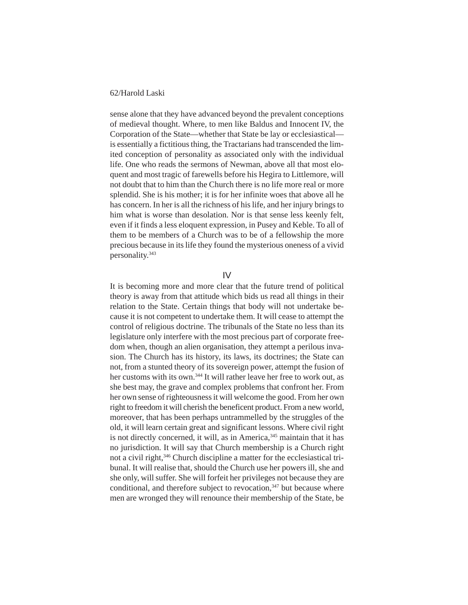sense alone that they have advanced beyond the prevalent conceptions of medieval thought. Where, to men like Baldus and Innocent IV, the Corporation of the State—whether that State be lay or ecclesiastical is essentially a fictitious thing, the Tractarians had transcended the limited conception of personality as associated only with the individual life. One who reads the sermons of Newman, above all that most eloquent and most tragic of farewells before his Hegira to Littlemore, will not doubt that to him than the Church there is no life more real or more splendid. She is his mother; it is for her infinite woes that above all he has concern. In her is all the richness of his life, and her injury brings to him what is worse than desolation. Nor is that sense less keenly felt, even if it finds a less eloquent expression, in Pusey and Keble. To all of them to be members of a Church was to be of a fellowship the more precious because in its life they found the mysterious oneness of a vivid personality.343

#### IV

It is becoming more and more clear that the future trend of political theory is away from that attitude which bids us read all things in their relation to the State. Certain things that body will not undertake because it is not competent to undertake them. It will cease to attempt the control of religious doctrine. The tribunals of the State no less than its legislature only interfere with the most precious part of corporate freedom when, though an alien organisation, they attempt a perilous invasion. The Church has its history, its laws, its doctrines; the State can not, from a stunted theory of its sovereign power, attempt the fusion of her customs with its own.<sup>344</sup> It will rather leave her free to work out, as she best may, the grave and complex problems that confront her. From her own sense of righteousness it will welcome the good. From her own right to freedom it will cherish the beneficent product. From a new world, moreover, that has been perhaps untrammelled by the struggles of the old, it will learn certain great and significant lessons. Where civil right is not directly concerned, it will, as in America,<sup>345</sup> maintain that it has no jurisdiction. It will say that Church membership is a Church right not a civil right,346 Church discipline a matter for the ecclesiastical tribunal. It will realise that, should the Church use her powers ill, she and she only, will suffer. She will forfeit her privileges not because they are conditional, and therefore subject to revocation, $347$  but because where men are wronged they will renounce their membership of the State, be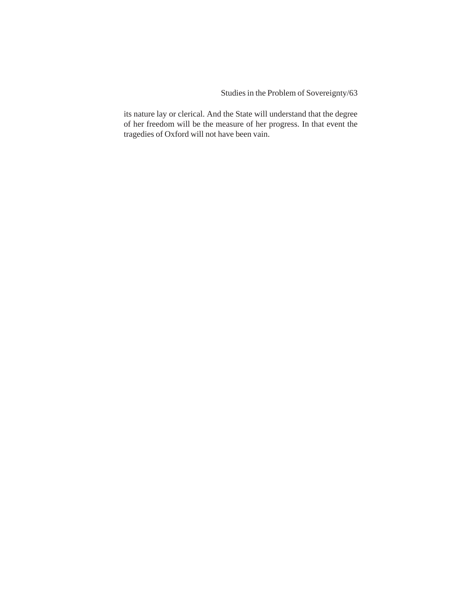Studies in the Problem of Sovereignty/63

its nature lay or clerical. And the State will understand that the degree of her freedom will be the measure of her progress. In that event the tragedies of Oxford will not have been vain.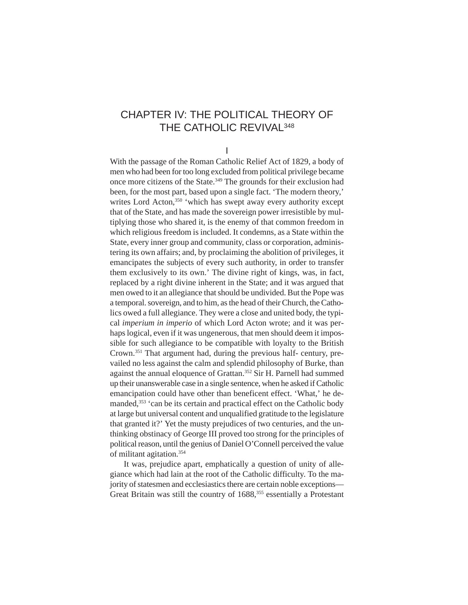# CHAPTER IV: THE POLITICAL THEORY OF THE CATHOLIC REVIVAL<sup>348</sup>

I

With the passage of the Roman Catholic Relief Act of 1829, a body of men who had been for too long excluded from political privilege became once more citizens of the State.349 The grounds for their exclusion had been, for the most part, based upon a single fact. 'The modern theory,' writes Lord Acton,<sup>350</sup> 'which has swept away every authority except that of the State, and has made the sovereign power irresistible by multiplying those who shared it, is the enemy of that common freedom in which religious freedom is included. It condemns, as a State within the State, every inner group and community, class or corporation, administering its own affairs; and, by proclaiming the abolition of privileges, it emancipates the subjects of every such authority, in order to transfer them exclusively to its own.' The divine right of kings, was, in fact, replaced by a right divine inherent in the State; and it was argued that men owed to it an allegiance that should be undivided. But the Pope was a temporal. sovereign, and to him, as the head of their Church, the Catholics owed a full allegiance. They were a close and united body, the typical *imperium in imperio* of which Lord Acton wrote; and it was perhaps logical, even if it was ungenerous, that men should deem it impossible for such allegiance to be compatible with loyalty to the British Crown.351 That argument had, during the previous half- century, prevailed no less against the calm and splendid philosophy of Burke, than against the annual eloquence of Grattan.<sup>352</sup> Sir H. Parnell had summed up their unanswerable case in a single sentence, when he asked if Catholic emancipation could have other than beneficent effect. 'What,' he demanded,<sup>353</sup> 'can be its certain and practical effect on the Catholic body at large but universal content and unqualified gratitude to the legislature that granted it?' Yet the musty prejudices of two centuries, and the unthinking obstinacy of George III proved too strong for the principles of political reason, until the genius of Daniel O'Connell perceived the value of militant agitation.354

It was, prejudice apart, emphatically a question of unity of allegiance which had lain at the root of the Catholic difficulty. To the majority of statesmen and ecclesiastics there are certain noble exceptions— Great Britain was still the country of 1688,<sup>355</sup> essentially a Protestant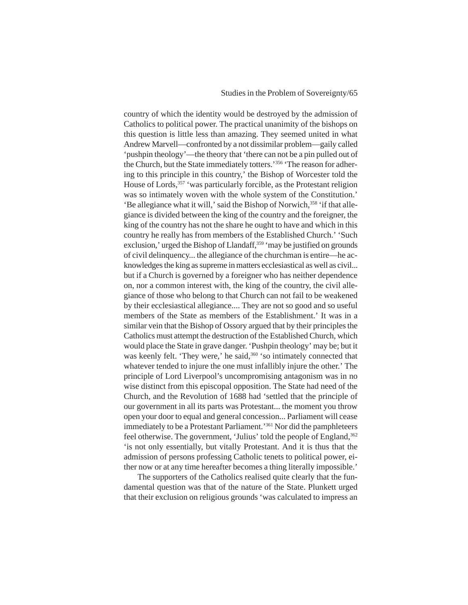#### Studies in the Problem of Sovereignty/65

country of which the identity would be destroyed by the admission of Catholics to political power. The practical unanimity of the bishops on this question is little less than amazing. They seemed united in what Andrew Marvell—confronted by a not dissimilar problem—gaily called 'pushpin theology'—the theory that 'there can not be a pin pulled out of the Church, but the State immediately totters.'356 'The reason for adhering to this principle in this country,' the Bishop of Worcester told the House of Lords,<sup>357</sup> 'was particularly forcible, as the Protestant religion was so intimately woven with the whole system of the Constitution.' 'Be allegiance what it will,' said the Bishop of Norwich,<sup>358</sup> 'if that allegiance is divided between the king of the country and the foreigner, the king of the country has not the share he ought to have and which in this country he really has from members of the Established Church.' 'Such exclusion,' urged the Bishop of Llandaff,<sup>359</sup> 'may be justified on grounds of civil delinquency... the allegiance of the churchman is entire—he acknowledges the king as supreme in matters ecclesiastical as well as civil... but if a Church is governed by a foreigner who has neither dependence on, nor a common interest with, the king of the country, the civil allegiance of those who belong to that Church can not fail to be weakened by their ecclesiastical allegiance.... They are not so good and so useful members of the State as members of the Establishment.' It was in a similar vein that the Bishop of Ossory argued that by their principles the Catholics must attempt the destruction of the Established Church, which would place the State in grave danger. 'Pushpin theology' may be; but it was keenly felt. 'They were,' he said,<sup>360</sup> 'so intimately connected that whatever tended to injure the one must infallibly injure the other.' The principle of Lord Liverpool's uncompromising antagonism was in no wise distinct from this episcopal opposition. The State had need of the Church, and the Revolution of 1688 had 'settled that the principle of our government in all its parts was Protestant... the moment you throw open your door to equal and general concession... Parliament will cease immediately to be a Protestant Parliament.<sup>'361</sup> Nor did the pamphleteers feel otherwise. The government, 'Julius' told the people of England,<sup>362</sup> 'is not only essentially, but vitally Protestant. And it is thus that the admission of persons professing Catholic tenets to political power, either now or at any time hereafter becomes a thing literally impossible.'

The supporters of the Catholics realised quite clearly that the fundamental question was that of the nature of the State. Plunkett urged that their exclusion on religious grounds 'was calculated to impress an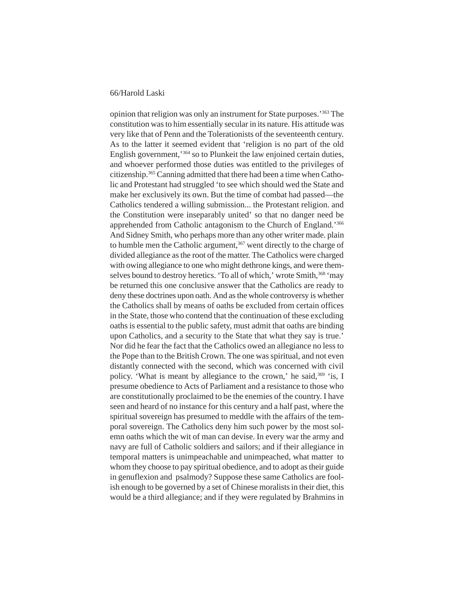opinion that religion was only an instrument for State purposes.'363 The constitution was to him essentially secular in its nature. His attitude was very like that of Penn and the Tolerationists of the seventeenth century. As to the latter it seemed evident that 'religion is no part of the old English government,'364 so to Plunkeit the law enjoined certain duties, and whoever performed those duties was entitled to the privileges of citizenship.365 Canning admitted that there had been a time when Catholic and Protestant had struggled 'to see which should wed the State and make her exclusively its own. But the time of combat had passed—the Catholics tendered a willing submission... the Protestant religion. and the Constitution were inseparably united' so that no danger need be apprehended from Catholic antagonism to the Church of England.'366 And Sidney Smith, who perhaps more than any other writer made. plain to humble men the Catholic argument,  $367$  went directly to the charge of divided allegiance as the root of the matter. The Catholics were charged with owing allegiance to one who might dethrone kings, and were themselves bound to destroy heretics. 'To all of which,' wrote Smith,<sup>368</sup> 'may be returned this one conclusive answer that the Catholics are ready to deny these doctrines upon oath. And as the whole controversy is whether the Catholics shall by means of oaths be excluded from certain offices in the State, those who contend that the continuation of these excluding oaths is essential to the public safety, must admit that oaths are binding upon Catholics, and a security to the State that what they say is true.' Nor did he fear the fact that the Catholics owed an allegiance no less to the Pope than to the British Crown. The one was spiritual, and not even distantly connected with the second, which was concerned with civil policy. 'What is meant by allegiance to the crown,' he said,<sup>369</sup> 'is, I presume obedience to Acts of Parliament and a resistance to those who are constitutionally proclaimed to be the enemies of the country. I have seen and heard of no instance for this century and a half past, where the spiritual sovereign has presumed to meddle with the affairs of the temporal sovereign. The Catholics deny him such power by the most solemn oaths which the wit of man can devise. In every war the army and navy are full of Catholic soldiers and sailors; and if their allegiance in temporal matters is unimpeachable and unimpeached, what matter to whom they choose to pay spiritual obedience, and to adopt as their guide in genuflexion and psalmody? Suppose these same Catholics are foolish enough to be governed by a set of Chinese moralists in their diet, this would be a third allegiance; and if they were regulated by Brahmins in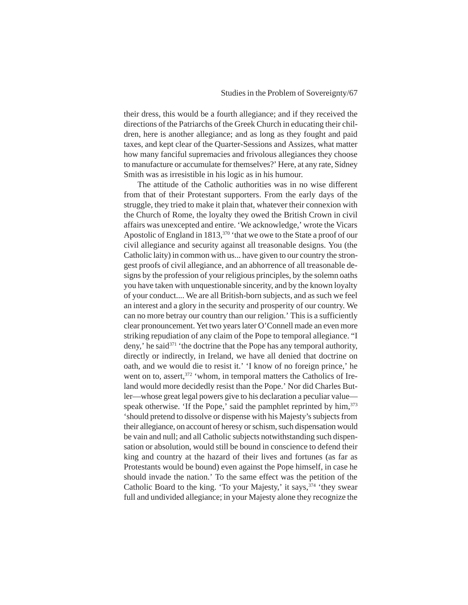their dress, this would be a fourth allegiance; and if they received the directions of the Patriarchs of the Greek Church in educating their children, here is another allegiance; and as long as they fought and paid taxes, and kept clear of the Quarter-Sessions and Assizes, what matter how many fanciful supremacies and frivolous allegiances they choose to manufacture or accumulate for themselves?' Here, at any rate, Sidney Smith was as irresistible in his logic as in his humour.

The attitude of the Catholic authorities was in no wise different from that of their Protestant supporters. From the early days of the struggle, they tried to make it plain that, whatever their connexion with the Church of Rome, the loyalty they owed the British Crown in civil affairs was unexcepted and entire. 'We acknowledge,' wrote the Vicars Apostolic of England in 1813,<sup>370</sup> 'that we owe to the State a proof of our civil allegiance and security against all treasonable designs. You (the Catholic laity) in common with us... have given to our country the strongest proofs of civil allegiance, and an abhorrence of all treasonable designs by the profession of your religious principles, by the solemn oaths you have taken with unquestionable sincerity, and by the known loyalty of your conduct.... We are all British-born subjects, and as such we feel an interest and a glory in the security and prosperity of our country. We can no more betray our country than our religion.' This is a sufficiently clear pronouncement. Yet two years later O'Connell made an even more striking repudiation of any claim of the Pope to temporal allegiance. "I deny,' he said $371$  'the doctrine that the Pope has any temporal authority, directly or indirectly, in Ireland, we have all denied that doctrine on oath, and we would die to resist it.' 'I know of no foreign prince,' he went on to, assert,<sup>372</sup> 'whom, in temporal matters the Catholics of Ireland would more decidedly resist than the Pope.' Nor did Charles Butler—whose great legal powers give to his declaration a peculiar value speak otherwise. 'If the Pope,' said the pamphlet reprinted by him,<sup>373</sup> 'should pretend to dissolve or dispense with his Majesty's subjects from their allegiance, on account of heresy or schism, such dispensation would be vain and null; and all Catholic subjects notwithstanding such dispensation or absolution, would still be bound in conscience to defend their king and country at the hazard of their lives and fortunes (as far as Protestants would be bound) even against the Pope himself, in case he should invade the nation.' To the same effect was the petition of the Catholic Board to the king. 'To your Majesty,' it says, <sup>374</sup> 'they swear full and undivided allegiance; in your Majesty alone they recognize the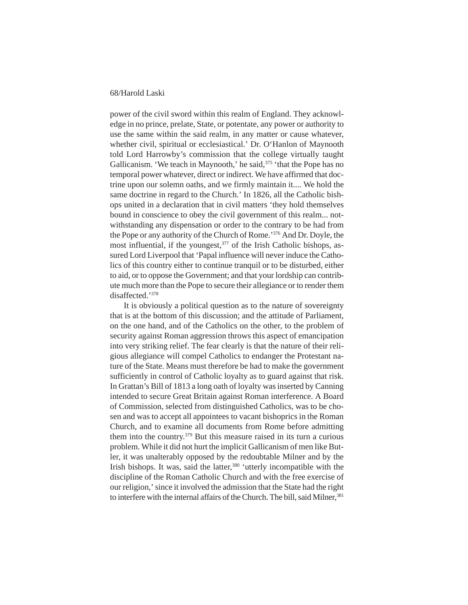power of the civil sword within this realm of England. They acknowledge in no prince, prelate, State, or potentate, any power or authority to use the same within the said realm, in any matter or cause whatever, whether civil, spiritual or ecclesiastical.' Dr. O'Hanlon of Maynooth told Lord Harrowby's commission that the college virtually taught Gallicanism. 'We teach in Maynooth,' he said,<sup>375</sup> 'that the Pope has no temporal power whatever, direct or indirect. We have affirmed that doctrine upon our solemn oaths, and we firmly maintain it.... We hold the same doctrine in regard to the Church.' In 1826, all the Catholic bishops united in a declaration that in civil matters 'they hold themselves bound in conscience to obey the civil government of this realm... notwithstanding any dispensation or order to the contrary to be had from the Pope or any authority of the Church of Rome.'376 And Dr. Doyle, the most influential, if the youngest,<sup>377</sup> of the Irish Catholic bishops, assured Lord Liverpool that 'Papal influence will never induce the Catholics of this country either to continue tranquil or to be disturbed, either to aid, or to oppose the Government; and that your lordship can contribute much more than the Pope to secure their allegiance or to render them disaffected.'378

It is obviously a political question as to the nature of sovereignty that is at the bottom of this discussion; and the attitude of Parliament, on the one hand, and of the Catholics on the other, to the problem of security against Roman aggression throws this aspect of emancipation into very striking relief. The fear clearly is that the nature of their religious allegiance will compel Catholics to endanger the Protestant nature of the State. Means must therefore be had to make the government sufficiently in control of Catholic loyalty as to guard against that risk. In Grattan's Bill of 1813 a long oath of loyalty was inserted by Canning intended to secure Great Britain against Roman interference. A Board of Commission, selected from distinguished Catholics, was to be chosen and was to accept all appointees to vacant bishoprics in the Roman Church, and to examine all documents from Rome before admitting them into the country.379 But this measure raised in its turn a curious problem. While it did not hurt the implicit Gallicanism of men like Butler, it was unalterably opposed by the redoubtable Milner and by the Irish bishops. It was, said the latter,<sup>380</sup> 'utterly incompatible with the discipline of the Roman Catholic Church and with the free exercise of our religion,' since it involved the admission that the State had the right to interfere with the internal affairs of the Church. The bill, said Milner,<sup>381</sup>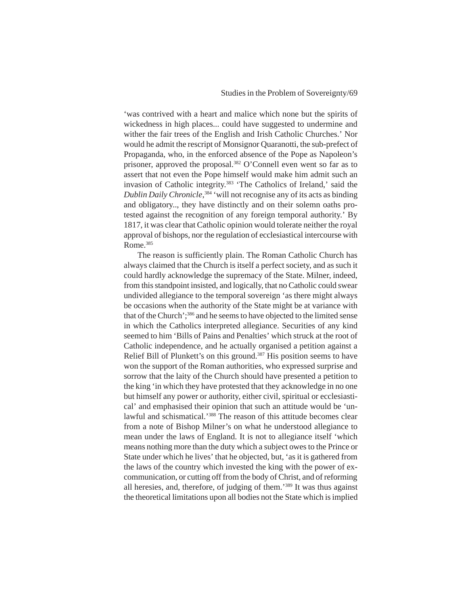'was contrived with a heart and malice which none but the spirits of wickedness in high places... could have suggested to undermine and wither the fair trees of the English and Irish Catholic Churches.' Nor would he admit the rescript of Monsignor Quaranotti, the sub-prefect of Propaganda, who, in the enforced absence of the Pope as Napoleon's prisoner, approved the proposal.382 O'Connell even went so far as to assert that not even the Pope himself would make him admit such an invasion of Catholic integrity.<sup>383</sup> 'The Catholics of Ireland,' said the *Dublin Daily Chronicle*, 384 'will not recognise any of its acts as binding and obligatory.., they have distinctly and on their solemn oaths protested against the recognition of any foreign temporal authority.' By 1817, it was clear that Catholic opinion would tolerate neither the royal approval of bishops, nor the regulation of ecclesiastical intercourse with Rome.385

The reason is sufficiently plain. The Roman Catholic Church has always claimed that the Church is itself a perfect society, and as such it could hardly acknowledge the supremacy of the State. Milner, indeed, from this standpoint insisted, and logically, that no Catholic could swear undivided allegiance to the temporal sovereign 'as there might always be occasions when the authority of the State might be at variance with that of the Church';386 and he seems to have objected to the limited sense in which the Catholics interpreted allegiance. Securities of any kind seemed to him 'Bills of Pains and Penalties' which struck at the root of Catholic independence, and he actually organised a petition against a Relief Bill of Plunkett's on this ground.<sup>387</sup> His position seems to have won the support of the Roman authorities, who expressed surprise and sorrow that the laity of the Church should have presented a petition to the king 'in which they have protested that they acknowledge in no one but himself any power or authority, either civil, spiritual or ecclesiastical' and emphasised their opinion that such an attitude would be 'unlawful and schismatical.'388 The reason of this attitude becomes clear from a note of Bishop Milner's on what he understood allegiance to mean under the laws of England. It is not to allegiance itself 'which means nothing more than the duty which a subject owes to the Prince or State under which he lives' that he objected, but, 'as it is gathered from the laws of the country which invested the king with the power of excommunication, or cutting off from the body of Christ, and of reforming all heresies, and, therefore, of judging of them.'389 It was thus against the theoretical limitations upon all bodies not the State which is implied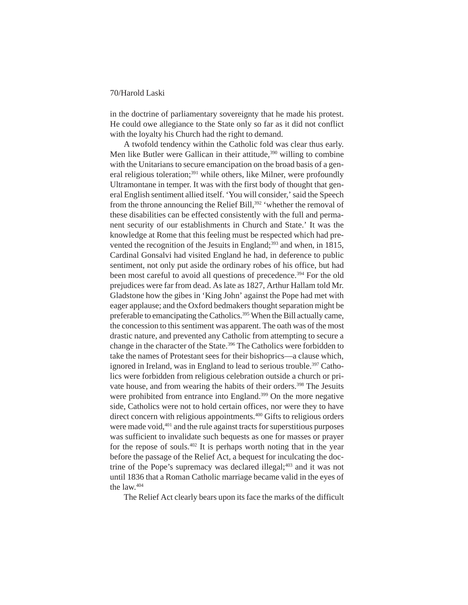in the doctrine of parliamentary sovereignty that he made his protest. He could owe allegiance to the State only so far as it did not conflict with the loyalty his Church had the right to demand.

A twofold tendency within the Catholic fold was clear thus early. Men like Butler were Gallican in their attitude,<sup>390</sup> willing to combine with the Unitarians to secure emancipation on the broad basis of a general religious toleration;<sup>391</sup> while others, like Milner, were profoundly Ultramontane in temper. It was with the first body of thought that general English sentiment allied itself. 'You will consider,' said the Speech from the throne announcing the Relief Bill,<sup>392</sup> 'whether the removal of these disabilities can be effected consistently with the full and permanent security of our establishments in Church and State.' It was the knowledge at Rome that this feeling must be respected which had prevented the recognition of the Jesuits in England;<sup>393</sup> and when, in 1815, Cardinal Gonsalvi had visited England he had, in deference to public sentiment, not only put aside the ordinary robes of his office, but had been most careful to avoid all questions of precedence.<sup>394</sup> For the old prejudices were far from dead. As late as 1827, Arthur Hallam told Mr. Gladstone how the gibes in 'King John' against the Pope had met with eager applause; and the Oxford bedmakers thought separation might be preferable to emancipating the Catholics.395 When the Bill actually came, the concession to this sentiment was apparent. The oath was of the most drastic nature, and prevented any Catholic from attempting to secure a change in the character of the State.396 The Catholics were forbidden to take the names of Protestant sees for their bishoprics—a clause which, ignored in Ireland, was in England to lead to serious trouble.<sup>397</sup> Catholics were forbidden from religious celebration outside a church or private house, and from wearing the habits of their orders.<sup>398</sup> The Jesuits were prohibited from entrance into England.<sup>399</sup> On the more negative side, Catholics were not to hold certain offices, nor were they to have direct concern with religious appointments.400 Gifts to religious orders were made void,<sup>401</sup> and the rule against tracts for superstitious purposes was sufficient to invalidate such bequests as one for masses or prayer for the repose of souls.<sup> $402$ </sup> It is perhaps worth noting that in the year before the passage of the Relief Act, a bequest for inculcating the doctrine of the Pope's supremacy was declared illegal;<sup>403</sup> and it was not until 1836 that a Roman Catholic marriage became valid in the eyes of the law.404

The Relief Act clearly bears upon its face the marks of the difficult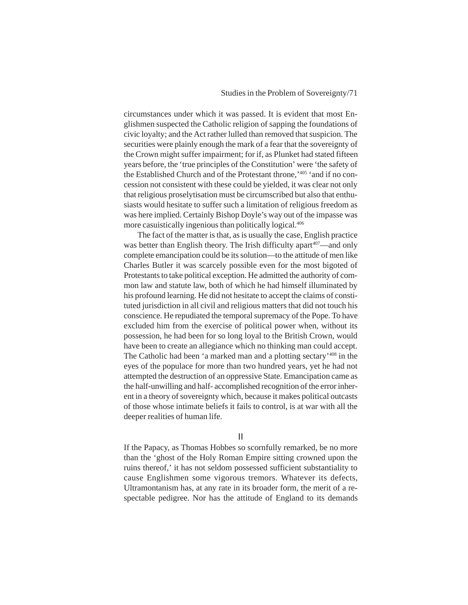circumstances under which it was passed. It is evident that most Englishmen suspected the Catholic religion of sapping the foundations of civic loyalty; and the Act rather lulled than removed that suspicion. The securities were plainly enough the mark of a fear that the sovereignty of the Crown might suffer impairment; for if, as Plunket had stated fifteen years before, the 'true principles of the Constitution' were 'the safety of the Established Church and of the Protestant throne,'405 'and if no concession not consistent with these could be yielded, it was clear not only that religious proselytisation must be circumscribed but also that enthusiasts would hesitate to suffer such a limitation of religious freedom as was here implied. Certainly Bishop Doyle's way out of the impasse was more casuistically ingenious than politically logical.<sup>406</sup>

The fact of the matter is that, as is usually the case, English practice was better than English theory. The Irish difficulty apart<sup>407</sup>—and only complete emancipation could be its solution—to the attitude of men like Charles Butler it was scarcely possible even for the most bigoted of Protestants to take political exception. He admitted the authority of common law and statute law, both of which he had himself illuminated by his profound learning. He did not hesitate to accept the claims of constituted jurisdiction in all civil and religious matters that did not touch his conscience. He repudiated the temporal supremacy of the Pope. To have excluded him from the exercise of political power when, without its possession, he had been for so long loyal to the British Crown, would have been to create an allegiance which no thinking man could accept. The Catholic had been 'a marked man and a plotting sectary'408 in the eyes of the populace for more than two hundred years, yet he had not attempted the destruction of an oppressive State. Emancipation came as the half-unwilling and half- accomplished recognition of the error inherent in a theory of sovereignty which, because it makes political outcasts of those whose intimate beliefs it fails to control, is at war with all the deeper realities of human life.

### II

If the Papacy, as Thomas Hobbes so scornfully remarked, be no more than the 'ghost of the Holy Roman Empire sitting crowned upon the ruins thereof,' it has not seldom possessed sufficient substantiality to cause Englishmen some vigorous tremors. Whatever its defects, Ultramontanism has, at any rate in its broader form, the merit of a respectable pedigree. Nor has the attitude of England to its demands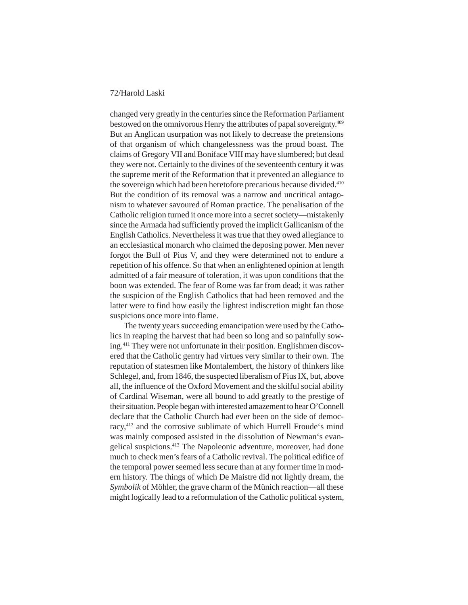changed very greatly in the centuries since the Reformation Parliament bestowed on the omnivorous Henry the attributes of papal sovereignty.409 But an Anglican usurpation was not likely to decrease the pretensions of that organism of which changelessness was the proud boast. The claims of Gregory VII and Boniface VIII may have slumbered; but dead they were not. Certainly to the divines of the seventeenth century it was the supreme merit of the Reformation that it prevented an allegiance to the sovereign which had been heretofore precarious because divided.<sup>410</sup> But the condition of its removal was a narrow and uncritical antagonism to whatever savoured of Roman practice. The penalisation of the Catholic religion turned it once more into a secret society—mistakenly since the Armada had sufficiently proved the implicit Gallicanism of the English Catholics. Nevertheless it was true that they owed allegiance to an ecclesiastical monarch who claimed the deposing power. Men never forgot the Bull of Pius V, and they were determined not to endure a repetition of his offence. So that when an enlightened opinion at length admitted of a fair measure of toleration, it was upon conditions that the boon was extended. The fear of Rome was far from dead; it was rather the suspicion of the English Catholics that had been removed and the latter were to find how easily the lightest indiscretion might fan those suspicions once more into flame.

The twenty years succeeding emancipation were used by the Catholics in reaping the harvest that had been so long and so painfully sowing.411 They were not unfortunate in their position. Englishmen discovered that the Catholic gentry had virtues very similar to their own. The reputation of statesmen like Montalembert, the history of thinkers like Schlegel, and, from 1846, the suspected liberalism of Pius IX, but, above all, the influence of the Oxford Movement and the skilful social ability of Cardinal Wiseman, were all bound to add greatly to the prestige of their situation. People began with interested amazement to hear O'Connell declare that the Catholic Church had ever been on the side of democracy,412 and the corrosive sublimate of which Hurrell Froude's mind was mainly composed assisted in the dissolution of Newman's evangelical suspicions.413 The Napoleonic adventure, moreover, had done much to check men's fears of a Catholic revival. The political edifice of the temporal power seemed less secure than at any former time in modern history. The things of which De Maistre did not lightly dream, the *Symbolik* of Möhler, the grave charm of the Münich reaction—all these might logically lead to a reformulation of the Catholic political system,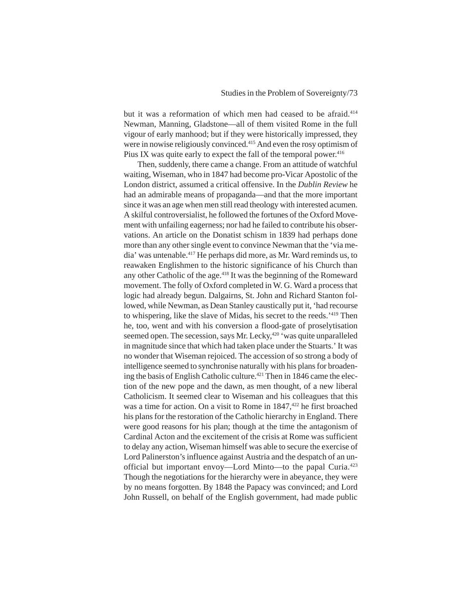but it was a reformation of which men had ceased to be afraid.<sup>414</sup> Newman, Manning, Gladstone—all of them visited Rome in the full vigour of early manhood; but if they were historically impressed, they were in nowise religiously convinced.<sup>415</sup> And even the rosy optimism of Pius IX was quite early to expect the fall of the temporal power.<sup>416</sup>

Then, suddenly, there came a change. From an attitude of watchful waiting, Wiseman, who in 1847 had become pro-Vicar Apostolic of the London district, assumed a critical offensive. In the *Dublin Review* he had an admirable means of propaganda—and that the more important since it was an age when men still read theology with interested acumen. A skilful controversialist, he followed the fortunes of the Oxford Movement with unfailing eagerness; nor had he failed to contribute his observations. An article on the Donatist schism in 1839 had perhaps done more than any other single event to convince Newman that the 'via media' was untenable.417 He perhaps did more, as Mr. Ward reminds us, to reawaken Englishmen to the historic significance of his Church than any other Catholic of the age.418 It was the beginning of the Romeward movement. The folly of Oxford completed in W. G. Ward a process that logic had already begun. Dalgairns, St. John and Richard Stanton followed, while Newman, as Dean Stanley caustically put it, 'had recourse to whispering, like the slave of Midas, his secret to the reeds.'419 Then he, too, went and with his conversion a flood-gate of proselytisation seemed open. The secession, says Mr. Lecky,<sup>420</sup> 'was quite unparalleled in magnitude since that which had taken place under the Stuarts.' It was no wonder that Wiseman rejoiced. The accession of so strong a body of intelligence seemed to synchronise naturally with his plans for broadening the basis of English Catholic culture.<sup> $421$ </sup> Then in 1846 came the election of the new pope and the dawn, as men thought, of a new liberal Catholicism. It seemed clear to Wiseman and his colleagues that this was a time for action. On a visit to Rome in 1847,<sup>422</sup> he first broached his plans for the restoration of the Catholic hierarchy in England. There were good reasons for his plan; though at the time the antagonism of Cardinal Acton and the excitement of the crisis at Rome was sufficient to delay any action, Wiseman himself was able to secure the exercise of Lord Palinerston's influence against Austria and the despatch of an unofficial but important envoy—Lord Minto—to the papal Curia.423 Though the negotiations for the hierarchy were in abeyance, they were by no means forgotten. By 1848 the Papacy was convinced; and Lord John Russell, on behalf of the English government, had made public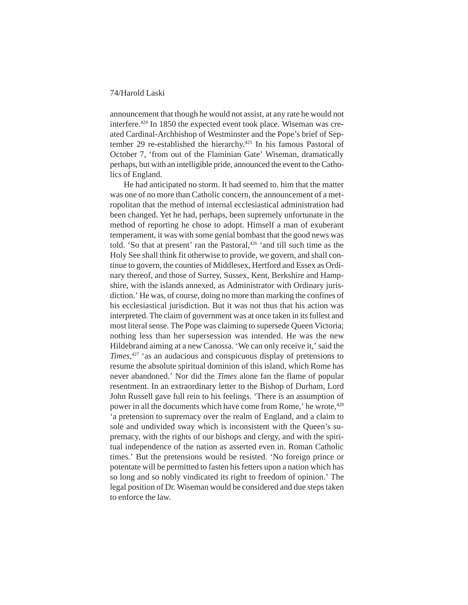announcement that though he would not assist, at any rate he would not interfere.424 In 1850 the expected event took place. Wiseman was created Cardinal-Archbishop of Westminster and the Pope's brief of September 29 re-established the hierarchy.<sup>425</sup> In his famous Pastoral of October 7, 'from out of the Flaminian Gate' Wiseman, dramatically perhaps, but with an intelligible pride, announced the event to the Catholics of England.

He had anticipated no storm. It had seemed to. him that the matter was one of no more than Catholic concern, the announcement of a metropolitan that the method of internal ecclesiastical administration had been changed. Yet he had, perhaps, been supremely unfortunate in the method of reporting he chose to adopt. Himself a man of exuberant temperament, it was with some genial bombast that the good news was told. 'So that at present' ran the Pastoral,<sup>426</sup> 'and till such time as the Holy See shall think fit otherwise to provide, we govern, and shall continue to govern, the counties of Middlesex, Hertford and Essex as Ordinary thereof, and those of Surrey, Sussex, Kent, Berkshire and Hampshire, with the islands annexed, as Administrator with Ordinary jurisdiction.' He was, of course, doing no more than marking the confines of his ecclesiastical jurisdiction. But it was not thus that his action was interpreted. The claim of government was at once taken in its fullest and most literal sense. The Pope was claiming to supersede Queen Victoria; nothing less than her supersession was intended. He was the new Hildebrand aiming at a new Canossa. 'We can only receive it,' said the *Times,*427 'as an audacious and conspicuous display of pretensions to resume the absolute spiritual dominion of this island, which Rome has never abandoned.' Nor did the *Times* alone fan the flame of popular resentment. In an extraordinary letter to the Bishop of Durham, Lord John Russell gave full rein to his feelings. 'There is an assumption of power in all the documents which have come from Rome,' he wrote,<sup>428</sup> 'a pretension to supremacy over the realm of England, and a claim to sole and undivided sway which is inconsistent with the Queen's supremacy, with the rights of our bishops and clergy, and with the spiritual independence of the nation as asserted even in. Roman Catholic times.' But the pretensions would be resisted. 'No foreign prince or potentate will be permitted to fasten his fetters upon a nation which has so long and so nobly vindicated its right to freedom of opinion.' The legal position of Dr. Wiseman would be considered and due steps taken to enforce the law.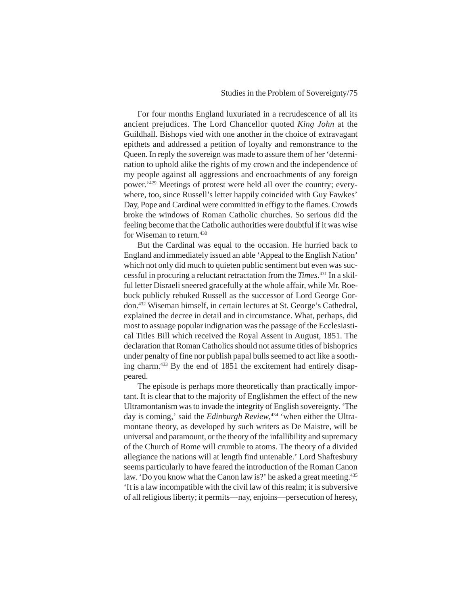# Studies in the Problem of Sovereignty/75

For four months England luxuriated in a recrudescence of all its ancient prejudices. The Lord Chancellor quoted *King John* at the Guildhall. Bishops vied with one another in the choice of extravagant epithets and addressed a petition of loyalty and remonstrance to the Queen. In reply the sovereign was made to assure them of her 'determination to uphold alike the rights of my crown and the independence of my people against all aggressions and encroachments of any foreign power.'429 Meetings of protest were held all over the country; everywhere, too, since Russell's letter happily coincided with Guy Fawkes' Day, Pope and Cardinal were committed in effigy to the flames. Crowds broke the windows of Roman Catholic churches. So serious did the feeling become that the Catholic authorities were doubtful if it was wise for Wiseman to return.<sup>430</sup>

But the Cardinal was equal to the occasion. He hurried back to England and immediately issued an able 'Appeal to the English Nation' which not only did much to quieten public sentiment but even was successful in procuring a reluctant retractation from the *Times*. 431 In a skilful letter Disraeli sneered gracefully at the whole affair, while Mr. Roebuck publicly rebuked Russell as the successor of Lord George Gordon.432 Wiseman himself, in certain lectures at St. George's Cathedral, explained the decree in detail and in circumstance. What, perhaps, did most to assuage popular indignation was the passage of the Ecclesiastical Titles Bill which received the Royal Assent in August, 1851. The declaration that Roman Catholics should not assume titles of bishoprics under penalty of fine nor publish papal bulls seemed to act like a soothing charm.433 By the end of 1851 the excitement had entirely disappeared.

The episode is perhaps more theoretically than practically important. It is clear that to the majority of Englishmen the effect of the new Ultramontanism was to invade the integrity of English sovereignty. 'The day is coming,' said the *Edinburgh Review*, 434 'when either the Ultramontane theory, as developed by such writers as De Maistre, will be universal and paramount, or the theory of the infallibility and supremacy of the Church of Rome will crumble to atoms. The theory of a divided allegiance the nations will at length find untenable.' Lord Shaftesbury seems particularly to have feared the introduction of the Roman Canon law. 'Do you know what the Canon law is?' he asked a great meeting.<sup>435</sup> 'It is a law incompatible with the civil law of this realm; it is subversive of all religious liberty; it permits—nay, enjoins—persecution of heresy,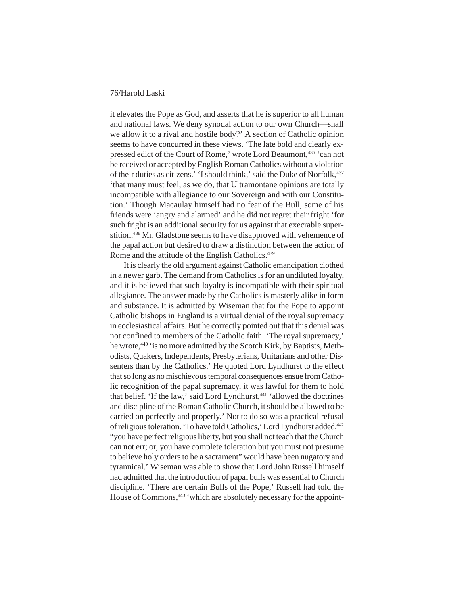it elevates the Pope as God, and asserts that he is superior to all human and national laws. We deny synodal action to our own Church—shall we allow it to a rival and hostile body?' A section of Catholic opinion seems to have concurred in these views. 'The late bold and clearly expressed edict of the Court of Rome,' wrote Lord Beaumont, 436 'can not be received or accepted by English Roman Catholics without a violation of their duties as citizens.' 'I should think,' said the Duke of Norfolk,<sup>437</sup> 'that many must feel, as we do, that Ultramontane opinions are totally incompatible with allegiance to our Sovereign and with our Constitution.' Though Macaulay himself had no fear of the Bull, some of his friends were 'angry and alarmed' and he did not regret their fright 'for such fright is an additional security for us against that execrable superstition.438 Mr. Gladstone seems to have disapproved with vehemence of the papal action but desired to draw a distinction between the action of Rome and the attitude of the English Catholics.<sup>439</sup>

It is clearly the old argument against Catholic emancipation clothed in a newer garb. The demand from Catholics is for an undiluted loyalty, and it is believed that such loyalty is incompatible with their spiritual allegiance. The answer made by the Catholics is masterly alike in form and substance. It is admitted by Wiseman that for the Pope to appoint Catholic bishops in England is a virtual denial of the royal supremacy in ecclesiastical affairs. But he correctly pointed out that this denial was not confined to members of the Catholic faith. 'The royal supremacy,' he wrote,440 'is no more admitted by the Scotch Kirk, by Baptists, Methodists, Quakers, Independents, Presbyterians, Unitarians and other Dissenters than by the Catholics.' He quoted Lord Lyndhurst to the effect that so long as no mischievous temporal consequences ensue from Catholic recognition of the papal supremacy, it was lawful for them to hold that belief. 'If the law,' said Lord Lyndhurst,<sup>441</sup> 'allowed the doctrines and discipline of the Roman Catholic Church, it should be allowed to be carried on perfectly and properly.' Not to do so was a practical refusal of religious toleration. 'To have told Catholics,' Lord Lyndhurst added,<sup>442</sup> "you have perfect religious liberty, but you shall not teach that the Church can not err; or, you have complete toleration but you must not presume to believe holy orders to be a sacrament" would have been nugatory and tyrannical.' Wiseman was able to show that Lord John Russell himself had admitted that the introduction of papal bulls was essential to Church discipline. 'There are certain Bulls of the Pope,' Russell had told the House of Commons,<sup>443</sup> 'which are absolutely necessary for the appoint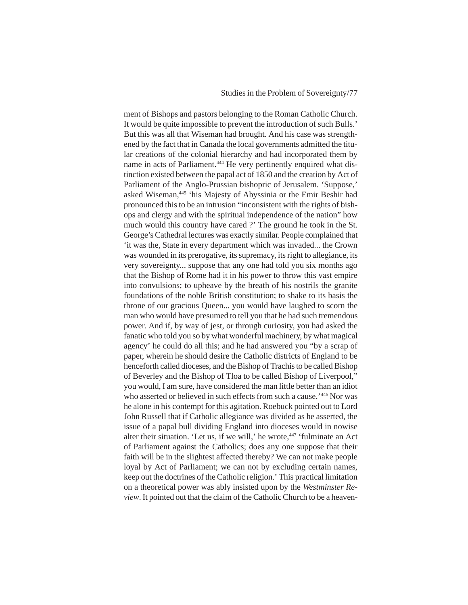ment of Bishops and pastors belonging to the Roman Catholic Church. It would be quite impossible to prevent the introduction of such Bulls.' But this was all that Wiseman had brought. And his case was strengthened by the fact that in Canada the local governments admitted the titular creations of the colonial hierarchy and had incorporated them by name in acts of Parliament.<sup>444</sup> He very pertinently enquired what distinction existed between the papal act of 1850 and the creation by Act of Parliament of the Anglo-Prussian bishopric of Jerusalem. 'Suppose,' asked Wiseman,<sup>445</sup> 'his Majesty of Abyssinia or the Emir Beshir had pronounced this to be an intrusion "inconsistent with the rights of bishops and clergy and with the spiritual independence of the nation" how much would this country have cared ?' The ground he took in the St. George's Cathedral lectures was exactly similar. People complained that 'it was the, State in every department which was invaded... the Crown was wounded in its prerogative, its supremacy, its right to allegiance, its very sovereignty... suppose that any one had told you six months ago that the Bishop of Rome had it in his power to throw this vast empire into convulsions; to upheave by the breath of his nostrils the granite foundations of the noble British constitution; to shake to its basis the throne of our gracious Queen... you would have laughed to scorn the man who would have presumed to tell you that he had such tremendous power. And if, by way of jest, or through curiosity, you had asked the fanatic who told you so by what wonderful machinery, by what magical agency' he could do all this; and he had answered you "by a scrap of paper, wherein he should desire the Catholic districts of England to be henceforth called dioceses, and the Bishop of Trachis to be called Bishop of Beverley and the Bishop of Tloa to be called Bishop of Liverpool," you would, I am sure, have considered the man little better than an idiot who asserted or believed in such effects from such a cause.<sup>'446</sup> Nor was he alone in his contempt for this agitation. Roebuck pointed out to Lord John Russell that if Catholic allegiance was divided as he asserted, the issue of a papal bull dividing England into dioceses would in nowise alter their situation. 'Let us, if we will,' he wrote,<sup>447</sup> 'fulminate an Act of Parliament against the Catholics; does any one suppose that their faith will be in the slightest affected thereby? We can not make people loyal by Act of Parliament; we can not by excluding certain names, keep out the doctrines of the Catholic religion.' This practical limitation on a theoretical power was ably insisted upon by the *Westminster Review*. It pointed out that the claim of the Catholic Church to be a heaven-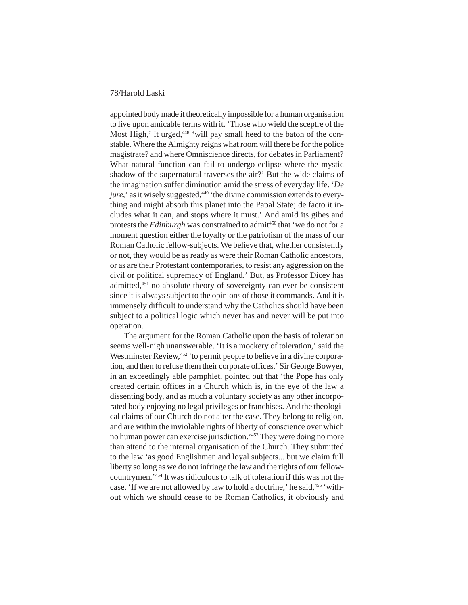appointed body made it theoretically impossible for a human organisation to live upon amicable terms with it. 'Those who wield the sceptre of the Most High,' it urged,<sup>448</sup> 'will pay small heed to the baton of the constable. Where the Almighty reigns what room will there be for the police magistrate? and where Omniscience directs, for debates in Parliament? What natural function can fail to undergo eclipse where the mystic shadow of the supernatural traverses the air?' But the wide claims of the imagination suffer diminution amid the stress of everyday life. '*De jure*,' as it wisely suggested,<sup>449</sup> 'the divine commission extends to everything and might absorb this planet into the Papal State; de facto it includes what it can, and stops where it must.' And amid its gibes and protests the *Edinburgh* was constrained to admit<sup>450</sup> that 'we do not for a moment question either the loyalty or the patriotism of the mass of our Roman Catholic fellow-subjects. We believe that, whether consistently or not, they would be as ready as were their Roman Catholic ancestors, or as are their Protestant contemporaries, to resist any aggression on the civil or political supremacy of England.' But, as Professor Dicey has admitted,451 no absolute theory of sovereignty can ever be consistent since it is always subject to the opinions of those it commands. And it is immensely difficult to understand why the Catholics should have been subject to a political logic which never has and never will be put into operation.

The argument for the Roman Catholic upon the basis of toleration seems well-nigh unanswerable. 'It is a mockery of toleration,' said the Westminster Review,<sup>452</sup> 'to permit people to believe in a divine corporation, and then to refuse them their corporate offices.' Sir George Bowyer, in an exceedingly able pamphlet, pointed out that 'the Pope has only created certain offices in a Church which is, in the eye of the law a dissenting body, and as much a voluntary society as any other incorporated body enjoying no legal privileges or franchises. And the theological claims of our Church do not alter the case. They belong to religion, and are within the inviolable rights of liberty of conscience over which no human power can exercise jurisdiction.'453 They were doing no more than attend to the internal organisation of the Church. They submitted to the law 'as good Englishmen and loyal subjects... but we claim full liberty so long as we do not infringe the law and the rights of our fellowcountrymen.'454 It was ridiculous to talk of toleration if this was not the case. 'If we are not allowed by law to hold a doctrine,' he said,<sup>455</sup> 'without which we should cease to be Roman Catholics, it obviously and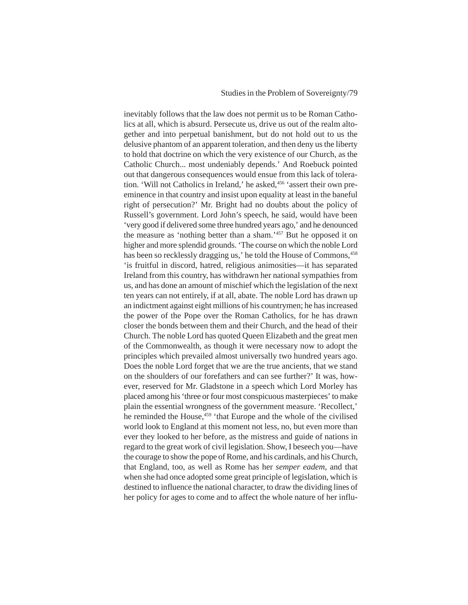inevitably follows that the law does not permit us to be Roman Catholics at all, which is absurd. Persecute us, drive us out of the realm altogether and into perpetual banishment, but do not hold out to us the delusive phantom of an apparent toleration, and then deny us the liberty to hold that doctrine on which the very existence of our Church, as the Catholic Church... most undeniably depends.' And Roebuck pointed out that dangerous consequences would ensue from this lack of toleration. 'Will not Catholics in Ireland,' he asked,<sup>456</sup> 'assert their own preeminence in that country and insist upon equality at least in the baneful right of persecution?' Mr. Bright had no doubts about the policy of Russell's government. Lord John's speech, he said, would have been 'very good if delivered some three hundred years ago,' and he denounced the measure as 'nothing better than a sham.'457 But he opposed it on higher and more splendid grounds. 'The course on which the noble Lord has been so recklessly dragging us,' he told the House of Commons,<sup>458</sup> 'is fruitful in discord, hatred, religious animosities—it has separated Ireland from this country, has withdrawn her national sympathies from us, and has done an amount of mischief which the legislation of the next ten years can not entirely, if at all, abate. The noble Lord has drawn up an indictment against eight millions of his countrymen; he has increased the power of the Pope over the Roman Catholics, for he has drawn closer the bonds between them and their Church, and the head of their Church. The noble Lord has quoted Queen Elizabeth and the great men of the Commonwealth, as though it were necessary now to adopt the principles which prevailed almost universally two hundred years ago. Does the noble Lord forget that we are the true ancients, that we stand on the shoulders of our forefathers and can see further?' It was, however, reserved for Mr. Gladstone in a speech which Lord Morley has placed among his 'three or four most conspicuous masterpieces' to make plain the essential wrongness of the government measure. 'Recollect,' he reminded the House,<sup>459</sup> 'that Europe and the whole of the civilised world look to England at this moment not less, no, but even more than ever they looked to her before, as the mistress and guide of nations in regard to the great work of civil legislation. Show, I beseech you—have the courage to show the pope of Rome, and his cardinals, and his Church, that England, too, as well as Rome has her *semper eadem*, and that when she had once adopted some great principle of legislation, which is destined to influence the national character, to draw the dividing lines of her policy for ages to come and to affect the whole nature of her influ-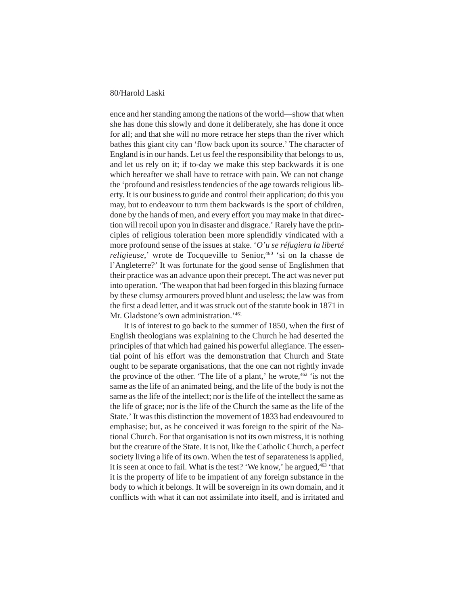ence and her standing among the nations of the world—show that when she has done this slowly and done it deliberately, she has done it once for all; and that she will no more retrace her steps than the river which bathes this giant city can 'flow back upon its source.' The character of England is in our hands. Let us feel the responsibility that belongs to us, and let us rely on it; if to-day we make this step backwards it is one which hereafter we shall have to retrace with pain. We can not change the 'profound and resistless tendencies of the age towards religious liberty. It is our business to guide and control their application; do this you may, but to endeavour to turn them backwards is the sport of children, done by the hands of men, and every effort you may make in that direction will recoil upon you in disaster and disgrace.' Rarely have the principles of religious toleration been more splendidly vindicated with a more profound sense of the issues at stake. '*O'u se réfugiera la liberté religieuse*,' wrote de Tocqueville to Senior,<sup>460</sup> 'si on la chasse de l'Angleterre?' It was fortunate for the good sense of Englishmen that their practice was an advance upon their precept. The act was never put into operation. 'The weapon that had been forged in this blazing furnace by these clumsy armourers proved blunt and useless; the law was from the first a dead letter, and it was struck out of the statute book in 1871 in Mr. Gladstone's own administration.'461

It is of interest to go back to the summer of 1850, when the first of English theologians was explaining to the Church he had deserted the principles of that which had gained his powerful allegiance. The essential point of his effort was the demonstration that Church and State ought to be separate organisations, that the one can not rightly invade the province of the other. 'The life of a plant,' he wrote, $462$  'is not the same as the life of an animated being, and the life of the body is not the same as the life of the intellect; nor is the life of the intellect the same as the life of grace; nor is the life of the Church the same as the life of the State.' It was this distinction the movement of 1833 had endeavoured to emphasise; but, as he conceived it was foreign to the spirit of the National Church. For that organisation is not its own mistress, it is nothing but the creature of the State. It is not, like the Catholic Church, a perfect society living a life of its own. When the test of separateness is applied, it is seen at once to fail. What is the test? 'We know,' he argued,<sup>463</sup> 'that it is the property of life to be impatient of any foreign substance in the body to which it belongs. It will be sovereign in its own domain, and it conflicts with what it can not assimilate into itself, and is irritated and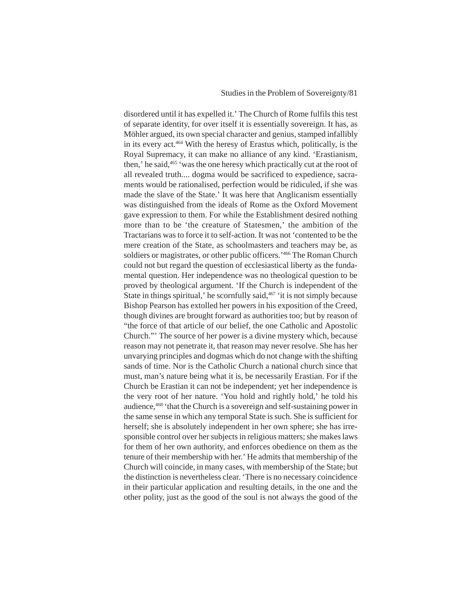disordered until it has expelled it.' The Church of Rome fulfils this test of separate identity, for over itself it is essentially sovereign. It has, as Möhler argued, its own special character and genius, stamped infallibly in its every act.464 With the heresy of Erastus which, politically, is the Royal Supremacy, it can make no alliance of any kind. 'Erastianism, then,' he said,465 'was the one heresy which practically cut at the root of all revealed truth.... dogma would be sacrificed to expedience, sacraments would be rationalised, perfection would be ridiculed, if she was made the slave of the State.' It was here that Anglicanism essentially was distinguished from the ideals of Rome as the Oxford Movement gave expression to them. For while the Establishment desired nothing more than to be 'the creature of Statesmen,' the ambition of the Tractarians was to force it to self-action. It was not 'contented to be the mere creation of the State, as schoolmasters and teachers may be, as soldiers or magistrates, or other public officers.'466 The Roman Church could not but regard the question of ecclesiastical liberty as the fundamental question. Her independence was no theological question to be proved by theological argument. 'If the Church is independent of the State in things spiritual,' he scornfully said,<sup>467</sup> 'it is not simply because Bishop Pearson has extolled her powers in his exposition of the Creed, though divines are brought forward as authorities too; but by reason of "the force of that article of our belief, the one Catholic and Apostolic Church."' The source of her power is a divine mystery which, because reason may not penetrate it, that reason may never resolve. She has her unvarying principles and dogmas which do not change with the shifting sands of time. Nor is the Catholic Church a national church since that must, man's nature being what it is, be necessarily Erastian. For if the Church be Erastian it can not be independent; yet her independence is the very root of her nature. 'You hold and rightly hold,' he told his audience,468 'that the Church is a sovereign and self-sustaining power in the same sense in which any temporal State is such. She is sufficient for herself; she is absolutely independent in her own sphere; she has irresponsible control over her subjects in religious matters; she makes laws for them of her own authority, and enforces obedience on them as the tenure of their membership with her.' He admits that membership of the Church will coincide, in many cases, with membership of the State; but the distinction is nevertheless clear. 'There is no necessary coincidence in their particular application and resulting details, in the one and the other polity, just as the good of the soul is not always the good of the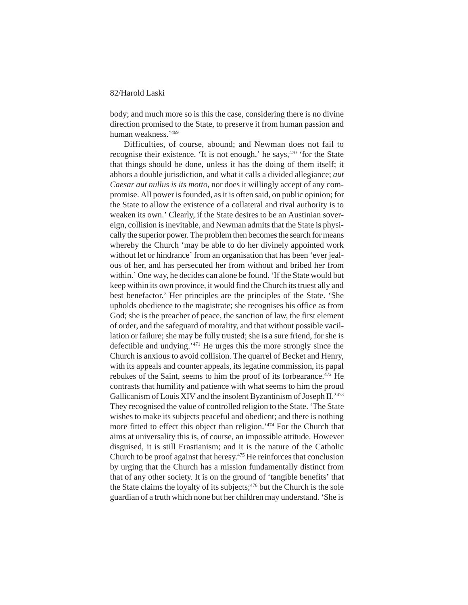body; and much more so is this the case, considering there is no divine direction promised to the State, to preserve it from human passion and human weakness.'469

Difficulties, of course, abound; and Newman does not fail to recognise their existence. 'It is not enough,' he says,<sup>470</sup> 'for the State that things should be done, unless it has the doing of them itself; it abhors a double jurisdiction, and what it calls a divided allegiance; *aut Caesar aut nullus is its motto*, nor does it willingly accept of any compromise. All power is founded, as it is often said, on public opinion; for the State to allow the existence of a collateral and rival authority is to weaken its own.' Clearly, if the State desires to be an Austinian sovereign, collision is inevitable, and Newman admits that the State is physically the superior power. The problem then becomes the search for means whereby the Church 'may be able to do her divinely appointed work without let or hindrance' from an organisation that has been 'ever jealous of her, and has persecuted her from without and bribed her from within.' One way, he decides can alone be found. 'If the State would but keep within its own province, it would find the Church its truest ally and best benefactor.' Her principles are the principles of the State. 'She upholds obedience to the magistrate; she recognises his office as from God; she is the preacher of peace, the sanction of law, the first element of order, and the safeguard of morality, and that without possible vacillation or failure; she may be fully trusted; she is a sure friend, for she is defectible and undying.'471 He urges this the more strongly since the Church is anxious to avoid collision. The quarrel of Becket and Henry, with its appeals and counter appeals, its legatine commission, its papal rebukes of the Saint, seems to him the proof of its forbearance.<sup>472</sup> He contrasts that humility and patience with what seems to him the proud Gallicanism of Louis XIV and the insolent Byzantinism of Joseph II.'473 They recognised the value of controlled religion to the State. 'The State wishes to make its subjects peaceful and obedient; and there is nothing more fitted to effect this object than religion.<sup>'474</sup> For the Church that aims at universality this is, of course, an impossible attitude. However disguised, it is still Erastianism; and it is the nature of the Catholic Church to be proof against that heresy.475 He reinforces that conclusion by urging that the Church has a mission fundamentally distinct from that of any other society. It is on the ground of 'tangible benefits' that the State claims the loyalty of its subjects;<sup>476</sup> but the Church is the sole guardian of a truth which none but her children may understand. 'She is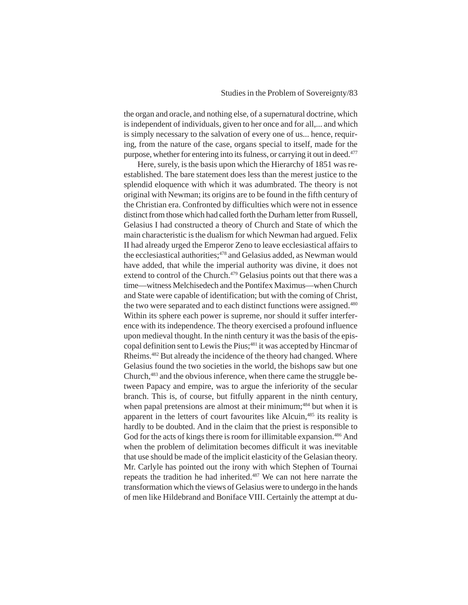the organ and oracle, and nothing else, of a supernatural doctrine, which is independent of individuals, given to her once and for all,... and which is simply necessary to the salvation of every one of us... hence, requiring, from the nature of the case, organs special to itself, made for the purpose, whether for entering into its fulness, or carrying it out in deed.477

Here, surely, is the basis upon which the Hierarchy of 1851 was reestablished. The bare statement does less than the merest justice to the splendid eloquence with which it was adumbrated. The theory is not original with Newman; its origins are to be found in the fifth century of the Christian era. Confronted by difficulties which were not in essence distinct from those which had called forth the Durham letter from Russell, Gelasius I had constructed a theory of Church and State of which the main characteristic is the dualism for which Newman had argued. Felix II had already urged the Emperor Zeno to leave ecclesiastical affairs to the ecclesiastical authorities;478 and Gelasius added, as Newman would have added, that while the imperial authority was divine, it does not extend to control of the Church.<sup>479</sup> Gelasius points out that there was a time—witness Melchisedech and the Pontifex Maximus—when Church and State were capable of identification; but with the coming of Christ, the two were separated and to each distinct functions were assigned.<sup>480</sup> Within its sphere each power is supreme, nor should it suffer interference with its independence. The theory exercised a profound influence upon medieval thought. In the ninth century it was the basis of the episcopal definition sent to Lewis the Pius;<sup>481</sup> it was accepted by Hincmar of Rheims.482 But already the incidence of the theory had changed. Where Gelasius found the two societies in the world, the bishops saw but one Church,<sup>483</sup> and the obvious inference, when there came the struggle between Papacy and empire, was to argue the inferiority of the secular branch. This is, of course, but fitfully apparent in the ninth century, when papal pretensions are almost at their minimum;<sup>484</sup> but when it is apparent in the letters of court favourites like Alcuin,485 its reality is hardly to be doubted. And in the claim that the priest is responsible to God for the acts of kings there is room for illimitable expansion.<sup>486</sup> And when the problem of delimitation becomes difficult it was inevitable that use should be made of the implicit elasticity of the Gelasian theory. Mr. Carlyle has pointed out the irony with which Stephen of Tournai repeats the tradition he had inherited.<sup>487</sup> We can not here narrate the transformation which the views of Gelasius were to undergo in the hands of men like Hildebrand and Boniface VIII. Certainly the attempt at du-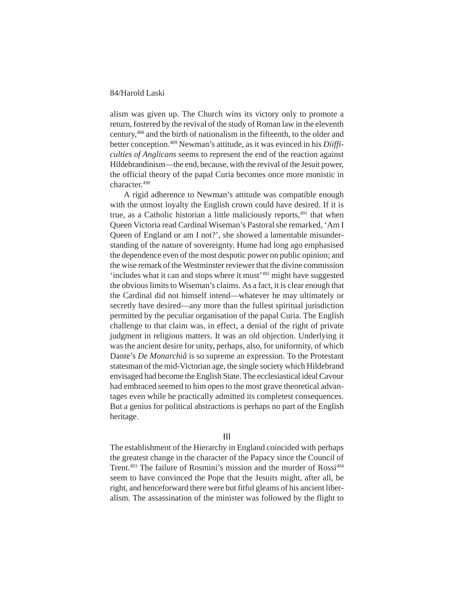alism was given up. The Church wins its victory only to promote a return, fostered by the revival of the study of Roman law in the eleventh century,488 and the birth of nationalism in the fifteenth, to the older and better conception.489 Newman's attitude, as it was evinced in his *Diifficulties of Anglicans* seems to represent the end of the reaction against Hildebrandinism—the end, because, with the revival of the Jesuit power, the official theory of the papal Curia becomes once more monistic in character.490

A rigid adherence to Newman's attitude was compatible enough with the utmost loyalty the English crown could have desired. If it is true, as a Catholic historian a little maliciously reports,<sup>491</sup> that when Queen Victoria read Cardinal Wiseman's Pastoral she remarked, 'Am I Queen of England or am I not?', she showed a lamentable misunderstanding of the nature of sovereignty. Hume had long ago emphasised the dependence even of the most despotic power on public opinion; and the wise remark of the Westminster reviewer that the divine commission 'includes what it can and stops where it must'492 might have suggested the obvious limits to Wiseman's claims. As a fact, it is clear enough that the Cardinal did not himself intend—whatever he may ultimately or secretly have desired—any more than the fullest spiritual jurisdiction permitted by the peculiar organisation of the papal Curia. The English challenge to that claim was, in effect, a denial of the right of private judgment in religious matters. It was an old objection. Underlying it was the ancient desire for unity, perhaps, also, for uniformity, of which Dante's *De Monarchiâ* is so supreme an expression. To the Protestant statesman of the mid-Victorian age, the single society which Hildebrand envisaged had become the English State. The ecclesiastical ideal Cavour had embraced seemed to him open to the most grave theoretical advantages even while he practically admitted its completest consequences. But a genius for political abstractions is perhaps no part of the English heritage.

# III

The establishment of the Hierarchy in England coincided with perhaps the greatest change in the character of the Papacy since the Council of Trent.<sup>493</sup> The failure of Rosmini's mission and the murder of Rossi<sup>494</sup> seem to have convinced the Pope that the Jesuits might, after all, be right, and henceforward there were but fitful gleams of his ancient liberalism. The assassination of the minister was followed by the flight to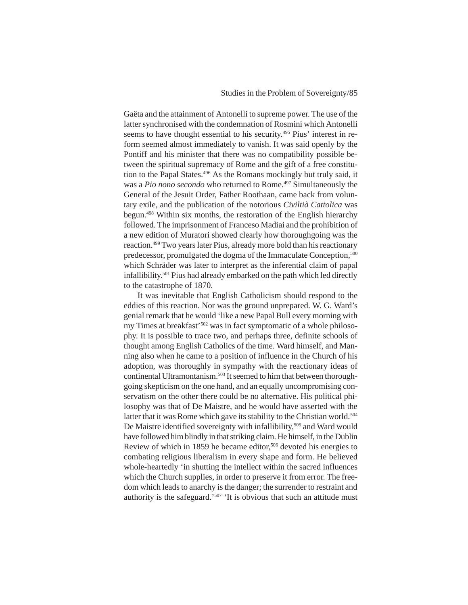Gaëta and the attainment of Antonelli to supreme power. The use of the latter synchronised with the condemnation of Rosmini which Antonelli seems to have thought essential to his security.<sup>495</sup> Pius' interest in reform seemed almost immediately to vanish. It was said openly by the Pontiff and his minister that there was no compatibility possible between the spiritual supremacy of Rome and the gift of a free constitution to the Papal States.<sup>496</sup> As the Romans mockingly but truly said, it was a *Pio nono secondo* who returned to Rome.<sup>497</sup> Simultaneously the General of the Jesuit Order, Father Roothaan, came back from voluntary exile, and the publication of the notorious *Civiltià Cattolica* was begun.498 Within six months, the restoration of the English hierarchy followed. The imprisonment of Franceso Madiai and the prohibition of a new edition of Muratori showed clearly how thoroughgoing was the reaction.499 Two years later Pius, already more bold than his reactionary predecessor, promulgated the dogma of the Immaculate Conception,500 which Schräder was later to interpret as the inferential claim of papal infallibility.501 Pius had already embarked on the path which led directly to the catastrophe of 1870.

It was inevitable that English Catholicism should respond to the eddies of this reaction. Nor was the ground unprepared. W. G. Ward's genial remark that he would 'like a new Papal Bull every morning with my Times at breakfast<sup>'502</sup> was in fact symptomatic of a whole philosophy. It is possible to trace two, and perhaps three, definite schools of thought among English Catholics of the time. Ward himself, and Manning also when he came to a position of influence in the Church of his adoption, was thoroughly in sympathy with the reactionary ideas of continental Ultramontanism.503 It seemed to him that between thoroughgoing skepticism on the one hand, and an equally uncompromising conservatism on the other there could be no alternative. His political philosophy was that of De Maistre, and he would have asserted with the latter that it was Rome which gave its stability to the Christian world.<sup>504</sup> De Maistre identified sovereignty with infallibility,<sup>505</sup> and Ward would have followed him blindly in that striking claim. He himself, in the Dublin Review of which in 1859 he became editor,<sup>506</sup> devoted his energies to combating religious liberalism in every shape and form. He believed whole-heartedly 'in shutting the intellect within the sacred influences which the Church supplies, in order to preserve it from error. The freedom which leads to anarchy is the danger; the surrender to restraint and authority is the safeguard.'507 'It is obvious that such an attitude must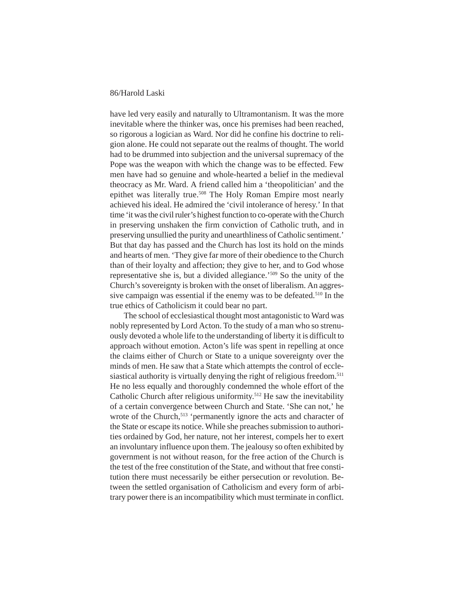have led very easily and naturally to Ultramontanism. It was the more inevitable where the thinker was, once his premises had been reached, so rigorous a logician as Ward. Nor did he confine his doctrine to religion alone. He could not separate out the realms of thought. The world had to be drummed into subjection and the universal supremacy of the Pope was the weapon with which the change was to be effected. Few men have had so genuine and whole-hearted a belief in the medieval theocracy as Mr. Ward. A friend called him a 'theopolitician' and the epithet was literally true.<sup>508</sup> The Holy Roman Empire most nearly achieved his ideal. He admired the 'civil intolerance of heresy.' In that time 'it was the civil ruler's highest function to co-operate with the Church in preserving unshaken the firm conviction of Catholic truth, and in preserving unsullied the purity and unearthliness of Catholic sentiment.' But that day has passed and the Church has lost its hold on the minds and hearts of men. 'They give far more of their obedience to the Church than of their loyalty and affection; they give to her, and to God whose representative she is, but a divided allegiance.'509 So the unity of the Church's sovereignty is broken with the onset of liberalism. An aggressive campaign was essential if the enemy was to be defeated.<sup>510</sup> In the true ethics of Catholicism it could bear no part.

The school of ecclesiastical thought most antagonistic to Ward was nobly represented by Lord Acton. To the study of a man who so strenuously devoted a whole life to the understanding of liberty it is difficult to approach without emotion. Acton's life was spent in repelling at once the claims either of Church or State to a unique sovereignty over the minds of men. He saw that a State which attempts the control of ecclesiastical authority is virtually denying the right of religious freedom.<sup>511</sup> He no less equally and thoroughly condemned the whole effort of the Catholic Church after religious uniformity.<sup>512</sup> He saw the inevitability of a certain convergence between Church and State. 'She can not,' he wrote of the Church,<sup>513</sup> 'permanently ignore the acts and character of the State or escape its notice. While she preaches submission to authorities ordained by God, her nature, not her interest, compels her to exert an involuntary influence upon them. The jealousy so often exhibited by government is not without reason, for the free action of the Church is the test of the free constitution of the State, and without that free constitution there must necessarily be either persecution or revolution. Between the settled organisation of Catholicism and every form of arbitrary power there is an incompatibility which must terminate in conflict.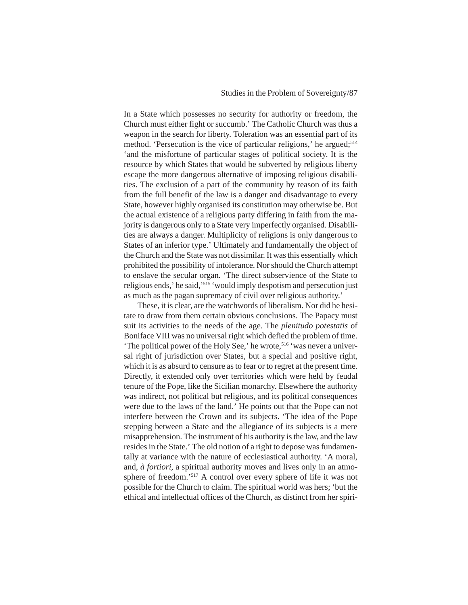In a State which possesses no security for authority or freedom, the Church must either fight or succumb.' The Catholic Church was thus a weapon in the search for liberty. Toleration was an essential part of its method. 'Persecution is the vice of particular religions,' he argued;<sup>514</sup> 'and the misfortune of particular stages of political society. It is the resource by which States that would be subverted by religious liberty escape the more dangerous alternative of imposing religious disabilities. The exclusion of a part of the community by reason of its faith from the full benefit of the law is a danger and disadvantage to every State, however highly organised its constitution may otherwise be. But the actual existence of a religious party differing in faith from the majority is dangerous only to a State very imperfectly organised. Disabilities are always a danger. Multiplicity of religions is only dangerous to States of an inferior type.' Ultimately and fundamentally the object of the Church and the State was not dissimilar. It was this essentially which prohibited the possibility of intolerance. Nor should the Church attempt to enslave the secular organ. 'The direct subservience of the State to religious ends,' he said,'515 'would imply despotism and persecution just as much as the pagan supremacy of civil over religious authority.'

These, it is clear, are the watchwords of liberalism. Nor did he hesitate to draw from them certain obvious conclusions. The Papacy must suit its activities to the needs of the age. The *plenitudo potestatis* of Boniface VIII was no universal right which defied the problem of time. The political power of the Holy See,' he wrote,<sup>516</sup> 'was never a universal right of jurisdiction over States, but a special and positive right, which it is as absurd to censure as to fear or to regret at the present time. Directly, it extended only over territories which were held by feudal tenure of the Pope, like the Sicilian monarchy. Elsewhere the authority was indirect, not political but religious, and its political consequences were due to the laws of the land.' He points out that the Pope can not interfere between the Crown and its subjects. 'The idea of the Pope stepping between a State and the allegiance of its subjects is a mere misapprehension. The instrument of his authority is the law, and the law resides in the State.' The old notion of a right to depose was fundamentally at variance with the nature of ecclesiastical authority. 'A moral, and, *à fortiori*, a spiritual authority moves and lives only in an atmosphere of freedom.'517 A control over every sphere of life it was not possible for the Church to claim. The spiritual world was hers; 'but the ethical and intellectual offices of the Church, as distinct from her spiri-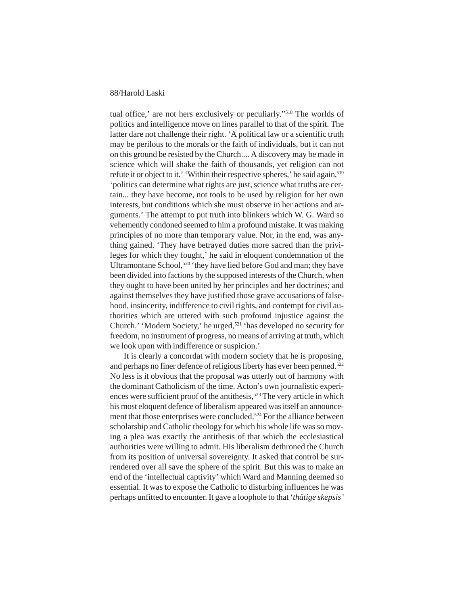tual office,' are not hers exclusively or peculiarly."518 The worlds of politics and intelligence move on lines parallel to that of the spirit. The latter dare not challenge their right. 'A political law or a scientific truth may be perilous to the morals or the faith of individuals, but it can not on this ground be resisted by the Church.... A discovery may be made in science which will shake the faith of thousands, yet religion can not refute it or object to it.' 'Within their respective spheres,' he said again,<sup>519</sup> 'politics can determine what rights are just, science what truths are certain... they have become, not tools to be used by religion for her own interests, but conditions which she must observe in her actions and arguments.' The attempt to put truth into blinkers which W. G. Ward so vehemently condoned seemed to him a profound mistake. It was making principles of no more than temporary value. Nor, in the end, was anything gained. 'They have betrayed duties more sacred than the privileges for which they fought,' he said in eloquent condemnation of the Ultramontane School,<sup>520</sup> 'they have lied before God and man; they have been divided into factions by the supposed interests of the Church, when they ought to have been united by her principles and her doctrines; and against themselves they have justified those grave accusations of falsehood, insincerity, indifference to civil rights, and contempt for civil authorities which are uttered with such profound injustice against the Church.' 'Modern Society,' he urged,<sup>521</sup> 'has developed no security for freedom, no instrument of progress, no means of arriving at truth, which we look upon with indifference or suspicion.'

It is clearly a concordat with modern society that he is proposing, and perhaps no finer defence of religious liberty has ever been penned.<sup>522</sup> No less is it obvious that the proposal was utterly out of harmony with the dominant Catholicism of the time. Acton's own journalistic experiences were sufficient proof of the antithesis,<sup>523</sup> The very article in which his most eloquent defence of liberalism appeared was itself an announcement that those enterprises were concluded.<sup>524</sup> For the alliance between scholarship and Catholic theology for which his whole life was so moving a plea was exactly the antithesis of that which the ecclesiastical authorities were willing to admit. His liberalism dethroned the Church from its position of universal sovereignty. It asked that control be surrendered over all save the sphere of the spirit. But this was to make an end of the 'intellectual captivity' which Ward and Manning deemed so essential. It was to expose the Catholic to disturbing influences he was perhaps unfitted to encounter. It gave a loophole to that '*thätige skepsis'*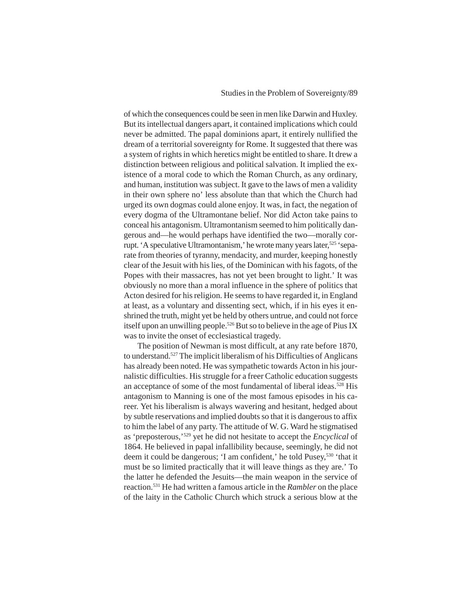of which the consequences could be seen in men like Darwin and Huxley. But its intellectual dangers apart, it contained implications which could never be admitted. The papal dominions apart, it entirely nullified the dream of a territorial sovereignty for Rome. It suggested that there was a system of rights in which heretics might be entitled to share. It drew a distinction between religious and political salvation. It implied the existence of a moral code to which the Roman Church, as any ordinary, and human, institution was subject. It gave to the laws of men a validity in their own sphere no' less absolute than that which the Church had urged its own dogmas could alone enjoy. It was, in fact, the negation of every dogma of the Ultramontane belief. Nor did Acton take pains to conceal his antagonism. Ultramontanism seemed to him politically dangerous and—he would perhaps have identified the two—morally corrupt. 'A speculative Ultramontanism,' he wrote many years later,<sup>525</sup> 'separate from theories of tyranny, mendacity, and murder, keeping honestly clear of the Jesuit with his lies, of the Dominican with his fagots, of the Popes with their massacres, has not yet been brought to light.' It was obviously no more than a moral influence in the sphere of politics that Acton desired for his religion. He seems to have regarded it, in England at least, as a voluntary and dissenting sect, which, if in his eyes it enshrined the truth, might yet be held by others untrue, and could not force itself upon an unwilling people.<sup>526</sup> But so to believe in the age of Pius IX was to invite the onset of ecclesiastical tragedy.

The position of Newman is most difficult, at any rate before 1870, to understand.527 The implicit liberalism of his Difficulties of Anglicans has already been noted. He was sympathetic towards Acton in his journalistic difficulties. His struggle for a freer Catholic education suggests an acceptance of some of the most fundamental of liberal ideas.<sup>528</sup> His antagonism to Manning is one of the most famous episodes in his career. Yet his liberalism is always wavering and hesitant, hedged about by subtle reservations and implied doubts so that it is dangerous to affix to him the label of any party. The attitude of W. G. Ward he stigmatised as 'preposterous,'529 yet he did not hesitate to accept the *Encyclical* of 1864. He believed in papal infallibility because, seemingly, he did not deem it could be dangerous; 'I am confident,' he told Pusey,<sup>530</sup> 'that it must be so limited practically that it will leave things as they are.' To the latter he defended the Jesuits—the main weapon in the service of reaction.531 He had written a famous article in the *Rambler* on the place of the laity in the Catholic Church which struck a serious blow at the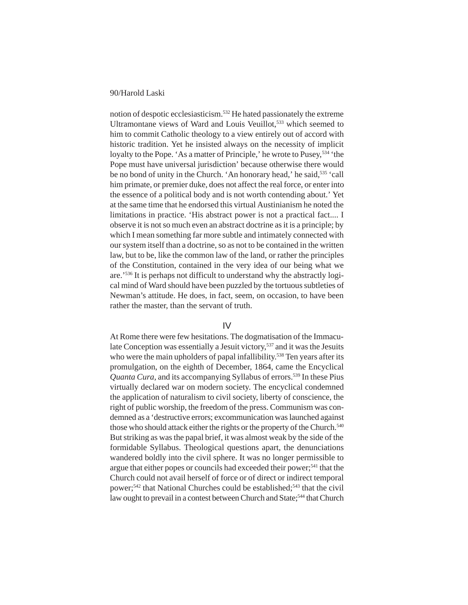notion of despotic ecclesiasticism.532 He hated passionately the extreme Ultramontane views of Ward and Louis Veuillot,<sup>533</sup> which seemed to him to commit Catholic theology to a view entirely out of accord with historic tradition. Yet he insisted always on the necessity of implicit loyalty to the Pope. 'As a matter of Principle,' he wrote to Pusey,<sup>534</sup> 'the Pope must have universal jurisdiction' because otherwise there would be no bond of unity in the Church. 'An honorary head,' he said,<sup>535</sup> 'call him primate, or premier duke, does not affect the real force, or enter into the essence of a political body and is not worth contending about.' Yet at the same time that he endorsed this virtual Austinianism he noted the limitations in practice. 'His abstract power is not a practical fact.... I observe it is not so much even an abstract doctrine as it is a principle; by which I mean something far more subtle and intimately connected with our system itself than a doctrine, so as not to be contained in the written law, but to be, like the common law of the land, or rather the principles of the Constitution, contained in the very idea of our being what we are.'536 It is perhaps not difficult to understand why the abstractly logical mind of Ward should have been puzzled by the tortuous subtleties of Newman's attitude. He does, in fact, seem, on occasion, to have been rather the master, than the servant of truth.

#### IV

At Rome there were few hesitations. The dogmatisation of the Immaculate Conception was essentially a Jesuit victory,<sup>537</sup> and it was the Jesuits who were the main upholders of papal infallibility.<sup>538</sup> Ten years after its promulgation, on the eighth of December, 1864, came the Encyclical *Quanta Cura*, and its accompanying Syllabus of errors.<sup>539</sup> In these Pius virtually declared war on modern society. The encyclical condemned the application of naturalism to civil society, liberty of conscience, the right of public worship, the freedom of the press. Communism was condemned as a 'destructive errors; excommunication was launched against those who should attack either the rights or the property of the Church.<sup>540</sup> But striking as was the papal brief, it was almost weak by the side of the formidable Syllabus. Theological questions apart, the denunciations wandered boldly into the civil sphere. It was no longer permissible to argue that either popes or councils had exceeded their power;<sup>541</sup> that the Church could not avail herself of force or of direct or indirect temporal power;<sup>542</sup> that National Churches could be established;<sup>543</sup> that the civil law ought to prevail in a contest between Church and State;<sup>544</sup> that Church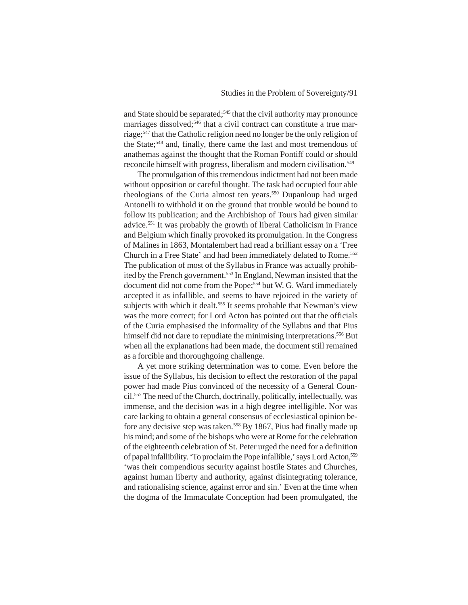and State should be separated;<sup>545</sup> that the civil authority may pronounce marriages dissolved;<sup>546</sup> that a civil contract can constitute a true marriage;547 that the Catholic religion need no longer be the only religion of the State;<sup>548</sup> and, finally, there came the last and most tremendous of anathemas against the thought that the Roman Pontiff could or should reconcile himself with progress, liberalism and modern civilisation.<sup>549</sup>

The promulgation of this tremendous indictment had not been made without opposition or careful thought. The task had occupied four able theologians of the Curia almost ten years.550 Dupanloup had urged Antonelli to withhold it on the ground that trouble would be bound to follow its publication; and the Archbishop of Tours had given similar advice.551 It was probably the growth of liberal Catholicism in France and Belgium which finally provoked its promulgation. In the Congress of Malines in 1863, Montalembert had read a brilliant essay on a 'Free Church in a Free State' and had been immediately delated to Rome.552 The publication of most of the Syllabus in France was actually prohibited by the French government.553 In England, Newman insisted that the document did not come from the Pope;<sup>554</sup> but W. G. Ward immediately accepted it as infallible, and seems to have rejoiced in the variety of subjects with which it dealt.<sup>555</sup> It seems probable that Newman's view was the more correct; for Lord Acton has pointed out that the officials of the Curia emphasised the informality of the Syllabus and that Pius himself did not dare to repudiate the minimising interpretations.<sup>556</sup> But when all the explanations had been made, the document still remained as a forcible and thoroughgoing challenge.

A yet more striking determination was to come. Even before the issue of the Syllabus, his decision to effect the restoration of the papal power had made Pius convinced of the necessity of a General Council.557 The need of the Church, doctrinally, politically, intellectually, was immense, and the decision was in a high degree intelligible. Nor was care lacking to obtain a general consensus of ecclesiastical opinion before any decisive step was taken.558 By 1867, Pius had finally made up his mind; and some of the bishops who were at Rome for the celebration of the eighteenth celebration of St. Peter urged the need for a definition of papal infallibility. 'To proclaim the Pope infallible,' says Lord Acton,<sup>559</sup> 'was their compendious security against hostile States and Churches, against human liberty and authority, against disintegrating tolerance, and rationalising science, against error and sin.' Even at the time when the dogma of the Immaculate Conception had been promulgated, the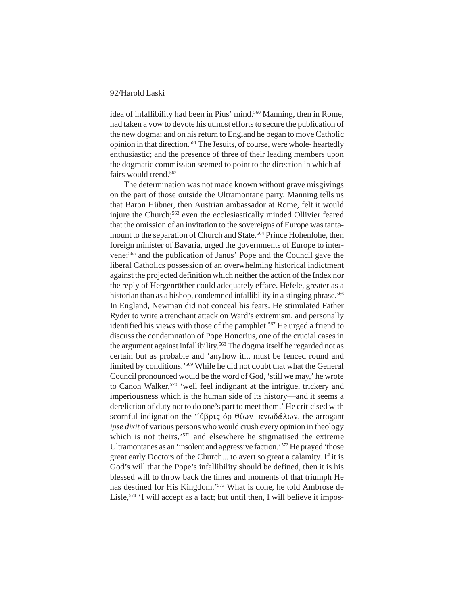idea of infallibility had been in Pius' mind.<sup>560</sup> Manning, then in Rome, had taken a vow to devote his utmost efforts to secure the publication of the new dogma; and on his return to England he began to move Catholic opinion in that direction.561 The Jesuits, of course, were whole- heartedly enthusiastic; and the presence of three of their leading members upon the dogmatic commission seemed to point to the direction in which affairs would trend.562

The determination was not made known without grave misgivings on the part of those outside the Ultramontane party. Manning tells us that Baron Hübner, then Austrian ambassador at Rome, felt it would injure the Church;<sup>563</sup> even the ecclesiastically minded Ollivier feared that the omission of an invitation to the sovereigns of Europe was tantamount to the separation of Church and State.<sup>564</sup> Prince Hohenlohe, then foreign minister of Bavaria, urged the governments of Europe to intervene;565 and the publication of Janus' Pope and the Council gave the liberal Catholics possession of an overwhelming historical indictment against the projected definition which neither the action of the Index nor the reply of Hergenröther could adequately efface. Hefele, greater as a historian than as a bishop, condemned infallibility in a stinging phrase.<sup>566</sup> In England, Newman did not conceal his fears. He stimulated Father Ryder to write a trenchant attack on Ward's extremism, and personally identified his views with those of the pamphlet.<sup>567</sup> He urged a friend to discuss the condemnation of Pope Honorius, one of the crucial cases in the argument against infallibility.<sup>568</sup> The dogma itself he regarded not as certain but as probable and 'anyhow it... must be fenced round and limited by conditions.'569 While he did not doubt that what the General Council pronounced would be the word of God, 'still we may,' he wrote to Canon Walker,<sup>570</sup> 'well feel indignant at the intrigue, trickery and imperiousness which is the human side of its history—and it seems a dereliction of duty not to do one's part to meet them.' He criticised with scornful indignation the " $\mathring{\nu}$ βρις όρ θίων κνωδάλων, the arrogant *ipse dixit* of various persons who would crush every opinion in theology which is not theirs,<sup>'571</sup> and elsewhere he stigmatised the extreme Ultramontanes as an 'insolent and aggressive faction.'572 He prayed 'those great early Doctors of the Church... to avert so great a calamity. If it is God's will that the Pope's infallibility should be defined, then it is his blessed will to throw back the times and moments of that triumph He has destined for His Kingdom.'573 What is done, he told Ambrose de Lisle,<sup>574</sup> 'I will accept as a fact; but until then, I will believe it impos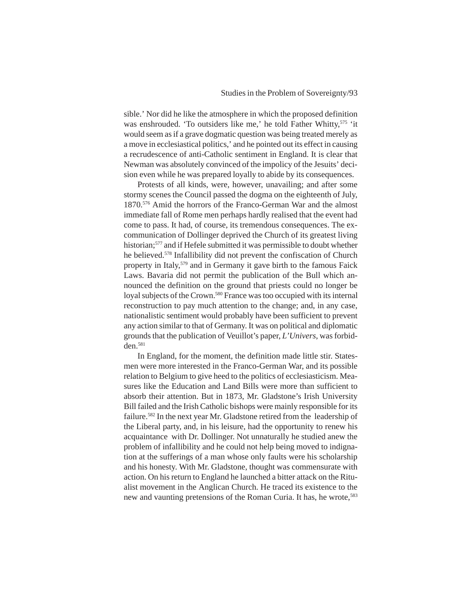sible.' Nor did he like the atmosphere in which the proposed definition was enshrouded. 'To outsiders like me,' he told Father Whitty,<sup>575</sup> 'it would seem as if a grave dogmatic question was being treated merely as a move in ecclesiastical politics,' and he pointed out its effect in causing a recrudescence of anti-Catholic sentiment in England. It is clear that Newman was absolutely convinced of the impolicy of the Jesuits' decision even while he was prepared loyally to abide by its consequences.

Protests of all kinds, were, however, unavailing; and after some stormy scenes the Council passed the dogma on the eighteenth of July, 1870.576 Amid the horrors of the Franco-German War and the almost immediate fall of Rome men perhaps hardly realised that the event had come to pass. It had, of course, its tremendous consequences. The excommunication of Dollinger deprived the Church of its greatest living historian;577 and if Hefele submitted it was permissible to doubt whether he believed.578 Infallibility did not prevent the confiscation of Church property in Italy,579 and in Germany it gave birth to the famous Faick Laws. Bavaria did not permit the publication of the Bull which announced the definition on the ground that priests could no longer be loyal subjects of the Crown.<sup>580</sup> France was too occupied with its internal reconstruction to pay much attention to the change; and, in any case, nationalistic sentiment would probably have been sufficient to prevent any action similar to that of Germany. It was on political and diplomatic grounds that the publication of Veuillot's paper, *L'Univers*, was forbidden.581

In England, for the moment, the definition made little stir. Statesmen were more interested in the Franco-German War, and its possible relation to Belgium to give heed to the politics of ecclesiasticism. Measures like the Education and Land Bills were more than sufficient to absorb their attention. But in 1873, Mr. Gladstone's Irish University Bill failed and the Irish Catholic bishops were mainly responsible for its failure.582 In the next year Mr. Gladstone retired from the leadership of the Liberal party, and, in his leisure, had the opportunity to renew his acquaintance with Dr. Dollinger. Not unnaturally he studied anew the problem of infallibility and he could not help being moved to indignation at the sufferings of a man whose only faults were his scholarship and his honesty. With Mr. Gladstone, thought was commensurate with action. On his return to England he launched a bitter attack on the Ritualist movement in the Anglican Church. He traced its existence to the new and vaunting pretensions of the Roman Curia. It has, he wrote,<sup>583</sup>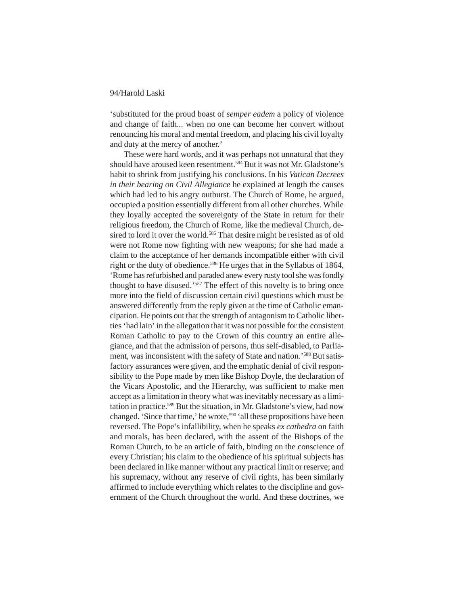'substituted for the proud boast of *semper eadem* a policy of violence and change of faith... when no one can become her convert without renouncing his moral and mental freedom, and placing his civil loyalty and duty at the mercy of another.'

These were hard words, and it was perhaps not unnatural that they should have aroused keen resentment.584 But it was not Mr. Gladstone's habit to shrink from justifying his conclusions. In his *Vatican Decrees in their bearing on Civil Allegiance* he explained at length the causes which had led to his angry outburst. The Church of Rome, he argued, occupied a position essentially different from all other churches. While they loyally accepted the sovereignty of the State in return for their religious freedom, the Church of Rome, like the medieval Church, desired to lord it over the world.<sup>585</sup> That desire might be resisted as of old were not Rome now fighting with new weapons; for she had made a claim to the acceptance of her demands incompatible either with civil right or the duty of obedience.<sup>586</sup> He urges that in the Syllabus of 1864, 'Rome has refurbished and paraded anew every rusty tool she was fondly thought to have disused.'587 The effect of this novelty is to bring once more into the field of discussion certain civil questions which must be answered differently from the reply given at the time of Catholic emancipation. He points out that the strength of antagonism to Catholic liberties 'had lain' in the allegation that it was not possible for the consistent Roman Catholic to pay to the Crown of this country an entire allegiance, and that the admission of persons, thus self-disabled, to Parliament, was inconsistent with the safety of State and nation.'588 But satisfactory assurances were given, and the emphatic denial of civil responsibility to the Pope made by men like Bishop Doyle, the declaration of the Vicars Apostolic, and the Hierarchy, was sufficient to make men accept as a limitation in theory what was inevitably necessary as a limitation in practice.589 But the situation, in Mr. Gladstone's view, had now changed. 'Since that time,' he wrote,<sup>590</sup> 'all these propositions have been reversed. The Pope's infallibility, when he speaks *ex cathedra* on faith and morals, has been declared, with the assent of the Bishops of the Roman Church, to be an article of faith, binding on the conscience of every Christian; his claim to the obedience of his spiritual subjects has been declared in like manner without any practical limit or reserve; and his supremacy, without any reserve of civil rights, has been similarly affirmed to include everything which relates to the discipline and government of the Church throughout the world. And these doctrines, we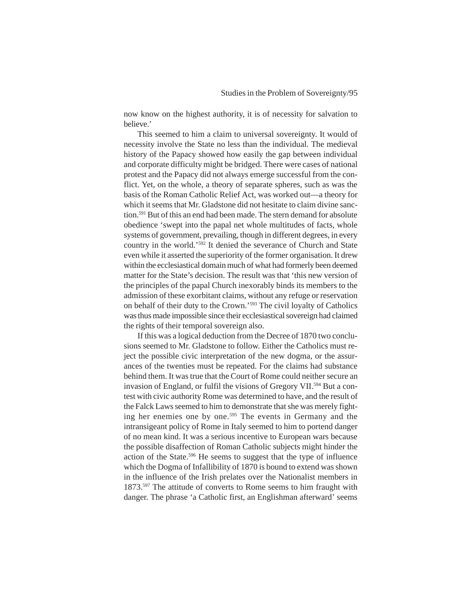now know on the highest authority, it is of necessity for salvation to believe.'

This seemed to him a claim to universal sovereignty. It would of necessity involve the State no less than the individual. The medieval history of the Papacy showed how easily the gap between individual and corporate difficulty might be bridged. There were cases of national protest and the Papacy did not always emerge successful from the conflict. Yet, on the whole, a theory of separate spheres, such as was the basis of the Roman Catholic Relief Act, was worked out—a theory for which it seems that Mr. Gladstone did not hesitate to claim divine sanction.591 But of this an end had been made. The stern demand for absolute obedience 'swept into the papal net whole multitudes of facts, whole systems of government, prevailing, though in different degrees, in every country in the world.'592 It denied the severance of Church and State even while it asserted the superiority of the former organisation. It drew within the ecclesiastical domain much of what had formerly been deemed matter for the State's decision. The result was that 'this new version of the principles of the papal Church inexorably binds its members to the admission of these exorbitant claims, without any refuge or reservation on behalf of their duty to the Crown.'593 The civil loyalty of Catholics was thus made impossible since their ecclesiastical sovereign had claimed the rights of their temporal sovereign also.

If this was a logical deduction from the Decree of 1870 two conclusions seemed to Mr. Gladstone to follow. Either the Catholics must reject the possible civic interpretation of the new dogma, or the assurances of the twenties must be repeated. For the claims had substance behind them. It was true that the Court of Rome could neither secure an invasion of England, or fulfil the visions of Gregory VII.<sup>594</sup> But a contest with civic authority Rome was determined to have, and the result of the Falck Laws seemed to him to demonstrate that she was merely fighting her enemies one by one.595 The events in Germany and the intransigeant policy of Rome in Italy seemed to him to portend danger of no mean kind. It was a serious incentive to European wars because the possible disaffection of Roman Catholic subjects might hinder the action of the State.596 He seems to suggest that the type of influence which the Dogma of Infallibility of 1870 is bound to extend was shown in the influence of the Irish prelates over the Nationalist members in 1873.597 The attitude of converts to Rome seems to him fraught with danger. The phrase 'a Catholic first, an Englishman afterward' seems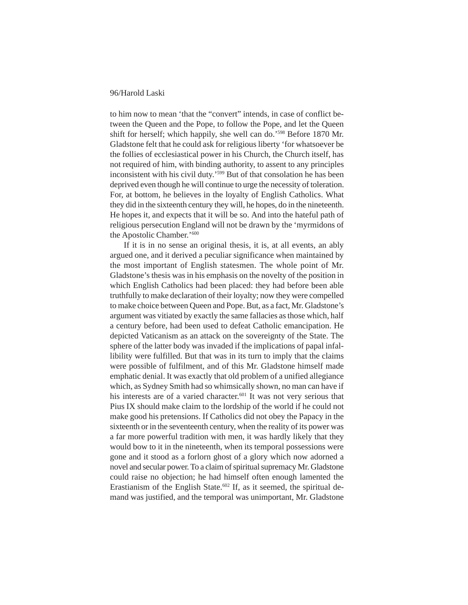to him now to mean 'that the "convert" intends, in case of conflict between the Queen and the Pope, to follow the Pope, and let the Queen shift for herself; which happily, she well can do.'598 Before 1870 Mr. Gladstone felt that he could ask for religious liberty 'for whatsoever be the follies of ecclesiastical power in his Church, the Church itself, has not required of him, with binding authority, to assent to any principles inconsistent with his civil duty.'599 But of that consolation he has been deprived even though he will continue to urge the necessity of toleration. For, at bottom, he believes in the loyalty of English Catholics. What they did in the sixteenth century they will, he hopes, do in the nineteenth. He hopes it, and expects that it will be so. And into the hateful path of religious persecution England will not be drawn by the 'myrmidons of the Apostolic Chamber.'600

If it is in no sense an original thesis, it is, at all events, an ably argued one, and it derived a peculiar significance when maintained by the most important of English statesmen. The whole point of Mr. Gladstone's thesis was in his emphasis on the novelty of the position in which English Catholics had been placed: they had before been able truthfully to make declaration of their loyalty; now they were compelled to make choice between Queen and Pope. But, as a fact, Mr. Gladstone's argument was vitiated by exactly the same fallacies as those which, half a century before, had been used to defeat Catholic emancipation. He depicted Vaticanism as an attack on the sovereignty of the State. The sphere of the latter body was invaded if the implications of papal infallibility were fulfilled. But that was in its turn to imply that the claims were possible of fulfilment, and of this Mr. Gladstone himself made emphatic denial. It was exactly that old problem of a unified allegiance which, as Sydney Smith had so whimsically shown, no man can have if his interests are of a varied character.<sup>601</sup> It was not very serious that Pius IX should make claim to the lordship of the world if he could not make good his pretensions. If Catholics did not obey the Papacy in the sixteenth or in the seventeenth century, when the reality of its power was a far more powerful tradition with men, it was hardly likely that they would bow to it in the nineteenth, when its temporal possessions were gone and it stood as a forlorn ghost of a glory which now adorned a novel and secular power. To a claim of spiritual supremacy Mr. Gladstone could raise no objection; he had himself often enough lamented the Erastianism of the English State.<sup>602</sup> If, as it seemed, the spiritual demand was justified, and the temporal was unimportant, Mr. Gladstone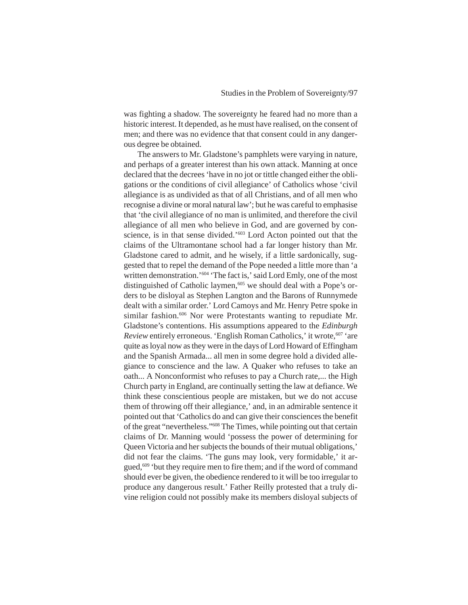was fighting a shadow. The sovereignty he feared had no more than a historic interest. It depended, as he must have realised, on the consent of men; and there was no evidence that that consent could in any dangerous degree be obtained.

The answers to Mr. Gladstone's pamphlets were varying in nature, and perhaps of a greater interest than his own attack. Manning at once declared that the decrees 'have in no jot or tittle changed either the obligations or the conditions of civil allegiance' of Catholics whose 'civil allegiance is as undivided as that of all Christians, and of all men who recognise a divine or moral natural law'; but he was careful to emphasise that 'the civil allegiance of no man is unlimited, and therefore the civil allegiance of all men who believe in God, and are governed by conscience, is in that sense divided.'603 Lord Acton pointed out that the claims of the Ultramontane school had a far longer history than Mr. Gladstone cared to admit, and he wisely, if a little sardonically, suggested that to repel the demand of the Pope needed a little more than 'a written demonstration.'<sup>604</sup> 'The fact is,' said Lord Emly, one of the most distinguished of Catholic laymen,<sup>605</sup> we should deal with a Pope's orders to be disloyal as Stephen Langton and the Barons of Runnymede dealt with a similar order.' Lord Camoys and Mr. Henry Petre spoke in similar fashion.<sup>606</sup> Nor were Protestants wanting to repudiate Mr. Gladstone's contentions. His assumptions appeared to the *Edinburgh Review* entirely erroneous. 'English Roman Catholics,' it wrote,<sup>607</sup> 'are quite as loyal now as they were in the days of Lord Howard of Effingham and the Spanish Armada... all men in some degree hold a divided allegiance to conscience and the law. A Quaker who refuses to take an oath... A Nonconformist who refuses to pay a Church rate,... the High Church party in England, are continually setting the law at defiance. We think these conscientious people are mistaken, but we do not accuse them of throwing off their allegiance,' and, in an admirable sentence it pointed out that 'Catholics do and can give their consciences the benefit of the great "nevertheless."608 The Times, while pointing out that certain claims of Dr. Manning would 'possess the power of determining for Queen Victoria and her subjects the bounds of their mutual obligations,' did not fear the claims. 'The guns may look, very formidable,' it argued,609 'but they require men to fire them; and if the word of command should ever be given, the obedience rendered to it will be too irregular to produce any dangerous result.' Father Reilly protested that a truly divine religion could not possibly make its members disloyal subjects of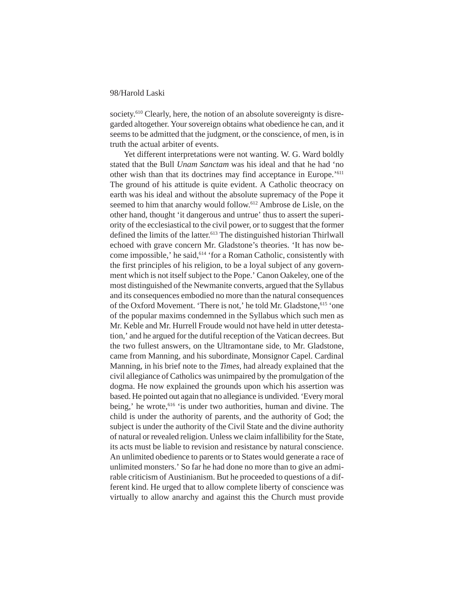society.<sup>610</sup> Clearly, here, the notion of an absolute sovereignty is disregarded altogether. Your sovereign obtains what obedience he can, and it seems to be admitted that the judgment, or the conscience, of men, is in truth the actual arbiter of events.

Yet different interpretations were not wanting. W. G. Ward boldly stated that the Bull *Unam Sanctam* was his ideal and that he had 'no other wish than that its doctrines may find acceptance in Europe.'611 The ground of his attitude is quite evident. A Catholic theocracy on earth was his ideal and without the absolute supremacy of the Pope it seemed to him that anarchy would follow.<sup>612</sup> Ambrose de Lisle, on the other hand, thought 'it dangerous and untrue' thus to assert the superiority of the ecclesiastical to the civil power, or to suggest that the former defined the limits of the latter.<sup>613</sup> The distinguished historian Thirlwall echoed with grave concern Mr. Gladstone's theories. 'It has now become impossible,' he said,<sup>614</sup> 'for a Roman Catholic, consistently with the first principles of his religion, to be a loyal subject of any government which is not itself subject to the Pope.' Canon Oakeley, one of the most distinguished of the Newmanite converts, argued that the Syllabus and its consequences embodied no more than the natural consequences of the Oxford Movement. 'There is not,' he told Mr. Gladstone,615 'one of the popular maxims condemned in the Syllabus which such men as Mr. Keble and Mr. Hurrell Froude would not have held in utter detestation,' and he argued for the dutiful reception of the Vatican decrees. But the two fullest answers, on the Ultramontane side, to Mr. Gladstone, came from Manning, and his subordinate, Monsignor Capel. Cardinal Manning, in his brief note to the *Times*, had already explained that the civil allegiance of Catholics was unimpaired by the promulgation of the dogma. He now explained the grounds upon which his assertion was based. He pointed out again that no allegiance is undivided. 'Every moral being,' he wrote,<sup>616</sup> 'is under two authorities, human and divine. The child is under the authority of parents, and the authority of God; the subject is under the authority of the Civil State and the divine authority of natural or revealed religion. Unless we claim infallibility for the State, its acts must be liable to revision and resistance by natural conscience. An unlimited obedience to parents or to States would generate a race of unlimited monsters.' So far he had done no more than to give an admirable criticism of Austinianism. But he proceeded to questions of a different kind. He urged that to allow complete liberty of conscience was virtually to allow anarchy and against this the Church must provide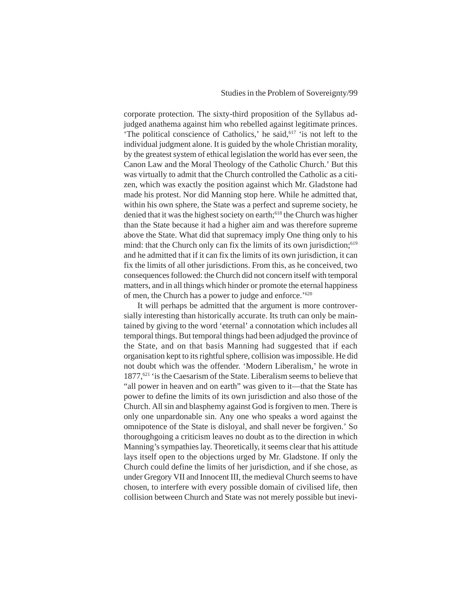corporate protection. The sixty-third proposition of the Syllabus adjudged anathema against him who rebelled against legitimate princes. 'The political conscience of Catholics,' he said,617 'is not left to the individual judgment alone. It is guided by the whole Christian morality, by the greatest system of ethical legislation the world has ever seen, the Canon Law and the Moral Theology of the Catholic Church.' But this was virtually to admit that the Church controlled the Catholic as a citizen, which was exactly the position against which Mr. Gladstone had made his protest. Nor did Manning stop here. While he admitted that, within his own sphere, the State was a perfect and supreme society, he denied that it was the highest society on earth;618 the Church was higher than the State because it had a higher aim and was therefore supreme above the State. What did that supremacy imply One thing only to his mind: that the Church only can fix the limits of its own jurisdiction;<sup>619</sup> and he admitted that if it can fix the limits of its own jurisdiction, it can fix the limits of all other jurisdictions. From this, as he conceived, two consequences followed: the Church did not concern itself with temporal matters, and in all things which hinder or promote the eternal happiness of men, the Church has a power to judge and enforce.'620

It will perhaps be admitted that the argument is more controversially interesting than historically accurate. Its truth can only be maintained by giving to the word 'eternal' a connotation which includes all temporal things. But temporal things had been adjudged the province of the State, and on that basis Manning had suggested that if each organisation kept to its rightful sphere, collision was impossible. He did not doubt which was the offender. 'Modern Liberalism,' he wrote in 1877,621 'is the Caesarism of the State. Liberalism seems to believe that "all power in heaven and on earth" was given to it—that the State has power to define the limits of its own jurisdiction and also those of the Church. All sin and blasphemy against God is forgiven to men. There is only one unpardonable sin. Any one who speaks a word against the omnipotence of the State is disloyal, and shall never be forgiven.' So thoroughgoing a criticism leaves no doubt as to the direction in which Manning's sympathies lay. Theoretically, it seems clear that his attitude lays itself open to the objections urged by Mr. Gladstone. If only the Church could define the limits of her jurisdiction, and if she chose, as under Gregory VII and Innocent III, the medieval Church seems to have chosen, to interfere with every possible domain of civilised life, then collision between Church and State was not merely possible but inevi-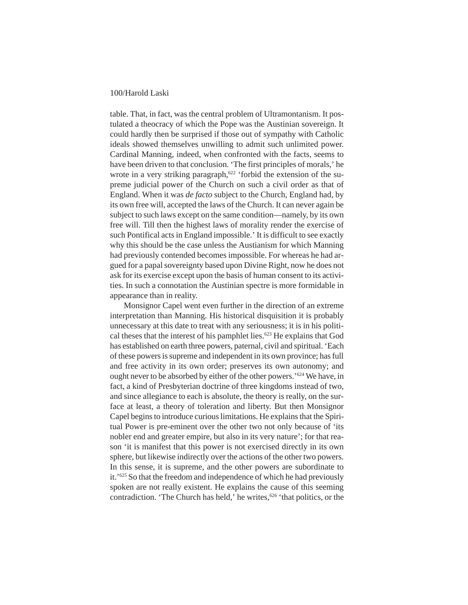table. That, in fact, was the central problem of Ultramontanism. It postulated a theocracy of which the Pope was the Austinian sovereign. It could hardly then be surprised if those out of sympathy with Catholic ideals showed themselves unwilling to admit such unlimited power. Cardinal Manning, indeed, when confronted with the facts, seems to have been driven to that conclusion. 'The first principles of morals,' he wrote in a very striking paragraph,<sup>622</sup> 'forbid the extension of the supreme judicial power of the Church on such a civil order as that of England. When it was *de facto* subject to the Church, England had, by its own free will, accepted the laws of the Church. It can never again be subject to such laws except on the same condition—namely, by its own free will. Till then the highest laws of morality render the exercise of such Pontifical acts in England impossible.' It is difficult to see exactly why this should be the case unless the Austianism for which Manning had previously contended becomes impossible. For whereas he had argued for a papal sovereignty based upon Divine Right, now he does not ask for its exercise except upon the basis of human consent to its activities. In such a connotation the Austinian spectre is more formidable in appearance than in reality.

Monsignor Capel went even further in the direction of an extreme interpretation than Manning. His historical disquisition it is probably unnecessary at this date to treat with any seriousness; it is in his political theses that the interest of his pamphlet lies.<sup>623</sup> He explains that God has established on earth three powers, paternal, civil and spiritual. 'Each of these powers is supreme and independent in its own province; has full and free activity in its own order; preserves its own autonomy; and ought never to be absorbed by either of the other powers.'624 We have, in fact, a kind of Presbyterian doctrine of three kingdoms instead of two, and since allegiance to each is absolute, the theory is really, on the surface at least, a theory of toleration and liberty. But then Monsignor Capel begins to introduce curious limitations. He explains that the Spiritual Power is pre-eminent over the other two not only because of 'its nobler end and greater empire, but also in its very nature'; for that reason 'it is manifest that this power is not exercised directly in its own sphere, but likewise indirectly over the actions of the other two powers. In this sense, it is supreme, and the other powers are subordinate to it.'625 So that the freedom and independence of which he had previously spoken are not really existent. He explains the cause of this seeming contradiction. 'The Church has held,' he writes, $626$  'that politics, or the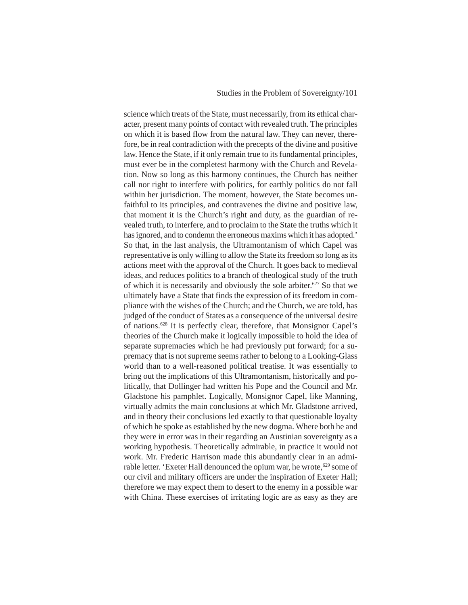science which treats of the State, must necessarily, from its ethical character, present many points of contact with revealed truth. The principles on which it is based flow from the natural law. They can never, therefore, be in real contradiction with the precepts of the divine and positive law. Hence the State, if it only remain true to its fundamental principles, must ever be in the completest harmony with the Church and Revelation. Now so long as this harmony continues, the Church has neither call nor right to interfere with politics, for earthly politics do not fall within her jurisdiction. The moment, however, the State becomes unfaithful to its principles, and contravenes the divine and positive law, that moment it is the Church's right and duty, as the guardian of revealed truth, to interfere, and to proclaim to the State the truths which it has ignored, and to condemn the erroneous maxims which it has adopted.' So that, in the last analysis, the Ultramontanism of which Capel was representative is only willing to allow the State its freedom so long as its actions meet with the approval of the Church. It goes back to medieval ideas, and reduces politics to a branch of theological study of the truth of which it is necessarily and obviously the sole arbiter.627 So that we ultimately have a State that finds the expression of its freedom in compliance with the wishes of the Church; and the Church, we are told, has judged of the conduct of States as a consequence of the universal desire of nations.628 It is perfectly clear, therefore, that Monsignor Capel's theories of the Church make it logically impossible to hold the idea of separate supremacies which he had previously put forward; for a supremacy that is not supreme seems rather to belong to a Looking-Glass world than to a well-reasoned political treatise. It was essentially to bring out the implications of this Ultramontanism, historically and politically, that Dollinger had written his Pope and the Council and Mr. Gladstone his pamphlet. Logically, Monsignor Capel, like Manning, virtually admits the main conclusions at which Mr. Gladstone arrived, and in theory their conclusions led exactly to that questionable loyalty of which he spoke as established by the new dogma. Where both he and they were in error was in their regarding an Austinian sovereignty as a working hypothesis. Theoretically admirable, in practice it would not work. Mr. Frederic Harrison made this abundantly clear in an admirable letter. 'Exeter Hall denounced the opium war, he wrote,<sup>629</sup> some of our civil and military officers are under the inspiration of Exeter Hall; therefore we may expect them to desert to the enemy in a possible war with China. These exercises of irritating logic are as easy as they are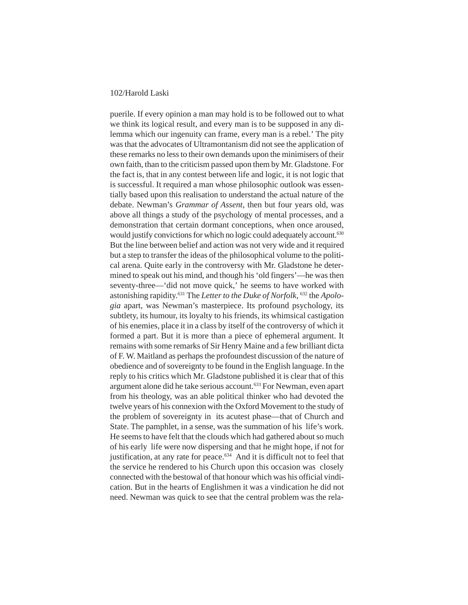puerile. If every opinion a man may hold is to be followed out to what we think its logical result, and every man is to be supposed in any dilemma which our ingenuity can frame, every man is a rebel.' The pity was that the advocates of Ultramontanism did not see the application of these remarks no less to their own demands upon the minimisers of their own faith, than to the criticism passed upon them by Mr. Gladstone. For the fact is, that in any contest between life and logic, it is not logic that is successful. It required a man whose philosophic outlook was essentially based upon this realisation to understand the actual nature of the debate. Newman's *Grammar of Assent*, then but four years old, was above all things a study of the psychology of mental processes, and a demonstration that certain dormant conceptions, when once aroused, would justify convictions for which no logic could adequately account.<sup>630</sup> But the line between belief and action was not very wide and it required but a step to transfer the ideas of the philosophical volume to the political arena. Quite early in the controversy with Mr. Gladstone he determined to speak out his mind, and though his 'old fingers'—he was then seventy-three—'did not move quick,' he seems to have worked with astonishing rapidity.631 The *Letter to the Duke of Norfolk*, 632 the *Apologia* apart, was Newman's masterpiece. Its profound psychology, its subtlety, its humour, its loyalty to his friends, its whimsical castigation of his enemies, place it in a class by itself of the controversy of which it formed a part. But it is more than a piece of ephemeral argument. It remains with some remarks of Sir Henry Maine and a few brilliant dicta of F. W. Maitland as perhaps the profoundest discussion of the nature of obedience and of sovereignty to be found in the English language. In the reply to his critics which Mr. Gladstone published it is clear that of this argument alone did he take serious account.633 For Newman, even apart from his theology, was an able political thinker who had devoted the twelve years of his connexion with the Oxford Movement to the study of the problem of sovereignty in its acutest phase—that of Church and State. The pamphlet, in a sense, was the summation of his life's work. He seems to have felt that the clouds which had gathered about so much of his early life were now dispersing and that he might hope, if not for justification, at any rate for peace.<sup>634</sup> And it is difficult not to feel that the service he rendered to his Church upon this occasion was closely connected with the bestowal of that honour which was his official vindication. But in the hearts of Englishmen it was a vindication he did not need. Newman was quick to see that the central problem was the rela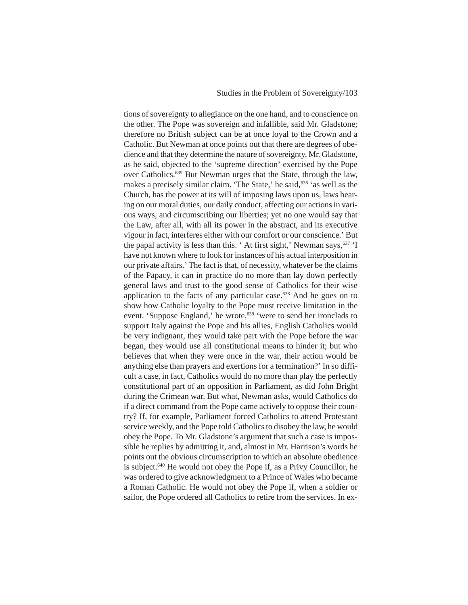tions of sovereignty to allegiance on the one hand, and to conscience on the other. The Pope was sovereign and infallible, said Mr. Gladstone; therefore no British subject can be at once loyal to the Crown and a Catholic. But Newman at once points out that there are degrees of obedience and that they determine the nature of sovereignty. Mr. Gladstone, as he said, objected to the 'supreme direction' exercised by the Pope over Catholics.635 But Newman urges that the State, through the law, makes a precisely similar claim. 'The State,' he said,<sup>636</sup> 'as well as the Church, has the power at its will of imposing laws upon us, laws bearing on our moral duties, our daily conduct, affecting our actions in various ways, and circumscribing our liberties; yet no one would say that the Law, after all, with all its power in the abstract, and its executive vigour in fact, interferes either with our comfort or our conscience.' But the papal activity is less than this. ' At first sight,' Newman says, $637$  'I have not known where to look for instances of his actual interposition in our private affairs.' The fact is that, of necessity, whatever be the claims of the Papacy, it can in practice do no more than lay down perfectly general laws and trust to the good sense of Catholics for their wise application to the facts of any particular case.638 And he goes on to show how Catholic loyalty to the Pope must receive limitation in the event. 'Suppose England,' he wrote, $639$  'were to send her ironclads to support Italy against the Pope and his allies, English Catholics would be very indignant, they would take part with the Pope before the war began, they would use all constitutional means to hinder it; but who believes that when they were once in the war, their action would be anything else than prayers and exertions for a termination?' In so difficult a case, in fact, Catholics would do no more than play the perfectly constitutional part of an opposition in Parliament, as did John Bright during the Crimean war. But what, Newman asks, would Catholics do if a direct command from the Pope came actively to oppose their country? If, for example, Parliament forced Catholics to attend Protestant service weekly, and the Pope told Catholics to disobey the law, he would obey the Pope. To Mr. Gladstone's argument that such a case is impossible he replies by admitting it, and, almost in Mr. Harrison's words he points out the obvious circumscription to which an absolute obedience is subject.640 He would not obey the Pope if, as a Privy Councillor, he was ordered to give acknowledgment to a Prince of Wales who became a Roman Catholic. He would not obey the Pope if, when a soldier or sailor, the Pope ordered all Catholics to retire from the services. In ex-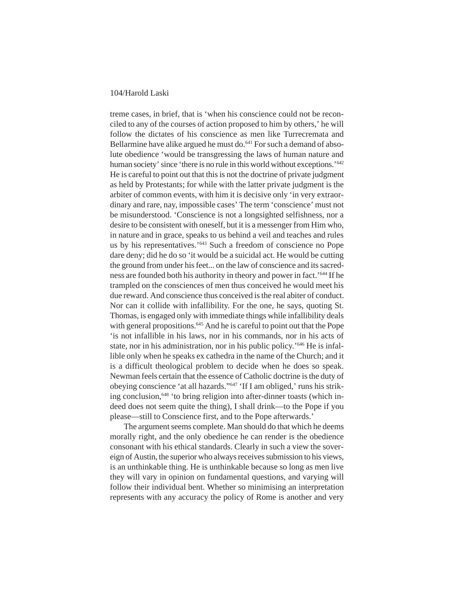treme cases, in brief, that is 'when his conscience could not be reconciled to any of the courses of action proposed to him by others,' he will follow the dictates of his conscience as men like Turrecremata and Bellarmine have alike argued he must do. $641$  For such a demand of absolute obedience 'would be transgressing the laws of human nature and human society' since 'there is no rule in this world without exceptions.'<sup>642</sup> He is careful to point out that this is not the doctrine of private judgment as held by Protestants; for while with the latter private judgment is the arbiter of common events, with him it is decisive only 'in very extraordinary and rare, nay, impossible cases' The term 'conscience' must not be misunderstood. 'Conscience is not a longsighted selfishness, nor a desire to be consistent with oneself, but it is a messenger from Him who, in nature and in grace, speaks to us behind a veil and teaches and rules us by his representatives.'643 Such a freedom of conscience no Pope dare deny; did he do so 'it would be a suicidal act. He would be cutting the ground from under his feet... on the law of conscience and its sacredness are founded both his authority in theory and power in fact.'644 If he trampled on the consciences of men thus conceived he would meet his due reward. And conscience thus conceived is the real abiter of conduct. Nor can it collide with infallibility. For the one, he says, quoting St. Thomas, is engaged only with immediate things while infallibility deals with general propositions.<sup>645</sup> And he is careful to point out that the Pope 'is not infallible in his laws, nor in his commands, nor in his acts of state, nor in his administration, nor in his public policy.'646 He is infallible only when he speaks ex cathedra in the name of the Church; and it is a difficult theological problem to decide when he does so speak. Newman feels certain that the essence of Catholic doctrine is the duty of obeying conscience 'at all hazards."647 'If I am obliged,' runs his striking conclusion,648 'to bring religion into after-dinner toasts (which indeed does not seem quite the thing), I shall drink—to the Pope if you please—still to Conscience first, and to the Pope afterwards.'

The argument seems complete. Man should do that which he deems morally right, and the only obedience he can render is the obedience consonant with his ethical standards. Clearly in such a view the sovereign of Austin, the superior who always receives submission to his views, is an unthinkable thing. He is unthinkable because so long as men live they will vary in opinion on fundamental questions, and varying will follow their individual bent. Whether so minimising an interpretation represents with any accuracy the policy of Rome is another and very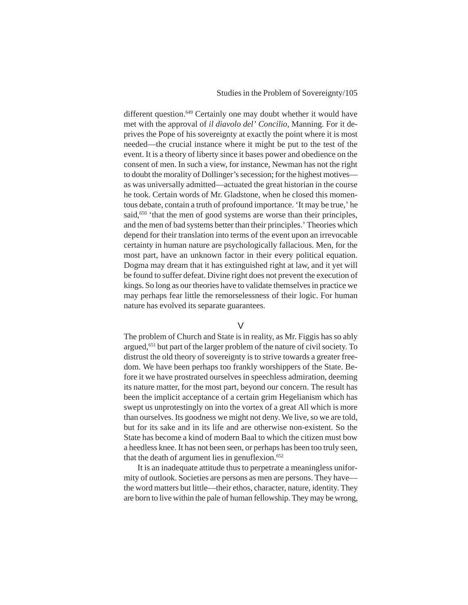different question.<sup>649</sup> Certainly one may doubt whether it would have met with the approval of *il diavolo del' Concilio*, Manning. For it deprives the Pope of his sovereignty at exactly the point where it is most needed—the crucial instance where it might be put to the test of the event. It is a theory of liberty since it bases power and obedience on the consent of men. In such a view, for instance, Newman has not the right to doubt the morality of Dollinger's secession; for the highest motives as was universally admitted—actuated the great historian in the course he took. Certain words of Mr. Gladstone, when he closed this momentous debate, contain a truth of profound importance. 'It may be true,' he said,<sup>650</sup> 'that the men of good systems are worse than their principles, and the men of bad systems better than their principles.' Theories which depend for their translation into terms of the event upon an irrevocable certainty in human nature are psychologically fallacious. Men, for the most part, have an unknown factor in their every political equation. Dogma may dream that it has extinguished right at law, and it yet will be found to suffer defeat. Divine right does not prevent the execution of kings. So long as our theories have to validate themselves in practice we may perhaps fear little the remorselessness of their logic. For human nature has evolved its separate guarantees.

# V

The problem of Church and State is in reality, as Mr. Figgis has so ably argued,651 but part of the larger problem of the nature of civil society. To distrust the old theory of sovereignty is to strive towards a greater freedom. We have been perhaps too frankly worshippers of the State. Before it we have prostrated ourselves in speechless admiration, deeming its nature matter, for the most part, beyond our concern. The result has been the implicit acceptance of a certain grim Hegelianism which has swept us unprotestingly on into the vortex of a great All which is more than ourselves. Its goodness we might not deny. We live, so we are told, but for its sake and in its life and are otherwise non-existent. So the State has become a kind of modern Baal to which the citizen must bow a heedless knee. It has not been seen, or perhaps has been too truly seen, that the death of argument lies in genuflexion.<sup>652</sup>

It is an inadequate attitude thus to perpetrate a meaningless uniformity of outlook. Societies are persons as men are persons. They have the word matters but little—their ethos, character, nature, identity. They are born to live within the pale of human fellowship. They may be wrong,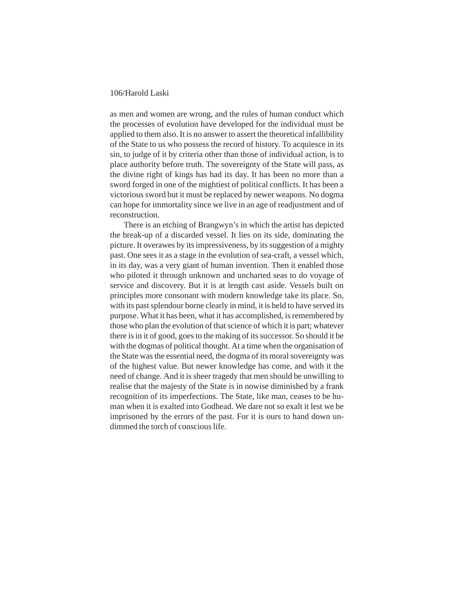as men and women are wrong, and the rules of human conduct which the processes of evolution have developed for the individual must be applied to them also. It is no answer to assert the theoretical infallibility of the State to us who possess the record of history. To acquiesce in its sin, to judge of it by criteria other than those of individual action, is to place authority before truth. The sovereignty of the State will pass, as the divine right of kings has had its day. It has been no more than a sword forged in one of the mightiest of political conflicts. It has been a victorious sword but it must be replaced by newer weapons. No dogma can hope for immortality since we live in an age of readjustment and of reconstruction.

There is an etching of Brangwyn's in which the artist has depicted the break-up of a discarded vessel. It lies on its side, dominating the picture. It overawes by its impressiveness, by its suggestion of a mighty past. One sees it as a stage in the evolution of sea-craft, a vessel which, in its day, was a very giant of human invention. Then it enabled those who piloted it through unknown and uncharted seas to do voyage of service and discovery. But it is at length cast aside. Vessels built on principles more consonant with modern knowledge take its place. So, with its past splendour borne clearly in mind, it is held to have served its purpose. What it has been, what it has accomplished, is remembered by those who plan the evolution of that science of which it is part; whatever there is in it of good, goes to the making of its successor. So should it be with the dogmas of political thought. At a time when the organisation of the State was the essential need, the dogma of its moral sovereignty was of the highest value. But newer knowledge has come, and with it the need of change. And it is sheer tragedy that men should be unwilling to realise that the majesty of the State is in nowise diminished by a frank recognition of its imperfections. The State, like man, ceases to be human when it is exalted into Godhead. We dare not so exalt it lest we be imprisoned by the errors of the past. For it is ours to hand down undimmed the torch of conscious life.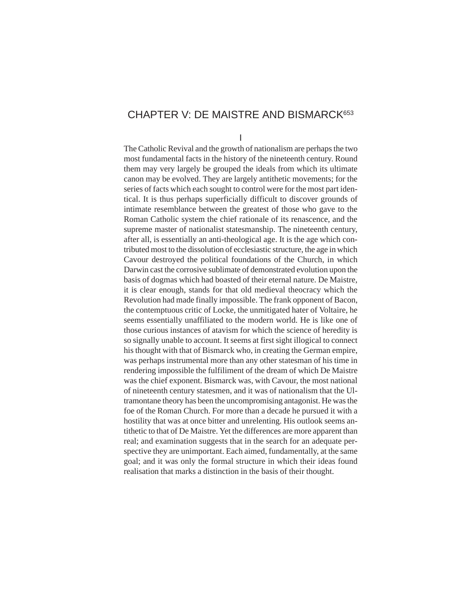# CHAPTER V: DE MAISTRE AND BISMARCK<sup>653</sup>

I

The Catholic Revival and the growth of nationalism are perhaps the two most fundamental facts in the history of the nineteenth century. Round them may very largely be grouped the ideals from which its ultimate canon may be evolved. They are largely antithetic movements; for the series of facts which each sought to control were for the most part identical. It is thus perhaps superficially difficult to discover grounds of intimate resemblance between the greatest of those who gave to the Roman Catholic system the chief rationale of its renascence, and the supreme master of nationalist statesmanship. The nineteenth century, after all, is essentially an anti-theological age. It is the age which contributed most to the dissolution of ecclesiastic structure, the age in which Cavour destroyed the political foundations of the Church, in which Darwin cast the corrosive sublimate of demonstrated evolution upon the basis of dogmas which had boasted of their eternal nature. De Maistre, it is clear enough, stands for that old medieval theocracy which the Revolution had made finally impossible. The frank opponent of Bacon, the contemptuous critic of Locke, the unmitigated hater of Voltaire, he seems essentially unaffiliated to the modern world. He is like one of those curious instances of atavism for which the science of heredity is so signally unable to account. It seems at first sight illogical to connect his thought with that of Bismarck who, in creating the German empire, was perhaps instrumental more than any other statesman of his time in rendering impossible the fulfiliment of the dream of which De Maistre was the chief exponent. Bismarck was, with Cavour, the most national of nineteenth century statesmen, and it was of nationalism that the Ultramontane theory has been the uncompromising antagonist. He was the foe of the Roman Church. For more than a decade he pursued it with a hostility that was at once bitter and unrelenting. His outlook seems antithetic to that of De Maistre. Yet the differences are more apparent than real; and examination suggests that in the search for an adequate perspective they are unimportant. Each aimed, fundamentally, at the same goal; and it was only the formal structure in which their ideas found realisation that marks a distinction in the basis of their thought.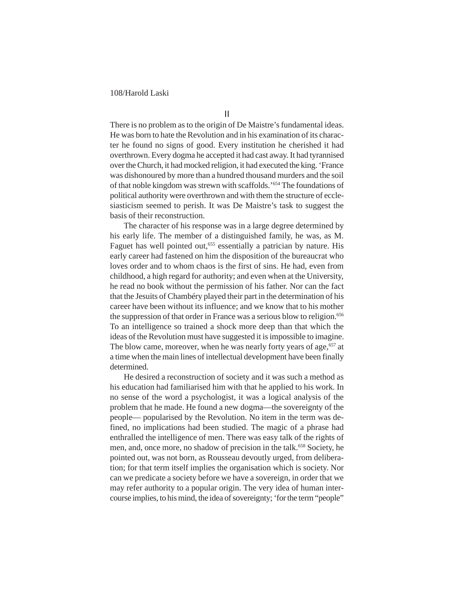There is no problem as to the origin of De Maistre's fundamental ideas. He was born to hate the Revolution and in his examination of its character he found no signs of good. Every institution he cherished it had overthrown. Every dogma he accepted it had cast away. It had tyrannised over the Church, it had mocked religion, it had executed the king. 'France was dishonoured by more than a hundred thousand murders and the soil of that noble kingdom was strewn with scaffolds.'654 The foundations of political authority were overthrown and with them the structure of ecclesiasticism seemed to perish. It was De Maistre's task to suggest the basis of their reconstruction.

The character of his response was in a large degree determined by his early life. The member of a distinguished family, he was, as M. Faguet has well pointed out,<sup>655</sup> essentially a patrician by nature. His early career had fastened on him the disposition of the bureaucrat who loves order and to whom chaos is the first of sins. He had, even from childhood, a high regard for authority; and even when at the University, he read no book without the permission of his father. Nor can the fact that the Jesuits of Chambéry played their part in the determination of his career have been without its influence; and we know that to his mother the suppression of that order in France was a serious blow to religion.<sup>656</sup> To an intelligence so trained a shock more deep than that which the ideas of the Revolution must have suggested it is impossible to imagine. The blow came, moreover, when he was nearly forty years of age,<sup>657</sup> at a time when the main lines of intellectual development have been finally determined.

He desired a reconstruction of society and it was such a method as his education had familiarised him with that he applied to his work. In no sense of the word a psychologist, it was a logical analysis of the problem that he made. He found a new dogma—the sovereignty of the people— popularised by the Revolution. No item in the term was defined, no implications had been studied. The magic of a phrase had enthralled the intelligence of men. There was easy talk of the rights of men, and, once more, no shadow of precision in the talk.<sup>658</sup> Society, he pointed out, was not born, as Rousseau devoutly urged, from deliberation; for that term itself implies the organisation which is society. Nor can we predicate a society before we have a sovereign, in order that we may refer authority to a popular origin. The very idea of human intercourse implies, to his mind, the idea of sovereignty; 'for the term "people"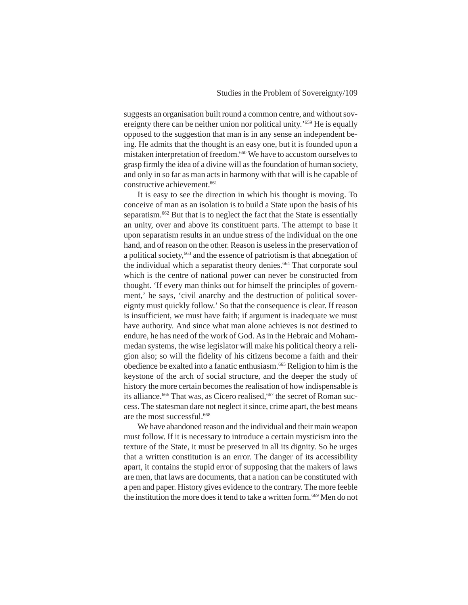suggests an organisation built round a common centre, and without sovereignty there can be neither union nor political unity.<sup>'659</sup> He is equally opposed to the suggestion that man is in any sense an independent being. He admits that the thought is an easy one, but it is founded upon a mistaken interpretation of freedom.660 We have to accustom ourselves to grasp firmly the idea of a divine will as the foundation of human society, and only in so far as man acts in harmony with that will is he capable of constructive achievement.<sup>661</sup>

It is easy to see the direction in which his thought is moving. To conceive of man as an isolation is to build a State upon the basis of his separatism.662 But that is to neglect the fact that the State is essentially an unity, over and above its constituent parts. The attempt to base it upon separatism results in an undue stress of the individual on the one hand, and of reason on the other. Reason is useless in the preservation of a political society,<sup>663</sup> and the essence of patriotism is that abnegation of the individual which a separatist theory denies.<sup>664</sup> That corporate soul which is the centre of national power can never be constructed from thought. 'If every man thinks out for himself the principles of government,' he says, 'civil anarchy and the destruction of political sovereignty must quickly follow.' So that the consequence is clear. If reason is insufficient, we must have faith; if argument is inadequate we must have authority. And since what man alone achieves is not destined to endure, he has need of the work of God. As in the Hebraic and Mohammedan systems, the wise legislator will make his political theory a religion also; so will the fidelity of his citizens become a faith and their obedience be exalted into a fanatic enthusiasm.665 Religion to him is the keystone of the arch of social structure, and the deeper the study of history the more certain becomes the realisation of how indispensable is its alliance.<sup>666</sup> That was, as Cicero realised,<sup>667</sup> the secret of Roman success. The statesman dare not neglect it since, crime apart, the best means are the most successful.<sup>668</sup>

We have abandoned reason and the individual and their main weapon must follow. If it is necessary to introduce a certain mysticism into the texture of the State, it must be preserved in all its dignity. So he urges that a written constitution is an error. The danger of its accessibility apart, it contains the stupid error of supposing that the makers of laws are men, that laws are documents, that a nation can be constituted with a pen and paper. History gives evidence to the contrary. The more feeble the institution the more does it tend to take a written form.<sup>669</sup> Men do not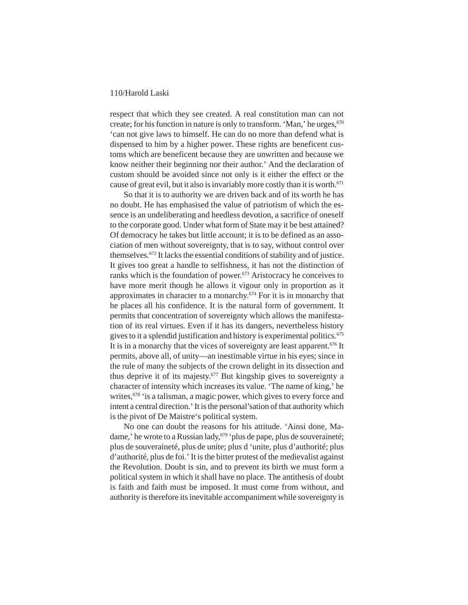respect that which they see created. A real constitution man can not create; for his function in nature is only to transform. 'Man,' he urges,  $670$ 'can not give laws to himself. He can do no more than defend what is dispensed to him by a higher power. These rights are beneficent customs which are beneficent because they are unwritten and because we know neither their beginning nor their author.' And the declaration of custom should be avoided since not only is it either the effect or the cause of great evil, but it also is invariably more costly than it is worth.<sup>671</sup>

So that it is to authority we are driven back and of its worth he has no doubt. He has emphasised the value of patriotism of which the essence is an undeliberating and heedless devotion, a sacrifice of oneself to the corporate good. Under what form of State may it be best attained? Of democracy he takes but little account; it is to be defined as an association of men without sovereignty, that is to say, without control over themselves.672 It lacks the essential conditions of stability and of justice. It gives too great a handle to selfishness, it has not the distinction of ranks which is the foundation of power.<sup>673</sup> Aristocracy he conceives to have more merit though he allows it vigour only in proportion as it approximates in character to a monarchy.674 For it is in monarchy that he places all his confidence. It is the natural form of government. It permits that concentration of sovereignty which allows the manifestation of its real virtues. Even if it has its dangers, nevertheless history gives to it a splendid justification and history is experimental politics.<sup>675</sup> It is in a monarchy that the vices of sovereignty are least apparent.<sup>676</sup> It permits, above all, of unity—an inestimable virtue in his eyes; since in the rule of many the subjects of the crown delight in its dissection and thus deprive it of its majesty.677 But kingship gives to sovereignty a character of intensity which increases its value. 'The name of king,' he writes,<sup>678</sup> 'is a talisman, a magic power, which gives to every force and intent a central direction.' It is the personal'sation of that authority which is the pivot of De Maistre's political system.

No one can doubt the reasons for his attitude. 'Ainsi done, Madame,' he wrote to a Russian lady,<sup>679</sup> 'plus de pape, plus de souveraineté; plus de souveraineté, plus de unite; plus d 'unite, plus d'authorité; plus d'authorité, plus de foi.' It is the bitter protest of the medievalist against the Revolution. Doubt is sin, and to prevent its birth we must form a political system in which it shall have no place. The antithesis of doubt is faith and faith must be imposed. It must come from without, and authority is therefore its inevitable accompaniment while sovereignty is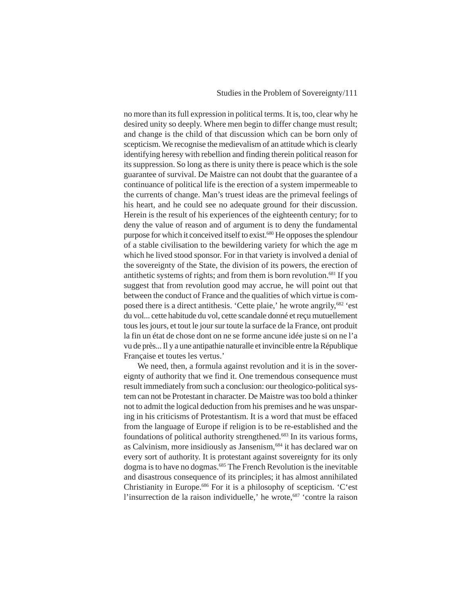#### Studies in the Problem of Sovereignty/111

no more than its full expression in political terms. It is, too, clear why he desired unity so deeply. Where men begin to differ change must result; and change is the child of that discussion which can be born only of scepticism. We recognise the medievalism of an attitude which is clearly identifying heresy with rebellion and finding therein political reason for its suppression. So long as there is unity there is peace which is the sole guarantee of survival. De Maistre can not doubt that the guarantee of a continuance of political life is the erection of a system impermeable to the currents of change. Man's truest ideas are the primeval feelings of his heart, and he could see no adequate ground for their discussion. Herein is the result of his experiences of the eighteenth century; for to deny the value of reason and of argument is to deny the fundamental purpose for which it conceived itself to exist.680 He opposes the splendour of a stable civilisation to the bewildering variety for which the age m which he lived stood sponsor. For in that variety is involved a denial of the sovereignty of the State, the division of its powers, the erection of antithetic systems of rights; and from them is born revolution.681 If you suggest that from revolution good may accrue, he will point out that between the conduct of France and the qualities of which virtue is composed there is a direct antithesis. 'Cette plaie,' he wrote angrily,<sup>682</sup> 'est du vol... cette habitude du vol, cette scandale donné et reçu mutuellement tous les jours, et tout le jour sur toute la surface de la France, ont produit la fin un état de chose dont on ne se forme ancune idée juste si on ne l'a vu de près... Il y a une antipathie naturalle et invincible entre la République Française et toutes les vertus.'

We need, then, a formula against revolution and it is in the sovereignty of authority that we find it. One tremendous consequence must result immediately from such a conclusion: our theologico-political system can not be Protestant in character. De Maistre was too bold a thinker not to admit the logical deduction from his premises and he was unsparing in his criticisms of Protestantism. It is a word that must be effaced from the language of Europe if religion is to be re-established and the foundations of political authority strengthened.683 In its various forms, as Calvinism, more insidiously as Jansenism,684 it has declared war on every sort of authority. It is protestant against sovereignty for its only dogma is to have no dogmas.685 The French Revolution is the inevitable and disastrous consequence of its principles; it has almost annihilated Christianity in Europe.686 For it is a philosophy of scepticism. 'C'est l'insurrection de la raison individuelle, he wrote,<sup>687</sup> 'contre la raison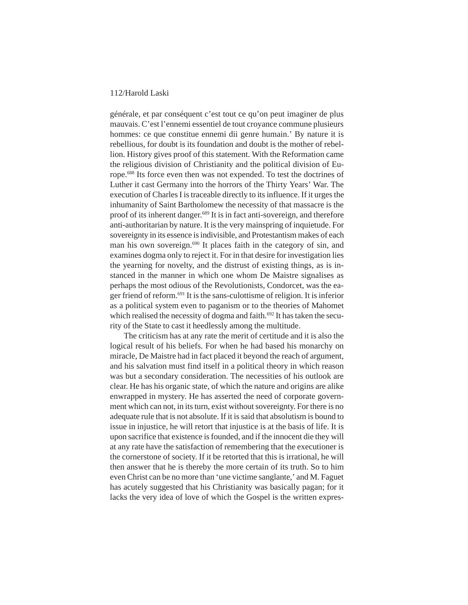générale, et par conséquent c'est tout ce qu'on peut imaginer de plus mauvais. C'est l'ennemi essentiel de tout croyance commune plusieurs hommes: ce que constitue ennemi dii genre humain.' By nature it is rebellious, for doubt is its foundation and doubt is the mother of rebellion. History gives proof of this statement. With the Reformation came the religious division of Christianity and the political division of Europe.688 Its force even then was not expended. To test the doctrines of Luther it cast Germany into the horrors of the Thirty Years' War. The execution of Charles I is traceable directly to its influence. If it urges the inhumanity of Saint Bartholomew the necessity of that massacre is the proof of its inherent danger.<sup>689</sup> It is in fact anti-sovereign, and therefore anti-authoritarian by nature. It is the very mainspring of inquietude. For sovereignty in its essence is indivisible, and Protestantism makes of each man his own sovereign.<sup>690</sup> It places faith in the category of sin, and examines dogma only to reject it. For in that desire for investigation lies the yearning for novelty, and the distrust of existing things, as is instanced in the manner in which one whom De Maistre signalises as perhaps the most odious of the Revolutionists, Condorcet, was the eager friend of reform.691 It is the sans-culottisme of religion. It is inferior as a political system even to paganism or to the theories of Mahomet which realised the necessity of dogma and faith.<sup>692</sup> It has taken the security of the State to cast it heedlessly among the multitude.

The criticism has at any rate the merit of certitude and it is also the logical result of his beliefs. For when he had based his monarchy on miracle, De Maistre had in fact placed it beyond the reach of argument, and his salvation must find itself in a political theory in which reason was but a secondary consideration. The necessities of his outlook are clear. He has his organic state, of which the nature and origins are alike enwrapped in mystery. He has asserted the need of corporate government which can not, in its turn, exist without sovereignty. For there is no adequate rule that is not absolute. If it is said that absolutism is bound to issue in injustice, he will retort that injustice is at the basis of life. It is upon sacrifice that existence is founded, and if the innocent die they will at any rate have the satisfaction of remembering that the executioner is the cornerstone of society. If it be retorted that this is irrational, he will then answer that he is thereby the more certain of its truth. So to him even Christ can be no more than 'une victime sanglante,' and M. Faguet has acutely suggested that his Christianity was basically pagan; for it lacks the very idea of love of which the Gospel is the written expres-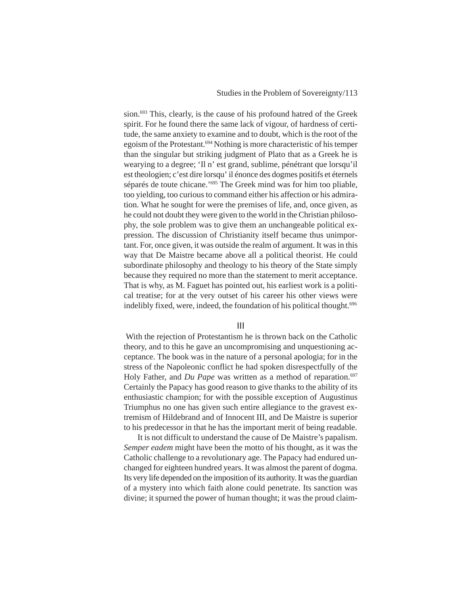sion.693 This, clearly, is the cause of his profound hatred of the Greek spirit. For he found there the same lack of vigour, of hardness of certitude, the same anxiety to examine and to doubt, which is the root of the egoism of the Protestant.694 Nothing is more characteristic of his temper than the singular but striking judgment of Plato that as a Greek he is wearying to a degree; 'Il n' est grand, sublime, pénétrant que lorsqu'il est theologien; c'est dire lorsqu' il énonce des dogmes positifs et éternels séparés de toute chicane.'695 The Greek mind was for him too pliable, too yielding, too curious to command either his affection or his admiration. What he sought for were the premises of life, and, once given, as he could not doubt they were given to the world in the Christian philosophy, the sole problem was to give them an unchangeable political expression. The discussion of Christianity itself became thus unimportant. For, once given, it was outside the realm of argument. It was in this way that De Maistre became above all a political theorist. He could subordinate philosophy and theology to his theory of the State simply because they required no more than the statement to merit acceptance. That is why, as M. Faguet has pointed out, his earliest work is a political treatise; for at the very outset of his career his other views were indelibly fixed, were, indeed, the foundation of his political thought.<sup>696</sup>

### III

 With the rejection of Protestantism he is thrown back on the Catholic theory, and to this he gave an uncompromising and unquestioning acceptance. The book was in the nature of a personal apologia; for in the stress of the Napoleonic conflict he had spoken disrespectfully of the Holy Father, and *Du Pape* was written as a method of reparation.<sup>697</sup> Certainly the Papacy has good reason to give thanks to the ability of its enthusiastic champion; for with the possible exception of Augustinus Triumphus no one has given such entire allegiance to the gravest extremism of Hildebrand and of Innocent III, and De Maistre is superior to his predecessor in that he has the important merit of being readable.

It is not difficult to understand the cause of De Maistre's papalism. *Semper eadem* might have been the motto of his thought, as it was the Catholic challenge to a revolutionary age. The Papacy had endured unchanged for eighteen hundred years. It was almost the parent of dogma. Its very life depended on the imposition of its authority. It was the guardian of a mystery into which faith alone could penetrate. Its sanction was divine; it spurned the power of human thought; it was the proud claim-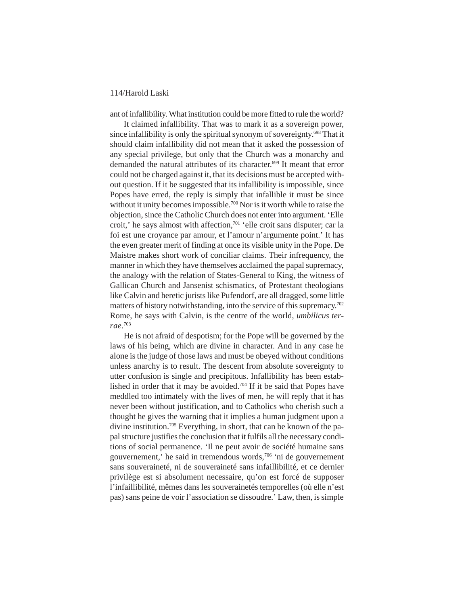ant of infallibility. What institution could be more fitted to rule the world?

It claimed infallibility. That was to mark it as a sovereign power, since infallibility is only the spiritual synonym of sovereignty.<sup>698</sup> That it should claim infallibility did not mean that it asked the possession of any special privilege, but only that the Church was a monarchy and demanded the natural attributes of its character.<sup>699</sup> It meant that error could not be charged against it, that its decisions must be accepted without question. If it be suggested that its infallibility is impossible, since Popes have erred, the reply is simply that infallible it must be since without it unity becomes impossible.<sup>700</sup> Nor is it worth while to raise the objection, since the Catholic Church does not enter into argument. 'Elle croit,' he says almost with affection,701 'elle croit sans disputer; car la foi est une croyance par amour, et l'amour n'argumente point.' It has the even greater merit of finding at once its visible unity in the Pope. De Maistre makes short work of conciliar claims. Their infrequency, the manner in which they have themselves acclaimed the papal supremacy, the analogy with the relation of States-General to King, the witness of Gallican Church and Jansenist schismatics, of Protestant theologians like Calvin and heretic jurists like Pufendorf, are all dragged, some little matters of history notwithstanding, into the service of this supremacy.<sup>702</sup> Rome, he says with Calvin, is the centre of the world, *umbilicus terrae*. 703

He is not afraid of despotism; for the Pope will be governed by the laws of his being, which are divine in character. And in any case he alone is the judge of those laws and must be obeyed without conditions unless anarchy is to result. The descent from absolute sovereignty to utter confusion is single and precipitous. Infallibility has been established in order that it may be avoided.<sup>704</sup> If it be said that Popes have meddled too intimately with the lives of men, he will reply that it has never been without justification, and to Catholics who cherish such a thought he gives the warning that it implies a human judgment upon a divine institution.705 Everything, in short, that can be known of the papal structure justifies the conclusion that it fulfils all the necessary conditions of social permanence. 'Il ne peut avoir de société humaine sans gouvernement,' he said in tremendous words,706 'ni de gouvernement sans souveraineté, ni de souveraineté sans infaillibilité, et ce dernier privilège est si absolument necessaire, qu'on est forcé de supposer l'infaillibilité, mêmes dans les souverainetés temporelles (où elle n'est pas) sans peine de voir l'association se dissoudre.' Law, then, is simple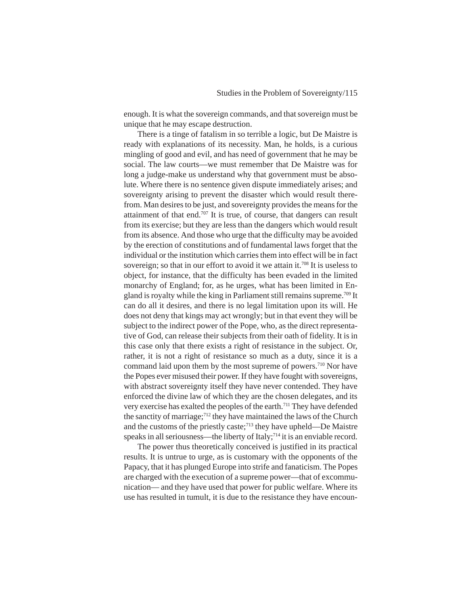enough. It is what the sovereign commands, and that sovereign must be unique that he may escape destruction.

There is a tinge of fatalism in so terrible a logic, but De Maistre is ready with explanations of its necessity. Man, he holds, is a curious mingling of good and evil, and has need of government that he may be social. The law courts—we must remember that De Maistre was for long a judge-make us understand why that government must be absolute. Where there is no sentence given dispute immediately arises; and sovereignty arising to prevent the disaster which would result therefrom. Man desires to be just, and sovereignty provides the means for the attainment of that end.707 It is true, of course, that dangers can result from its exercise; but they are less than the dangers which would result from its absence. And those who urge that the difficulty may be avoided by the erection of constitutions and of fundamental laws forget that the individual or the institution which carries them into effect will be in fact sovereign; so that in our effort to avoid it we attain it.<sup>708</sup> It is useless to object, for instance, that the difficulty has been evaded in the limited monarchy of England; for, as he urges, what has been limited in England is royalty while the king in Parliament still remains supreme.709 It can do all it desires, and there is no legal limitation upon its will. He does not deny that kings may act wrongly; but in that event they will be subject to the indirect power of the Pope, who, as the direct representative of God, can release their subjects from their oath of fidelity. It is in this case only that there exists a right of resistance in the subject. Or, rather, it is not a right of resistance so much as a duty, since it is a command laid upon them by the most supreme of powers.710 Nor have the Popes ever misused their power. If they have fought with sovereigns, with abstract sovereignty itself they have never contended. They have enforced the divine law of which they are the chosen delegates, and its very exercise has exalted the peoples of the earth.711 They have defended the sanctity of marriage;712 they have maintained the laws of the Church and the customs of the priestly caste;<sup>713</sup> they have upheld—De Maistre speaks in all seriousness—the liberty of Italy;<sup>714</sup> it is an enviable record.

The power thus theoretically conceived is justified in its practical results. It is untrue to urge, as is customary with the opponents of the Papacy, that it has plunged Europe into strife and fanaticism. The Popes are charged with the execution of a supreme power—that of excommunication— and they have used that power for public welfare. Where its use has resulted in tumult, it is due to the resistance they have encoun-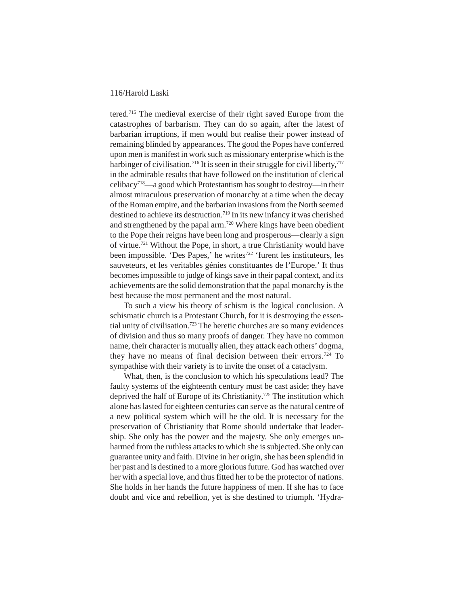tered.715 The medieval exercise of their right saved Europe from the catastrophes of barbarism. They can do so again, after the latest of barbarian irruptions, if men would but realise their power instead of remaining blinded by appearances. The good the Popes have conferred upon men is manifest in work such as missionary enterprise which is the harbinger of civilisation.<sup>716</sup> It is seen in their struggle for civil liberty,<sup>717</sup> in the admirable results that have followed on the institution of clerical celibacy718—a good which Protestantism has sought to destroy—in their almost miraculous preservation of monarchy at a time when the decay of the Roman empire, and the barbarian invasions from the North seemed destined to achieve its destruction.719 In its new infancy it was cherished and strengthened by the papal arm.720 Where kings have been obedient to the Pope their reigns have been long and prosperous—clearly a sign of virtue.721 Without the Pope, in short, a true Christianity would have been impossible. 'Des Papes,' he writes<sup>722</sup> 'furent les instituteurs, les sauveteurs, et les veritables génies constituantes de l'Europe.' It thus becomes impossible to judge of kings save in their papal context, and its achievements are the solid demonstration that the papal monarchy is the best because the most permanent and the most natural.

To such a view his theory of schism is the logical conclusion. A schismatic church is a Protestant Church, for it is destroying the essential unity of civilisation.723 The heretic churches are so many evidences of division and thus so many proofs of danger. They have no common name, their character is mutually alien, they attack each others' dogma, they have no means of final decision between their errors.724 To sympathise with their variety is to invite the onset of a cataclysm.

What, then, is the conclusion to which his speculations lead? The faulty systems of the eighteenth century must be cast aside; they have deprived the half of Europe of its Christianity.<sup>725</sup> The institution which alone has lasted for eighteen centuries can serve as the natural centre of a new political system which will be the old. It is necessary for the preservation of Christianity that Rome should undertake that leadership. She only has the power and the majesty. She only emerges unharmed from the ruthless attacks to which she is subjected. She only can guarantee unity and faith. Divine in her origin, she has been splendid in her past and is destined to a more glorious future. God has watched over her with a special love, and thus fitted her to be the protector of nations. She holds in her hands the future happiness of men. If she has to face doubt and vice and rebellion, yet is she destined to triumph. 'Hydra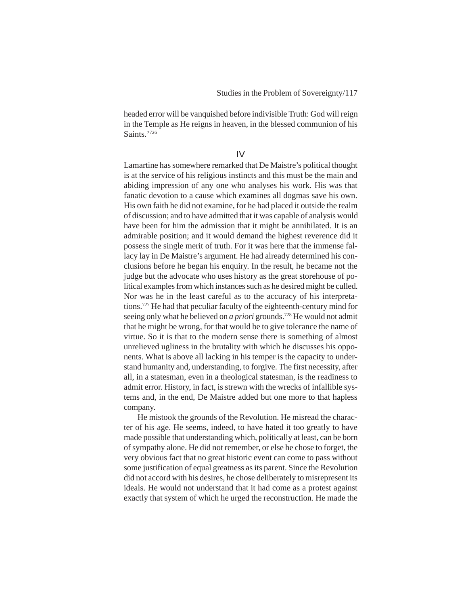headed error will be vanquished before indivisible Truth: God will reign in the Temple as He reigns in heaven, in the blessed communion of his Saints.'726

IV

Lamartine has somewhere remarked that De Maistre's political thought is at the service of his religious instincts and this must be the main and abiding impression of any one who analyses his work. His was that fanatic devotion to a cause which examines all dogmas save his own. His own faith he did not examine, for he had placed it outside the realm of discussion; and to have admitted that it was capable of analysis would have been for him the admission that it might be annihilated. It is an admirable position; and it would demand the highest reverence did it possess the single merit of truth. For it was here that the immense fallacy lay in De Maistre's argument. He had already determined his conclusions before he began his enquiry. In the result, he became not the judge but the advocate who uses history as the great storehouse of political examples from which instances such as he desired might be culled. Nor was he in the least careful as to the accuracy of his interpretations.727 He had that peculiar faculty of the eighteenth-century mind for seeing only what he believed on *a priori* grounds.728 He would not admit that he might be wrong, for that would be to give tolerance the name of virtue. So it is that to the modern sense there is something of almost unrelieved ugliness in the brutality with which he discusses his opponents. What is above all lacking in his temper is the capacity to understand humanity and, understanding, to forgive. The first necessity, after all, in a statesman, even in a theological statesman, is the readiness to admit error. History, in fact, is strewn with the wrecks of infallible systems and, in the end, De Maistre added but one more to that hapless company.

He mistook the grounds of the Revolution. He misread the character of his age. He seems, indeed, to have hated it too greatly to have made possible that understanding which, politically at least, can be born of sympathy alone. He did not remember, or else he chose to forget, the very obvious fact that no great historic event can come to pass without some justification of equal greatness as its parent. Since the Revolution did not accord with his desires, he chose deliberately to misrepresent its ideals. He would not understand that it had come as a protest against exactly that system of which he urged the reconstruction. He made the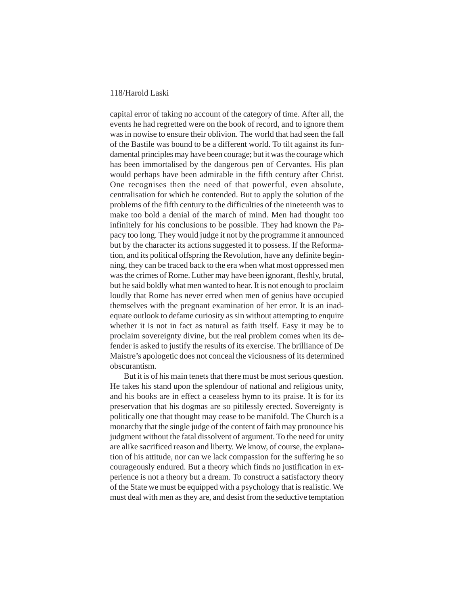capital error of taking no account of the category of time. After all, the events he had regretted were on the book of record, and to ignore them was in nowise to ensure their oblivion. The world that had seen the fall of the Bastile was bound to be a different world. To tilt against its fundamental principles may have been courage; but it was the courage which has been immortalised by the dangerous pen of Cervantes. His plan would perhaps have been admirable in the fifth century after Christ. One recognises then the need of that powerful, even absolute, centralisation for which he contended. But to apply the solution of the problems of the fifth century to the difficulties of the nineteenth was to make too bold a denial of the march of mind. Men had thought too infinitely for his conclusions to be possible. They had known the Papacy too long. They would judge it not by the programme it announced but by the character its actions suggested it to possess. If the Reformation, and its political offspring the Revolution, have any definite beginning, they can be traced back to the era when what most oppressed men was the crimes of Rome. Luther may have been ignorant, fleshly, brutal, but he said boldly what men wanted to hear. It is not enough to proclaim loudly that Rome has never erred when men of genius have occupied themselves with the pregnant examination of her error. It is an inadequate outlook to defame curiosity as sin without attempting to enquire whether it is not in fact as natural as faith itself. Easy it may be to proclaim sovereignty divine, but the real problem comes when its defender is asked to justify the results of its exercise. The brilliance of De Maistre's apologetic does not conceal the viciousness of its determined obscurantism.

But it is of his main tenets that there must be most serious question. He takes his stand upon the splendour of national and religious unity, and his books are in effect a ceaseless hymn to its praise. It is for its preservation that his dogmas are so pitilessly erected. Sovereignty is politically one that thought may cease to be manifold. The Church is a monarchy that the single judge of the content of faith may pronounce his judgment without the fatal dissolvent of argument. To the need for unity are alike sacrificed reason and liberty. We know, of course, the explanation of his attitude, nor can we lack compassion for the suffering he so courageously endured. But a theory which finds no justification in experience is not a theory but a dream. To construct a satisfactory theory of the State we must be equipped with a psychology that is realistic. We must deal with men as they are, and desist from the seductive temptation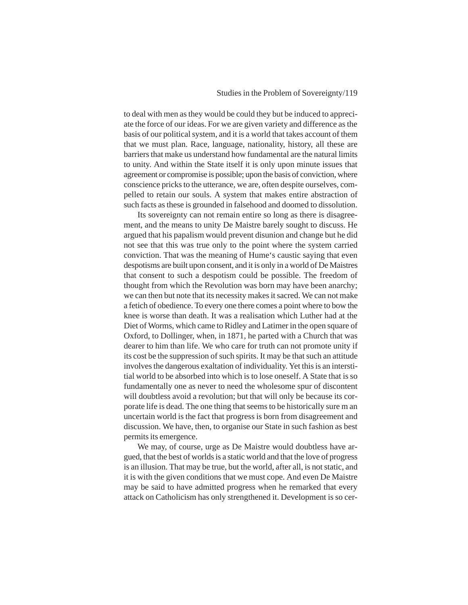to deal with men as they would be could they but be induced to appreciate the force of our ideas. For we are given variety and difference as the basis of our political system, and it is a world that takes account of them that we must plan. Race, language, nationality, history, all these are barriers that make us understand how fundamental are the natural limits to unity. And within the State itself it is only upon minute issues that agreement or compromise is possible; upon the basis of conviction, where conscience pricks to the utterance, we are, often despite ourselves, compelled to retain our souls. A system that makes entire abstraction of such facts as these is grounded in falsehood and doomed to dissolution.

Its sovereignty can not remain entire so long as there is disagreement, and the means to unity De Maistre barely sought to discuss. He argued that his papalism would prevent disunion and change but he did not see that this was true only to the point where the system carried conviction. That was the meaning of Hume's caustic saying that even despotisms are built upon consent, and it is only in a world of De Maistres that consent to such a despotism could be possible. The freedom of thought from which the Revolution was born may have been anarchy; we can then but note that its necessity makes it sacred. We can not make a fetich of obedience. To every one there comes a point where to bow the knee is worse than death. It was a realisation which Luther had at the Diet of Worms, which came to Ridley and Latimer in the open square of Oxford, to Dollinger, when, in 1871, he parted with a Church that was dearer to him than life. We who care for truth can not promote unity if its cost be the suppression of such spirits. It may be that such an attitude involves the dangerous exaltation of individuality. Yet this is an interstitial world to be absorbed into which is to lose oneself. A State that is so fundamentally one as never to need the wholesome spur of discontent will doubtless avoid a revolution; but that will only be because its corporate life is dead. The one thing that seems to be historically sure m an uncertain world is the fact that progress is born from disagreement and discussion. We have, then, to organise our State in such fashion as best permits its emergence.

We may, of course, urge as De Maistre would doubtless have argued, that the best of worlds is a static world and that the love of progress is an illusion. That may be true, but the world, after all, is not static, and it is with the given conditions that we must cope. And even De Maistre may be said to have admitted progress when he remarked that every attack on Catholicism has only strengthened it. Development is so cer-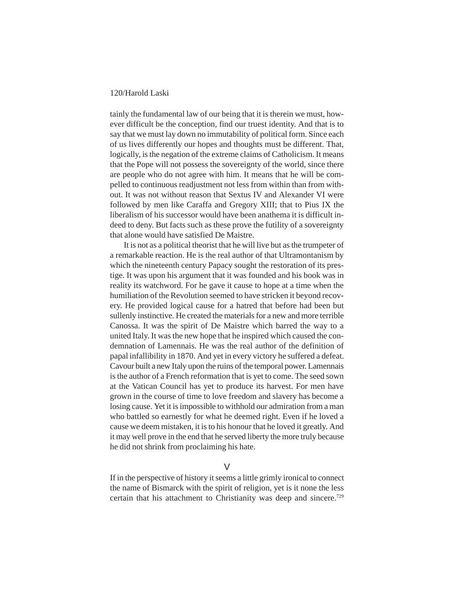tainly the fundamental law of our being that it is therein we must, however difficult be the conception, find our truest identity. And that is to say that we must lay down no immutability of political form. Since each of us lives differently our hopes and thoughts must be different. That, logically, is the negation of the extreme claims of Catholicism. It means that the Pope will not possess the sovereignty of the world, since there are people who do not agree with him. It means that he will be compelled to continuous readjustment not less from within than from without. It was not without reason that Sextus IV and Alexander VI were followed by men like Caraffa and Gregory XIII; that to Pius IX the liberalism of his successor would have been anathema it is difficult indeed to deny. But facts such as these prove the futility of a sovereignty that alone would have satisfied De Maistre.

It is not as a political theorist that he will live but as the trumpeter of a remarkable reaction. He is the real author of that Ultramontanism by which the nineteenth century Papacy sought the restoration of its prestige. It was upon his argument that it was founded and his book was in reality its watchword. For he gave it cause to hope at a time when the humiliation of the Revolution seemed to have stricken it beyond recovery. He provided logical cause for a hatred that before had been but sullenly instinctive. He created the materials for a new and more terrible Canossa. It was the spirit of De Maistre which barred the way to a united Italy. It was the new hope that he inspired which caused the condemnation of Lamennais. He was the real author of the definition of papal infallibility in 1870. And yet in every victory he suffered a defeat. Cavour built a new Italy upon the ruins of the temporal power. Lamennais is the author of a French reformation that is yet to come. The seed sown at the Vatican Council has yet to produce its harvest. For men have grown in the course of time to love freedom and slavery has become a losing cause. Yet it is impossible to withhold our admiration from a man who battled so earnestly for what he deemed right. Even if he loved a cause we deem mistaken, it is to his honour that he loved it greatly. And it may well prove in the end that he served liberty the more truly because he did not shrink from proclaiming his hate.

#### $\vee$

If in the perspective of history it seems a little grimly ironical to connect the name of Bismarck with the spirit of religion, yet is it none the less certain that his attachment to Christianity was deep and sincere.<sup>729</sup>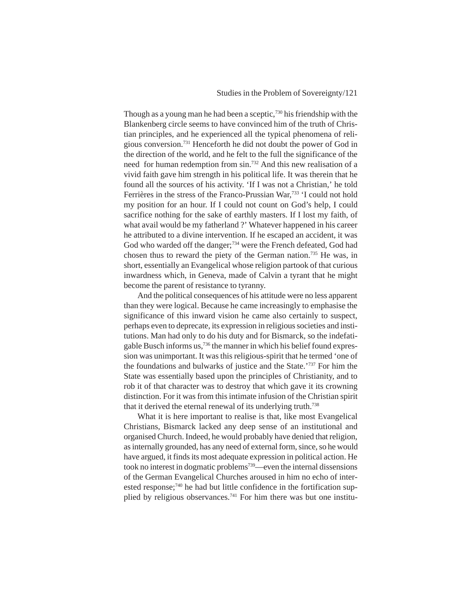Though as a young man he had been a sceptic,<sup>730</sup> his friendship with the Blankenberg circle seems to have convinced him of the truth of Christian principles, and he experienced all the typical phenomena of religious conversion.731 Henceforth he did not doubt the power of God in the direction of the world, and he felt to the full the significance of the need for human redemption from sin.732 And this new realisation of a vivid faith gave him strength in his political life. It was therein that he found all the sources of his activity. 'If I was not a Christian,' he told Ferrières in the stress of the Franco-Prussian War,<sup>733</sup> 'I could not hold my position for an hour. If I could not count on God's help, I could sacrifice nothing for the sake of earthly masters. If I lost my faith, of what avail would be my fatherland ?' Whatever happened in his career he attributed to a divine intervention. If he escaped an accident, it was God who warded off the danger;<sup>734</sup> were the French defeated, God had chosen thus to reward the piety of the German nation.735 He was, in short, essentially an Evangelical whose religion partook of that curious inwardness which, in Geneva, made of Calvin a tyrant that he might become the parent of resistance to tyranny.

And the political consequences of his attitude were no less apparent than they were logical. Because he came increasingly to emphasise the significance of this inward vision he came also certainly to suspect, perhaps even to deprecate, its expression in religious societies and institutions. Man had only to do his duty and for Bismarck, so the indefatigable Busch informs us,736 the manner in which his belief found expression was unimportant. It was this religious-spirit that he termed 'one of the foundations and bulwarks of justice and the State.'737 For him the State was essentially based upon the principles of Christianity, and to rob it of that character was to destroy that which gave it its crowning distinction. For it was from this intimate infusion of the Christian spirit that it derived the eternal renewal of its underlying truth.738

What it is here important to realise is that, like most Evangelical Christians, Bismarck lacked any deep sense of an institutional and organised Church. Indeed, he would probably have denied that religion, as internally grounded, has any need of external form, since, so he would have argued, it finds its most adequate expression in political action. He took no interest in dogmatic problems739—even the internal dissensions of the German Evangelical Churches aroused in him no echo of interested response;<sup>740</sup> he had but little confidence in the fortification supplied by religious observances.<sup>741</sup> For him there was but one institu-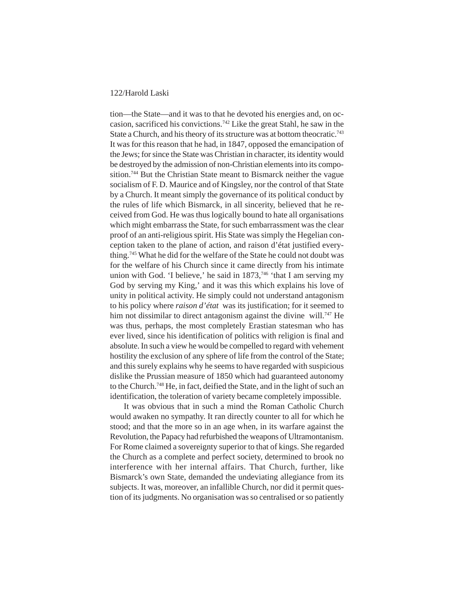tion—the State—and it was to that he devoted his energies and, on occasion, sacrificed his convictions.742 Like the great Stahl, he saw in the State a Church, and his theory of its structure was at bottom theocratic.<sup>743</sup> It was for this reason that he had, in 1847, opposed the emancipation of the Jews; for since the State was Christian in character, its identity would be destroyed by the admission of non-Christian elements into its composition.744 But the Christian State meant to Bismarck neither the vague socialism of F. D. Maurice and of Kingsley, nor the control of that State by a Church. It meant simply the governance of its political conduct by the rules of life which Bismarck, in all sincerity, believed that he received from God. He was thus logically bound to hate all organisations which might embarrass the State, for such embarrassment was the clear proof of an anti-religious spirit. His State was simply the Hegelian conception taken to the plane of action, and raison d'état justified everything.745 What he did for the welfare of the State he could not doubt was for the welfare of his Church since it came directly from his intimate union with God. 'I believe,' he said in  $1873<sup>746</sup>$  'that I am serving my God by serving my King,' and it was this which explains his love of unity in political activity. He simply could not understand antagonism to his policy where *raison d'état* was its justification; for it seemed to him not dissimilar to direct antagonism against the divine will.<sup>747</sup> He was thus, perhaps, the most completely Erastian statesman who has ever lived, since his identification of politics with religion is final and absolute. In such a view he would be compelled to regard with vehement hostility the exclusion of any sphere of life from the control of the State; and this surely explains why he seems to have regarded with suspicious dislike the Prussian measure of 1850 which had guaranteed autonomy to the Church.748 He, in fact, deified the State, and in the light of such an identification, the toleration of variety became completely impossible.

It was obvious that in such a mind the Roman Catholic Church would awaken no sympathy. It ran directly counter to all for which he stood; and that the more so in an age when, in its warfare against the Revolution, the Papacy had refurbished the weapons of Ultramontanism. For Rome claimed a sovereignty superior to that of kings. She regarded the Church as a complete and perfect society, determined to brook no interference with her internal affairs. That Church, further, like Bismarck's own State, demanded the undeviating allegiance from its subjects. It was, moreover, an infallible Church, nor did it permit question of its judgments. No organisation was so centralised or so patiently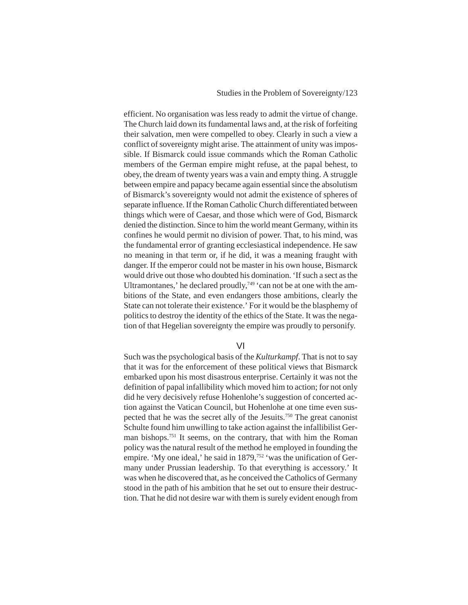#### Studies in the Problem of Sovereignty/123

efficient. No organisation was less ready to admit the virtue of change. The Church laid down its fundamental laws and, at the risk of forfeiting their salvation, men were compelled to obey. Clearly in such a view a conflict of sovereignty might arise. The attainment of unity was impossible. If Bismarck could issue commands which the Roman Catholic members of the German empire might refuse, at the papal behest, to obey, the dream of twenty years was a vain and empty thing. A struggle between empire and papacy became again essential since the absolutism of Bismarck's sovereignty would not admit the existence of spheres of separate influence. If the Roman Catholic Church differentiated between things which were of Caesar, and those which were of God, Bismarck denied the distinction. Since to him the world meant Germany, within its confines he would permit no division of power. That, to his mind, was the fundamental error of granting ecclesiastical independence. He saw no meaning in that term or, if he did, it was a meaning fraught with danger. If the emperor could not be master in his own house, Bismarck would drive out those who doubted his domination. 'If such a sect as the Ultramontanes,' he declared proudly, $749$  'can not be at one with the ambitions of the State, and even endangers those ambitions, clearly the State can not tolerate their existence.' For it would be the blasphemy of politics to destroy the identity of the ethics of the State. It was the negation of that Hegelian sovereignty the empire was proudly to personify.

#### VI

Such was the psychological basis of the *Kulturkampf*. That is not to say that it was for the enforcement of these political views that Bismarck embarked upon his most disastrous enterprise. Certainly it was not the definition of papal infallibility which moved him to action; for not only did he very decisively refuse Hohenlohe's suggestion of concerted action against the Vatican Council, but Hohenlohe at one time even suspected that he was the secret ally of the Jesuits.750 The great canonist Schulte found him unwilling to take action against the infallibilist German bishops.751 It seems, on the contrary, that with him the Roman policy was the natural result of the method he employed in founding the empire. 'My one ideal,' he said in 1879,<sup>752</sup> 'was the unification of Germany under Prussian leadership. To that everything is accessory.' It was when he discovered that, as he conceived the Catholics of Germany stood in the path of his ambition that he set out to ensure their destruction. That he did not desire war with them is surely evident enough from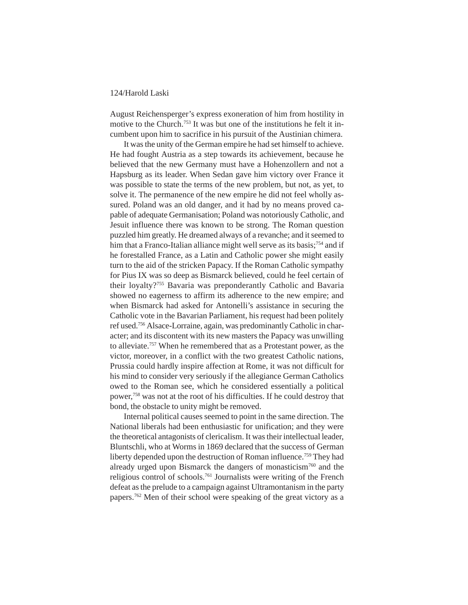August Reichensperger's express exoneration of him from hostility in motive to the Church.753 It was but one of the institutions he felt it incumbent upon him to sacrifice in his pursuit of the Austinian chimera.

It was the unity of the German empire he had set himself to achieve. He had fought Austria as a step towards its achievement, because he believed that the new Germany must have a Hohenzollern and not a Hapsburg as its leader. When Sedan gave him victory over France it was possible to state the terms of the new problem, but not, as yet, to solve it. The permanence of the new empire he did not feel wholly assured. Poland was an old danger, and it had by no means proved capable of adequate Germanisation; Poland was notoriously Catholic, and Jesuit influence there was known to be strong. The Roman question puzzled him greatly. He dreamed always of a revanche; and it seemed to him that a Franco-Italian alliance might well serve as its basis;<sup>754</sup> and if he forestalled France, as a Latin and Catholic power she might easily turn to the aid of the stricken Papacy. If the Roman Catholic sympathy for Pius IX was so deep as Bismarck believed, could he feel certain of their loyalty?755 Bavaria was preponderantly Catholic and Bavaria showed no eagerness to affirm its adherence to the new empire; and when Bismarck had asked for Antonelli's assistance in securing the Catholic vote in the Bavarian Parliament, his request had been politely ref used.756 Alsace-Lorraine, again, was predominantly Catholic in character; and its discontent with its new masters the Papacy was unwilling to alleviate.757 When he remembered that as a Protestant power, as the victor, moreover, in a conflict with the two greatest Catholic nations, Prussia could hardly inspire affection at Rome, it was not difficult for his mind to consider very seriously if the allegiance German Catholics owed to the Roman see, which he considered essentially a political power,758 was not at the root of his difficulties. If he could destroy that bond, the obstacle to unity might be removed.

Internal political causes seemed to point in the same direction. The National liberals had been enthusiastic for unification; and they were the theoretical antagonists of clericalism. It was their intellectual leader, Bluntschli, who at Worms in 1869 declared that the success of German liberty depended upon the destruction of Roman influence.759 They had already urged upon Bismarck the dangers of monasticism<sup>760</sup> and the religious control of schools.761 Journalists were writing of the French defeat as the prelude to a campaign against Ultramontanism in the party papers.762 Men of their school were speaking of the great victory as a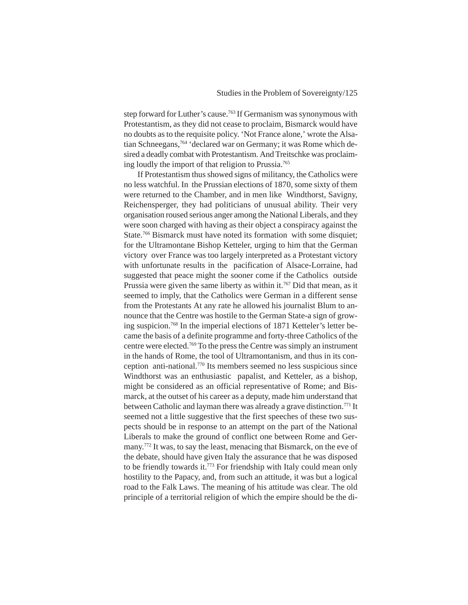step forward for Luther's cause.763 If Germanism was synonymous with Protestantism, as they did not cease to proclaim, Bismarck would have no doubts as to the requisite policy. 'Not France alone,' wrote the Alsatian Schneegans,764 'declared war on Germany; it was Rome which desired a deadly combat with Protestantism. And Treitschke was proclaiming loudly the import of that religion to Prussia.765

If Protestantism thus showed signs of militancy, the Catholics were no less watchful. In the Prussian elections of 1870, some sixty of them were returned to the Chamber, and in men like Windthorst, Savigny, Reichensperger, they had politicians of unusual ability. Their very organisation roused serious anger among the National Liberals, and they were soon charged with having as their object a conspiracy against the State.<sup>766</sup> Bismarck must have noted its formation with some disquiet; for the Ultramontane Bishop Ketteler, urging to him that the German victory over France was too largely interpreted as a Protestant victory with unfortunate results in the pacification of Alsace-Lorraine, had suggested that peace might the sooner come if the Catholics outside Prussia were given the same liberty as within it.<sup>767</sup> Did that mean, as it seemed to imply, that the Catholics were German in a different sense from the Protestants At any rate he allowed his journalist Blum to announce that the Centre was hostile to the German State-a sign of growing suspicion.768 In the imperial elections of 1871 Ketteler's letter became the basis of a definite programme and forty-three Catholics of the centre were elected.769 To the press the Centre was simply an instrument in the hands of Rome, the tool of Ultramontanism, and thus in its conception anti-national.770 Its members seemed no less suspicious since Windthorst was an enthusiastic papalist, and Ketteler, as a bishop, might be considered as an official representative of Rome; and Bismarck, at the outset of his career as a deputy, made him understand that between Catholic and layman there was already a grave distinction.771 It seemed not a little suggestive that the first speeches of these two suspects should be in response to an attempt on the part of the National Liberals to make the ground of conflict one between Rome and Germany.772 It was, to say the least, menacing that Bismarck, on the eve of the debate, should have given Italy the assurance that he was disposed to be friendly towards it.773 For friendship with Italy could mean only hostility to the Papacy, and, from such an attitude, it was but a logical road to the Falk Laws. The meaning of his attitude was clear. The old principle of a territorial religion of which the empire should be the di-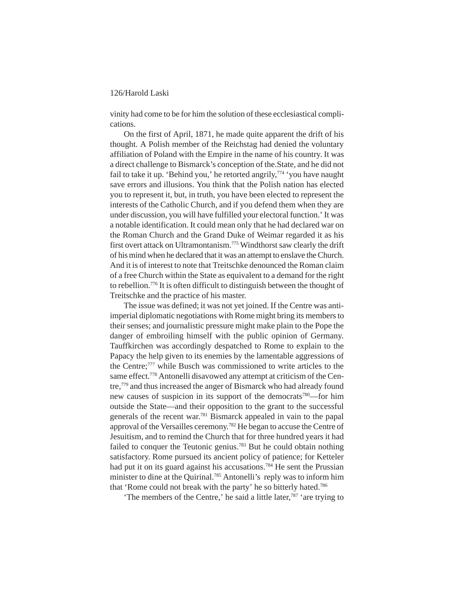vinity had come to be for him the solution of these ecclesiastical complications.

On the first of April, 1871, he made quite apparent the drift of his thought. A Polish member of the Reichstag had denied the voluntary affiliation of Poland with the Empire in the name of his country. It was a direct challenge to Bismarck's conception of the.State, and he did not fail to take it up. 'Behind you,' he retorted angrily, $774$  'you have naught save errors and illusions. You think that the Polish nation has elected you to represent it, but, in truth, you have been elected to represent the interests of the Catholic Church, and if you defend them when they are under discussion, you will have fulfilled your electoral function.' It was a notable identification. It could mean only that he had declared war on the Roman Church and the Grand Duke of Weimar regarded it as his first overt attack on Ultramontanism.775 Windthorst saw clearly the drift of his mind when he declared that it was an attempt to enslave the Church. And it is of interest to note that Treitschke denounced the Roman claim of a free Church within the State as equivalent to a demand for the right to rebellion.776 It is often difficult to distinguish between the thought of Treitschke and the practice of his master.

The issue was defined; it was not yet joined. If the Centre was antiimperial diplomatic negotiations with Rome might bring its members to their senses; and journalistic pressure might make plain to the Pope the danger of embroiling himself with the public opinion of Germany. Tauffkirchen was accordingly despatched to Rome to explain to the Papacy the help given to its enemies by the lamentable aggressions of the Centre;777 while Busch was commissioned to write articles to the same effect.<sup>778</sup> Antonelli disavowed any attempt at criticism of the Centre,779 and thus increased the anger of Bismarck who had already found new causes of suspicion in its support of the democrats<sup>780</sup>—for him outside the State—and their opposition to the grant to the successful generals of the recent war.781 Bismarck appealed in vain to the papal approval of the Versailles ceremony.782 He began to accuse the Centre of Jesuitism, and to remind the Church that for three hundred years it had failed to conquer the Teutonic genius.<sup>783</sup> But he could obtain nothing satisfactory. Rome pursued its ancient policy of patience; for Ketteler had put it on its guard against his accusations.<sup>784</sup> He sent the Prussian minister to dine at the Quirinal.785 Antonelli's reply was to inform him that 'Rome could not break with the party' he so bitterly hated.<sup>786</sup>

'The members of the Centre,' he said a little later, $787$  'are trying to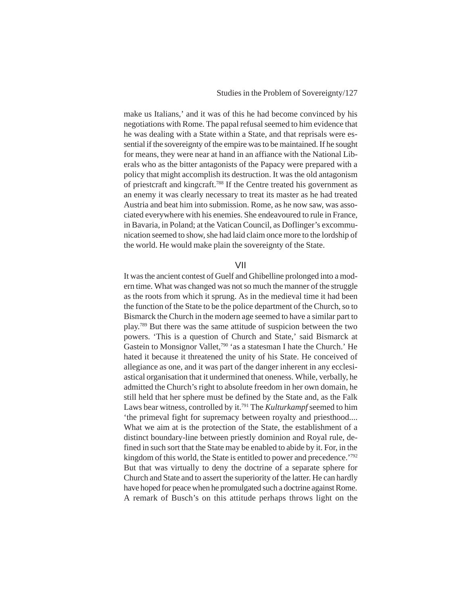make us Italians,' and it was of this he had become convinced by his negotiations with Rome. The papal refusal seemed to him evidence that he was dealing with a State within a State, and that reprisals were essential if the sovereignty of the empire was to be maintained. If he sought for means, they were near at hand in an affiance with the National Liberals who as the bitter antagonists of the Papacy were prepared with a policy that might accomplish its destruction. It was the old antagonism of priestcraft and kingcraft.788 If the Centre treated his government as an enemy it was clearly necessary to treat its master as he had treated Austria and beat him into submission. Rome, as he now saw, was associated everywhere with his enemies. She endeavoured to rule in France, in Bavaria, in Poland; at the Vatican Council, as Doflinger's excommunication seemed to show, she had laid claim once more to the lordship of the world. He would make plain the sovereignty of the State.

#### VII

It was the ancient contest of Guelf and Ghibelline prolonged into a modern time. What was changed was not so much the manner of the struggle as the roots from which it sprung. As in the medieval time it had been the function of the State to be the police department of the Church, so to Bismarck the Church in the modern age seemed to have a similar part to play.789 But there was the same attitude of suspicion between the two powers. 'This is a question of Church and State,' said Bismarck at Gastein to Monsignor Vallet,<sup>790</sup> 'as a statesman I hate the Church.' He hated it because it threatened the unity of his State. He conceived of allegiance as one, and it was part of the danger inherent in any ecclesiastical organisation that it undermined that oneness. While, verbally, he admitted the Church's right to absolute freedom in her own domain, he still held that her sphere must be defined by the State and, as the Falk Laws bear witness, controlled by it.791 The *Kulturkampf* seemed to him 'the primeval fight for supremacy between royalty and priesthood.... What we aim at is the protection of the State, the establishment of a distinct boundary-line between priestly dominion and Royal rule, defined in such sort that the State may be enabled to abide by it. For, in the kingdom of this world, the State is entitled to power and precedence.'792 But that was virtually to deny the doctrine of a separate sphere for Church and State and to assert the superiority of the latter. He can hardly have hoped for peace when he promulgated such a doctrine against Rome. A remark of Busch's on this attitude perhaps throws light on the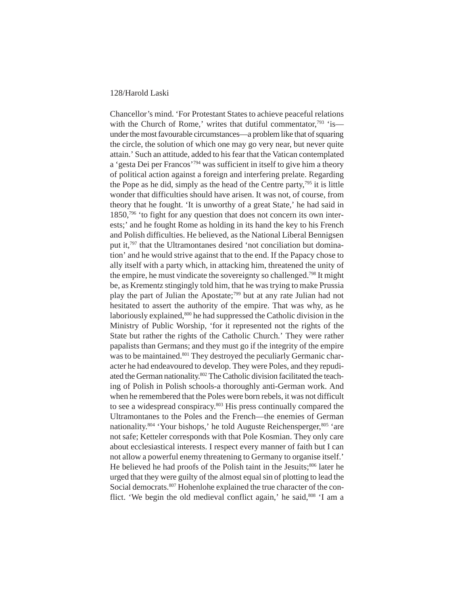Chancellor's mind. 'For Protestant States to achieve peaceful relations with the Church of Rome,' writes that dutiful commentator,<sup>793</sup> 'is under the most favourable circumstances—a problem like that of squaring the circle, the solution of which one may go very near, but never quite attain.' Such an attitude, added to his fear that the Vatican contemplated a 'gesta Dei per Francos'794 was sufficient in itself to give him a theory of political action against a foreign and interfering prelate. Regarding the Pope as he did, simply as the head of the Centre party,795 it is little wonder that difficulties should have arisen. It was not, of course, from theory that he fought. 'It is unworthy of a great State,' he had said in 1850,796 'to fight for any question that does not concern its own interests;' and he fought Rome as holding in its hand the key to his French and Polish difficulties. He believed, as the National Liberal Bennigsen put it,797 that the Ultramontanes desired 'not conciliation but domination' and he would strive against that to the end. If the Papacy chose to ally itself with a party which, in attacking him, threatened the unity of the empire, he must vindicate the sovereignty so challenged.798 It might be, as Krementz stingingly told him, that he was trying to make Prussia play the part of Julian the Apostate;<sup>799</sup> but at any rate Julian had not hesitated to assert the authority of the empire. That was why, as he laboriously explained,<sup>800</sup> he had suppressed the Catholic division in the Ministry of Public Worship, 'for it represented not the rights of the State but rather the rights of the Catholic Church.' They were rather papalists than Germans; and they must go if the integrity of the empire was to be maintained.<sup>801</sup> They destroyed the peculiarly Germanic character he had endeavoured to develop. They were Poles, and they repudiated the German nationality.802 The Catholic division facilitated the teaching of Polish in Polish schools-a thoroughly anti-German work. And when he remembered that the Poles were born rebels, it was not difficult to see a widespread conspiracy.803 His press continually compared the Ultramontanes to the Poles and the French—the enemies of German nationality.<sup>804</sup> 'Your bishops,' he told Auguste Reichensperger, <sup>805</sup> 'are not safe; Ketteler corresponds with that Pole Kosmian. They only care about ecclesiastical interests. I respect every manner of faith but I can not allow a powerful enemy threatening to Germany to organise itself.' He believed he had proofs of the Polish taint in the Jesuits;<sup>806</sup> later he urged that they were guilty of the almost equal sin of plotting to lead the Social democrats.<sup>807</sup> Hohenlohe explained the true character of the conflict. 'We begin the old medieval conflict again,' he said,  $808$  'I am a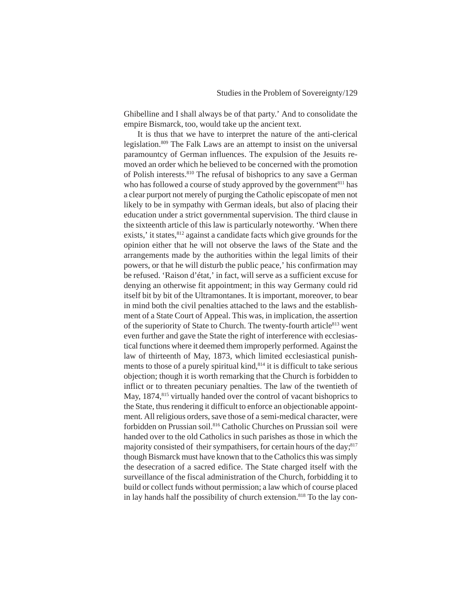Ghibelline and I shall always be of that party.' And to consolidate the empire Bismarck, too, would take up the ancient text.

It is thus that we have to interpret the nature of the anti-clerical legislation.809 The Falk Laws are an attempt to insist on the universal paramountcy of German influences. The expulsion of the Jesuits removed an order which he believed to be concerned with the promotion of Polish interests.810 The refusal of bishoprics to any save a German who has followed a course of study approved by the government<sup>811</sup> has a clear purport not merely of purging the Catholic episcopate of men not likely to be in sympathy with German ideals, but also of placing their education under a strict governmental supervision. The third clause in the sixteenth article of this law is particularly noteworthy. 'When there exists,' it states, <sup>812</sup> against a candidate facts which give grounds for the opinion either that he will not observe the laws of the State and the arrangements made by the authorities within the legal limits of their powers, or that he will disturb the public peace,' his confirmation may be refused. 'Raison d'état,' in fact, will serve as a sufficient excuse for denying an otherwise fit appointment; in this way Germany could rid itself bit by bit of the Ultramontanes. It is important, moreover, to bear in mind both the civil penalties attached to the laws and the establishment of a State Court of Appeal. This was, in implication, the assertion of the superiority of State to Church. The twenty-fourth article<sup>813</sup> went even further and gave the State the right of interference with ecclesiastical functions where it deemed them improperly performed. Against the law of thirteenth of May, 1873, which limited ecclesiastical punishments to those of a purely spiritual kind, $814$  it is difficult to take serious objection; though it is worth remarking that the Church is forbidden to inflict or to threaten pecuniary penalties. The law of the twentieth of May, 1874,<sup>815</sup> virtually handed over the control of vacant bishoprics to the State, thus rendering it difficult to enforce an objectionable appointment. All religious orders, save those of a semi-medical character, were forbidden on Prussian soil.816 Catholic Churches on Prussian soil were handed over to the old Catholics in such parishes as those in which the majority consisted of their sympathisers, for certain hours of the day;<sup>817</sup> though Bismarck must have known that to the Catholics this was simply the desecration of a sacred edifice. The State charged itself with the surveillance of the fiscal administration of the Church, forbidding it to build or collect funds without permission; a law which of course placed in lay hands half the possibility of church extension.<sup>818</sup> To the lay con-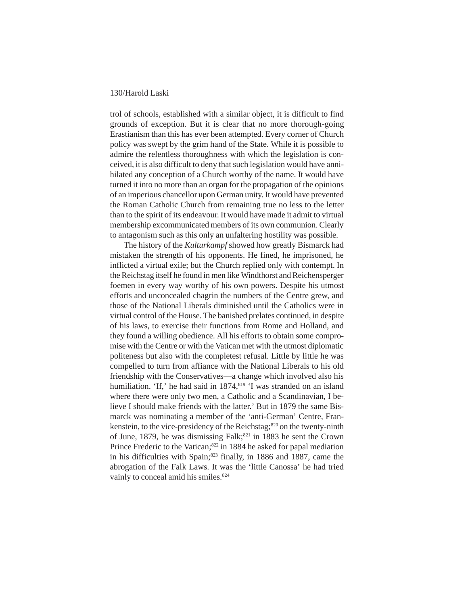trol of schools, established with a similar object, it is difficult to find grounds of exception. But it is clear that no more thorough-going Erastianism than this has ever been attempted. Every corner of Church policy was swept by the grim hand of the State. While it is possible to admire the relentless thoroughness with which the legislation is conceived, it is also difficult to deny that such legislation would have annihilated any conception of a Church worthy of the name. It would have turned it into no more than an organ for the propagation of the opinions of an imperious chancellor upon German unity. It would have prevented the Roman Catholic Church from remaining true no less to the letter than to the spirit of its endeavour. It would have made it admit to virtual membership excommunicated members of its own communion. Clearly to antagonism such as this only an unfaltering hostility was possible.

The history of the *Kulturkampf* showed how greatly Bismarck had mistaken the strength of his opponents. He fined, he imprisoned, he inflicted a virtual exile; but the Church replied only with contempt. In the Reichstag itself he found in men like Windthorst and Reichensperger foemen in every way worthy of his own powers. Despite his utmost efforts and unconcealed chagrin the numbers of the Centre grew, and those of the National Liberals diminished until the Catholics were in virtual control of the House. The banished prelates continued, in despite of his laws, to exercise their functions from Rome and Holland, and they found a willing obedience. All his efforts to obtain some compromise with the Centre or with the Vatican met with the utmost diplomatic politeness but also with the completest refusal. Little by little he was compelled to turn from affiance with the National Liberals to his old friendship with the Conservatives—a change which involved also his humiliation. 'If,' he had said in  $1874$ , $819$  'I was stranded on an island where there were only two men, a Catholic and a Scandinavian, I believe I should make friends with the latter.' But in 1879 the same Bismarck was nominating a member of the 'anti-German' Centre, Frankenstein, to the vice-presidency of the Reichstag;<sup>820</sup> on the twenty-ninth of June, 1879, he was dismissing Falk;<sup>821</sup> in 1883 he sent the Crown Prince Frederic to the Vatican;<sup>822</sup> in 1884 he asked for papal mediation in his difficulties with Spain;823 finally, in 1886 and 1887, came the abrogation of the Falk Laws. It was the 'little Canossa' he had tried vainly to conceal amid his smiles.<sup>824</sup>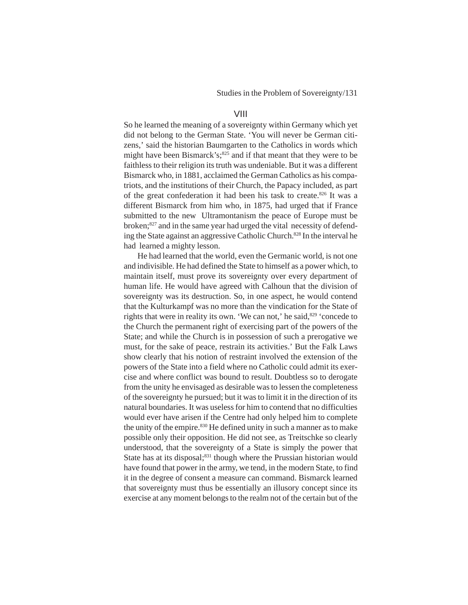#### VIII

So he learned the meaning of a sovereignty within Germany which yet did not belong to the German State. 'You will never be German citizens,' said the historian Baumgarten to the Catholics in words which might have been Bismarck's;<sup>825</sup> and if that meant that they were to be faithless to their religion its truth was undeniable. But it was a different Bismarck who, in 1881, acclaimed the German Catholics as his compatriots, and the institutions of their Church, the Papacy included, as part of the great confederation it had been his task to create.826 It was a different Bismarck from him who, in 1875, had urged that if France submitted to the new Ultramontanism the peace of Europe must be broken;827 and in the same year had urged the vital necessity of defending the State against an aggressive Catholic Church.828 In the interval he had learned a mighty lesson.

He had learned that the world, even the Germanic world, is not one and indivisible. He had defined the State to himself as a power which, to maintain itself, must prove its sovereignty over every department of human life. He would have agreed with Calhoun that the division of sovereignty was its destruction. So, in one aspect, he would contend that the Kulturkampf was no more than the vindication for the State of rights that were in reality its own. 'We can not,' he said,<sup>829</sup> 'concede to the Church the permanent right of exercising part of the powers of the State; and while the Church is in possession of such a prerogative we must, for the sake of peace, restrain its activities.' But the Falk Laws show clearly that his notion of restraint involved the extension of the powers of the State into a field where no Catholic could admit its exercise and where conflict was bound to result. Doubtless so to derogate from the unity he envisaged as desirable was to lessen the completeness of the sovereignty he pursued; but it was to limit it in the direction of its natural boundaries. It was useless for him to contend that no difficulties would ever have arisen if the Centre had only helped him to complete the unity of the empire.<sup>830</sup> He defined unity in such a manner as to make possible only their opposition. He did not see, as Treitschke so clearly understood, that the sovereignty of a State is simply the power that State has at its disposal;<sup>831</sup> though where the Prussian historian would have found that power in the army, we tend, in the modern State, to find it in the degree of consent a measure can command. Bismarck learned that sovereignty must thus be essentially an illusory concept since its exercise at any moment belongs to the realm not of the certain but of the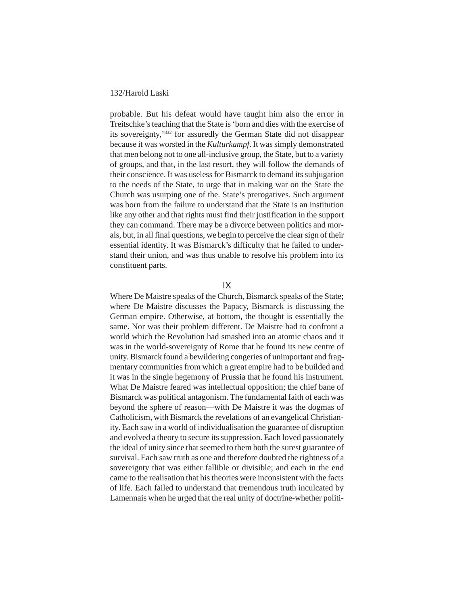probable. But his defeat would have taught him also the error in Treitschke's teaching that the State is 'born and dies with the exercise of its sovereignty,'832 for assuredly the German State did not disappear because it was worsted in the *Kulturkampf*. It was simply demonstrated that men belong not to one all-inclusive group, the State, but to a variety of groups, and that, in the last resort, they will follow the demands of their conscience. It was useless for Bismarck to demand its subjugation to the needs of the State, to urge that in making war on the State the Church was usurping one of the. State's prerogatives. Such argument was born from the failure to understand that the State is an institution like any other and that rights must find their justification in the support they can command. There may be a divorce between politics and morals, but, in all final questions, we begin to perceive the clear sign of their essential identity. It was Bismarck's difficulty that he failed to understand their union, and was thus unable to resolve his problem into its constituent parts.

### IX

Where De Maistre speaks of the Church, Bismarck speaks of the State; where De Maistre discusses the Papacy, Bismarck is discussing the German empire. Otherwise, at bottom, the thought is essentially the same. Nor was their problem different. De Maistre had to confront a world which the Revolution had smashed into an atomic chaos and it was in the world-sovereignty of Rome that he found its new centre of unity. Bismarck found a bewildering congeries of unimportant and fragmentary communities from which a great empire had to be builded and it was in the single hegemony of Prussia that he found his instrument. What De Maistre feared was intellectual opposition; the chief bane of Bismarck was political antagonism. The fundamental faith of each was beyond the sphere of reason—with De Maistre it was the dogmas of Catholicism, with Bismarck the revelations of an evangelical Christianity. Each saw in a world of individualisation the guarantee of disruption and evolved a theory to secure its suppression. Each loved passionately the ideal of unity since that seemed to them both the surest guarantee of survival. Each saw truth as one and therefore doubted the rightness of a sovereignty that was either fallible or divisible; and each in the end came to the realisation that his theories were inconsistent with the facts of life. Each failed to understand that tremendous truth inculcated by Lamennais when he urged that the real unity of doctrine-whether politi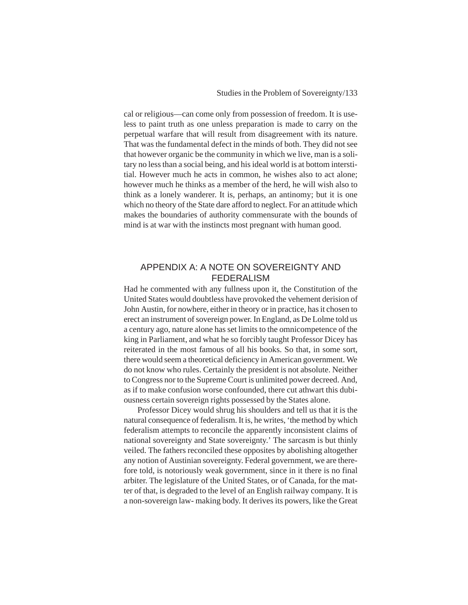cal or religious—can come only from possession of freedom. It is useless to paint truth as one unless preparation is made to carry on the perpetual warfare that will result from disagreement with its nature. That was the fundamental defect in the minds of both. They did not see that however organic be the community in which we live, man is a solitary no less than a social being, and his ideal world is at bottom interstitial. However much he acts in common, he wishes also to act alone; however much he thinks as a member of the herd, he will wish also to think as a lonely wanderer. It is, perhaps, an antinomy; but it is one which no theory of the State dare afford to neglect. For an attitude which makes the boundaries of authority commensurate with the bounds of mind is at war with the instincts most pregnant with human good.

# APPENDIX A: A NOTE ON SOVEREIGNTY AND FEDERALISM

Had he commented with any fullness upon it, the Constitution of the United States would doubtless have provoked the vehement derision of John Austin, for nowhere, either in theory or in practice, has it chosen to erect an instrument of sovereign power. In England, as De Lolme told us a century ago, nature alone has set limits to the omnicompetence of the king in Parliament, and what he so forcibly taught Professor Dicey has reiterated in the most famous of all his books. So that, in some sort, there would seem a theoretical deficiency in American government. We do not know who rules. Certainly the president is not absolute. Neither to Congress nor to the Supreme Court is unlimited power decreed. And, as if to make confusion worse confounded, there cut athwart this dubiousness certain sovereign rights possessed by the States alone.

Professor Dicey would shrug his shoulders and tell us that it is the natural consequence of federalism. It is, he writes, 'the method by which federalism attempts to reconcile the apparently inconsistent claims of national sovereignty and State sovereignty.' The sarcasm is but thinly veiled. The fathers reconciled these opposites by abolishing altogether any notion of Austinian sovereignty. Federal government, we are therefore told, is notoriously weak government, since in it there is no final arbiter. The legislature of the United States, or of Canada, for the matter of that, is degraded to the level of an English railway company. It is a non-sovereign law- making body. It derives its powers, like the Great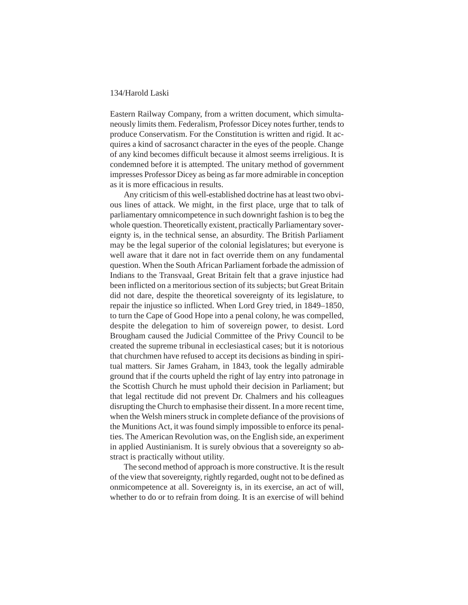Eastern Railway Company, from a written document, which simultaneously limits them. Federalism, Professor Dicey notes further, tends to produce Conservatism. For the Constitution is written and rigid. It acquires a kind of sacrosanct character in the eyes of the people. Change of any kind becomes difficult because it almost seems irreligious. It is condemned before it is attempted. The unitary method of government impresses Professor Dicey as being as far more admirable in conception as it is more efficacious in results.

Any criticism of this well-established doctrine has at least two obvious lines of attack. We might, in the first place, urge that to talk of parliamentary omnicompetence in such downright fashion is to beg the whole question. Theoretically existent, practically Parliamentary sovereignty is, in the technical sense, an absurdity. The British Parliament may be the legal superior of the colonial legislatures; but everyone is well aware that it dare not in fact override them on any fundamental question. When the South African Parliament forbade the admission of Indians to the Transvaal, Great Britain felt that a grave injustice had been inflicted on a meritorious section of its subjects; but Great Britain did not dare, despite the theoretical sovereignty of its legislature, to repair the injustice so inflicted. When Lord Grey tried, in 1849–1850, to turn the Cape of Good Hope into a penal colony, he was compelled, despite the delegation to him of sovereign power, to desist. Lord Brougham caused the Judicial Committee of the Privy Council to be created the supreme tribunal in ecclesiastical cases; but it is notorious that churchmen have refused to accept its decisions as binding in spiritual matters. Sir James Graham, in 1843, took the legally admirable ground that if the courts upheld the right of lay entry into patronage in the Scottish Church he must uphold their decision in Parliament; but that legal rectitude did not prevent Dr. Chalmers and his colleagues disrupting the Church to emphasise their dissent. In a more recent time, when the Welsh miners struck in complete defiance of the provisions of the Munitions Act, it was found simply impossible to enforce its penalties. The American Revolution was, on the English side, an experiment in applied Austinianism. It is surely obvious that a sovereignty so abstract is practically without utility.

The second method of approach is more constructive. It is the result of the view that sovereignty, rightly regarded, ought not to be defined as onmicompetence at all. Sovereignty is, in its exercise, an act of will, whether to do or to refrain from doing. It is an exercise of will behind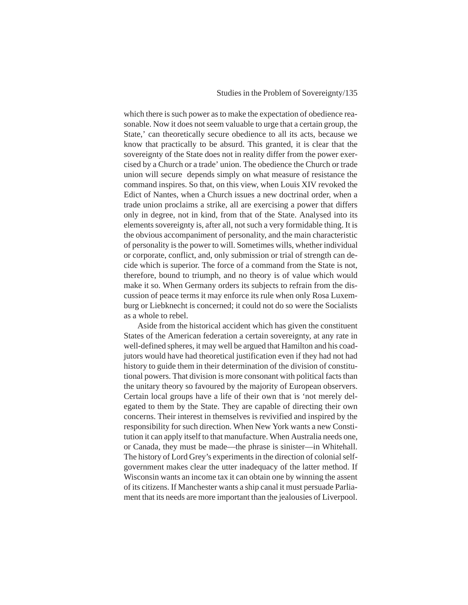which there is such power as to make the expectation of obedience reasonable. Now it does not seem valuable to urge that a certain group, the State,' can theoretically secure obedience to all its acts, because we know that practically to be absurd. This granted, it is clear that the sovereignty of the State does not in reality differ from the power exercised by a Church or a trade' union. The obedience the Church or trade union will secure depends simply on what measure of resistance the command inspires. So that, on this view, when Louis XIV revoked the Edict of Nantes, when a Church issues a new doctrinal order, when a trade union proclaims a strike, all are exercising a power that differs only in degree, not in kind, from that of the State. Analysed into its elements sovereignty is, after all, not such a very formidable thing. It is the obvious accompaniment of personality, and the main characteristic of personality is the power to will. Sometimes wills, whether individual or corporate, conflict, and, only submission or trial of strength can decide which is superior. The force of a command from the State is not, therefore, bound to triumph, and no theory is of value which would make it so. When Germany orders its subjects to refrain from the discussion of peace terms it may enforce its rule when only Rosa Luxemburg or Liebknecht is concerned; it could not do so were the Socialists as a whole to rebel.

Aside from the historical accident which has given the constituent States of the American federation a certain sovereignty, at any rate in well-defined spheres, it may well be argued that Hamilton and his coadjutors would have had theoretical justification even if they had not had history to guide them in their determination of the division of constitutional powers. That division is more consonant with political facts than the unitary theory so favoured by the majority of European observers. Certain local groups have a life of their own that is 'not merely delegated to them by the State. They are capable of directing their own concerns. Their interest in themselves is revivified and inspired by the responsibility for such direction. When New York wants a new Constitution it can apply itself to that manufacture. When Australia needs one, or Canada, they must be made—the phrase is sinister—in Whitehall. The history of Lord Grey's experiments in the direction of colonial selfgovernment makes clear the utter inadequacy of the latter method. If Wisconsin wants an income tax it can obtain one by winning the assent of its citizens. If Manchester wants a ship canal it must persuade Parliament that its needs are more important than the jealousies of Liverpool.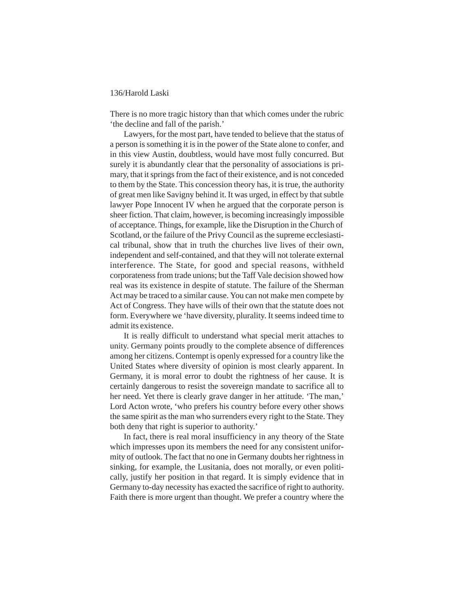There is no more tragic history than that which comes under the rubric 'the decline and fall of the parish.'

Lawyers, for the most part, have tended to believe that the status of a person is something it is in the power of the State alone to confer, and in this view Austin, doubtless, would have most fully concurred. But surely it is abundantly clear that the personality of associations is primary, that it springs from the fact of their existence, and is not conceded to them by the State. This concession theory has, it is true, the authority of great men like Savigny behind it. It was urged, in effect by that subtle lawyer Pope Innocent IV when he argued that the corporate person is sheer fiction. That claim, however, is becoming increasingly impossible of acceptance. Things, for example, like the Disruption in the Church of Scotland, or the failure of the Privy Council as the supreme ecclesiastical tribunal, show that in truth the churches live lives of their own, independent and self-contained, and that they will not tolerate external interference. The State, for good and special reasons, withheld corporateness from trade unions; but the Taff Vale decision showed how real was its existence in despite of statute. The failure of the Sherman Act may be traced to a similar cause. You can not make men compete by Act of Congress. They have wills of their own that the statute does not form. Everywhere we 'have diversity, plurality. It seems indeed time to admit its existence.

It is really difficult to understand what special merit attaches to unity. Germany points proudly to the complete absence of differences among her citizens. Contempt is openly expressed for a country like the United States where diversity of opinion is most clearly apparent. In Germany, it is moral error to doubt the rightness of her cause. It is certainly dangerous to resist the sovereign mandate to sacrifice all to her need. Yet there is clearly grave danger in her attitude. 'The man,' Lord Acton wrote, 'who prefers his country before every other shows the same spirit as the man who surrenders every right to the State. They both deny that right is superior to authority.'

In fact, there is real moral insufficiency in any theory of the State which impresses upon its members the need for any consistent uniformity of outlook. The fact that no one in Germany doubts her rightness in sinking, for example, the Lusitania, does not morally, or even politically, justify her position in that regard. It is simply evidence that in Germany to-day necessity has exacted the sacrifice of right to authority. Faith there is more urgent than thought. We prefer a country where the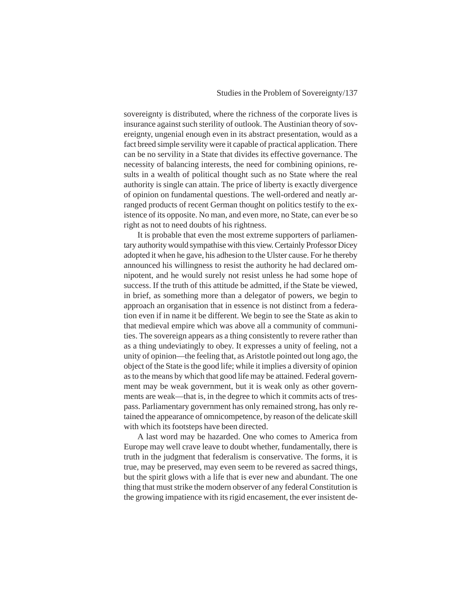sovereignty is distributed, where the richness of the corporate lives is insurance against such sterility of outlook. The Austinian theory of sovereignty, ungenial enough even in its abstract presentation, would as a fact breed simple servility were it capable of practical application. There can be no servility in a State that divides its effective governance. The necessity of balancing interests, the need for combining opinions, results in a wealth of political thought such as no State where the real authority is single can attain. The price of liberty is exactly divergence of opinion on fundamental questions. The well-ordered and neatly arranged products of recent German thought on politics testify to the existence of its opposite. No man, and even more, no State, can ever be so right as not to need doubts of his rightness.

It is probable that even the most extreme supporters of parliamentary authority would sympathise with this view. Certainly Professor Dicey adopted it when he gave, his adhesion to the Ulster cause. For he thereby announced his willingness to resist the authority he had declared omnipotent, and he would surely not resist unless he had some hope of success. If the truth of this attitude be admitted, if the State be viewed, in brief, as something more than a delegator of powers, we begin to approach an organisation that in essence is not distinct from a federation even if in name it be different. We begin to see the State as akin to that medieval empire which was above all a community of communities. The sovereign appears as a thing consistently to revere rather than as a thing undeviatingly to obey. It expresses a unity of feeling, not a unity of opinion—the feeling that, as Aristotle pointed out long ago, the object of the State is the good life; while it implies a diversity of opinion as to the means by which that good life may be attained. Federal government may be weak government, but it is weak only as other governments are weak—that is, in the degree to which it commits acts of trespass. Parliamentary government has only remained strong, has only retained the appearance of omnicompetence, by reason of the delicate skill with which its footsteps have been directed.

A last word may be hazarded. One who comes to America from Europe may well crave leave to doubt whether, fundamentally, there is truth in the judgment that federalism is conservative. The forms, it is true, may be preserved, may even seem to be revered as sacred things, but the spirit glows with a life that is ever new and abundant. The one thing that must strike the modern observer of any federal Constitution is the growing impatience with its rigid encasement, the ever insistent de-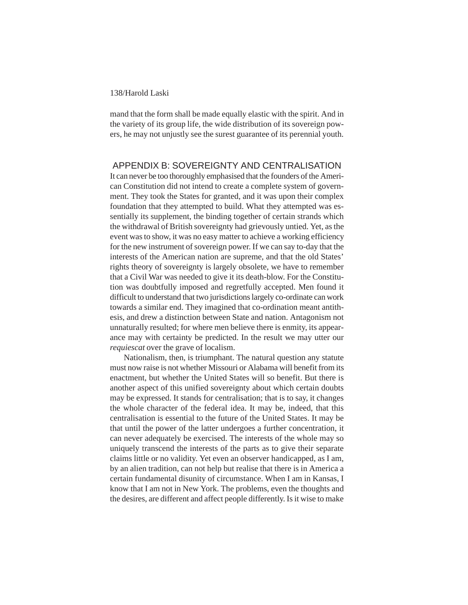mand that the form shall be made equally elastic with the spirit. And in the variety of its group life, the wide distribution of its sovereign powers, he may not unjustly see the surest guarantee of its perennial youth.

## APPENDIX B: SOVEREIGNTY AND CENTRALISATION

It can never be too thoroughly emphasised that the founders of the American Constitution did not intend to create a complete system of government. They took the States for granted, and it was upon their complex foundation that they attempted to build. What they attempted was essentially its supplement, the binding together of certain strands which the withdrawal of British sovereignty had grievously untied. Yet, as the event was to show, it was no easy matter to achieve a working efficiency for the new instrument of sovereign power. If we can say to-day that the interests of the American nation are supreme, and that the old States' rights theory of sovereignty is largely obsolete, we have to remember that a Civil War was needed to give it its death-blow. For the Constitution was doubtfully imposed and regretfully accepted. Men found it difficult to understand that two jurisdictions largely co-ordinate can work towards a similar end. They imagined that co-ordination meant antithesis, and drew a distinction between State and nation. Antagonism not unnaturally resulted; for where men believe there is enmity, its appearance may with certainty be predicted. In the result we may utter our *requiescat* over the grave of localism.

Nationalism, then, is triumphant. The natural question any statute must now raise is not whether Missouri or Alabama will benefit from its enactment, but whether the United States will so benefit. But there is another aspect of this unified sovereignty about which certain doubts may be expressed. It stands for centralisation; that is to say, it changes the whole character of the federal idea. It may be, indeed, that this centralisation is essential to the future of the United States. It may be that until the power of the latter undergoes a further concentration, it can never adequately be exercised. The interests of the whole may so uniquely transcend the interests of the parts as to give their separate claims little or no validity. Yet even an observer handicapped, as I am, by an alien tradition, can not help but realise that there is in America a certain fundamental disunity of circumstance. When I am in Kansas, I know that I am not in New York. The problems, even the thoughts and the desires, are different and affect people differently. Is it wise to make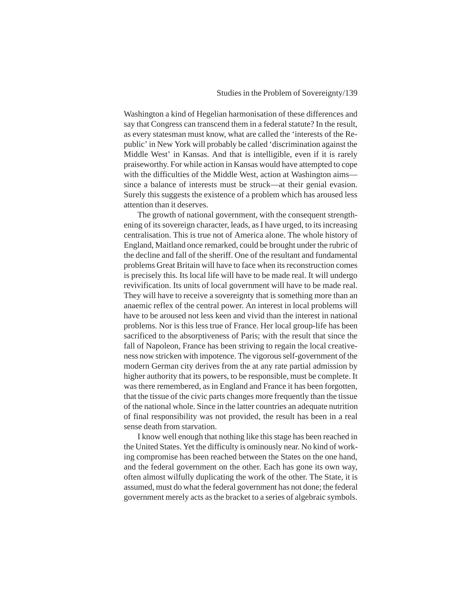Washington a kind of Hegelian harmonisation of these differences and say that Congress can transcend them in a federal statute? In the result, as every statesman must know, what are called the 'interests of the Republic' in New York will probably be called 'discrimination against the Middle West' in Kansas. And that is intelligible, even if it is rarely praiseworthy. For while action in Kansas would have attempted to cope with the difficulties of the Middle West, action at Washington aims since a balance of interests must be struck—at their genial evasion. Surely this suggests the existence of a problem which has aroused less attention than it deserves.

The growth of national government, with the consequent strengthening of its sovereign character, leads, as I have urged, to its increasing centralisation. This is true not of America alone. The whole history of England, Maitland once remarked, could be brought under the rubric of the decline and fall of the sheriff. One of the resultant and fundamental problems Great Britain will have to face when its reconstruction comes is precisely this. Its local life will have to be made real. It will undergo revivification. Its units of local government will have to be made real. They will have to receive a sovereignty that is something more than an anaemic reflex of the central power. An interest in local problems will have to be aroused not less keen and vivid than the interest in national problems. Nor is this less true of France. Her local group-life has been sacrificed to the absorptiveness of Paris; with the result that since the fall of Napoleon, France has been striving to regain the local creativeness now stricken with impotence. The vigorous self-government of the modern German city derives from the at any rate partial admission by higher authority that its powers, to be responsible, must be complete. It was there remembered, as in England and France it has been forgotten, that the tissue of the civic parts changes more frequently than the tissue of the national whole. Since in the latter countries an adequate nutrition of final responsibility was not provided, the result has been in a real sense death from starvation.

I know well enough that nothing like this stage has been reached in the United States. Yet the difficulty is ominously near. No kind of working compromise has been reached between the States on the one hand, and the federal government on the other. Each has gone its own way, often almost wilfully duplicating the work of the other. The State, it is assumed, must do what the federal government has not done; the federal government merely acts as the bracket to a series of algebraic symbols.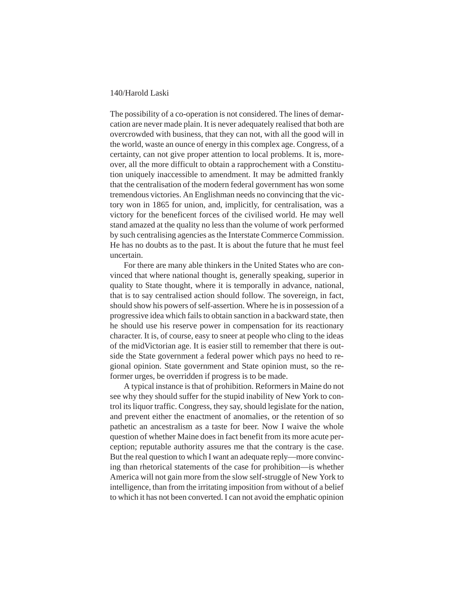The possibility of a co-operation is not considered. The lines of demarcation are never made plain. It is never adequately realised that both are overcrowded with business, that they can not, with all the good will in the world, waste an ounce of energy in this complex age. Congress, of a certainty, can not give proper attention to local problems. It is, moreover, all the more difficult to obtain a rapprochement with a Constitution uniquely inaccessible to amendment. It may be admitted frankly that the centralisation of the modern federal government has won some tremendous victories. An Englishman needs no convincing that the victory won in 1865 for union, and, implicitly, for centralisation, was a victory for the beneficent forces of the civilised world. He may well stand amazed at the quality no less than the volume of work performed by such centralising agencies as the Interstate Commerce Commission. He has no doubts as to the past. It is about the future that he must feel uncertain.

For there are many able thinkers in the United States who are convinced that where national thought is, generally speaking, superior in quality to State thought, where it is temporally in advance, national, that is to say centralised action should follow. The sovereign, in fact, should show his powers of self-assertion. Where he is in possession of a progressive idea which fails to obtain sanction in a backward state, then he should use his reserve power in compensation for its reactionary character. It is, of course, easy to sneer at people who cling to the ideas of the midVictorian age. It is easier still to remember that there is outside the State government a federal power which pays no heed to regional opinion. State government and State opinion must, so the reformer urges, be overridden if progress is to be made.

A typical instance is that of prohibition. Reformers in Maine do not see why they should suffer for the stupid inability of New York to control its liquor traffic. Congress, they say, should legislate for the nation, and prevent either the enactment of anomalies, or the retention of so pathetic an ancestralism as a taste for beer. Now I waive the whole question of whether Maine does in fact benefit from its more acute perception; reputable authority assures me that the contrary is the case. But the real question to which I want an adequate reply—more convincing than rhetorical statements of the case for prohibition—is whether America will not gain more from the slow self-struggle of New York to intelligence, than from the irritating imposition from without of a belief to which it has not been converted. I can not avoid the emphatic opinion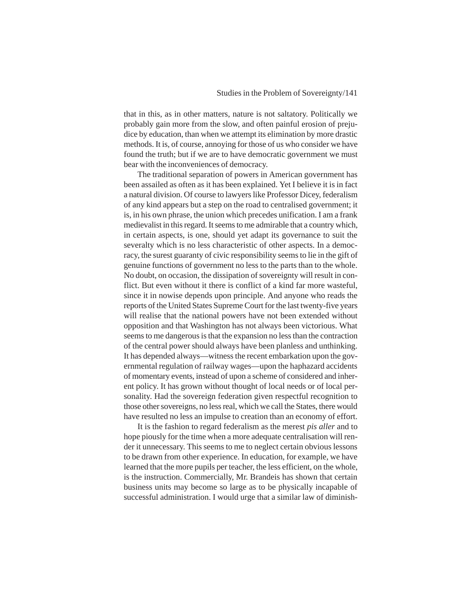that in this, as in other matters, nature is not saltatory. Politically we probably gain more from the slow, and often painful erosion of prejudice by education, than when we attempt its elimination by more drastic methods. It is, of course, annoying for those of us who consider we have found the truth; but if we are to have democratic government we must bear with the inconveniences of democracy.

The traditional separation of powers in American government has been assailed as often as it has been explained. Yet I believe it is in fact a natural division. Of course to lawyers like Professor Dicey, federalism of any kind appears but a step on the road to centralised government; it is, in his own phrase, the union which precedes unification. I am a frank medievalist in this regard. It seems to me admirable that a country which, in certain aspects, is one, should yet adapt its governance to suit the severalty which is no less characteristic of other aspects. In a democracy, the surest guaranty of civic responsibility seems to lie in the gift of genuine functions of government no less to the parts than to the whole. No doubt, on occasion, the dissipation of sovereignty will result in conflict. But even without it there is conflict of a kind far more wasteful, since it in nowise depends upon principle. And anyone who reads the reports of the United States Supreme Court for the last twenty-five years will realise that the national powers have not been extended without opposition and that Washington has not always been victorious. What seems to me dangerous is that the expansion no less than the contraction of the central power should always have been planless and unthinking. It has depended always—witness the recent embarkation upon the governmental regulation of railway wages—upon the haphazard accidents of momentary events, instead of upon a scheme of considered and inherent policy. It has grown without thought of local needs or of local personality. Had the sovereign federation given respectful recognition to those other sovereigns, no less real, which we call the States, there would have resulted no less an impulse to creation than an economy of effort.

It is the fashion to regard federalism as the merest *pis aller* and to hope piously for the time when a more adequate centralisation will render it unnecessary. This seems to me to neglect certain obvious lessons to be drawn from other experience. In education, for example, we have learned that the more pupils per teacher, the less efficient, on the whole, is the instruction. Commercially, Mr. Brandeis has shown that certain business units may become so large as to be physically incapable of successful administration. I would urge that a similar law of diminish-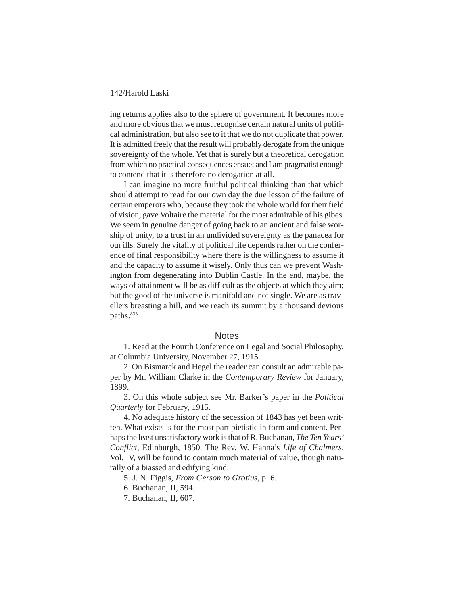ing returns applies also to the sphere of government. It becomes more and more obvious that we must recognise certain natural units of political administration, but also see to it that we do not duplicate that power. It is admitted freely that the result will probably derogate from the unique sovereignty of the whole. Yet that is surely but a theoretical derogation from which no practical consequences ensue; and I am pragmatist enough to contend that it is therefore no derogation at all.

I can imagine no more fruitful political thinking than that which should attempt to read for our own day the due lesson of the failure of certain emperors who, because they took the whole world for their field of vision, gave Voltaire the material for the most admirable of his gibes. We seem in genuine danger of going back to an ancient and false worship of unity, to a trust in an undivided sovereignty as the panacea for our ills. Surely the vitality of political life depends rather on the conference of final responsibility where there is the willingness to assume it and the capacity to assume it wisely. Only thus can we prevent Washington from degenerating into Dublin Castle. In the end, maybe, the ways of attainment will be as difficult as the objects at which they aim; but the good of the universe is manifold and not single. We are as travellers breasting a hill, and we reach its summit by a thousand devious paths.<sup>833</sup>

#### **Notes**

1. Read at the Fourth Conference on Legal and Social Philosophy, at Columbia University, November 27, 1915.

2. On Bismarck and Hegel the reader can consult an admirable paper by Mr. William Clarke in the *Contemporary Review* for January, 1899.

3. On this whole subject see Mr. Barker's paper in the *Political Quarterly* for February, 1915.

4. No adequate history of the secession of 1843 has yet been written. What exists is for the most part pietistic in form and content. Perhaps the least unsatisfactory work is that of R. Buchanan, *The Ten Years' Conflict*, Edinburgh, 1850. The Rev. W. Hanna's *Life of Chalmers*, Vol. IV, will be found to contain much material of value, though naturally of a biassed and edifying kind.

5. J. N. Figgis, *From Gerson to Grotius*, p. 6.

6. Buchanan, II, 594.

7. Buchanan, II, 607.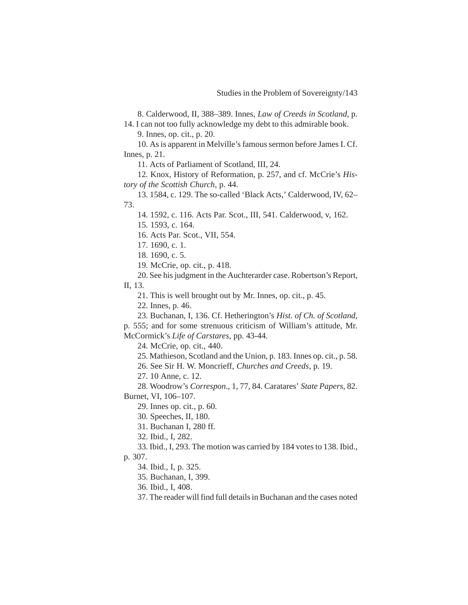8. Calderwood, II, 388–389. Innes, *Law of Creeds in Scotland*, p. 14. I can not too fully acknowledge my debt to this admirable book.

9. Innes, op. cit., p. 20.

10. As is apparent in Melville's famous sermon before James I. Cf. Innes, p. 21.

11. Acts of Parliament of Scotland, III, 24.

12. Knox, History of Reformation, p. 257, and cf. McCrie's *History of the Scottish Church*, p. 44.

13. 1584, c. 129. The so-called 'Black Acts,' Calderwood, IV, 62– 73.

14. 1592, c. 116. Acts Par. Scot., III, 541. Calderwood, v, 162.

15. 1593, c. 164.

16. Acts Par. Scot., VII, 554.

17. 1690, c. 1.

18. 1690, c. 5.

19. McCrie, op. cit., p. 418.

20. See his judgment in the Auchterarder case. Robertson's Report,

II, 13.

21. This is well brought out by Mr. Innes, op. cit., p. 45.

22. Innes, p. 46.

23. Buchanan, I, 136. Cf. Hetherington's *Hist. of Ch. of Scotland*, p. 555; and for some strenuous criticism of William's attitude, Mr.

McCormick's *Life of Carstares*, pp. 43-44.

24. McCrie, op. cit., 440.

25. Mathieson, Scotland and the Union, p. 183. Innes op. cit., p. 58.

26. See Sir H. W. Moncrieff, *Churches and Creeds*, p. 19.

27. 10 Anne, c. 12.

28. Woodrow's *Correspon*., 1, 77, 84. Caratares' *State Papers*, 82. Burnet, VI, 106–107.

29. Innes op. cit., p. 60.

30. Speeches, II, 180.

31. Buchanan I, 280 ff.

32. Ibid., I, 282.

33. Ibid., I, 293. The motion was carried by 184 votes to 138. Ibid.,

p. 307.

34. Ibid., I, p. 325.

35. Buchanan, I, 399.

36. Ibid., I, 408.

37. The reader will find full details in Buchanan and the cases noted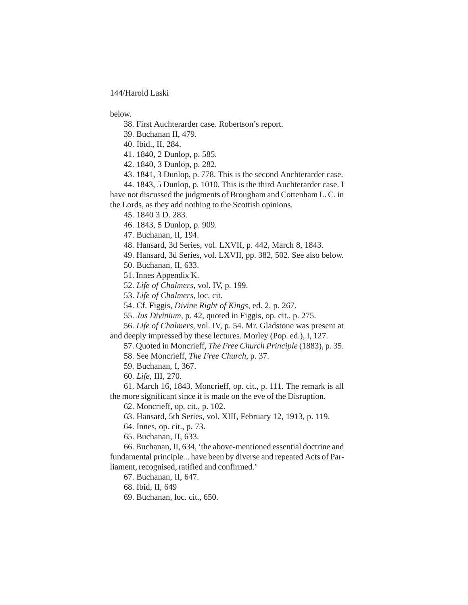below.

- 38. First Auchterarder case. Robertson's report.
- 39. Buchanan II, 479.
- 40. Ibid., II, 284.
- 41. 1840, 2 Dunlop, p. 585.
- 42. 1840, 3 Dunlop, p. 282.
- 43. 1841, 3 Dunlop, p. 778. This is the second Anchterarder case.

44. 1843, 5 Dunlop, p. 1010. This is the third Auchterarder case. I have not discussed the judgments of Brougham and Cottenham L. C. in the Lords, as they add nothing to the Scottish opinions.

45. 1840 3 D. 283.

46. 1843, 5 Dunlop, p. 909.

47. Buchanan, II, 194.

48. Hansard, 3d Series, vol. LXVII, p. 442, March 8, 1843.

49. Hansard, 3d Series, vol. LXVII, pp. 382, 502. See also below.

50. Buchanan, II, 633.

51. Innes Appendix K.

52. *Life of Chalmers*, vol. IV, p. 199.

53. *Life of Chalmers*, loc. cit.

54. Cf. Figgis, *Divine Right of Kings*, ed. 2, p. 267.

55. *Jus Divinium*, p. 42, quoted in Figgis, op. cit., p. 275.

56. *Life of Chalmers*, vol. IV, p. 54. Mr. Gladstone was present at and deeply impressed by these lectures. Morley (Pop. ed.), I, 127.

57. Quoted in Moncrieff, *The Free Church Principle* (1883), p. 35.

58. See Moncrieff, *The Free Church*, p. 37.

59. Buchanan, I, 367.

60. *Life*, III, 270.

61. March 16, 1843. Moncrieff, op. cit., p. 111. The remark is all the more significant since it is made on the eve of the Disruption.

62. Moncrieff, op. cit., p. 102.

63. Hansard, 5th Series, vol. XIII, February 12, 1913, p. 119.

64. Innes, op. cit., p. 73.

65. Buchanan, II, 633.

66. Buchanan, II, 634, 'the above-mentioned essential doctrine and fundamental principle... have been by diverse and repeated Acts of Parliament, recognised, ratified and confirmed.'

67. Buchanan, II, 647.

68. Ibid, II, 649

69. Buchanan, loc. cit., 650.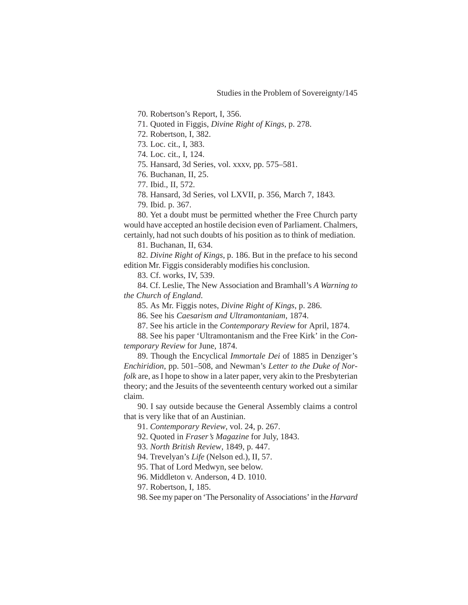Studies in the Problem of Sovereignty/145

70. Robertson's Report, I, 356.

71. Quoted in Figgis, *Divine Right of Kings*, p. 278.

72. Robertson, I, 382.

73. Loc. cit., I, 383.

74. Loc. cit., I, 124.

75. Hansard, 3d Series, vol. xxxv, pp. 575–581.

76. Buchanan, II, 25.

77. Ibid., II, 572.

78. Hansard, 3d Series, vol LXVII, p. 356, March 7, 1843.

79. Ibid. p. 367.

80. Yet a doubt must be permitted whether the Free Church party would have accepted an hostile decision even of Parliament. Chalmers, certainly, had not such doubts of his position as to think of mediation.

81. Buchanan, II, 634.

82. *Divine Right of Kings*, p. 186. But in the preface to his second edition Mr. Figgis considerably modifies his conclusion.

83. Cf. works, IV, 539.

84. Cf. Leslie, The New Association and Bramhall's *A Warning to the Church of England*.

85. As Mr. Figgis notes, *Divine Right of Kings*, p. 286.

86. See his *Caesarism and Ultramontaniam*, 1874.

87. See his article in the *Contemporary Review* for April, 1874.

88. See his paper 'Ultramontanism and the Free Kirk' in the *Contemporary Review* for June, 1874.

89. Though the Encyclical *Immortale Dei* of 1885 in Denziger's *Enchiridion*, pp. 501–508, and Newman's *Letter to the Duke of Norfolk* are, as I hope to show in a later paper, very akin to the Presbyterian theory; and the Jesuits of the seventeenth century worked out a similar claim.

90. I say outside because the General Assembly claims a control that is very like that of an Austinian.

91. *Contemporary Review*, vol. 24, p. 267.

92. Quoted in *Fraser's Magazine* for July, 1843.

93. *North British Review*, 1849, p. 447.

94. Trevelyan's *Life* (Nelson ed.), II, 57.

95. That of Lord Medwyn, see below.

96. Middleton v. Anderson, 4 D. 1010.

97. Robertson, I, 185.

98. See my paper on 'The Personality of Associations' in the *Harvard*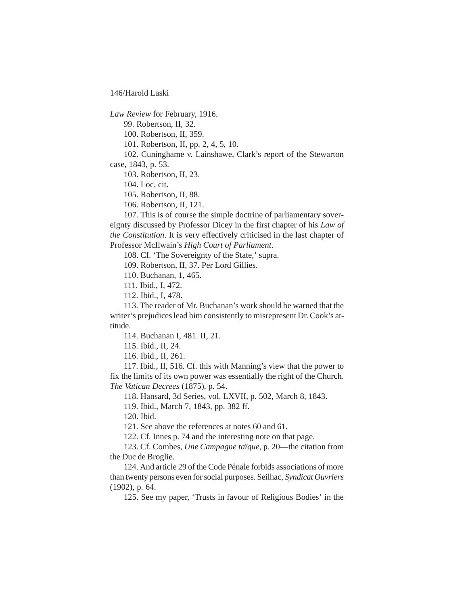*Law Review* for February, 1916.

99. Robertson, II, 32.

100. Robertson, II, 359.

101. Robertson, II, pp. 2, 4, 5, 10.

102. Cuninghame v. Lainshawe, Clark's report of the Stewarton case, 1843, p. 53.

103. Robertson, II, 23.

104. Loc. cit.

105. Robertson, II, 88.

106. Robertson, II, 121.

107. This is of course the simple doctrine of parliamentary sovereignty discussed by Professor Dicey in the first chapter of his *Law of the Constitution*. It is very effectively criticised in the last chapter of Professor McIlwain's *High Court of Parliament*.

108. Cf. 'The Sovereignty of the State,' supra.

109. Robertson, II, 37. Per Lord Gillies.

110. Buchanan, 1, 465.

111. Ibid., I, 472.

112. Ibid., I, 478.

113. The reader of Mr. Buchanan's work should be warned that the writer's prejudices lead him consistently to misrepresent Dr. Cook's attitude.

114. Buchanan I, 481. II, 21.

115. Ibid., II, 24.

116. Ibid., II, 261.

117. Ibid., II, 516. Cf. this with Manning's view that the power to fix the limits of its own power was essentially the right of the Church. *The Vatican Decrees* (1875), p. 54.

118. Hansard, 3d Series, vol. LXVII, p. 502, March 8, 1843.

119. Ibid., March 7, 1843, pp. 382 ff.

120. Ibid.

121. See above the references at notes 60 and 61.

122. Cf. Innes p. 74 and the interesting note on that page.

123. Cf. Combes, *Une Campagne taïque*, p. 20—the citation from the Duc de Broglie.

124. And article 29 of the Code Pénale forbids associations of more than twenty persons even for social purposes. Seilhac, *Syndicat Ouvriers* (1902), p. 64.

125. See my paper, 'Trusts in favour of Religious Bodies' in the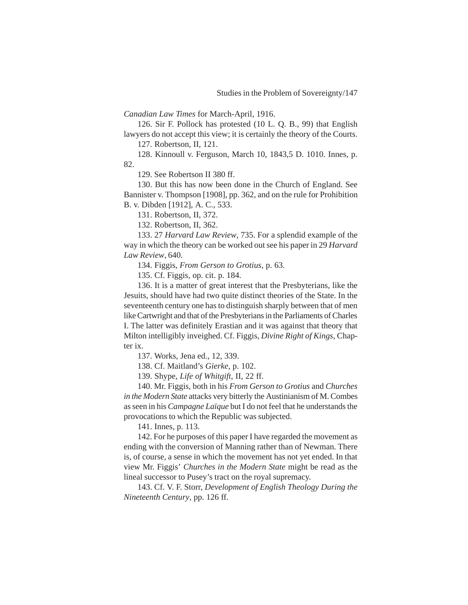*Canadian Law Times* for March-April, 1916.

126. Sir F. Pollock has protested (10 L. Q. B., 99) that English lawyers do not accept this view; it is certainly the theory of the Courts.

127. Robertson, II, 121.

128. Kinnoull v. Ferguson, March 10, 1843,5 D. 1010. Innes, p. 82.

129. See Robertson II 380 ff.

130. But this has now been done in the Church of England. See Bannister v. Thompson [1908], pp. 362, and on the rule for Prohibition B. v. Dibden [1912], A. C., 533.

131. Robertson, II, 372.

132. Robertson, II, 362.

133. 27 *Harvard Law Review*, 735. For a splendid example of the way in which the theory can be worked out see his paper in 29 *Harvard Law Review*, 640.

134. Figgis, *From Gerson to Grotius*, p. 63.

135. Cf. Figgis, op. cit. p. 184.

136. It is a matter of great interest that the Presbyterians, like the Jesuits, should have had two quite distinct theories of the State. In the seventeenth century one has to distinguish sharply between that of men like Cartwright and that of the Presbyterians in the Parliaments of Charles I. The latter was definitely Erastian and it was against that theory that Milton intelligibly inveighed. Cf. Figgis, *Divine Right of Kings*, Chapter ix.

137. Works, Jena ed., 12, 339.

138. Cf. Maitland's *Gierke*, p. 102.

139. Shype, *Life of Whitgift*, II, 22 ff.

140. Mr. Figgis, both in his *From Gerson to Grotius* and *Churches in the Modern State* attacks very bitterly the Austinianism of M. Combes as seen in his *Campagne Laïque* but I do not feel that he understands the provocations to which the Republic was subjected.

141. Innes, p. 113.

142. For he purposes of this paper I have regarded the movement as ending with the conversion of Manning rather than of Newman. There is, of course, a sense in which the movement has not yet ended. In that view Mr. Figgis' *Churches in the Modern State* might be read as the lineal successor to Pusey's tract on the royal supremacy.

143. Cf. V. F. Storr, *Development of English Theology During the Nineteenth Century*, pp. 126 ff.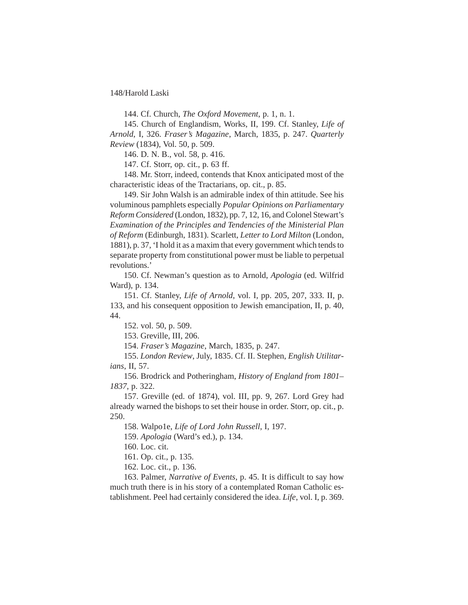144. Cf. Church, *The Oxford Movement*, p. 1, n. 1.

145. Church of Englandism, Works, II, 199. Cf. Stanley, *Life of Arnold*, I, 326. *Fraser's Magazine*, March, 1835, p. 247. *Quarterly Review* (1834), Vol. 50, p. 509.

146. D. N. B., vol. 58, p. 416.

147. Cf. Storr, op. cit., p. 63 ff.

148. Mr. Storr, indeed, contends that Knox anticipated most of the characteristic ideas of the Tractarians, op. cit., p. 85.

149. Sir John Walsh is an admirable index of thin attitude. See his voluminous pamphlets especially *Popular Opinions on Parliamentary Reform Considered* (London, 1832), pp. 7, 12, 16, and Colonel Stewart's *Examination of the Principles and Tendencies of the Ministerial Plan of Reform* (Edinburgh, 1831). Scarlett, *Letter to Lord Milton* (London, 1881), p. 37, 'I hold it as a maxim that every government which tends to separate property from constitutional power must be liable to perpetual revolutions.'

150. Cf. Newman's question as to Arnold, *Apologia* (ed. Wilfrid Ward), p. 134.

151. Cf. Stanley, *Life of Arnold*, vol. I, pp. 205, 207, 333. II, p. 133, and his consequent opposition to Jewish emancipation, II, p. 40, 44.

152. vol. 50, p. 509.

153. Greville, III, 206.

154. *Fraser's Magazine*, March, 1835, p. 247.

155. *London Review*, July, 1835. Cf. II. Stephen, *English Utilitarians*, II, 57.

156. Brodrick and Potheringham, *History of England from 1801– 1837*, p. 322.

157. Greville (ed. of 1874), vol. III, pp. 9, 267. Lord Grey had already warned the bishops to set their house in order. Storr, op. cit., p. 250.

158. Walpo1e, *Life of Lord John Russell*, I, 197.

159. *Apologia* (Ward's ed.), p. 134.

160. Loc. cit.

161. Op. cit., p. 135.

162. Loc. cit., p. 136.

163. Palmer, *Narrative of Events*, p. 45. It is difficult to say how much truth there is in his story of a contemplated Roman Catholic establishment. Peel had certainly considered the idea. *Life*, vol. I, p. 369.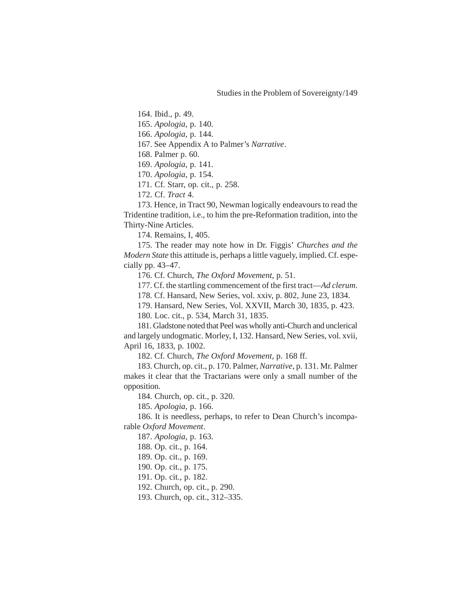164. Ibid., p. 49.

165. *Apologia*, p. 140.

166. *Apologia*, p. 144.

167. See Appendix A to Palmer's *Narrative*.

168. Palmer p. 60.

169. *Apologia*, p. 141.

170. *Apologia*, p. 154.

171. Cf. Starr, op. cit., p. 258.

172. Cf. *Tract* 4.

173. Hence, in Tract 90, Newman logically endeavours to read the Tridentine tradition, i.e., to him the pre-Reformation tradition, into the Thirty-Nine Articles.

174. Remains, I, 405.

175. The reader may note how in Dr. Figgis' *Churches and the Modern State* this attitude is, perhaps a little vaguely, implied. Cf. especially pp. 43–47.

176. Cf. Church, *The Oxford Movement*, p. 51.

177. Cf. the startling commencement of the first tract—*Ad clerum*.

178. Cf. Hansard, New Series, vol. xxiv, p. 802, June 23, 1834.

179. Hansard, New Series, Vol. XXVII, March 30, 1835, p. 423.

180. Loc. cit., p. 534, March 31, 1835.

181. Gladstone noted that Peel was wholly anti-Church and unclerical and largely undogmatic. Morley, I, 132. Hansard, New Series, vol. xvii, April 16, 1833, p. 1002.

182. Cf. Church, *The Oxford Movement*, p. 168 ff.

183. Church, op. cit., p. 170. Palmer, *Narrative*, p. 131. Mr. Palmer makes it clear that the Tractarians were only a small number of the opposition.

184. Church, op. cit., p. 320.

185. *Apologia*, p. 166.

186. It is needless, perhaps, to refer to Dean Church's incomparable *Oxford Movement*.

187. *Apologia*, p. 163.

188. Op. cit., p. 164.

189. Op. cit., p. 169.

190. Op. cit., p. 175.

191. Op. cit., p. 182.

192. Church, op. cit., p. 290.

193. Church, op. cit., 312–335.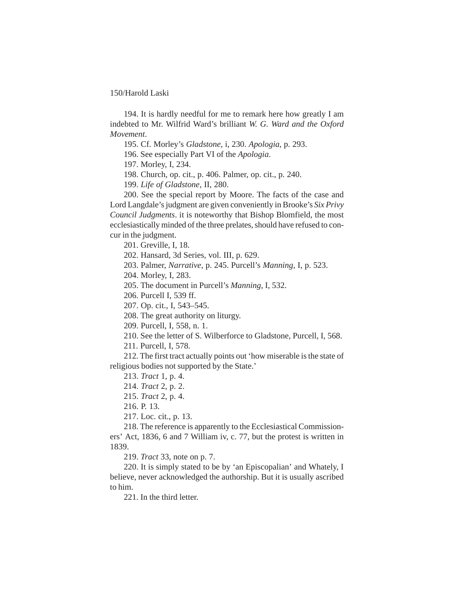194. It is hardly needful for me to remark here how greatly I am indebted to Mr. Wilfrid Ward's brilliant *W. G. Ward and the Oxford Movement*.

195. Cf. Morley's *Gladstone*, i, 230. *Apologia*, p. 293.

196. See especially Part VI of the *Apologia*.

197. Morley, I, 234.

198. Church, op. cit., p. 406. Palmer, op. cit., p. 240.

199. *Life of Gladstone*, II, 280.

200. See the special report by Moore. The facts of the case and Lord Langdale's judgment are given conveniently in Brooke's *Six Privy Council Judgments*. it is noteworthy that Bishop Blomfield, the most ecclesiastically minded of the three prelates, should have refused to concur in the judgment.

201. Greville, I, 18.

202. Hansard, 3d Series, vol. III, p. 629.

203. Palmer, *Narrative*, p. 245. Purcell's *Manning*, I, p. 523.

204. Morley, I, 283.

205. The document in Purcell's *Manning*, I, 532.

206. Purcell I, 539 ff.

207. Op. cit., I, 543–545.

208. The great authority on liturgy.

209. Purcell, I, 558, n. 1.

210. See the letter of S. Wilberforce to Gladstone, Purcell, I, 568.

211. Purcell, I, 578.

212. The first tract actually points out 'how miserable is the state of religious bodies not supported by the State.'

213. *Tract* 1, p. 4.

214. *Tract* 2, p. 2.

215. *Tract* 2, p. 4.

216. P. 13.

217. Loc. cit., p. 13.

218. The reference is apparently to the Ecclesiastical Commission-

ers' Act, 1836, 6 and 7 William iv, c. 77, but the protest is written in 1839.

219. *Tract* 33, note on p. 7.

220. It is simply stated to be by 'an Episcopalian' and Whately, I believe, never acknowledged the authorship. But it is usually ascribed to him.

221. In the third letter.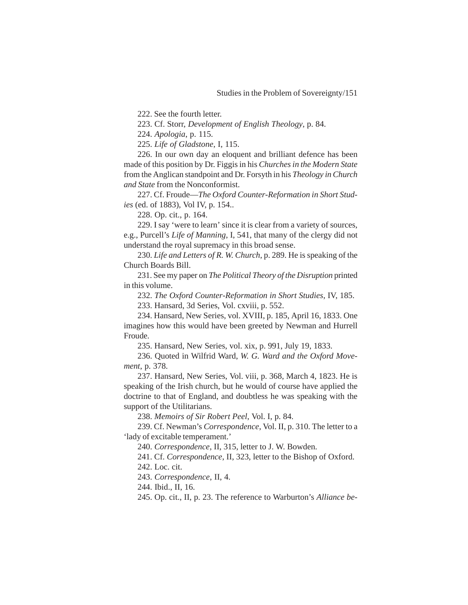222. See the fourth letter.

223. Cf. Storr, *Development of English Theology*, p. 84.

224. *Apologia*, p. 115.

225. *Life of Gladstone*, I, 115.

226. In our own day an eloquent and brilliant defence has been made of this position by Dr. Figgis in his *Churches in the Modern State* from the Anglican standpoint and Dr. Forsyth in his *Theology in Church and State* from the Nonconformist.

227. Cf. Froude—*The Oxford Counter-Reformation in Short Studies* (ed. of 1883), Vol IV, p. 154..

228. Op. cit., p. 164.

229. I say 'were to learn' since it is clear from a variety of sources, e.g., Purcell's *Life of Manning*, I, 541, that many of the clergy did not understand the royal supremacy in this broad sense.

230. *Life and Letters of R. W. Church*, p. 289. He is speaking of the Church Boards Bill.

231. See my paper on *The Political Theory of the Disruption* printed in this volume.

232. *The Oxford Counter-Reformation in Short Studies*, IV, 185.

233. Hansard, 3d Series, Vol. cxviii, p. 552.

234. Hansard, New Series, vol. XVIII, p. 185, April 16, 1833. One imagines how this would have been greeted by Newman and Hurrell Froude.

235. Hansard, New Series, vol. xix, p. 991, July 19, 1833.

236. Quoted in Wilfrid Ward, *W. G. Ward and the Oxford Movement*, p. 378.

237. Hansard, New Series, Vol. viii, p. 368, March 4, 1823. He is speaking of the Irish church, but he would of course have applied the doctrine to that of England, and doubtless he was speaking with the support of the Utilitarians.

238. *Memoirs of Sir Robert Peel*, Vol. I, p. 84.

239. Cf. Newman's *Correspondence*, Vol. II, p. 310. The letter to a 'lady of excitable temperament.'

240. *Correspondence*, II, 315, letter to J. W. Bowden.

241. Cf. *Correspondence*, II, 323, letter to the Bishop of Oxford.

242. Loc. cit.

243. *Correspondence*, II, 4.

244. Ibid., II, 16.

245. Op. cit., II, p. 23. The reference to Warburton's *Alliance be-*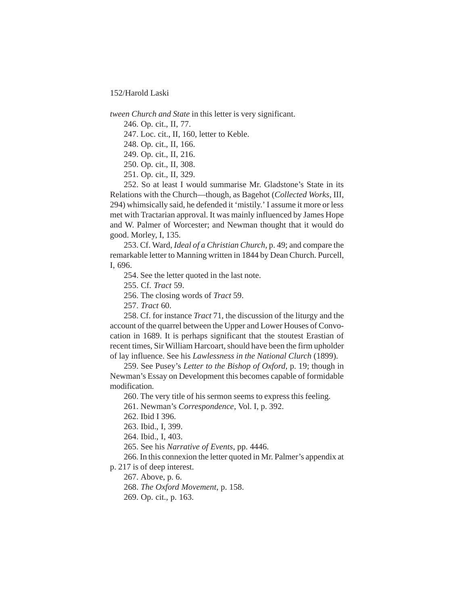*tween Church and State* in this letter is very significant.

246. Op. cit., II, 77.

247. Loc. cit., II, 160, letter to Keble.

248. Op. cit., II, 166.

249. Op. cit., II, 216.

250. Op. cit., II, 308.

251. Op. cit., II, 329.

252. So at least I would summarise Mr. Gladstone's State in its Relations with the Church—though, as Bagehot (*Collected Works*, III, 294) whimsically said, he defended it 'mistily.' I assume it more or less met with Tractarian approval. It was mainly influenced by James Hope and W. Palmer of Worcester; and Newman thought that it would do good. Morley, I, 135.

253. Cf. Ward, *Ideal of a Christian Church*, p. 49; and compare the remarkable letter to Manning written in 1844 by Dean Church. Purcell, I, 696.

254. See the letter quoted in the last note.

255. Cf. *Tract* 59.

256. The closing words of *Tract* 59.

257. *Tract* 60.

258. Cf. for instance *Tract* 71, the discussion of the liturgy and the account of the quarrel between the Upper and Lower Houses of Convocation in 1689. It is perhaps significant that the stoutest Erastian of recent times, Sir William Harcoart, should have been the firm upholder of lay influence. See his *Lawlessness in the National Clurch* (1899).

259. See Pusey's *Letter to the Bishop of Oxford*, p. 19; though in Newman's Essay on Development this becomes capable of formidable modification.

260. The very title of his sermon seems to express this feeling.

261. Newman's *Correspondence*, Vol. I, p. 392.

262. Ibid I 396.

263. Ibid., I, 399.

264. Ibid., I, 403.

265. See his *Narrative of Events*, pp. 4446.

266. In this connexion the letter quoted in Mr. Palmer's appendix at

p. 217 is of deep interest.

267. Above, p. 6.

268. *The Oxford Movement*, p. 158.

269. Op. cit., p. 163.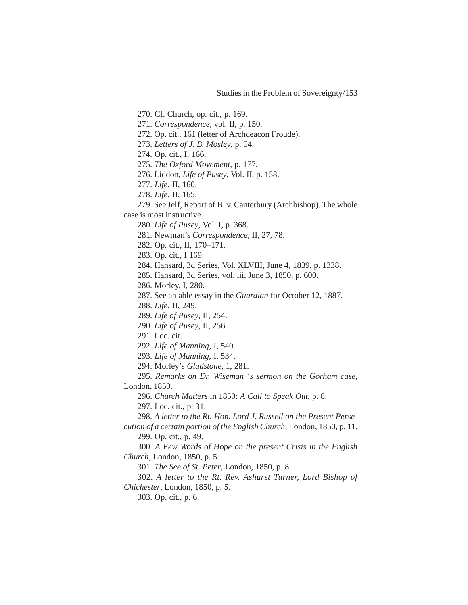270. Cf. Church, op. cit., p. 169.

271. *Correspondence*, vol. II, p. 150.

272. Op. cit., 161 (letter of Archdeacon Froude).

273. *Letters of J. B. Mosley*, p. 54.

274. Op. cit., I, 166.

275. *The Oxford Movement*, p. 177.

276. Liddon, *Life of Pusey*, Vol. II, p. 158.

277. *Life*, II, 160.

278. *Life*, II, 165.

279. See Jelf, Report of B. v. Canterbury (Archbishop). The whole case is most instructive.

280. *Life of Pusey*, Vol. I, p. 368.

281. Newman's *Correspondence*, II, 27, 78.

282. Op. cit., II, 170–171.

283. Op. cit., I 169.

284. Hansard, 3d Series, Vol. XLVIII, June 4, 1839, p. 1338.

285. Hansard, 3d Series, vol. iii, June 3, 1850, p. 600.

286. Morley, I, 280.

287. See an able essay in the *Guardian* for October 12, 1887.

288. *Life*, II, 249.

289. *Life of Pusey*, II, 254.

290. *Life of Pusey*, II, 256.

291. Loc. cit.

292. *Life of Manning*, I, 540.

293. *Life of Manning*, I, 534.

294. Morley's *Gladstone*, 1, 281.

295. *Remarks on Dr. Wiseman 's sermon on the Gorham case*,

London, 1850.

296. *Church Matters* in 1850: *A Call to Speak Out*, p. 8.

297. Loc. cit., p. 31.

298. *A letter to the Rt. Hon. Lord J. Russell on the Present Persecution of a certain portion of the English Church*, London, 1850, p. 11.

299. Op. cit., p. 49.

300. *A Few Words of Hope on the present Crisis in the English Church*, London, 1850, p. 5.

301. *The See of St. Peter*, London, 1850, p. 8.

302. *A letter to the Rt. Rev. Ashurst Turner, Lord Bishop of Chichester*, London, 1850, p. 5.

303. Op. cit., p. 6.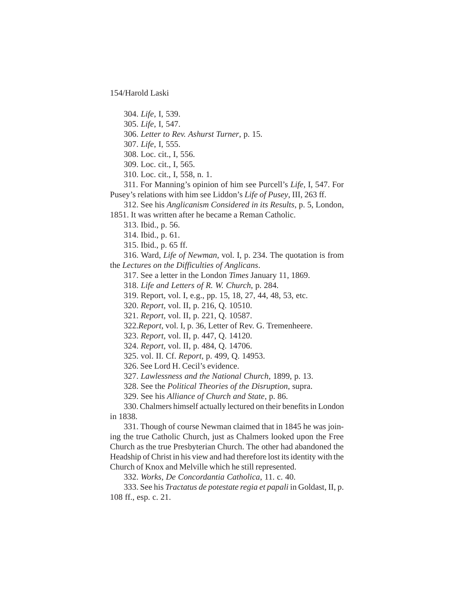304. *Life*, I, 539.

305. *Life*, I, 547.

306. *Letter to Rev. Ashurst Turner*, p. 15.

307. *Life*, I, 555.

308. Loc. cit., I, 556.

309. Loc. cit., I, 565.

310. Loc. cit., I, 558, n. 1.

311. For Manning's opinion of him see Purcell's *Life*, I, 547. For Pusey's relations with him see Liddon's *Life of Pusey*, III, 263 ff.

312. See his *Anglicanism Considered in its Results*, p. 5, London, 1851. It was written after he became a Reman Catholic.

313. Ibid., p. 56.

314. Ibid., p. 61.

315. Ibid., p. 65 ff.

316. Ward, *Life of Newman*, vol. I, p. 234. The quotation is from the *Lectures on the Difficulties of Anglicans*.

317. See a letter in the London *Times* January 11, 1869.

318. *Life and Letters of R. W. Church*, p. 284.

319. Report, vol. I, e.g., pp. 15, 18, 27, 44, 48, 53, etc.

320. *Report*, vol. II, p. 216, Q. 10510.

321. *Report*, vol. II, p. 221, Q. 10587.

322.*Report*, vol. I, p. 36, Letter of Rev. G. Tremenheere.

323. *Report*, vol. II, p. 447, Q. 14120.

324. *Report*, vol. II, p. 484, Q. 14706.

325. vol. II. Cf. *Report*, p. 499, Q. 14953.

326. See Lord H. Cecil's evidence.

327. *Lawlessness and the National Church*, 1899, p. 13.

328. See the *Political Theories of the Disruption*, supra.

329. See his *Alliance of Church and State*, p. 86.

330. Chalmers himself actually lectured on their benefits in London in 1838.

331. Though of course Newman claimed that in 1845 he was joining the true Catholic Church, just as Chalmers looked upon the Free Church as the true Presbyterian Church. The other had abandoned the Headship of Christ in his view and had therefore lost its identity with the Church of Knox and Melville which he still represented.

332. *Works*, *De Concordantia Catholica*, 11. c. 40.

333. See his *Tractatus de potestate regia et papali* in Goldast, II, p. 108 ff., esp. c. 21.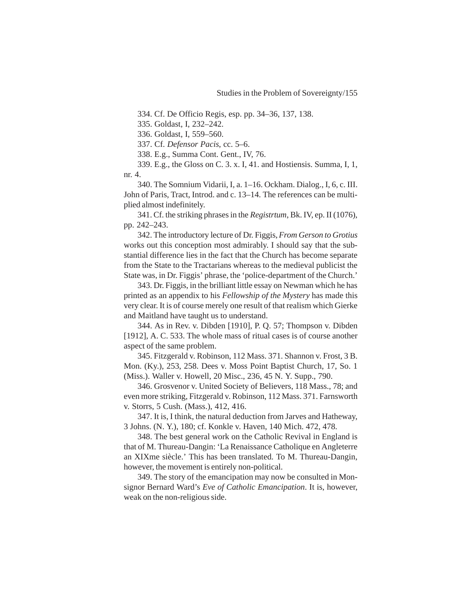334. Cf. De Officio Regis, esp. pp. 34–36, 137, 138.

335. Goldast, I, 232–242.

336. Goldast, I, 559–560.

337. Cf. *Defensor Pacis*, cc. 5–6.

338. E.g., Summa Cont. Gent., IV, 76.

339. E.g., the Gloss on C. 3. x. I, 41. and Hostiensis. Summa, I, 1, nr. 4.

340. The Somnium Vidarii, I, a. 1–16. Ockham. Dialog., I, 6, c. III. John of Paris, Tract, Introd. and c. 13–14. The references can be multiplied almost indefinitely.

341. Cf. the striking phrases in the *Registrtum*, Bk. IV, ep. II (1076), pp. 242–243.

342. The introductory lecture of Dr. Figgis, *From Gerson to Grotius* works out this conception most admirably. I should say that the substantial difference lies in the fact that the Church has become separate from the State to the Tractarians whereas to the medieval publicist the State was, in Dr. Figgis' phrase, the 'police-department of the Church.'

343. Dr. Figgis, in the brilliant little essay on Newman which he has printed as an appendix to his *Fellowship of the Mystery* has made this very clear. It is of course merely one result of that realism which Gierke and Maitland have taught us to understand.

344. As in Rev. v. Dibden [1910], P. Q. 57; Thompson v. Dibden [1912], A. C. 533. The whole mass of ritual cases is of course another aspect of the same problem.

345. Fitzgerald v. Robinson, 112 Mass. 371. Shannon v. Frost, 3 B. Mon. (Ky.), 253, 258. Dees v. Moss Point Baptist Church, 17, So. 1 (Miss.). Waller v. Howell, 20 Misc., 236, 45 N. Y. Supp., 790.

346. Grosvenor v. United Society of Believers, 118 Mass., 78; and even more striking, Fitzgerald v. Robinson, 112 Mass. 371. Farnsworth v. Storrs, 5 Cush. (Mass.), 412, 416.

347. It is, I think, the natural deduction from Jarves and Hatheway, 3 Johns. (N. Y.), 180; cf. Konkle v. Haven, 140 Mich. 472, 478.

348. The best general work on the Catholic Revival in England is that of M. Thureau-Dangin: 'La Renaissance Catholique en Angleterre an XIXme siècle.' This has been translated. To M. Thureau-Dangin, however, the movement is entirely non-political.

349. The story of the emancipation may now be consulted in Monsignor Bernard Ward's *Eve of Catholic Emancipation*. It is, however, weak on the non-religious side.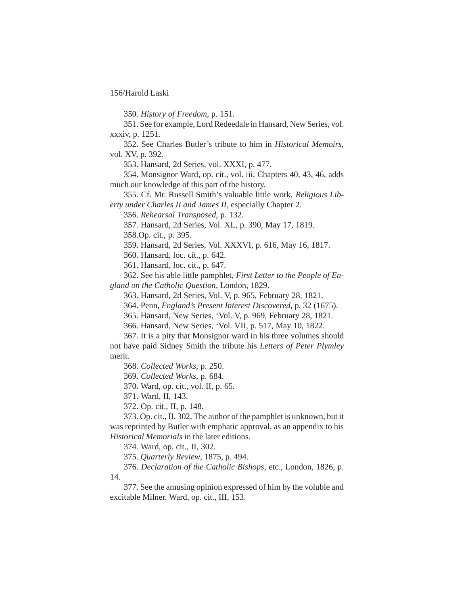350. *History of Freedom*, p. 151.

351. See for example, Lord Redeedale in Hansard, New Series, vol. xxxiv, p. 1251.

352. See Charles Butler's tribute to him in *Historical Memoirs*, vol. XV, p. 392.

353. Hansard, 2d Series, vol. XXXI, p. 477.

354. Monsignor Ward, op. cit., vol. iii, Chapters 40, 43, 46, adds much our knowledge of this part of the history.

355. Cf. Mr. Russell Smith's valuable little work, *Religious Liberty under Charles II and James II*, especially Chapter 2.

356. *Rehearsal Transposed*, p. 132.

357. Hansard, 2d Series, Vol. XL, p. 390, May 17, 1819.

358.Op. cit., p. 395.

359. Hansard, 2d Series, Vol. XXXVI, p. 616, May 16, 1817.

360. Hansard, loc. cit., p. 642.

361. Hansard, loc. cit., p. 647.

362. See his able little pamphlet, *First Letter to the People of England on the Catholic Question*, London, 1829.

363. Hansard, 2d Series, Vol. V, p. 965, February 28, 1821.

364. Penn, *England's Present Interest Discovered*, p. 32 (1675).

365. Hansard, New Series, 'Vol. V, p. 969, February 28, 1821.

366. Hansard, New Series, 'Vol. VII, p. 517, May 10, 1822.

367. It is a pity that Monsignor ward in his three volumes should not have paid Sidney Smith the tribute his *Letters of Peter Plymley* merit.

368. *Collected Works*, p. 250.

369. *Collected Works*, p. 684.

370. Ward, op. cit., vol. II, p. 65.

371. Ward, II, 143.

372. Op. cit., II, p. 148.

373. Op. cit., II, 302. The author of the pamphlet is unknown, but it was reprinted by Butler with emphatic approval, as an appendix to his *Historical Memorials* in the later editions.

374. Ward, op. cit., II, 302.

375. *Quarterly Review*, 1875, p. 494.

376. *Declaration of the Catholic Bishops*, etc., London, 1826, p. 14.

377. See the amusing opinion expressed of him by the voluble and excitable Milner. Ward, op. cit., III, 153.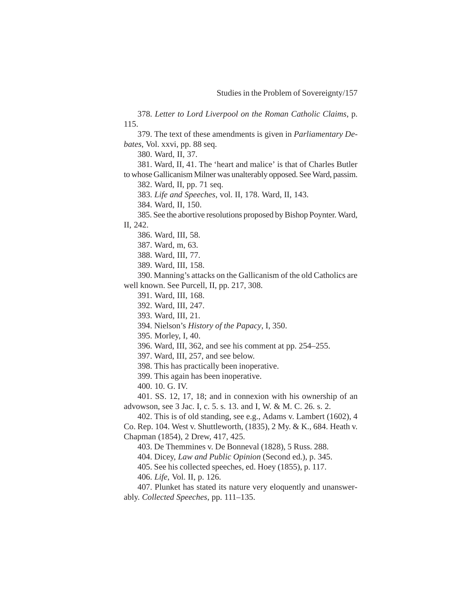378. *Letter to Lord Liverpool on the Roman Catholic Claims*, p. 115.

379. The text of these amendments is given in *Parliamentary Debates*, Vol. xxvi, pp. 88 seq.

380. Ward, II, 37.

381. Ward, II, 41. The 'heart and malice' is that of Charles Butler to whose Gallicanism Milner was unalterably opposed. See Ward, passim.

382. Ward, II, pp. 71 seq.

383. *Life and Speeches*, vol. II, 178. Ward, II, 143.

384. Ward, II, 150.

385. See the abortive resolutions proposed by Bishop Poynter. Ward, II, 242.

386. Ward, III, 58.

387. Ward, m, 63.

388. Ward, III, 77.

389. Ward, III, 158.

390. Manning's attacks on the Gallicanism of the old Catholics are well known. See Purcell, II, pp. 217, 308.

391. Ward, III, 168.

392. Ward, III, 247.

393. Ward, III, 21.

394. Nielson's *History of the Papacy*, I, 350.

395. Morley, I, 40.

396. Ward, III, 362, and see his comment at pp. 254–255.

397. Ward, III, 257, and see below.

398. This has practically been inoperative.

399. This again has been inoperative.

400. 10. G. IV.

401. SS. 12, 17, 18; and in connexion with his ownership of an advowson, see 3 Jac. I, c. 5. s. 13. and I, W. & M. C. 26. s. 2.

402. This is of old standing, see e.g., Adams v. Lambert (1602), 4 Co. Rep. 104. West v. Shuttleworth, (1835), 2 My. & K., 684. Heath v. Chapman (1854), 2 Drew, 417, 425.

403. De Themmines v. De Bonneval (1828), 5 Russ. 288.

404. Dicey, *Law and Public Opinion* (Second ed.), p. 345.

405. See his collected speeches, ed. Hoey (1855), p. 117.

406. *Life*, Vol. II, p. 126.

407. Plunket has stated its nature very eloquently and unanswerably. *Collected Speeches*, pp. 111–135.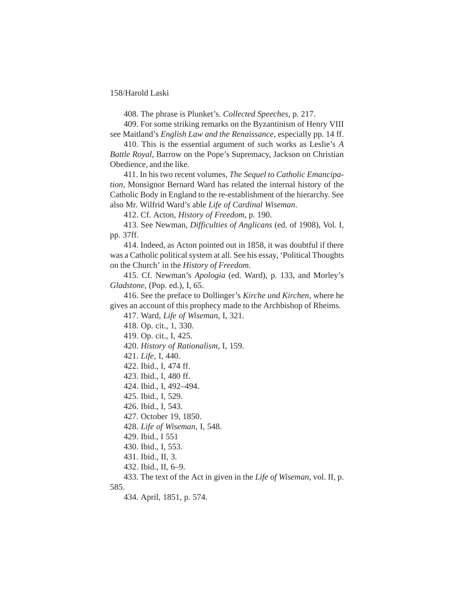408. The phrase is Plunket's. *Collected Speeches*, p. 217.

409. For some striking remarks on the Byzantinism of Henry VIII see Maitland's *English Law and the Renaissance*, especially pp. 14 ff.

410. This is the essential argument of such works as Leslie's *A Battle Royal*, Barrow on the Pope's Supremacy, Jackson on Christian Obedience, and the like.

411. In his two recent volumes, *The Sequel to Catholic Emancipation*, Monsignor Bernard Ward has related the internal history of the Catholic Body in England to the re-establishment of the hierarchy. See also Mr. Wilfrid Ward's able *Life of Cardinal Wiseman*.

412. Cf. Acton, *History of Freedom*, p. 190.

413. See Newman, *Difficulties of Anglicans* (ed. of 1908), Vol. I, pp. 37ff.

414. Indeed, as Acton pointed out in 1858, it was doubtful if there was a Catholic political system at all. See his essay, 'Political Thoughts on the Church' in the *History of Freedom*.

415. Cf. Newman's *Apologia* (ed. Ward), p. 133, and Morley's *Gladstone*, (Pop. ed.), I, 65.

416. See the preface to Dollinger's *Kirche und Kirchen*, where he gives an account of this prophecy made to the Archbishop of Rheims.

417. Ward, *Life of Wiseman*, I, 321.

418. Op. cit., 1, 330.

419. Op. cit., I, 425.

420. *History of Rationalism*, I, 159.

421. *Life*, I, 440.

422. Ibid., I, 474 ff.

423. Ibid., I, 480 ff.

424. Ibid., I, 492–494.

425. Ibid., I, 529.

426. Ibid., I, 543.

427. October 19, 1850.

428. *Life of Wiseman*, I, 548.

429. Ibid., I 551

430. Ibid., I, 553.

- 431. Ibid., II, 3.
- 432. Ibid., II, 6–9.

433. The text of the Act in given in the *Life of Wiseman*, vol. II, p.

585.

434. April, 1851, p. 574.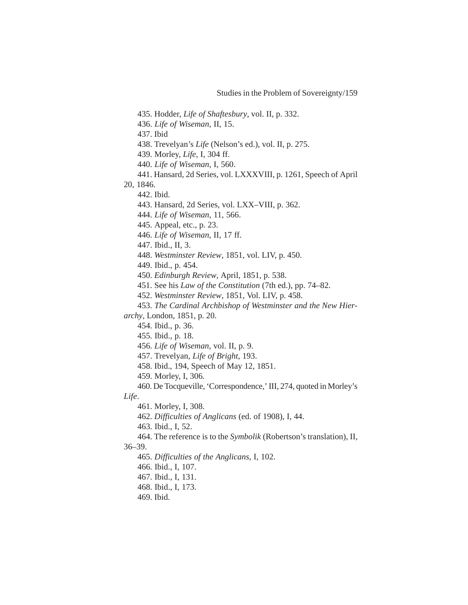435. Hodder, *Life of Shaftesbury*, vol. II, p. 332. 436. *Life of Wiseman*, II, 15. 437. Ibid 438. Trevelyan's *Life* (Nelson's ed.), vol. II, p. 275. 439. Morley, *Life*, I, 304 ff. 440. *Life of Wiseman*, I, 560. 441. Hansard, 2d Series, vol. LXXXVIII, p. 1261, Speech of April 20, 1846. 442. Ibid. 443. Hansard, 2d Series, vol. LXX–VIII, p. 362. 444. *Life of Wiseman*, 11, 566. 445. Appeal, etc., p. 23. 446. *Life of Wiseman*, II, 17 ff. 447. Ibid., II, 3. 448. *Westminster Review*, 1851, vol. LIV, p. 450. 449. Ibid., p. 454. 450. *Edinburgh Review*, April, 1851, p. 538. 451. See his *Law of the Constitution* (7th ed.), pp. 74–82. 452. *Westminster Review*, 1851, Vol. LIV, p. 458. 453. *The Cardinal Archbishop of Westminster and the New Hierarchy*, London, 1851, p. 20. 454. Ibid., p. 36. 455. Ibid., p. 18. 456. *Life of Wiseman*, vol. II, p. 9. 457. Trevelyan, *Life of Bright*, 193. 458. Ibid., 194, Speech of May 12, 1851. 459. Morley, I, 306. 460. De Tocqueville, 'Correspondence,' III, 274, quoted in Morley's *Life*. 461. Morley, I, 308. 462. *Difficulties of Anglicans* (ed. of 1908), I, 44. 463. Ibid., I, 52. 464. The reference is to the *Symbolik* (Robertson's translation), II, 36–39. 465. *Difficulties of the Anglicans*, I, 102. 466. Ibid., I, 107. 467. Ibid., I, 131. 468. Ibid., I, 173. 469. Ibid.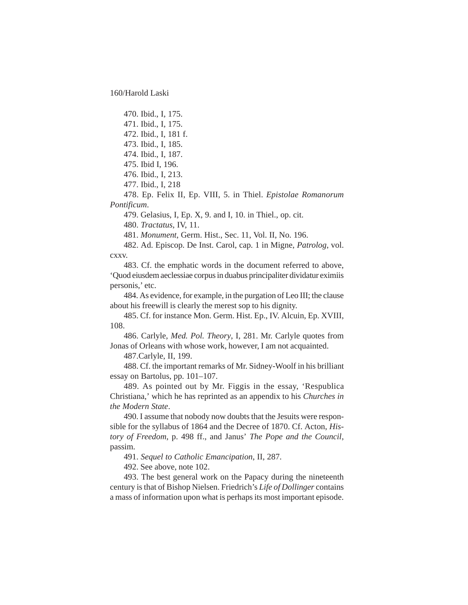470. Ibid., I, 175. 471. Ibid., I, 175. 472. Ibid., I, 181 f. 473. Ibid., I, 185. 474. Ibid., I, 187. 475. Ibid I, 196. 476. Ibid., I, 213. 477. Ibid., I, 218 478. Ep. Felix II, Ep. VIII, 5. in Thiel. *Epistolae Romanorum Pontificum*.

479. Gelasius, I, Ep. X, 9. and I, 10. in Thiel., op. cit.

480. *Tractatus*, IV, 11.

481. *Monument*, Germ. Hist., Sec. 11, Vol. II, No. 196.

482. Ad. Episcop. De Inst. Carol, cap. 1 in Migne, *Patrolog*, vol. cxxv.

483. Cf. the emphatic words in the document referred to above, 'Quod eiusdem aeclessiae corpus in duabus principaliter dividatur eximiis personis,' etc.

484. As evidence, for example, in the purgation of Leo III; the clause about his freewill is clearly the merest sop to his dignity.

485. Cf. for instance Mon. Germ. Hist. Ep., IV. Alcuin, Ep. XVIII, 108.

486. Carlyle, *Med. Pol. Theory*, I, 281. Mr. Carlyle quotes from Jonas of Orleans with whose work, however, I am not acquainted.

487.Carlyle, II, 199.

488. Cf. the important remarks of Mr. Sidney-Woolf in his brilliant essay on Bartolus, pp. 101–107.

489. As pointed out by Mr. Figgis in the essay, 'Respublica Christiana,' which he has reprinted as an appendix to his *Churches in the Modern State*.

490. I assume that nobody now doubts that the Jesuits were responsible for the syllabus of 1864 and the Decree of 1870. Cf. Acton, *History of Freedom*, p. 498 ff., and Janus' *The Pope and the Council*, passim.

491. *Sequel to Catholic Emancipation*, II, 287.

492. See above, note 102.

493. The best general work on the Papacy during the nineteenth century is that of Bishop Nielsen. Friedrich's *Life of Dollinger* contains a mass of information upon what is perhaps its most important episode.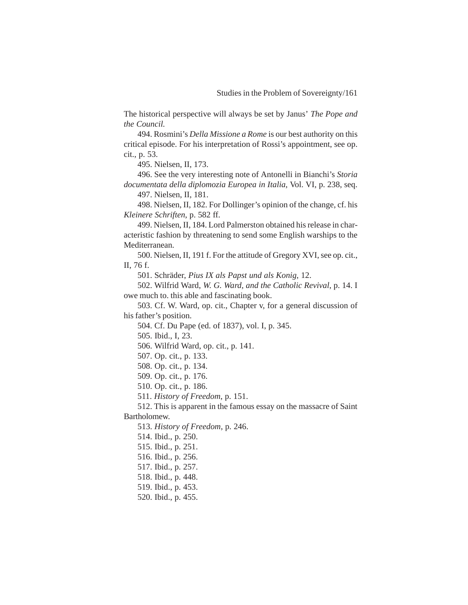The historical perspective will always be set by Janus' *The Pope and the Council.*

494. Rosmini's *Della Missione a Rome* is our best authority on this critical episode. For his interpretation of Rossi's appointment, see op. cit., p. 53.

495. Nielsen, II, 173.

496. See the very interesting note of Antonelli in Bianchi's *Storia documentata della diplomozia Europea in Italia*, Vol. VI, p. 238, seq.

497. Nielsen, II, 181.

498. Nielsen, II, 182. For Dollinger's opinion of the change, cf. his *Kleinere Schriften*, p. 582 ff.

499. Nielsen, II, 184. Lord Palmerston obtained his release in characteristic fashion by threatening to send some English warships to the Mediterranean.

500. Nielsen, II, 191 f. For the attitude of Gregory XVI, see op. cit., II, 76 f.

501. Schräder, *Pius IX als Papst und als Konig*, 12.

502. Wilfrid Ward, *W. G. Ward, and the Catholic Revival*, p. 14. I owe much to. this able and fascinating book.

503. Cf. W. Ward, op. cit., Chapter v, for a general discussion of his father's position.

504. Cf. Du Pape (ed. of 1837), vol. I, p. 345.

505. Ibid., I, 23.

506. Wilfrid Ward, op. cit., p. 141.

507. Op. cit., p. 133.

508. Op. cit., p. 134.

509. Op. cit., p. 176.

510. Op. cit., p. 186.

511. *History of Freedom*, p. 151.

512. This is apparent in the famous essay on the massacre of Saint Bartholomew.

513. *History of Freedom*, p. 246.

514. Ibid., p. 250.

515. Ibid., p. 251.

516. Ibid., p. 256.

517. Ibid., p. 257.

518. Ibid., p. 448.

519. Ibid., p. 453.

520. Ibid., p. 455.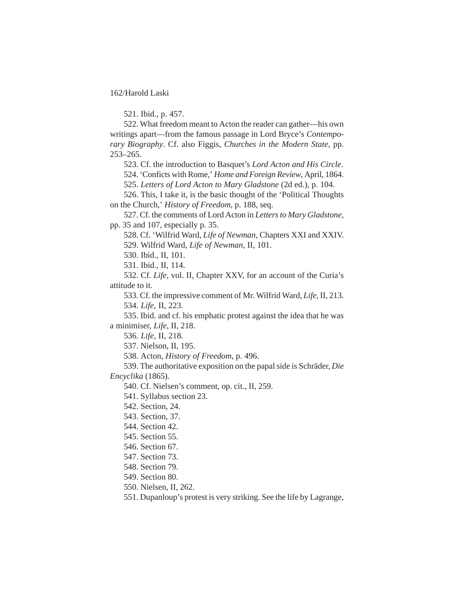521. Ibid., p. 457.

522. What freedom meant to Acton the reader can gather—his own writings apart—from the famous passage in Lord Bryce's *Contemporary Biography*. Cf. also Figgis, *Churches in the Modern State*, pp. 253–265.

523. Cf. the introduction to Basquet's *Lord Acton and His Circle*. 524. 'Conficts with Rome,' *Home and Foreign Review*, April, 1864.

525. *Letters of Lord Acton to Mary Gladstone* (2d ed.), p. 104.

526. This, I take it, is the basic thought of the 'Political Thoughts on the Church,' *History of Freedom*, p. 188, seq.

527. Cf. the comments of Lord Acton in *Letters to Mary Gladstone*, pp. 35 and 107, especially p. 35.

528. Cf. 'Wilfrid Ward, *Life of Newman*, Chapters XXI and XXIV. 529. Wilfrid Ward, *Life of Newman*, II, 101.

530. Ibid., II, 101.

531. Ibid., II, 114.

532. Cf. *Life*, vol. II, Chapter XXV, for an account of the Curia's attitude to it.

533. Cf. the impressive comment of Mr. Wilfrid Ward, *Life*, II, 213. 534. *Life*, II, 223.

535. Ibid. and cf. his emphatic protest against the idea that he was a minimiser, *Life*, II, 218.

536. *Life*, II, 218.

537. Nielson, II, 195.

538. Acton, *History of Freedom*, p. 496.

539. The authoritative exposition on the papal side is Schräder, *Die Encyclika* (1865).

540. Cf. Nielsen's comment, op. cit., II, 259.

541. Syllabus section 23.

542. Section, 24.

543. Section, 37.

544. Section 42.

545. Section 55.

546. Section 67.

547. Section 73.

548. Section 79.

549. Section 80.

550. Nielsen, II, 262.

551. Dupanloup's protest is very striking. See the life by Lagrange,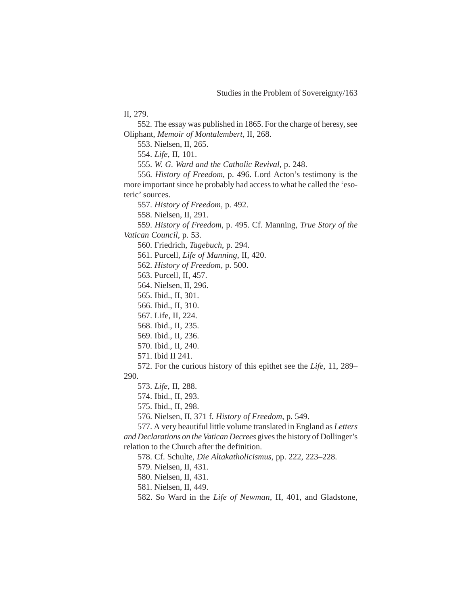II, 279.

552. The essay was published in 1865. For the charge of heresy, see Oliphant, *Memoir of Montalembert*, II, 268.

553. Nielsen, II, 265.

554. *Life*, II, 101.

555. *W. G. Ward and the Catholic Revival*, p. 248.

556. *History of Freedom*, p. 496. Lord Acton's testimony is the more important since he probably had access to what he called the 'esoteric' sources.

557. *History of Freedom*, p. 492.

558. Nielsen, II, 291.

559. *History of Freedom*, p. 495. Cf. Manning, *True Story of the Vatican Council*, p. 53.

560. Friedrich, *Tagebuch*, p. 294.

561. Purcell, *Life of Manning*, II, 420.

562. *History of Freedom*, p. 500.

563. Purcell, II, 457.

564. Nielsen, II, 296.

565. Ibid., II, 301.

566. Ibid., II, 310.

567. Life, II, 224.

568. Ibid., II, 235.

569. Ibid., II, 236.

570. Ibid., II, 240.

571. Ibid II 241.

572. For the curious history of this epithet see the *Life*, 11, 289– 290.

573. *Life*, II, 288.

574. Ibid., II, 293.

575. Ibid., II, 298.

576. Nielsen, II, 371 f. *History of Freedom*, p. 549.

577. A very beautiful little volume translated in England as *Letters and Declarations on the Vatican Decrees* gives the history of Dollinger's relation to the Church after the definition.

578. Cf. Schulte, *Die Altakatholicismus*, pp. 222, 223–228.

579. Nielsen, II, 431.

580. Nielsen, II, 431.

581. Nielsen, II, 449.

582. So Ward in the *Life of Newman*, II, 401, and Gladstone,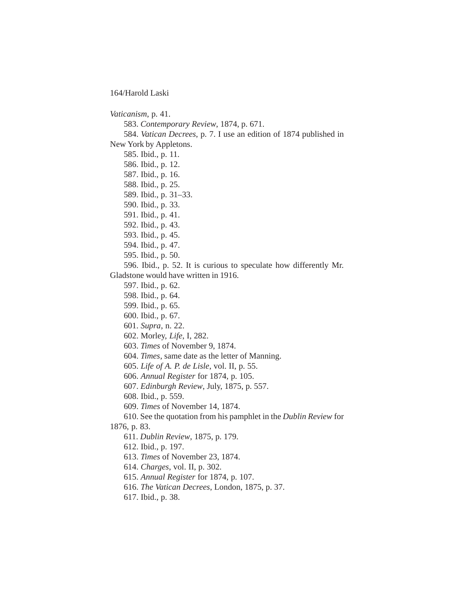*Vaticanism*, p. 41. 583. *Contemporary Review*, 1874, p. 671. 584. *Vatican Decrees*, p. 7. I use an edition of 1874 published in New York by Appletons. 585. Ibid., p. 11. 586. Ibid., p. 12. 587. Ibid., p. 16. 588. Ibid., p. 25. 589. Ibid., p. 31–33. 590. Ibid., p. 33. 591. Ibid., p. 41. 592. Ibid., p. 43. 593. Ibid., p. 45. 594. Ibid., p. 47. 595. Ibid., p. 50. 596. Ibid., p. 52. It is curious to speculate how differently Mr. Gladstone would have written in 1916. 597. Ibid., p. 62. 598. Ibid., p. 64. 599. Ibid., p. 65. 600. Ibid., p. 67. 601. *Supra*, n. 22. 602. Morley, *Life*, I, 282. 603. *Times* of November 9, 1874. 604. *Times*, same date as the letter of Manning. 605. *Life of A. P. de Lisle*, vol. II, p. 55. 606. *Annual Register* for 1874, p. 105. 607. *Edinburgh Review*, July, 1875, p. 557. 608. Ibid., p. 559. 609. *Times* of November 14, 1874. 610. See the quotation from his pamphlet in the *Dublin Review* for 1876, p. 83. 611. *Dublin Review*, 1875, p. 179. 612. Ibid., p. 197. 613. *Times* of November 23, 1874. 614. *Charges*, vol. II, p. 302. 615. *Annual Register* for 1874, p. 107. 616. *The Vatican Decrees*, London, 1875, p. 37. 617. Ibid., p. 38.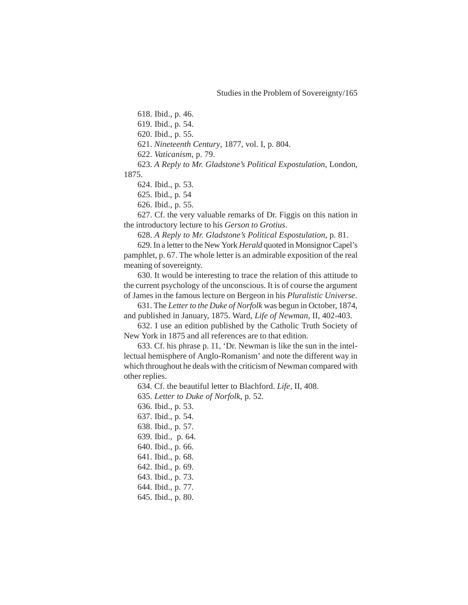618. Ibid., p. 46.

619. Ibid., p. 54.

620. Ibid., p. 55.

621. *Nineteenth Century*, 1877, vol. I, p. 804.

622. *Vaticanism*, p. 79.

623. *A Reply to Mr. Gladstone's Political Expostulation*, London, 1875.

624. Ibid., p. 53.

625. Ibid., p. 54

626. Ibid., p. 55.

627. Cf. the very valuable remarks of Dr. Figgis on this nation in the introductory lecture to his *Gerson to Grotius*.

628. *A Reply to Mr. Gladstone's Political Espostulation*, p. 81.

629. In a letter to the New York *Herald* quoted in Monsignor Capel's pamphlet, p. 67. The whole letter is an admirable exposition of the real meaning of sovereignty.

630. It would be interesting to trace the relation of this attitude to the current psychology of the unconscious. It is of course the argument of James in the famous lecture on Bergeon in his *Pluralistic Universe*.

631. The *Letter to the Duke of Norfolk* was begun in October, 1874, and published in January, 1875. Ward, *Life of Newman*, II, 402-403.

632. I use an edition published by the Catholic Truth Society of New York in 1875 and all references are to that edition.

633. Cf. his phrase p. 11, 'Dr. Newman is like the sun in the intellectual hemisphere of Anglo-Romanism' and note the different way in which throughout he deals with the criticism of Newman compared with other replies.

634. Cf. the beautiful letter to Blachford. *Life*, II, 408.

635. *Letter to Duke of Norfolk*, p. 52.

- 636. Ibid., p. 53.
- 637. Ibid., p. 54.
- 638. Ibid., p. 57.
- 639. Ibid., p. 64.
- 640. Ibid., p. 66.
- 641. Ibid., p. 68.
- 642. Ibid., p. 69.
- 643. Ibid., p. 73.
- 644. Ibid., p. 77.
- 645. Ibid., p. 80.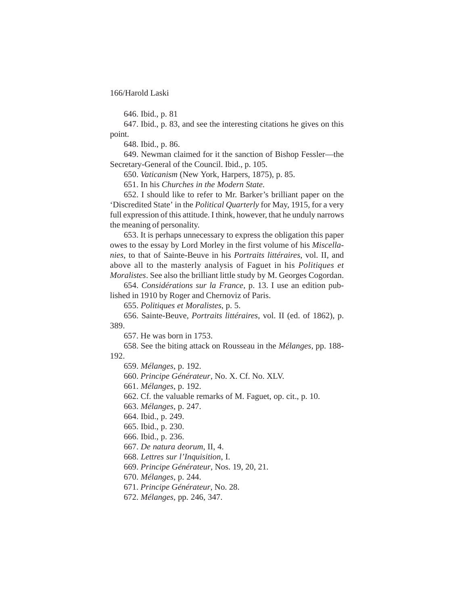646. Ibid., p. 81

647. Ibid., p. 83, and see the interesting citations he gives on this point.

648. Ibid., p. 86.

649. Newman claimed for it the sanction of Bishop Fessler—the Secretary-General of the Council. Ibid., p. 105.

650. *Vaticanism* (New York, Harpers, 1875), p. 85.

651. In his *Churches in the Modern State*.

652. I should like to refer to Mr. Barker's brilliant paper on the 'Discredited State' in the *Political Quarterly* for May, 1915, for a very full expression of this attitude. I think, however, that he unduly narrows the meaning of personality.

653. It is perhaps unnecessary to express the obligation this paper owes to the essay by Lord Morley in the first volume of his *Miscellanies*, to that of Sainte-Beuve in his *Portraits littéraires*, vol. II, and above all to the masterly analysis of Faguet in his *Politiques et Moralistes*. See also the brilliant little study by M. Georges Cogordan.

654. *Considérations sur la France*, p. 13. I use an edition published in 1910 by Roger and Chernoviz of Paris.

655. *Politiques et Moralistes*, p. 5.

656. Sainte-Beuve, *Portraits littéraires*, vol. II (ed. of 1862), p. 389.

657. He was born in 1753.

658. See the biting attack on Rousseau in the *Mélanges*, pp. 188- 192.

659. *Mélanges*, p. 192.

660. *Principe Générateur*, No. X. Cf. No. XLV.

661. *Mélanges*, p. 192.

662. Cf. the valuable remarks of M. Faguet, op. cit., p. 10.

663. *Mélanges*, p. 247.

664. Ibid., p. 249.

665. Ibid., p. 230.

666. Ibid., p. 236.

667. *De natura deorum*, II, 4.

668. *Lettres sur l'Inquisition*, I.

669. *Principe Générateur*, Nos. 19, 20, 21.

670. *Mélanges*, p. 244.

671. *Principe Générateur*, No. 28.

672. *Mélanges*, pp. 246, 347.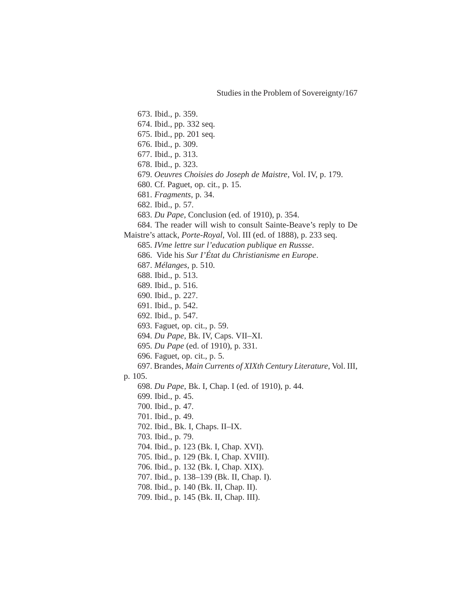673. Ibid., p. 359. 674. Ibid., pp. 332 seq. 675. Ibid., pp. 201 seq. 676. Ibid., p. 309. 677. Ibid., p. 313. 678. Ibid., p. 323. 679. *Oeuvres Choisies do Joseph de Maistre*, Vol. IV, p. 179. 680. Cf. Paguet, op. cit., p. 15. 681. *Fragments*, p. 34. 682. Ibid., p. 57. 683. *Du Pape*, Conclusion (ed. of 1910), p. 354. 684. The reader will wish to consult Sainte-Beave's reply to De Maistre's attack, *Porte-Royal*, Vol. III (ed. of 1888), p. 233 seq. 685. *IVme lettre sur l'education publique en Russse*. 686. Vide his *Sur I'État du Christianisme en Europe*. 687. *Mélanges*, p. 510. 688. Ibid., p. 513. 689. Ibid., p. 516. 690. Ibid., p. 227. 691. Ibid., p. 542. 692. Ibid., p. 547. 693. Faguet, op. cit., p. 59. 694. *Du Pape*, Bk. IV, Caps. VII–XI. 695. *Du Pape* (ed. of 1910), p. 331. 696. Faguet, op. cit., p. 5. 697. Brandes, *Main Currents of XIXth Century Literature*, Vol. III, p. 105. 698. *Du Pape*, Bk. I, Chap. I (ed. of 1910), p. 44. 699. Ibid., p. 45. 700. Ibid., p. 47. 701. Ibid., p. 49. 702. Ibid., Bk. I, Chaps. II–IX. 703. Ibid., p. 79. 704. Ibid., p. 123 (Bk. I, Chap. XVI). 705. Ibid., p. 129 (Bk. I, Chap. XVIII). 706. Ibid., p. 132 (Bk. I, Chap. XIX). 707. Ibid., p. 138–139 (Bk. II, Chap. I). 708. Ibid., p. 140 (Bk. II, Chap. II). 709. Ibid., p. 145 (Bk. II, Chap. III).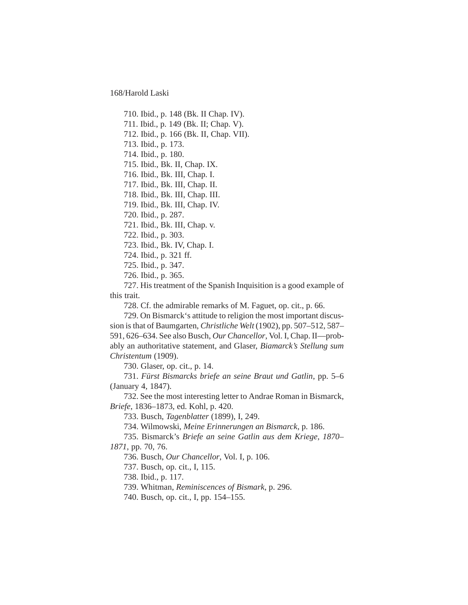710. Ibid., p. 148 (Bk. II Chap. IV). 711. Ibid., p. 149 (Bk. II; Chap. V). 712. Ibid., p. 166 (Bk. II, Chap. VII). 713. Ibid., p. 173. 714. Ibid., p. 180. 715. Ibid., Bk. II, Chap. IX. 716. Ibid., Bk. III, Chap. I. 717. Ibid., Bk. III, Chap. II. 718. Ibid., Bk. III, Chap. III. 719. Ibid., Bk. III, Chap. IV. 720. Ibid., p. 287. 721. Ibid., Bk. III, Chap. v. 722. Ibid., p. 303. 723. Ibid., Bk. IV, Chap. I.

- 724. Ibid., p. 321 ff.
- 725. Ibid., p. 347.
- 726. Ibid., p. 365.

727. His treatment of the Spanish Inquisition is a good example of this trait.

728. Cf. the admirable remarks of M. Faguet, op. cit., p. 66.

729. On Bismarck's attitude to religion the most important discussion is that of Baumgarten, *Christliche Welt* (1902), pp. 507–512, 587– 591, 626–634. See also Busch, *Our Chancellor*, Vol. I, Chap. II—probably an authoritative statement, and Glaser, *Biamarck's Stellung sum Christentum* (1909).

730. Glaser, op. cit., p. 14.

731. *Fürst Bismarcks briefe an seine Braut und Gatlin*, pp. 5–6 (January 4, 1847).

732. See the most interesting letter to Andrae Roman in Bismarck, *Briefe*, 1836–1873, ed. Kohl, p. 420.

733. Busch, *Tagenblatter* (1899), I, 249.

734. Wilmowski, *Meine Erinnerungen an Bismarck*, p. 186.

735. Bismarck's *Briefe an seine Gatlin aus dem Kriege, 1870– 1871*, pp. 70, 76.

736. Busch, *Our Chancellor*, Vol. I, p. 106.

737. Busch, op. cit., I, 115.

738. Ibid., p. 117.

739. Whitman, *Reminiscences of Bismark*, p. 296.

740. Busch, op. cit., I, pp. 154–155.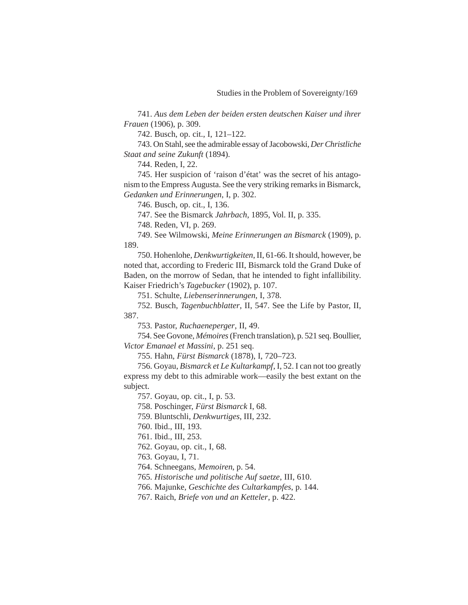741. *Aus dem Leben der beiden ersten deutschen Kaiser und ihrer Frauen* (1906), p. 309.

742. Busch, op. cit., I, 121–122.

743. On Stahl, see the admirable essay of Jacobowski, *Der Christliche Staat and seine Zukunft* (1894).

744. Reden, I, 22.

745. Her suspicion of 'raison d'état' was the secret of his antagonism to the Empress Augusta. See the very striking remarks in Bismarck, *Gedanken und Erinnerungen*, I, p. 302.

746. Busch, op. cit., I, 136.

747. See the Bismarck *Jahrbach*, 1895, Vol. II, p. 335.

748. Reden, VI, p. 269.

749. See Wilmowski, *Meine Erinnerungen an Bismarck* (1909), p. 189.

750. Hohenlohe, *Denkwurtigkeiten*, II, 61-66. It should, however, be noted that, according to Frederic III, Bismarck told the Grand Duke of Baden, on the morrow of Sedan, that he intended to fight infallibility. Kaiser Friedrich's *Tagebucker* (1902), p. 107.

751. Schulte, *Liebenserinnerungen*, I, 378.

752. Busch, *Tagenbuchblatter*, II, 547. See the Life by Pastor, II, 387.

753. Pastor, *Ruchaeneperger*, II, 49.

754. See Govone, *Mémoires* (French translation), p. 521 seq. Boullier, *Victor Emanael et Massini*, p. 251 seq.

755. Hahn, *Fürst Bismarck* (1878), I, 720–723.

756. Goyau, *Bismarck et Le Kultarkampf*, I, 52. I can not too greatly express my debt to this admirable work—easily the best extant on the subject.

757. Goyau, op. cit., I, p. 53.

758. Poschinger, *Fürst Bismarck* I, 68.

759. Bluntschli, *Denkwurtiges*, III, 232.

760. Ibid., III, 193.

761. Ibid., III, 253.

762. Goyau, op. cit., I, 68.

763. Goyau, I, 71.

764. Schneegans, *Memoiren*, p. 54.

765. *Historische und politische Auf saetze*, III, 610.

766. Majunke, *Geschichte des Cultarkampfes*, p. 144.

767. Raich, *Briefe von und an Ketteler*, p. 422.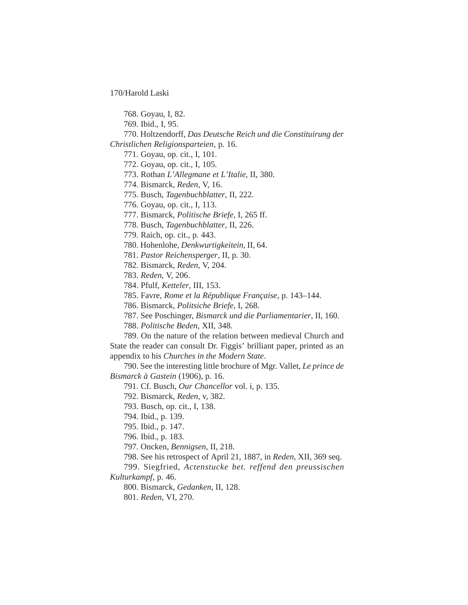768. Goyau, I, 82.

769. Ibid., I, 95.

770. Holtzendorff, *Das Deutsche Reich und die Constituirung der Christlichen Religionsparteien*, p. 16.

771. Goyau, op. cit., I, 101.

772. Goyau, op. cit., I, 105.

773. Rothan *L'Allegmane et L'Italie*, II, 380.

774. Bismarck, *Reden*, V, 16.

775. Busch, *Tagenbuchblatter*, II, 222.

776. Goyau, op. cit., I, 113.

777. Bismarck, *Politische Briefe*, I, 265 ff.

778. Busch, *Tagenbuchblatter*, II, 226.

779. Raich, op. cit., p. 443.

780. Hohenlohe, *Denkwurtigkeitein*, II, 64.

781. *Pastor Reichensperger*, II, p. 30.

782. Bismarck, *Reden*, V, 204.

783. *Reden*, V, 206.

784. Pfulf, *Ketteler*, III, 153.

785. Favre, *Rome et la République Française*, p. 143–144.

786. Bismarck, *Politsiche Briefe*, I, 268.

787. See Poschinger, *Bismarck und die Parliamentarier*, II, 160.

788. *Politische Beden*, XII, 348.

789. On the nature of the relation between medieval Church and State the reader can consult Dr. Figgis' brilliant paper, printed as an appendix to his *Churches in the Modern State*.

790. See the interesting little brochure of Mgr. Vallet, *Le prince de Bismarck à Gastein* (1906), p. 16.

791. Cf. Busch, *Our Chancellor* vol. i, p. 135.

792. Bismarck, *Reden*, v, 382.

793. Busch, op. cit., I, 138.

794. Ibid., p. 139.

795. Ibid., p. 147.

796. Ibid., p. 183.

797. Oncken, *Bennigsen*, II, 218.

798. See his retrospect of April 21, 1887, in *Reden*, XII, 369 seq.

799. Siegfried, *Actenstucke bet. reffend den preussischen Kulturkampf*, p. 46.

800. Bismarck, *Gedanken*, II, 128.

801. *Reden*, VI, 270.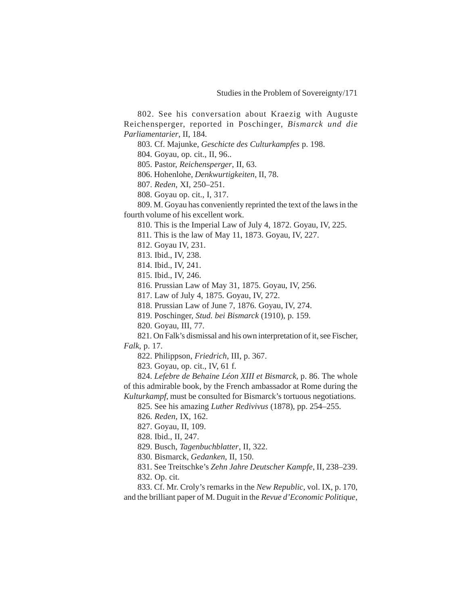802. See his conversation about Kraezig with Auguste Reichensperger, reported in Poschinger, *Bismarck und die Parliamentarier*, II, 184.

803. Cf. Majunke, *Geschicte des Culturkampfes* p. 198.

804. Goyau, op. cit., II, 96..

805. Pastor, *Reichensperger*, II, 63.

806. Hohenlohe, *Denkwurtigkeiten*, II, 78.

807. *Reden*, XI, 250–251.

808. Goyau op. cit., I, 317.

809. M. Goyau has conveniently reprinted the text of the laws in the fourth volume of his excellent work.

810. This is the Imperial Law of July 4, 1872. Goyau, IV, 225.

811. This is the law of May 11, 1873. Goyau, IV, 227.

812. Goyau IV, 231.

813. Ibid., IV, 238.

814. Ibid., IV, 241.

815. Ibid., IV, 246.

816. Prussian Law of May 31, 1875. Goyau, IV, 256.

817. Law of July 4, 1875. Goyau, IV, 272.

818. Prussian Law of June 7, 1876. Goyau, IV, 274.

819. Poschinger, *Stud. bei Bismarck* (1910), p. 159.

820. Goyau, III, 77.

821. On Falk's dismissal and his own interpretation of it, see Fischer, *Falk*, p. 17.

822. Philippson, *Friedrich*, III, p. 367.

823. Goyau, op. cit., IV, 61 f.

824. *Lefebre de Behaine Léon XIII et Bismarck*, p. 86. The whole of this admirable book, by the French ambassador at Rome during the *Kulturkampf*, must be consulted for Bismarck's tortuous negotiations.

825. See his amazing *Luther Redivivus* (1878), pp. 254–255.

826. *Reden*, IX, 162.

827. Goyau, II, 109.

828. Ibid., II, 247.

829. Busch, *Tagenbuchblatter*, II, 322.

830. Bismarck, *Gedanken*, II, 150.

831. See Treitschke's *Zehn Jahre Deutscher Kampfe*, II, 238–239. 832. Op. cit.

833. Cf. Mr. Croly's remarks in the *New Republic*, vol. IX, p. 170, and the brilliant paper of M. Duguit in the *Revue d'Economic Politique*,